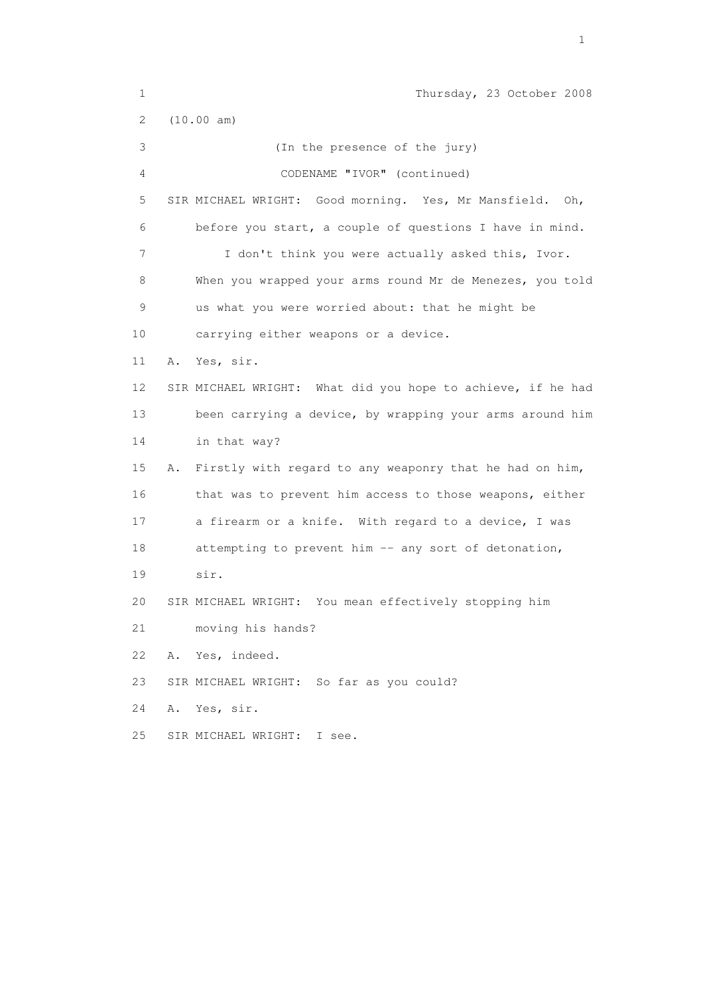1 Thursday, 23 October 2008 2 (10.00 am) 3 (In the presence of the jury) 4 CODENAME "IVOR" (continued) 5 SIR MICHAEL WRIGHT: Good morning. Yes, Mr Mansfield. Oh, 6 before you start, a couple of questions I have in mind. 7 I don't think you were actually asked this, Ivor. 8 When you wrapped your arms round Mr de Menezes, you told 9 us what you were worried about: that he might be 10 carrying either weapons or a device. 11 A. Yes, sir. 12 SIR MICHAEL WRIGHT: What did you hope to achieve, if he had 13 been carrying a device, by wrapping your arms around him 14 in that way? 15 A. Firstly with regard to any weaponry that he had on him, 16 that was to prevent him access to those weapons, either 17 a firearm or a knife. With regard to a device, I was 18 attempting to prevent him -- any sort of detonation, 19 sir. 20 SIR MICHAEL WRIGHT: You mean effectively stopping him 21 moving his hands? 22 A. Yes, indeed. 23 SIR MICHAEL WRIGHT: So far as you could? 24 A. Yes, sir. 25 SIR MICHAEL WRIGHT: I see.

the contract of the contract of the contract of the contract of the contract of the contract of the contract of the contract of the contract of the contract of the contract of the contract of the contract of the contract o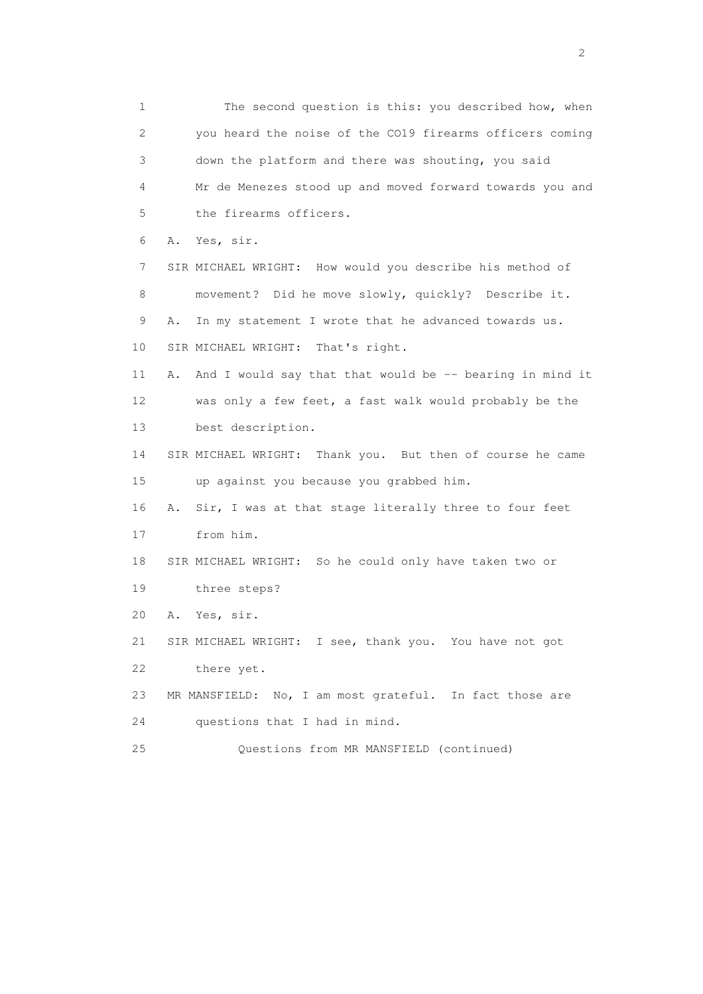1 The second question is this: you described how, when 2 you heard the noise of the CO19 firearms officers coming 3 down the platform and there was shouting, you said 4 Mr de Menezes stood up and moved forward towards you and 5 the firearms officers. 6 A. Yes, sir. 7 SIR MICHAEL WRIGHT: How would you describe his method of 8 movement? Did he move slowly, quickly? Describe it. 9 A. In my statement I wrote that he advanced towards us. 10 SIR MICHAEL WRIGHT: That's right. 11 A. And I would say that that would be -- bearing in mind it 12 was only a few feet, a fast walk would probably be the 13 best description. 14 SIR MICHAEL WRIGHT: Thank you. But then of course he came 15 up against you because you grabbed him. 16 A. Sir, I was at that stage literally three to four feet 17 from him. 18 SIR MICHAEL WRIGHT: So he could only have taken two or 19 three steps? 20 A. Yes, sir. 21 SIR MICHAEL WRIGHT: I see, thank you. You have not got 22 there yet. 23 MR MANSFIELD: No, I am most grateful. In fact those are 24 questions that I had in mind. 25 Questions from MR MANSFIELD (continued)

 $\overline{2}$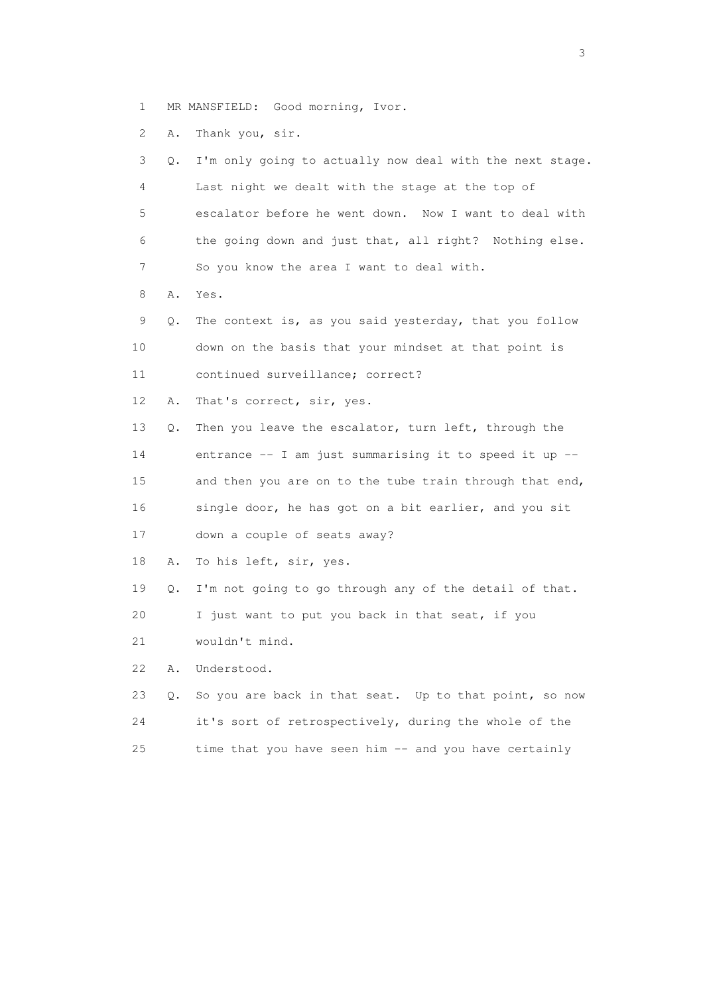1 MR MANSFIELD: Good morning, Ivor.

2 A. Thank you, sir.

| 3  | Q. | I'm only going to actually now deal with the next stage. |
|----|----|----------------------------------------------------------|
| 4  |    | Last night we dealt with the stage at the top of         |
| 5  |    | escalator before he went down. Now I want to deal with   |
| 6  |    | the going down and just that, all right? Nothing else.   |
| 7  |    | So you know the area I want to deal with.                |
| 8  | Α. | Yes.                                                     |
| 9  | Q. | The context is, as you said yesterday, that you follow   |
| 10 |    | down on the basis that your mindset at that point is     |
| 11 |    | continued surveillance; correct?                         |
| 12 | Α. | That's correct, sir, yes.                                |
| 13 | Q. | Then you leave the escalator, turn left, through the     |
| 14 |    | entrance -- I am just summarising it to speed it up --   |
| 15 |    | and then you are on to the tube train through that end,  |
| 16 |    | single door, he has got on a bit earlier, and you sit    |
| 17 |    | down a couple of seats away?                             |
| 18 | Α. | To his left, sir, yes.                                   |
| 19 | Q. | I'm not going to go through any of the detail of that.   |
| 20 |    | I just want to put you back in that seat, if you         |
| 21 |    | wouldn't mind.                                           |
| 22 | Α. | Understood.                                              |
| 23 | О. | So you are back in that seat. Up to that point, so now   |
| 24 |    | it's sort of retrospectively, during the whole of the    |
| 25 |    | time that you have seen him -- and you have certainly    |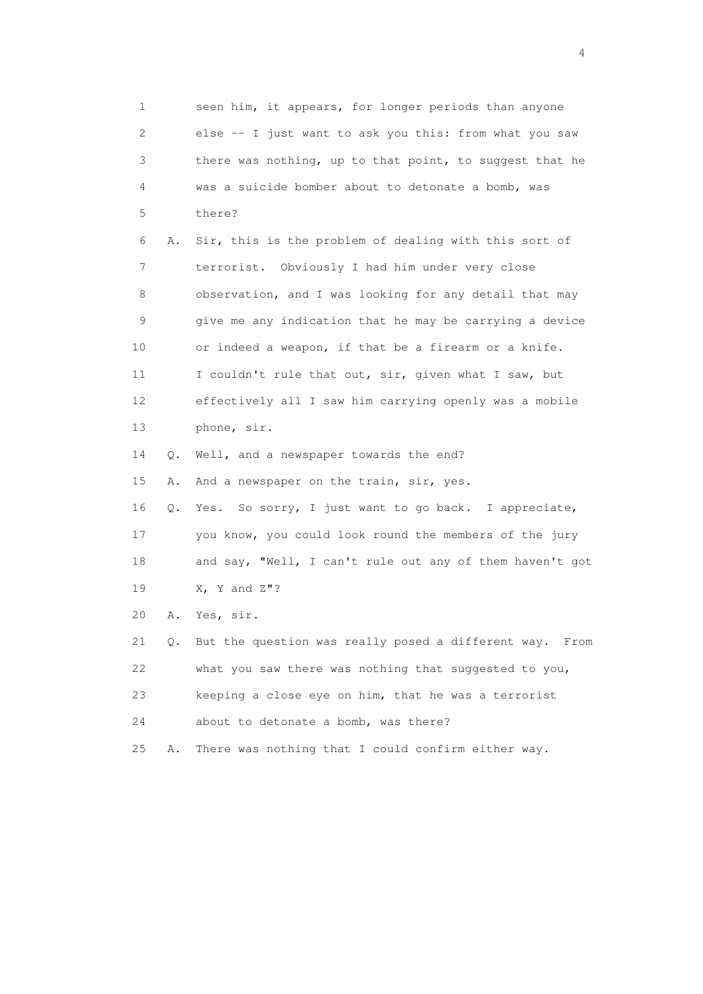1 seen him, it appears, for longer periods than anyone 2 else -- I just want to ask you this: from what you saw 3 there was nothing, up to that point, to suggest that he 4 was a suicide bomber about to detonate a bomb, was 5 there? 6 A. Sir, this is the problem of dealing with this sort of 7 terrorist. Obviously I had him under very close 8 observation, and I was looking for any detail that may 9 give me any indication that he may be carrying a device 10 or indeed a weapon, if that be a firearm or a knife. 11 I couldn't rule that out, sir, given what I saw, but 12 effectively all I saw him carrying openly was a mobile 13 phone, sir. 14 Q. Well, and a newspaper towards the end? 15 A. And a newspaper on the train, sir, yes. 16 Q. Yes. So sorry, I just want to go back. I appreciate, 17 you know, you could look round the members of the jury 18 and say, "Well, I can't rule out any of them haven't got 19 X, Y and Z"? 20 A. Yes, sir. 21 Q. But the question was really posed a different way. From 22 what you saw there was nothing that suggested to you, 23 keeping a close eye on him, that he was a terrorist 24 about to detonate a bomb, was there? 25 A. There was nothing that I could confirm either way.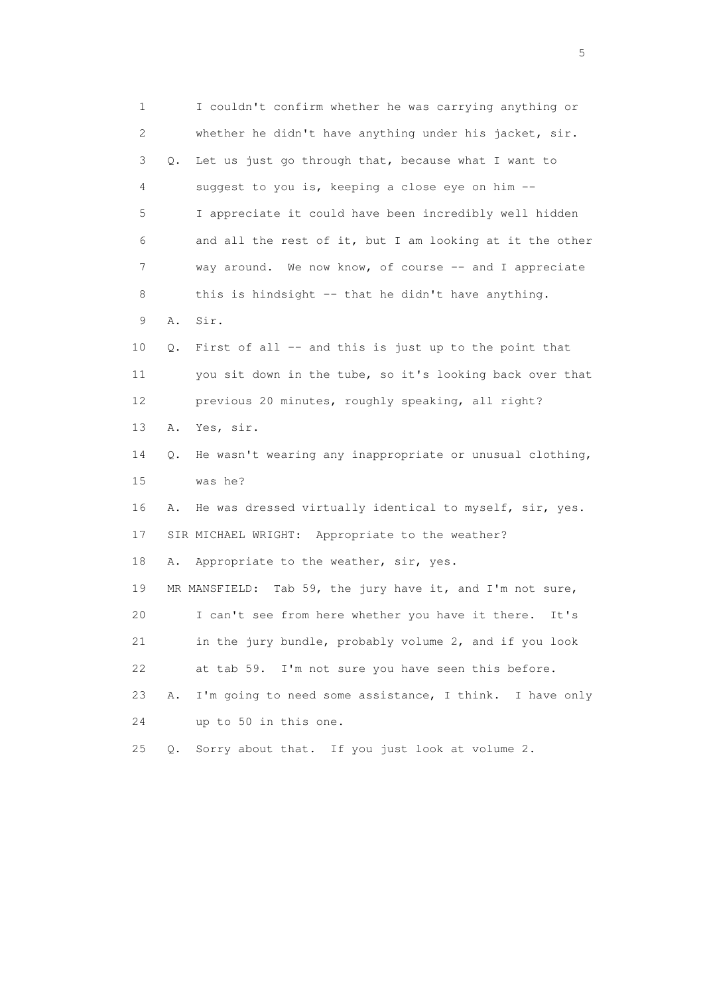| 1              |    | I couldn't confirm whether he was carrying anything or    |
|----------------|----|-----------------------------------------------------------|
| $\overline{c}$ |    | whether he didn't have anything under his jacket, sir.    |
| 3              | Q. | Let us just go through that, because what I want to       |
| 4              |    | suggest to you is, keeping a close eye on him --          |
| 5              |    | I appreciate it could have been incredibly well hidden    |
| 6              |    | and all the rest of it, but I am looking at it the other  |
| 7              |    | way around. We now know, of course -- and I appreciate    |
| 8              |    | this is hindsight -- that he didn't have anything.        |
| 9              | Α. | Sir.                                                      |
| 10             | Q. | First of all -- and this is just up to the point that     |
| 11             |    | you sit down in the tube, so it's looking back over that  |
| 12             |    | previous 20 minutes, roughly speaking, all right?         |
| 13             | Α. | Yes, sir.                                                 |
| 14             | Q. | He wasn't wearing any inappropriate or unusual clothing,  |
| 15             |    | was he?                                                   |
| 16             | Α. | He was dressed virtually identical to myself, sir, yes.   |
| 17             |    | SIR MICHAEL WRIGHT: Appropriate to the weather?           |
| 18             | Α. | Appropriate to the weather, sir, yes.                     |
| 19             |    | MR MANSFIELD: Tab 59, the jury have it, and I'm not sure, |
| 20             |    | I can't see from here whether you have it there.<br>It's  |
| 21             |    | in the jury bundle, probably volume 2, and if you look    |
| 22             |    | at tab 59. I'm not sure you have seen this before.        |
| 23             | Α. | I'm going to need some assistance, I think. I have only   |
| 24             |    | up to 50 in this one.                                     |
| 25             | Q. | Sorry about that. If you just look at volume 2.           |

 $\sim$  5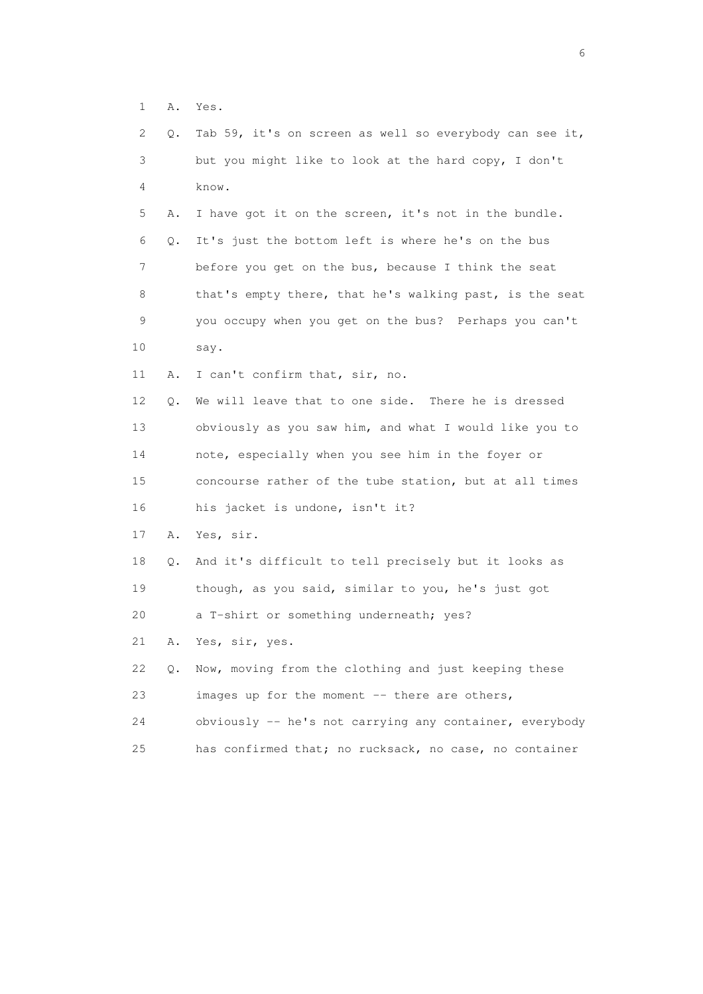1 A. Yes.

| 2  | Q. | Tab 59, it's on screen as well so everybody can see it, |
|----|----|---------------------------------------------------------|
| 3  |    | but you might like to look at the hard copy, I don't    |
| 4  |    | know.                                                   |
| 5  | Α. | I have got it on the screen, it's not in the bundle.    |
| 6  | Q. | It's just the bottom left is where he's on the bus      |
| 7  |    | before you get on the bus, because I think the seat     |
| 8  |    | that's empty there, that he's walking past, is the seat |
| 9  |    | you occupy when you get on the bus? Perhaps you can't   |
| 10 |    | say.                                                    |
| 11 | Α. | I can't confirm that, sir, no.                          |
| 12 | Q. | We will leave that to one side. There he is dressed     |
| 13 |    | obviously as you saw him, and what I would like you to  |
| 14 |    | note, especially when you see him in the foyer or       |
| 15 |    | concourse rather of the tube station, but at all times  |
| 16 |    | his jacket is undone, isn't it?                         |
| 17 | Α. | Yes, sir.                                               |
| 18 | Q. | And it's difficult to tell precisely but it looks as    |
| 19 |    | though, as you said, similar to you, he's just got      |
| 20 |    | a T-shirt or something underneath; yes?                 |
| 21 | Α. | Yes, sir, yes.                                          |
| 22 | Q. | Now, moving from the clothing and just keeping these    |
| 23 |    | images up for the moment -- there are others,           |
| 24 |    | obviously -- he's not carrying any container, everybody |
| 25 |    | has confirmed that; no rucksack, no case, no container  |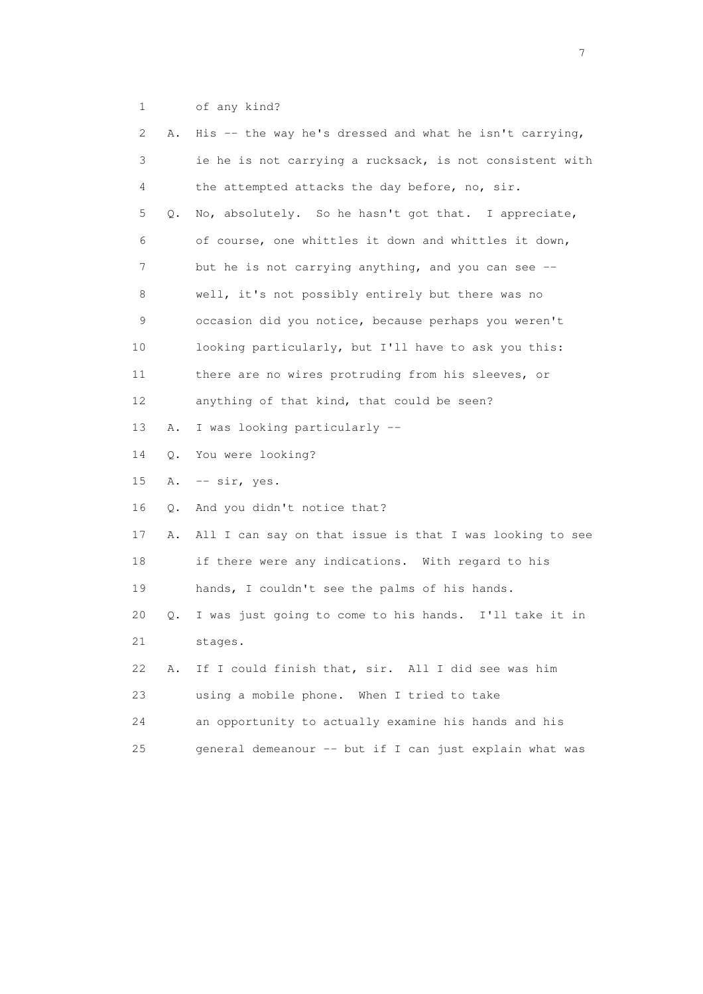1 of any kind?

| 2  | Α. | His -- the way he's dressed and what he isn't carrying,  |
|----|----|----------------------------------------------------------|
| 3  |    | ie he is not carrying a rucksack, is not consistent with |
| 4  |    | the attempted attacks the day before, no, sir.           |
| 5  | Q. | No, absolutely. So he hasn't got that. I appreciate,     |
| 6  |    | of course, one whittles it down and whittles it down,    |
| 7  |    | but he is not carrying anything, and you can see --      |
| 8  |    | well, it's not possibly entirely but there was no        |
| 9  |    | occasion did you notice, because perhaps you weren't     |
| 10 |    | looking particularly, but I'll have to ask you this:     |
| 11 |    | there are no wires protruding from his sleeves, or       |
| 12 |    | anything of that kind, that could be seen?               |
| 13 | Α. | I was looking particularly --                            |
| 14 | Q. | You were looking?                                        |
| 15 | Α. | $--$ sir, yes.                                           |
| 16 | Q. | And you didn't notice that?                              |
| 17 | Α. | All I can say on that issue is that I was looking to see |
| 18 |    | if there were any indications. With regard to his        |
| 19 |    | hands, I couldn't see the palms of his hands.            |
| 20 | Q. | I was just going to come to his hands. I'll take it in   |
| 21 |    | stages.                                                  |
| 22 | Α. | If I could finish that, sir. All I did see was him       |
| 23 |    | using a mobile phone. When I tried to take               |
| 24 |    | an opportunity to actually examine his hands and his     |
| 25 |    | general demeanour -- but if I can just explain what was  |
|    |    |                                                          |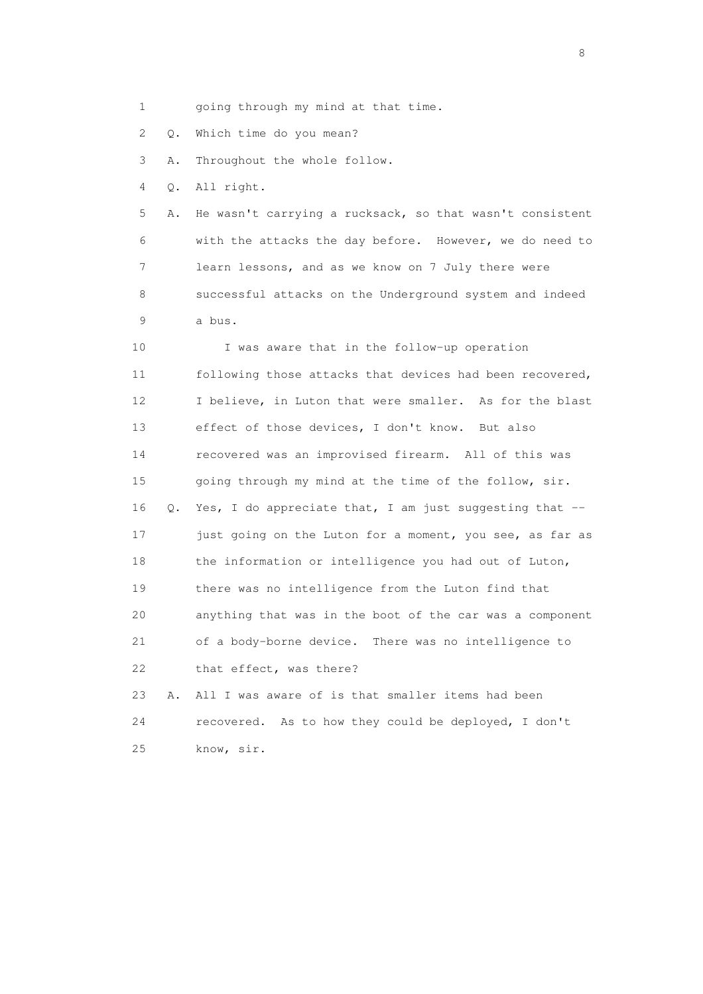1 going through my mind at that time.

2 Q. Which time do you mean?

3 A. Throughout the whole follow.

4 Q. All right.

 5 A. He wasn't carrying a rucksack, so that wasn't consistent 6 with the attacks the day before. However, we do need to 7 learn lessons, and as we know on 7 July there were 8 successful attacks on the Underground system and indeed 9 a bus.

 10 I was aware that in the follow-up operation 11 following those attacks that devices had been recovered, 12 I believe, in Luton that were smaller. As for the blast 13 effect of those devices, I don't know. But also 14 recovered was an improvised firearm. All of this was 15 going through my mind at the time of the follow, sir. 16 Q. Yes, I do appreciate that, I am just suggesting that -- 17 just going on the Luton for a moment, you see, as far as 18 the information or intelligence you had out of Luton, 19 there was no intelligence from the Luton find that 20 anything that was in the boot of the car was a component 21 of a body-borne device. There was no intelligence to 22 that effect, was there?

 23 A. All I was aware of is that smaller items had been 24 recovered. As to how they could be deployed, I don't 25 know, sir.

en de la construction de la construction de la construction de la construction de la construction de la constr<br>En 1980, en 1980, en 1980, en 1980, en 1980, en 1980, en 1980, en 1980, en 1980, en 1980, en 1980, en 1980, en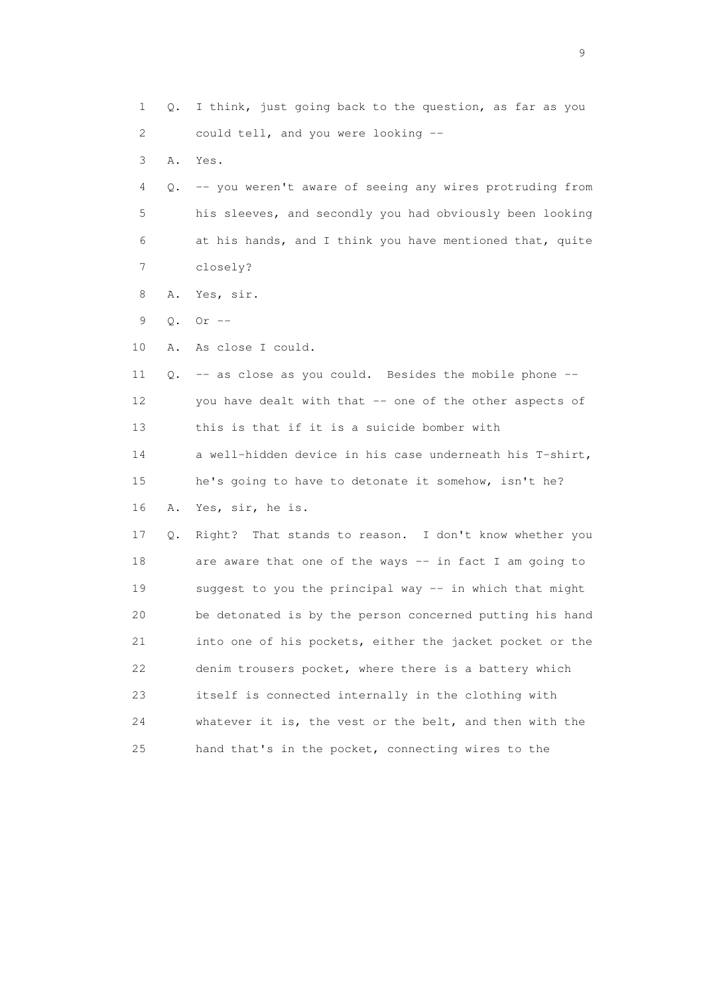1 Q. I think, just going back to the question, as far as you 2 could tell, and you were looking -- 3 A. Yes. 4 Q. -- you weren't aware of seeing any wires protruding from 5 his sleeves, and secondly you had obviously been looking 6 at his hands, and I think you have mentioned that, quite 7 closely? 8 A. Yes, sir. 9 Q. Or -- 10 A. As close I could. 11 Q. -- as close as you could. Besides the mobile phone -- 12 you have dealt with that -- one of the other aspects of 13 this is that if it is a suicide bomber with 14 a well-hidden device in his case underneath his T-shirt, 15 he's going to have to detonate it somehow, isn't he? 16 A. Yes, sir, he is. 17 Q. Right? That stands to reason. I don't know whether you 18 are aware that one of the ways -- in fact I am going to 19 suggest to you the principal way -- in which that might 20 be detonated is by the person concerned putting his hand 21 into one of his pockets, either the jacket pocket or the 22 denim trousers pocket, where there is a battery which 23 itself is connected internally in the clothing with 24 whatever it is, the vest or the belt, and then with the 25 hand that's in the pocket, connecting wires to the

en de la construction de la construction de la construction de la construction de la construction de la constr<br>1911 : la construction de la construction de la construction de la construction de la construction de la const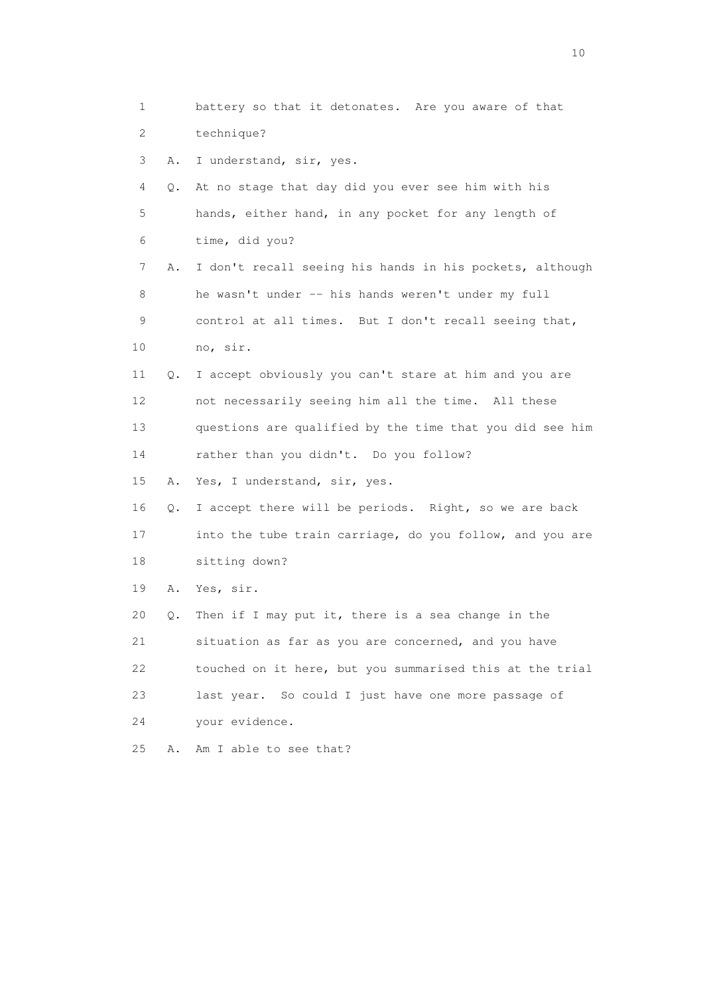1 battery so that it detonates. Are you aware of that 2 technique? 3 A. I understand, sir, yes. 4 Q. At no stage that day did you ever see him with his 5 hands, either hand, in any pocket for any length of 6 time, did you? 7 A. I don't recall seeing his hands in his pockets, although 8 he wasn't under -- his hands weren't under my full 9 control at all times. But I don't recall seeing that, 10 no, sir. 11 Q. I accept obviously you can't stare at him and you are 12 not necessarily seeing him all the time. All these 13 questions are qualified by the time that you did see him 14 rather than you didn't. Do you follow? 15 A. Yes, I understand, sir, yes. 16 Q. I accept there will be periods. Right, so we are back 17 into the tube train carriage, do you follow, and you are 18 sitting down? 19 A. Yes, sir. 20 Q. Then if I may put it, there is a sea change in the 21 situation as far as you are concerned, and you have 22 touched on it here, but you summarised this at the trial 23 last year. So could I just have one more passage of 24 your evidence. 25 A. Am I able to see that?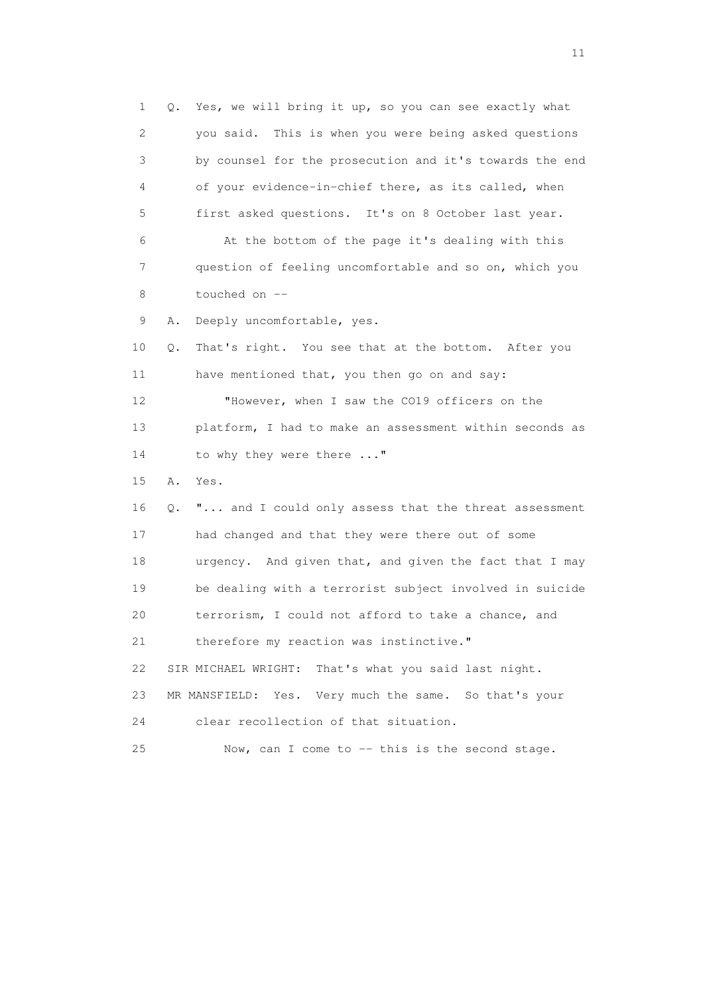1 Q. Yes, we will bring it up, so you can see exactly what 2 you said. This is when you were being asked questions 3 by counsel for the prosecution and it's towards the end 4 of your evidence-in-chief there, as its called, when 5 first asked questions. It's on 8 October last year. 6 At the bottom of the page it's dealing with this 7 question of feeling uncomfortable and so on, which you 8 touched on -- 9 A. Deeply uncomfortable, yes. 10 Q. That's right. You see that at the bottom. After you 11 have mentioned that, you then go on and say: 12 "However, when I saw the CO19 officers on the 13 platform, I had to make an assessment within seconds as 14 to why they were there ..." 15 A. Yes. 16 Q. "... and I could only assess that the threat assessment 17 had changed and that they were there out of some 18 urgency. And given that, and given the fact that I may 19 be dealing with a terrorist subject involved in suicide 20 terrorism, I could not afford to take a chance, and 21 therefore my reaction was instinctive." 22 SIR MICHAEL WRIGHT: That's what you said last night. 23 MR MANSFIELD: Yes. Very much the same. So that's your 24 clear recollection of that situation. 25 Now, can I come to -- this is the second stage.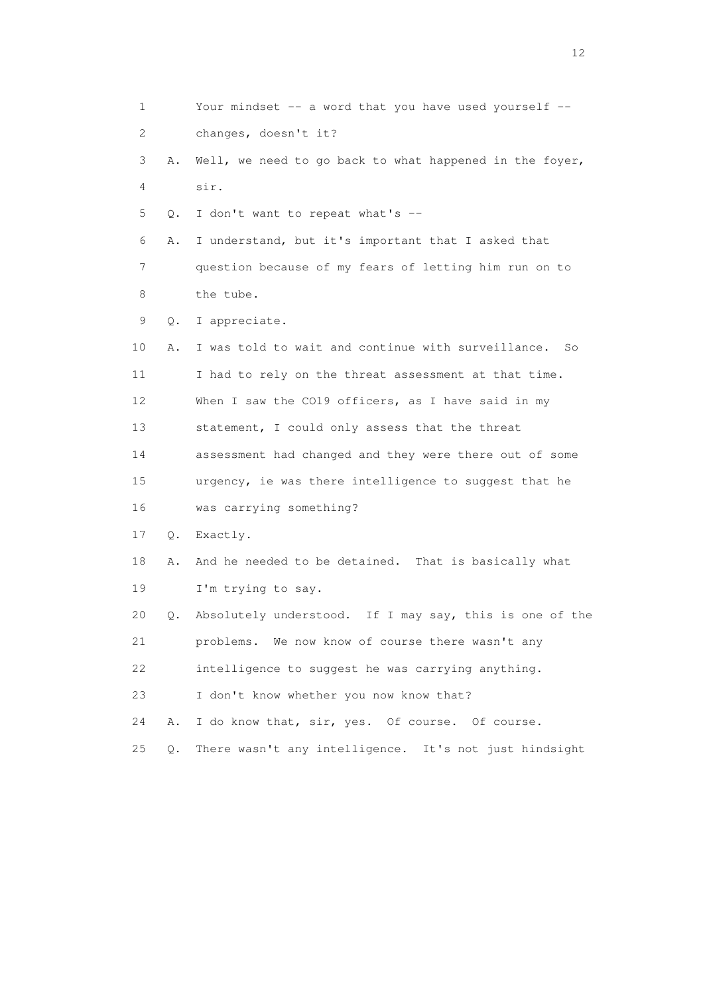1 Your mindset -- a word that you have used yourself -- 2 changes, doesn't it? 3 A. Well, we need to go back to what happened in the foyer, 4 sir. 5 Q. I don't want to repeat what's -- 6 A. I understand, but it's important that I asked that 7 question because of my fears of letting him run on to 8 the tube. 9 Q. I appreciate. 10 A. I was told to wait and continue with surveillance. So 11 I had to rely on the threat assessment at that time. 12 When I saw the CO19 officers, as I have said in my 13 statement, I could only assess that the threat 14 assessment had changed and they were there out of some 15 urgency, ie was there intelligence to suggest that he 16 was carrying something? 17 Q. Exactly. 18 A. And he needed to be detained. That is basically what 19 I'm trying to say. 20 Q. Absolutely understood. If I may say, this is one of the 21 problems. We now know of course there wasn't any 22 intelligence to suggest he was carrying anything. 23 I don't know whether you now know that? 24 A. I do know that, sir, yes. Of course. Of course. 25 Q. There wasn't any intelligence. It's not just hindsight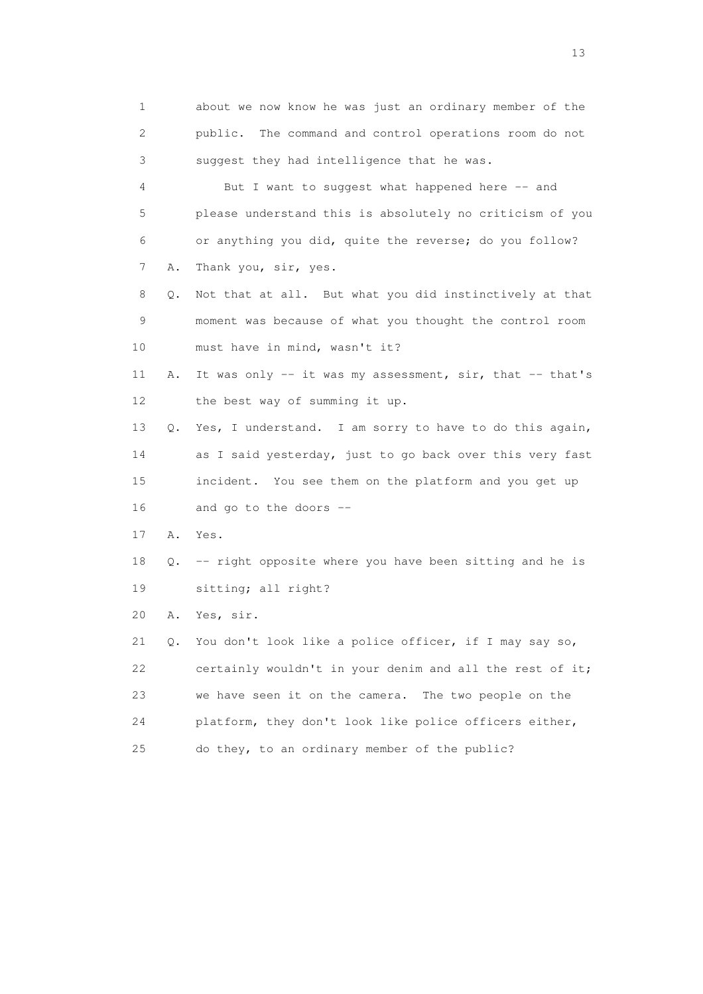1 about we now know he was just an ordinary member of the 2 public. The command and control operations room do not 3 suggest they had intelligence that he was. 4 But I want to suggest what happened here -- and 5 please understand this is absolutely no criticism of you 6 or anything you did, quite the reverse; do you follow? 7 A. Thank you, sir, yes. 8 Q. Not that at all. But what you did instinctively at that 9 moment was because of what you thought the control room 10 must have in mind, wasn't it? 11 A. It was only -- it was my assessment, sir, that -- that's 12 the best way of summing it up. 13 Q. Yes, I understand. I am sorry to have to do this again, 14 as I said yesterday, just to go back over this very fast 15 incident. You see them on the platform and you get up 16 and go to the doors -- 17 A. Yes. 18 Q. -- right opposite where you have been sitting and he is 19 sitting; all right? 20 A. Yes, sir. 21 Q. You don't look like a police officer, if I may say so, 22 certainly wouldn't in your denim and all the rest of it; 23 we have seen it on the camera. The two people on the 24 platform, they don't look like police officers either, 25 do they, to an ordinary member of the public?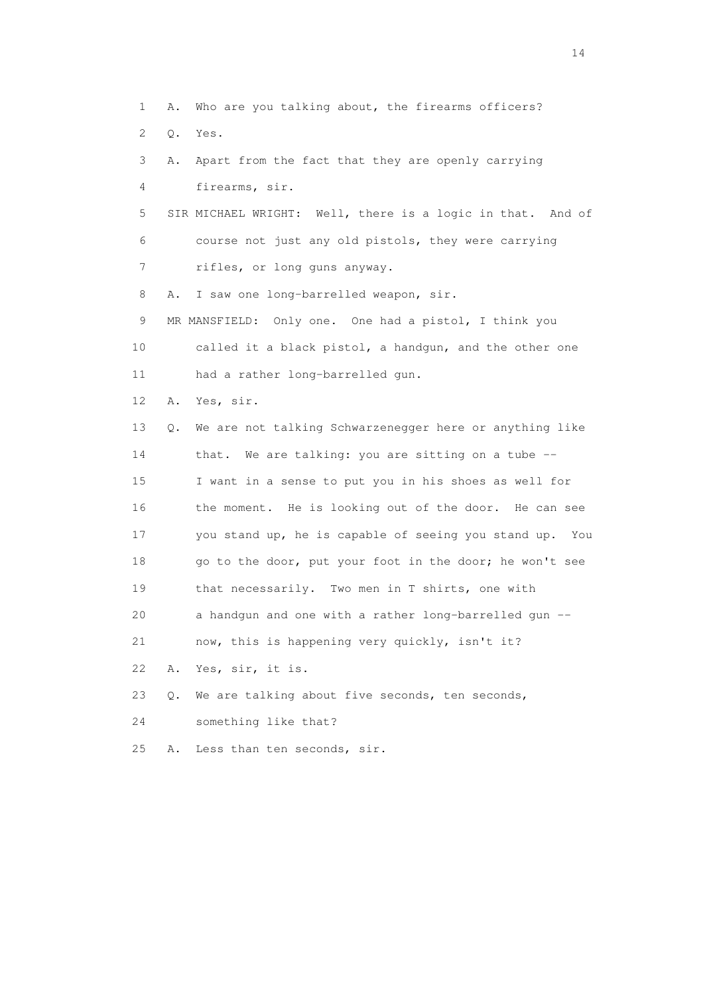1 A. Who are you talking about, the firearms officers? 2 Q. Yes. 3 A. Apart from the fact that they are openly carrying 4 firearms, sir. 5 SIR MICHAEL WRIGHT: Well, there is a logic in that. And of 6 course not just any old pistols, they were carrying 7 rifles, or long guns anyway. 8 A. I saw one long-barrelled weapon, sir. 9 MR MANSFIELD: Only one. One had a pistol, I think you 10 called it a black pistol, a handgun, and the other one 11 had a rather long-barrelled gun. 12 A. Yes, sir. 13 Q. We are not talking Schwarzenegger here or anything like 14 that. We are talking: you are sitting on a tube -- 15 I want in a sense to put you in his shoes as well for 16 the moment. He is looking out of the door. He can see 17 you stand up, he is capable of seeing you stand up. You 18 go to the door, put your foot in the door; he won't see 19 that necessarily. Two men in T shirts, one with 20 a handgun and one with a rather long-barrelled gun -- 21 now, this is happening very quickly, isn't it? 22 A. Yes, sir, it is. 23 Q. We are talking about five seconds, ten seconds, 24 something like that? 25 A. Less than ten seconds, sir.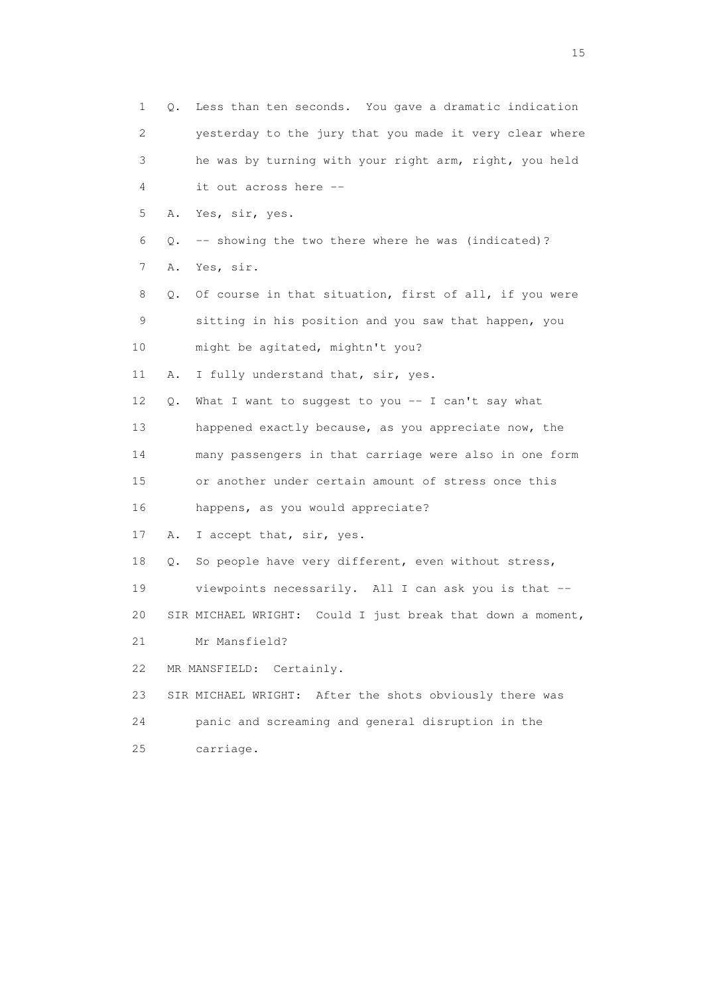| $\mathbf{1}$ | О. | Less than ten seconds. You gave a dramatic indication      |
|--------------|----|------------------------------------------------------------|
| 2            |    | yesterday to the jury that you made it very clear where    |
| 3            |    | he was by turning with your right arm, right, you held     |
| 4            |    | it out across here --                                      |
| 5            | Α. | Yes, sir, yes.                                             |
| 6            | Q. | -- showing the two there where he was (indicated)?         |
| 7            | Α. | Yes, sir.                                                  |
| 8            | Q. | Of course in that situation, first of all, if you were     |
| 9            |    | sitting in his position and you saw that happen, you       |
| 10           |    | might be agitated, mightn't you?                           |
| 11           | Α. | I fully understand that, sir, yes.                         |
| 12           | Q. | What I want to suggest to you -- I can't say what          |
| 13           |    | happened exactly because, as you appreciate now, the       |
| 14           |    | many passengers in that carriage were also in one form     |
| 15           |    | or another under certain amount of stress once this        |
| 16           |    | happens, as you would appreciate?                          |
| 17           | Α. | I accept that, sir, yes.                                   |
| 18           | Q. | So people have very different, even without stress,        |
| 19           |    | viewpoints necessarily. All I can ask you is that --       |
| 20           |    | SIR MICHAEL WRIGHT: Could I just break that down a moment, |
| 21           |    | Mr Mansfield?                                              |
| 22           |    | Certainly.<br>MR MANSFIELD:                                |
| 23           |    | SIR MICHAEL WRIGHT: After the shots obviously there was    |
| 24           |    | panic and screaming and general disruption in the          |
| 25           |    | carriage.                                                  |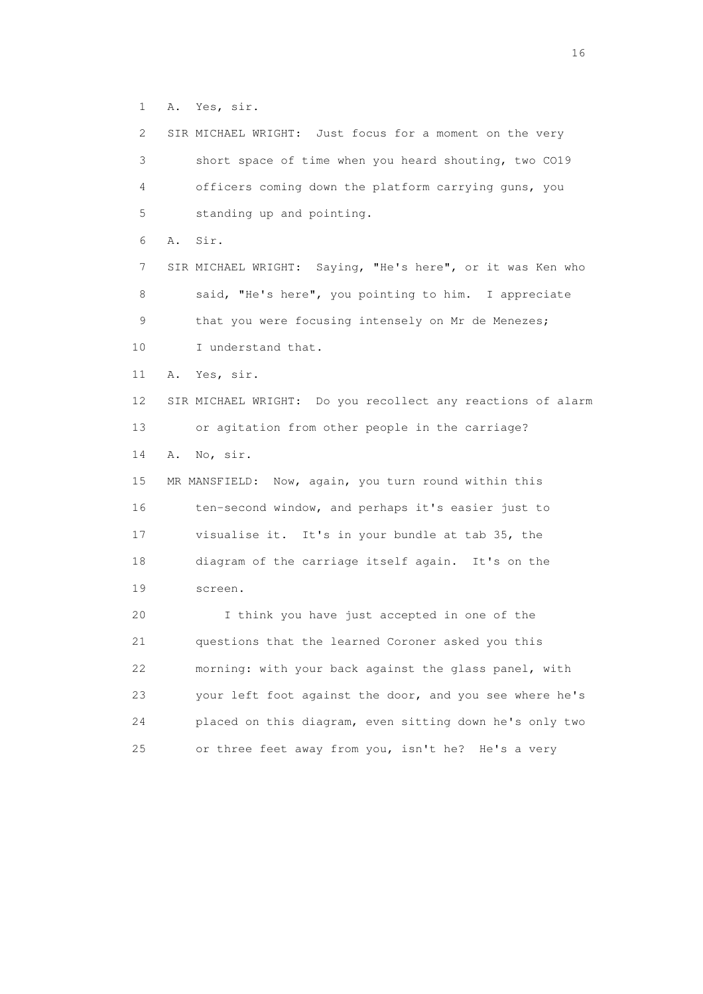1 A. Yes, sir.

 2 SIR MICHAEL WRIGHT: Just focus for a moment on the very 3 short space of time when you heard shouting, two CO19 4 officers coming down the platform carrying guns, you 5 standing up and pointing. 6 A. Sir. 7 SIR MICHAEL WRIGHT: Saying, "He's here", or it was Ken who 8 said, "He's here", you pointing to him. I appreciate 9 that you were focusing intensely on Mr de Menezes; 10 I understand that. 11 A. Yes, sir. 12 SIR MICHAEL WRIGHT: Do you recollect any reactions of alarm 13 or agitation from other people in the carriage? 14 A. No, sir. 15 MR MANSFIELD: Now, again, you turn round within this 16 ten-second window, and perhaps it's easier just to 17 visualise it. It's in your bundle at tab 35, the 18 diagram of the carriage itself again. It's on the 19 screen. 20 I think you have just accepted in one of the 21 questions that the learned Coroner asked you this 22 morning: with your back against the glass panel, with 23 your left foot against the door, and you see where he's 24 placed on this diagram, even sitting down he's only two 25 or three feet away from you, isn't he? He's a very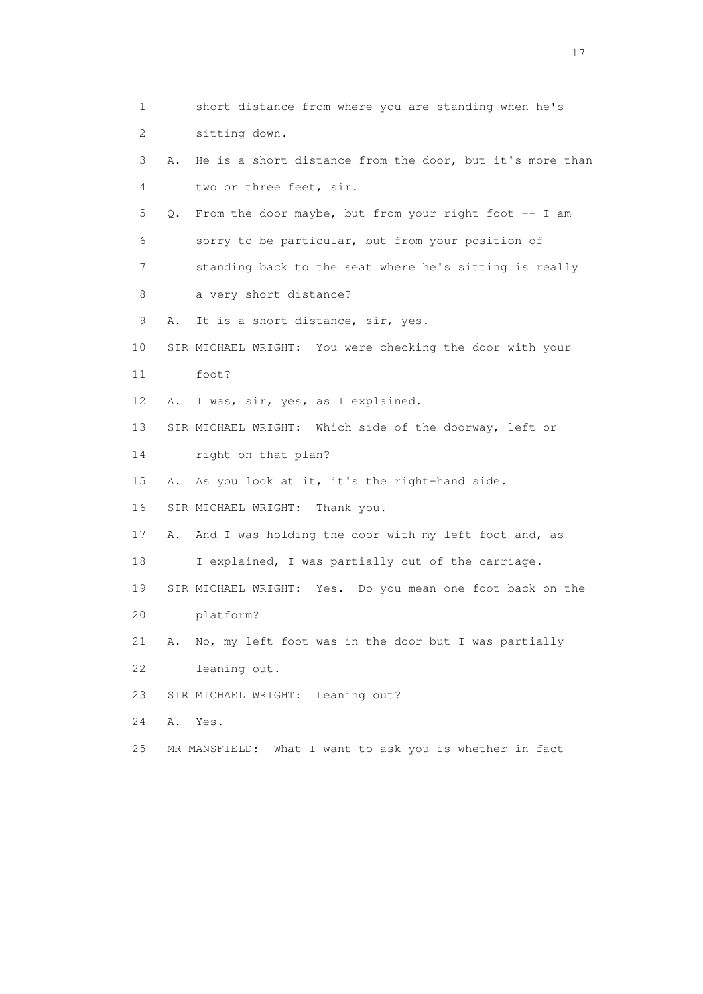1 short distance from where you are standing when he's 2 sitting down. 3 A. He is a short distance from the door, but it's more than 4 two or three feet, sir. 5 Q. From the door maybe, but from your right foot -- I am 6 sorry to be particular, but from your position of 7 standing back to the seat where he's sitting is really 8 a very short distance? 9 A. It is a short distance, sir, yes. 10 SIR MICHAEL WRIGHT: You were checking the door with your 11 foot? 12 A. I was, sir, yes, as I explained. 13 SIR MICHAEL WRIGHT: Which side of the doorway, left or 14 right on that plan? 15 A. As you look at it, it's the right-hand side. 16 SIR MICHAEL WRIGHT: Thank you. 17 A. And I was holding the door with my left foot and, as 18 I explained, I was partially out of the carriage. 19 SIR MICHAEL WRIGHT: Yes. Do you mean one foot back on the 20 platform? 21 A. No, my left foot was in the door but I was partially 22 leaning out. 23 SIR MICHAEL WRIGHT: Leaning out? 24 A. Yes. 25 MR MANSFIELD: What I want to ask you is whether in fact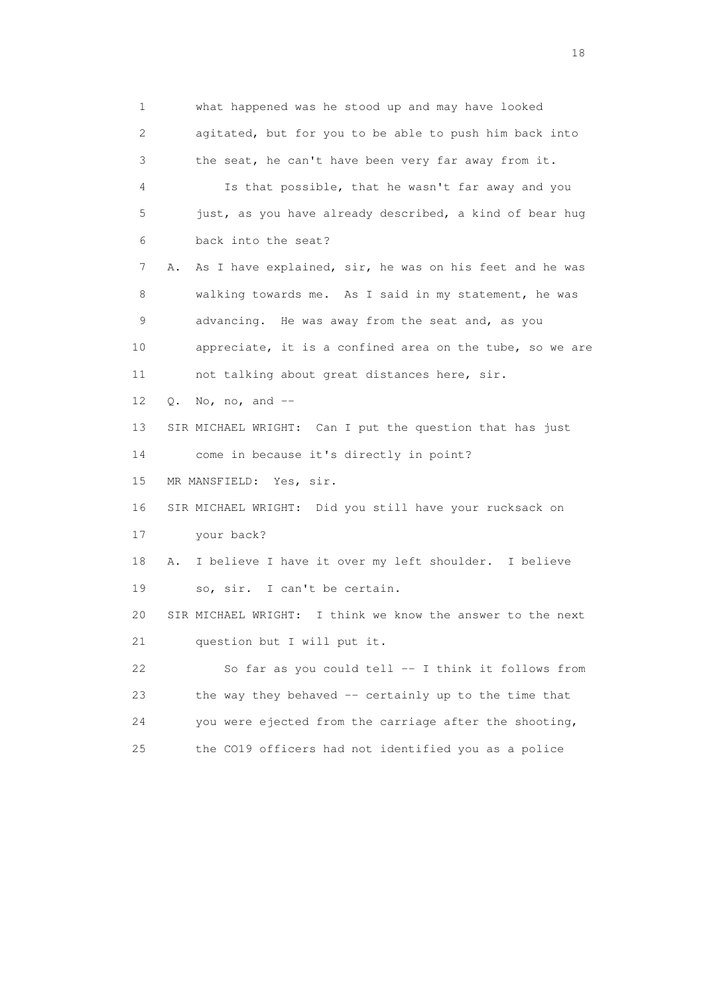1 what happened was he stood up and may have looked 2 agitated, but for you to be able to push him back into 3 the seat, he can't have been very far away from it. 4 Is that possible, that he wasn't far away and you 5 just, as you have already described, a kind of bear hug 6 back into the seat? 7 A. As I have explained, sir, he was on his feet and he was 8 walking towards me. As I said in my statement, he was 9 advancing. He was away from the seat and, as you 10 appreciate, it is a confined area on the tube, so we are 11 not talking about great distances here, sir. 12 Q. No, no, and -- 13 SIR MICHAEL WRIGHT: Can I put the question that has just 14 come in because it's directly in point? 15 MR MANSFIELD: Yes, sir. 16 SIR MICHAEL WRIGHT: Did you still have your rucksack on 17 your back? 18 A. I believe I have it over my left shoulder. I believe 19 so, sir. I can't be certain. 20 SIR MICHAEL WRIGHT: I think we know the answer to the next 21 question but I will put it. 22 So far as you could tell -- I think it follows from 23 the way they behaved -- certainly up to the time that 24 you were ejected from the carriage after the shooting, 25 the CO19 officers had not identified you as a police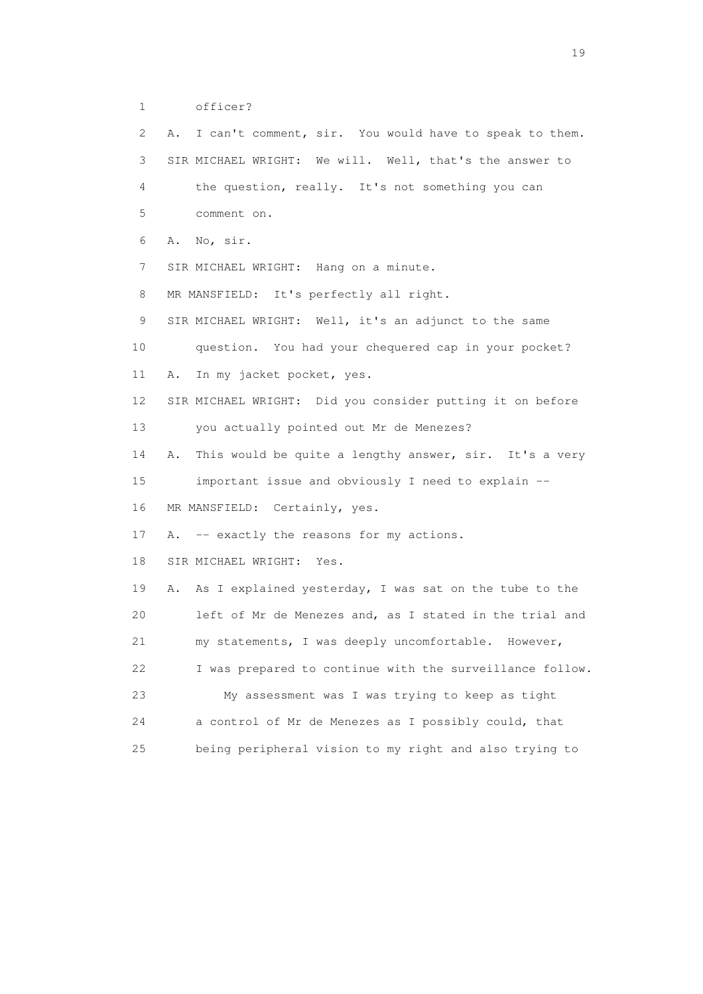```
 1 officer?
```

| 2  | I can't comment, sir. You would have to speak to them.<br>Α. |
|----|--------------------------------------------------------------|
| 3  | SIR MICHAEL WRIGHT: We will. Well, that's the answer to      |
| 4  | the question, really. It's not something you can             |
| 5  | comment on.                                                  |
| 6  | No, sir.<br>Α.                                               |
| 7  | SIR MICHAEL WRIGHT: Hang on a minute.                        |
| 8  | MR MANSFIELD: It's perfectly all right.                      |
| 9  | SIR MICHAEL WRIGHT: Well, it's an adjunct to the same        |
| 10 | question. You had your chequered cap in your pocket?         |
| 11 | In my jacket pocket, yes.<br>Α.                              |
| 12 | SIR MICHAEL WRIGHT: Did you consider putting it on before    |
| 13 | you actually pointed out Mr de Menezes?                      |
| 14 | This would be quite a lengthy answer, sir. It's a very<br>Α. |
| 15 | important issue and obviously I need to explain --           |
| 16 | MR MANSFIELD: Certainly, yes.                                |
| 17 | -- exactly the reasons for my actions.<br>Α.                 |
| 18 | SIR MICHAEL WRIGHT: Yes.                                     |
| 19 | As I explained yesterday, I was sat on the tube to the<br>Α. |
| 20 | left of Mr de Menezes and, as I stated in the trial and      |
| 21 | my statements, I was deeply uncomfortable. However,          |
| 22 | I was prepared to continue with the surveillance follow.     |
| 23 | My assessment was I was trying to keep as tight              |
| 24 | a control of Mr de Menezes as I possibly could, that         |
| 25 | being peripheral vision to my right and also trying to       |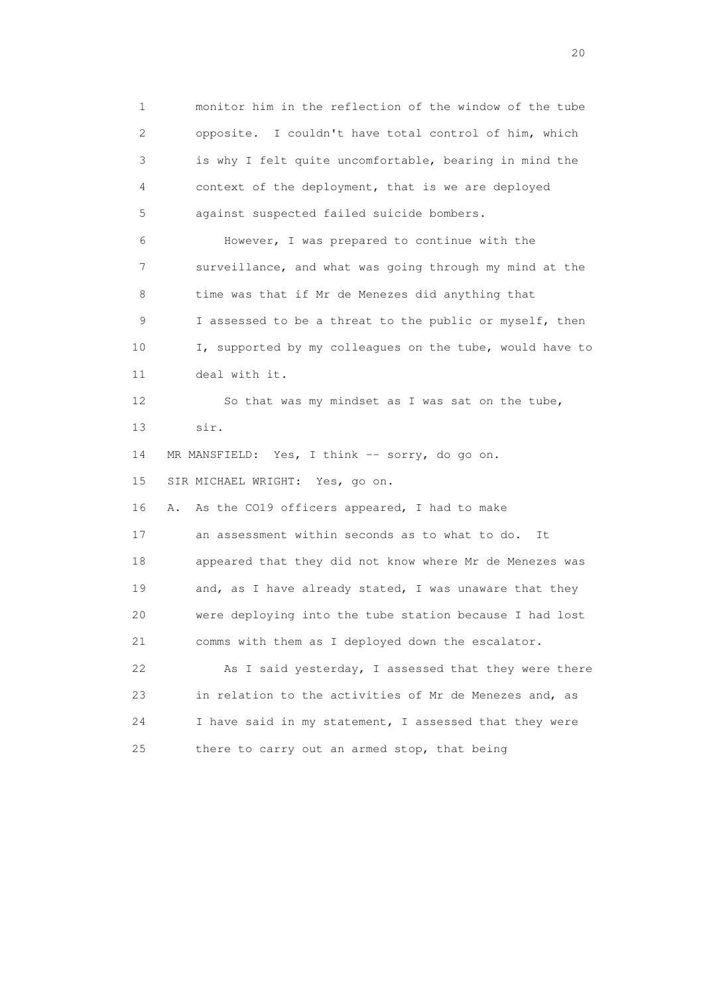1 monitor him in the reflection of the window of the tube 2 opposite. I couldn't have total control of him, which 3 is why I felt quite uncomfortable, bearing in mind the 4 context of the deployment, that is we are deployed 5 against suspected failed suicide bombers. 6 However, I was prepared to continue with the 7 surveillance, and what was going through my mind at the 8 time was that if Mr de Menezes did anything that 9 I assessed to be a threat to the public or myself, then 10 I, supported by my colleagues on the tube, would have to 11 deal with it. 12 So that was my mindset as I was sat on the tube, 13 sir. 14 MR MANSFIELD: Yes, I think -- sorry, do go on. 15 SIR MICHAEL WRIGHT: Yes, go on. 16 A. As the CO19 officers appeared, I had to make 17 an assessment within seconds as to what to do. It 18 appeared that they did not know where Mr de Menezes was 19 and, as I have already stated, I was unaware that they 20 were deploying into the tube station because I had lost 21 comms with them as I deployed down the escalator. 22 As I said yesterday, I assessed that they were there 23 in relation to the activities of Mr de Menezes and, as 24 I have said in my statement, I assessed that they were 25 there to carry out an armed stop, that being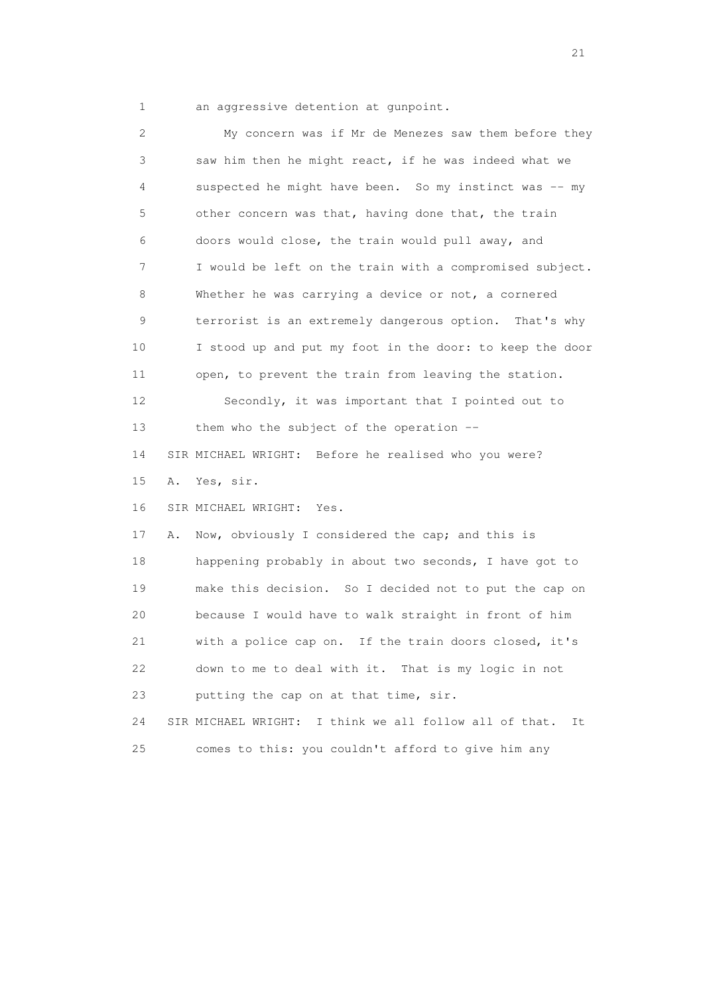1 an aggressive detention at gunpoint.

 2 My concern was if Mr de Menezes saw them before they 3 saw him then he might react, if he was indeed what we 4 suspected he might have been. So my instinct was -- my 5 other concern was that, having done that, the train 6 doors would close, the train would pull away, and 7 I would be left on the train with a compromised subject. 8 Whether he was carrying a device or not, a cornered 9 terrorist is an extremely dangerous option. That's why 10 I stood up and put my foot in the door: to keep the door 11 open, to prevent the train from leaving the station. 12 Secondly, it was important that I pointed out to 13 them who the subject of the operation -- 14 SIR MICHAEL WRIGHT: Before he realised who you were? 15 A. Yes, sir. 16 SIR MICHAEL WRIGHT: Yes. 17 A. Now, obviously I considered the cap; and this is 18 happening probably in about two seconds, I have got to 19 make this decision. So I decided not to put the cap on 20 because I would have to walk straight in front of him 21 with a police cap on. If the train doors closed, it's 22 down to me to deal with it. That is my logic in not 23 putting the cap on at that time, sir. 24 SIR MICHAEL WRIGHT: I think we all follow all of that. It 25 comes to this: you couldn't afford to give him any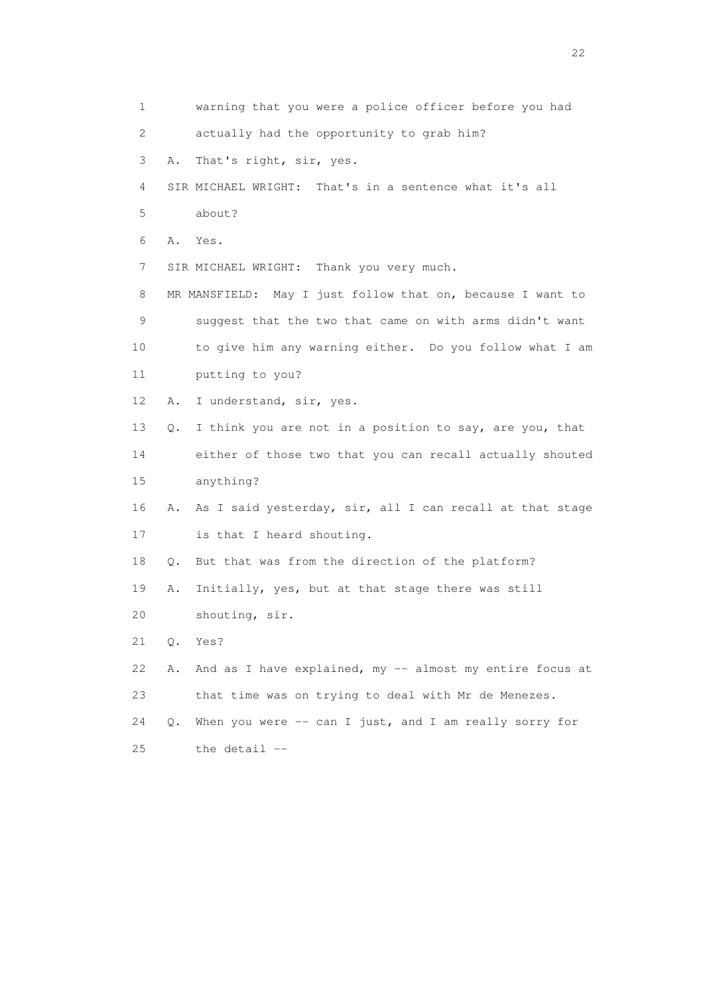| 1  |    | warning that you were a police officer before you had      |
|----|----|------------------------------------------------------------|
| 2  |    | actually had the opportunity to grab him?                  |
| 3  | Α. | That's right, sir, yes.                                    |
| 4  |    | SIR MICHAEL WRIGHT: That's in a sentence what it's all     |
| 5  |    | about?                                                     |
| 6  | Α. | Yes.                                                       |
| 7  |    | SIR MICHAEL WRIGHT: Thank you very much.                   |
| 8  |    | MR MANSFIELD: May I just follow that on, because I want to |
| 9  |    | suggest that the two that came on with arms didn't want    |
| 10 |    | to give him any warning either. Do you follow what I am    |
| 11 |    | putting to you?                                            |
| 12 | Α. | I understand, sir, yes.                                    |
| 13 | Q. | I think you are not in a position to say, are you, that    |
| 14 |    | either of those two that you can recall actually shouted   |
| 15 |    | anything?                                                  |
| 16 | Α. | As I said yesterday, sir, all I can recall at that stage   |
| 17 |    | is that I heard shouting.                                  |
| 18 | Q. | But that was from the direction of the platform?           |
| 19 | Α. | Initially, yes, but at that stage there was still          |
| 20 |    | shouting, sir.                                             |
| 21 | Q. | Yes?                                                       |
| 22 | Α. | And as I have explained, my -- almost my entire focus at   |
| 23 |    | that time was on trying to deal with Mr de Menezes.        |
| 24 | Q. | When you were $--$ can I just, and I am really sorry for   |
| 25 |    | the detail --                                              |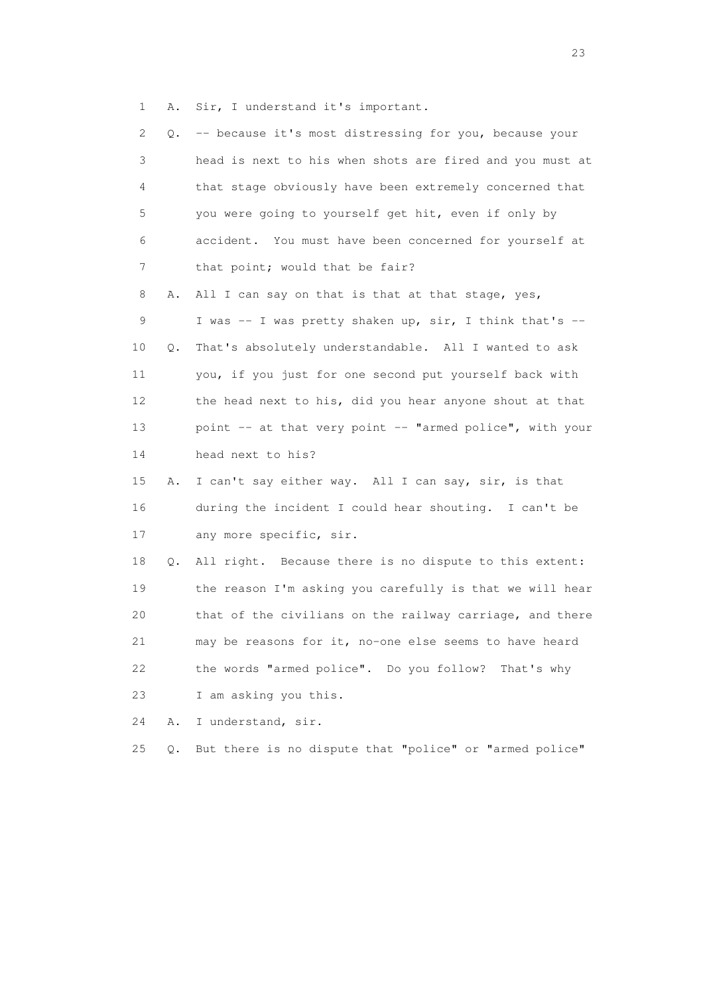1 A. Sir, I understand it's important.

| $\mathbf{2}^{\mathsf{I}}$ | Q.    | -- because it's most distressing for you, because your   |
|---------------------------|-------|----------------------------------------------------------|
| 3                         |       | head is next to his when shots are fired and you must at |
| 4                         |       | that stage obviously have been extremely concerned that  |
| 5                         |       | you were going to yourself get hit, even if only by      |
| 6                         |       | accident. You must have been concerned for yourself at   |
| 7                         |       | that point; would that be fair?                          |
| 8                         | Α.    | All I can say on that is that at that stage, yes,        |
| 9                         |       | I was -- I was pretty shaken up, sir, I think that's --  |
| 10                        | Q.    | That's absolutely understandable. All I wanted to ask    |
| 11                        |       | you, if you just for one second put yourself back with   |
| 12 <sup>°</sup>           |       | the head next to his, did you hear anyone shout at that  |
| 13                        |       | point -- at that very point -- "armed police", with your |
| 14                        |       | head next to his?                                        |
| 15                        | Α.    | I can't say either way. All I can say, sir, is that      |
| 16                        |       | during the incident I could hear shouting. I can't be    |
| 17                        |       | any more specific, sir.                                  |
| 18                        | Q.    | All right. Because there is no dispute to this extent:   |
| 19                        |       | the reason I'm asking you carefully is that we will hear |
| 20                        |       | that of the civilians on the railway carriage, and there |
| 21                        |       | may be reasons for it, no-one else seems to have heard   |
| 22                        |       | the words "armed police". Do you follow? That's why      |
| 23                        |       | I am asking you this.                                    |
| 24                        | Α.    | I understand, sir.                                       |
| 25                        | $Q$ . | But there is no dispute that "police" or "armed police"  |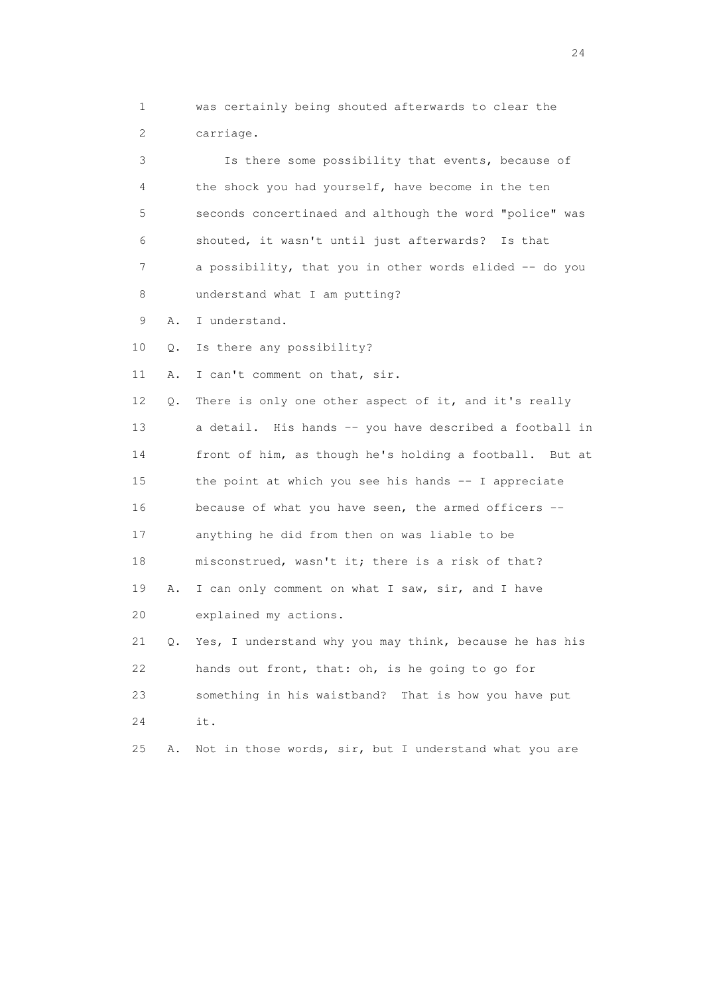1 was certainly being shouted afterwards to clear the 2 carriage.

 3 Is there some possibility that events, because of 4 the shock you had yourself, have become in the ten 5 seconds concertinaed and although the word "police" was 6 shouted, it wasn't until just afterwards? Is that 7 a possibility, that you in other words elided -- do you 8 understand what I am putting?

9 A. I understand.

24 it.

10 Q. Is there any possibility?

11 A. I can't comment on that, sir.

 12 Q. There is only one other aspect of it, and it's really 13 a detail. His hands -- you have described a football in 14 front of him, as though he's holding a football. But at 15 the point at which you see his hands -- I appreciate 16 because of what you have seen, the armed officers -- 17 anything he did from then on was liable to be 18 misconstrued, wasn't it; there is a risk of that? 19 A. I can only comment on what I saw, sir, and I have 20 explained my actions. 21 Q. Yes, I understand why you may think, because he has his 22 hands out front, that: oh, is he going to go for 23 something in his waistband? That is how you have put

25 A. Not in those words, sir, but I understand what you are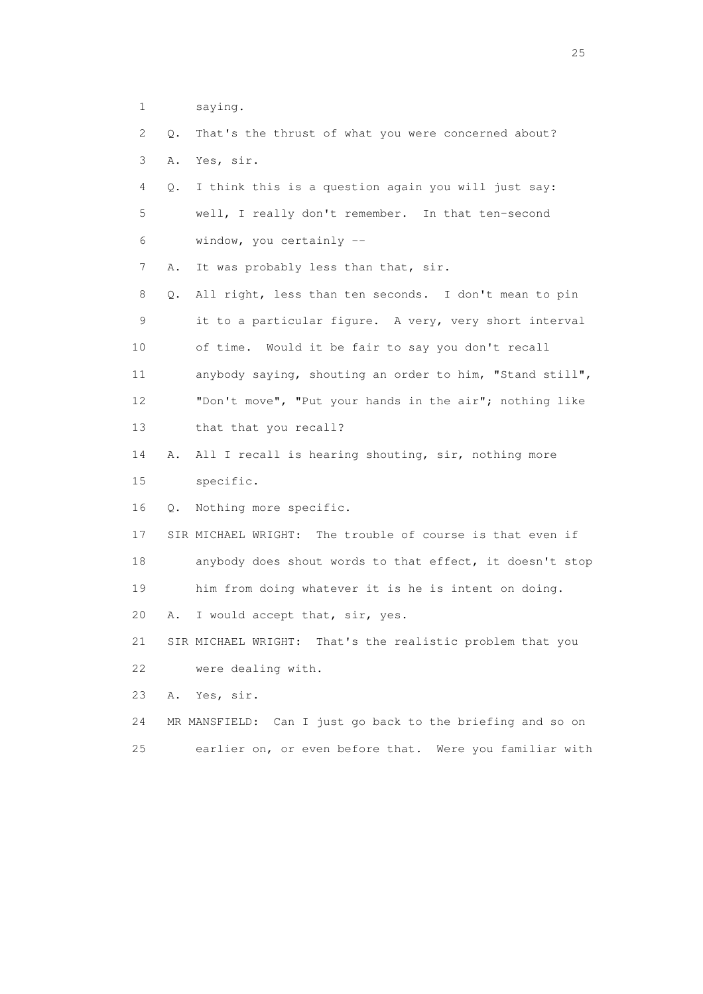1 saying.

|  |                |  |  |  | 2 Q. That's the thrust of what you were concerned about? |  |
|--|----------------|--|--|--|----------------------------------------------------------|--|
|  | 3 A. Yes, sir. |  |  |  |                                                          |  |

- 4 Q. I think this is a question again you will just say: 5 well, I really don't remember. In that ten-second 6 window, you certainly --
- 7 A. It was probably less than that, sir.

 8 Q. All right, less than ten seconds. I don't mean to pin 9 it to a particular figure. A very, very short interval 10 of time. Would it be fair to say you don't recall 11 anybody saying, shouting an order to him, "Stand still", 12 "Don't move", "Put your hands in the air"; nothing like 13 that that you recall?

 14 A. All I recall is hearing shouting, sir, nothing more 15 specific.

16 Q. Nothing more specific.

 17 SIR MICHAEL WRIGHT: The trouble of course is that even if 18 anybody does shout words to that effect, it doesn't stop 19 him from doing whatever it is he is intent on doing.

20 A. I would accept that, sir, yes.

 21 SIR MICHAEL WRIGHT: That's the realistic problem that you 22 were dealing with.

23 A. Yes, sir.

- 24 MR MANSFIELD: Can I just go back to the briefing and so on
- 25 earlier on, or even before that. Were you familiar with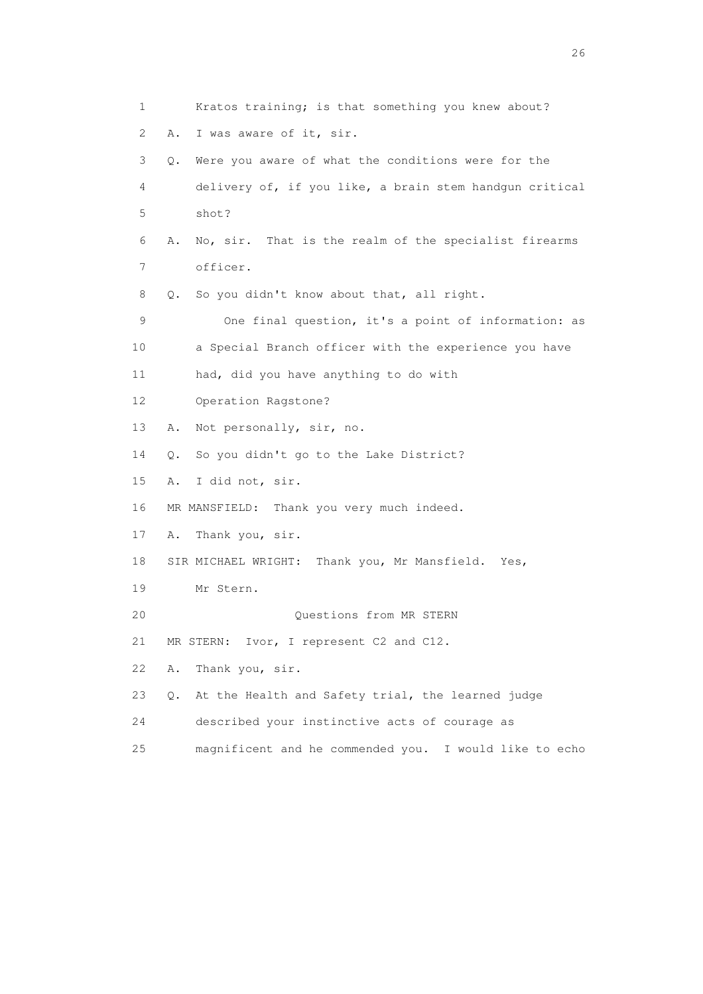1 Kratos training; is that something you knew about? 2 A. I was aware of it, sir. 3 Q. Were you aware of what the conditions were for the 4 delivery of, if you like, a brain stem handgun critical 5 shot? 6 A. No, sir. That is the realm of the specialist firearms 7 officer. 8 Q. So you didn't know about that, all right. 9 One final question, it's a point of information: as 10 a Special Branch officer with the experience you have 11 had, did you have anything to do with 12 Operation Ragstone? 13 A. Not personally, sir, no. 14 Q. So you didn't go to the Lake District? 15 A. I did not, sir. 16 MR MANSFIELD: Thank you very much indeed. 17 A. Thank you, sir. 18 SIR MICHAEL WRIGHT: Thank you, Mr Mansfield. Yes, 19 Mr Stern. 20 Questions from MR STERN 21 MR STERN: Ivor, I represent C2 and C12. 22 A. Thank you, sir. 23 Q. At the Health and Safety trial, the learned judge 24 described your instinctive acts of courage as 25 magnificent and he commended you. I would like to echo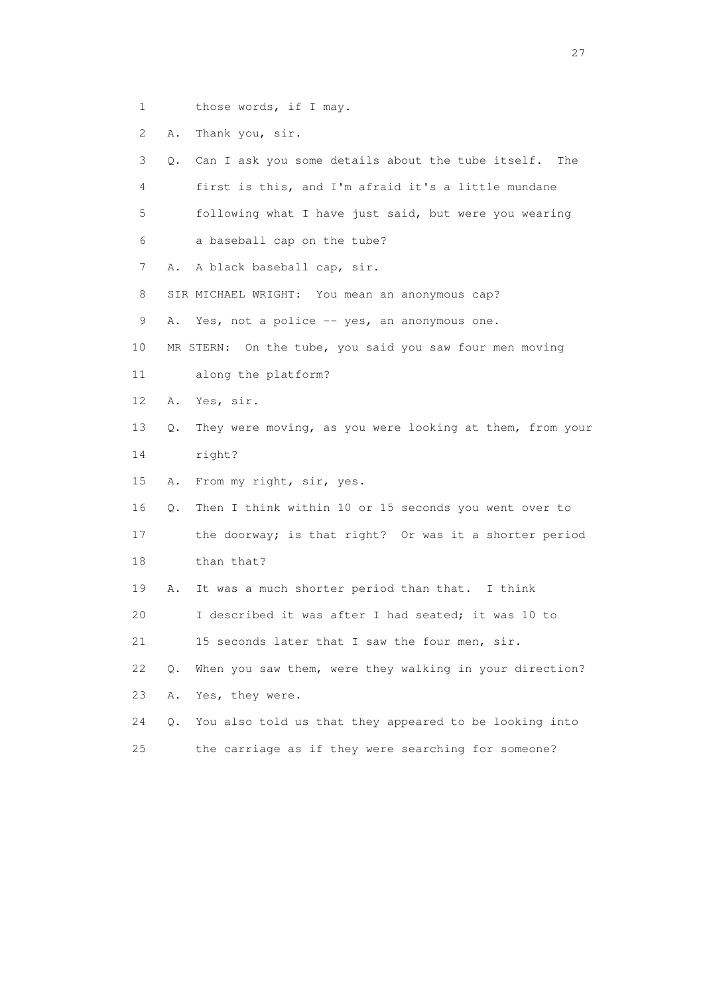- 1 those words, if I may.
- 2 A. Thank you, sir.

 3 Q. Can I ask you some details about the tube itself. The 4 first is this, and I'm afraid it's a little mundane 5 following what I have just said, but were you wearing 6 a baseball cap on the tube? 7 A. A black baseball cap, sir. 8 SIR MICHAEL WRIGHT: You mean an anonymous cap? 9 A. Yes, not a police -- yes, an anonymous one. 10 MR STERN: On the tube, you said you saw four men moving 11 along the platform? 12 A. Yes, sir. 13 Q. They were moving, as you were looking at them, from your 14 right? 15 A. From my right, sir, yes. 16 Q. Then I think within 10 or 15 seconds you went over to 17 the doorway; is that right? Or was it a shorter period 18 than that? 19 A. It was a much shorter period than that. I think 20 I described it was after I had seated; it was 10 to 21 15 seconds later that I saw the four men, sir. 22 Q. When you saw them, were they walking in your direction? 23 A. Yes, they were. 24 Q. You also told us that they appeared to be looking into 25 the carriage as if they were searching for someone?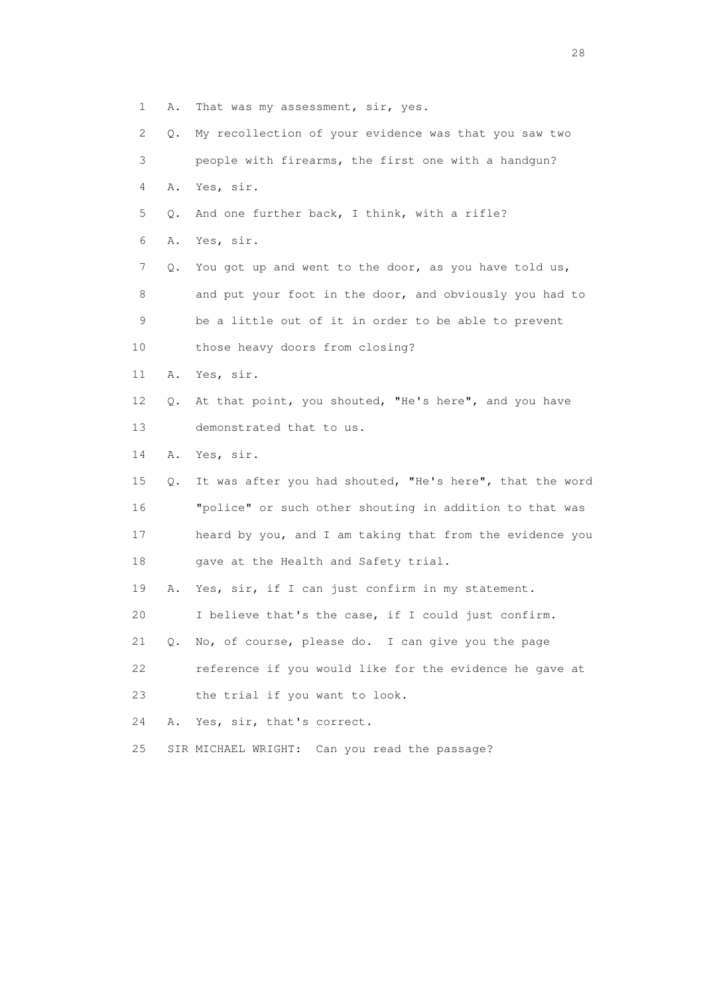1 A. That was my assessment, sir, yes.

 2 Q. My recollection of your evidence was that you saw two 3 people with firearms, the first one with a handgun? 4 A. Yes, sir.

- 5 Q. And one further back, I think, with a rifle?
- 6 A. Yes, sir.

 7 Q. You got up and went to the door, as you have told us, 8 and put your foot in the door, and obviously you had to 9 be a little out of it in order to be able to prevent 10 those heavy doors from closing?

- 11 A. Yes, sir.
- 12 Q. At that point, you shouted, "He's here", and you have 13 demonstrated that to us.
- 14 A. Yes, sir.

 15 Q. It was after you had shouted, "He's here", that the word 16 "police" or such other shouting in addition to that was 17 heard by you, and I am taking that from the evidence you 18 gave at the Health and Safety trial.

19 A. Yes, sir, if I can just confirm in my statement.

20 I believe that's the case, if I could just confirm.

21 Q. No, of course, please do. I can give you the page

22 reference if you would like for the evidence he gave at

23 the trial if you want to look.

24 A. Yes, sir, that's correct.

25 SIR MICHAEL WRIGHT: Can you read the passage?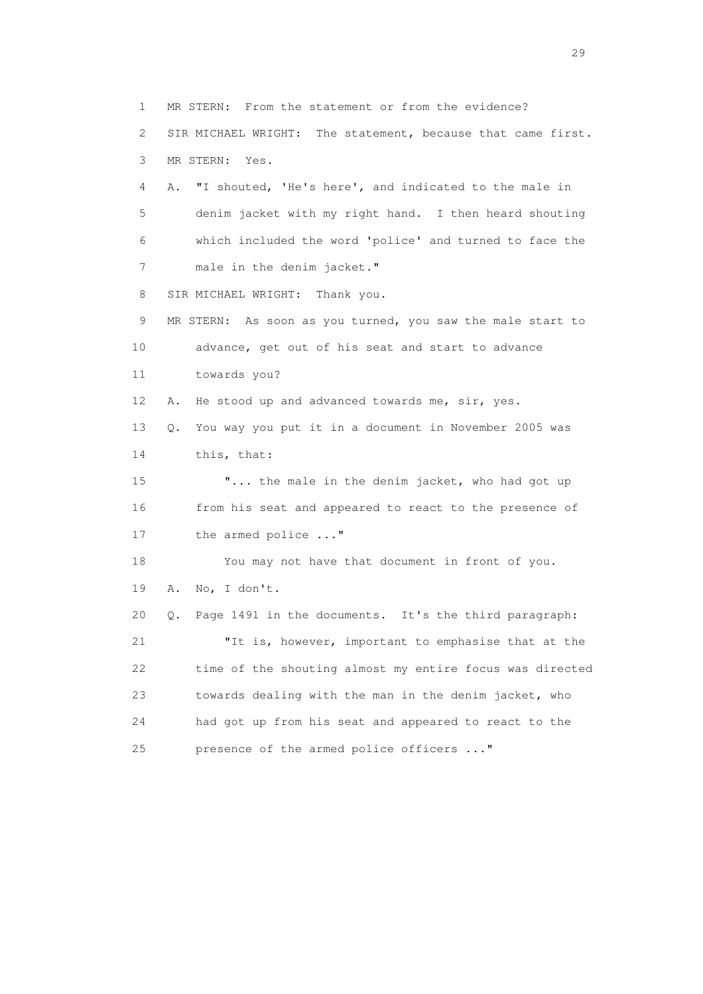1 MR STERN: From the statement or from the evidence? 2 SIR MICHAEL WRIGHT: The statement, because that came first. 3 MR STERN: Yes. 4 A. "I shouted, 'He's here', and indicated to the male in 5 denim jacket with my right hand. I then heard shouting 6 which included the word 'police' and turned to face the 7 male in the denim jacket." 8 SIR MICHAEL WRIGHT: Thank you. 9 MR STERN: As soon as you turned, you saw the male start to 10 advance, get out of his seat and start to advance 11 towards you? 12 A. He stood up and advanced towards me, sir, yes. 13 Q. You way you put it in a document in November 2005 was 14 this, that: 15 "... the male in the denim jacket, who had got up 16 from his seat and appeared to react to the presence of 17 the armed police ..." 18 You may not have that document in front of you. 19 A. No, I don't. 20 Q. Page 1491 in the documents. It's the third paragraph: 21 "It is, however, important to emphasise that at the 22 time of the shouting almost my entire focus was directed 23 towards dealing with the man in the denim jacket, who 24 had got up from his seat and appeared to react to the 25 presence of the armed police officers ..."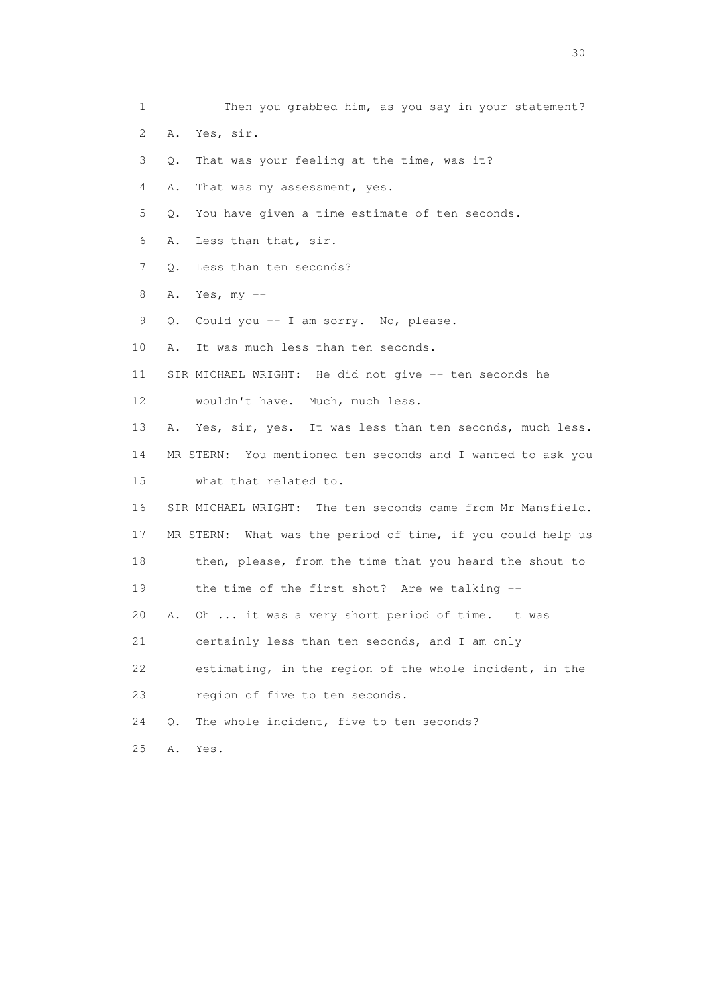1 Then you grabbed him, as you say in your statement? 2 A. Yes, sir. 3 Q. That was your feeling at the time, was it? 4 A. That was my assessment, yes. 5 Q. You have given a time estimate of ten seconds. 6 A. Less than that, sir. 7 Q. Less than ten seconds? 8 A. Yes, my -- 9 Q. Could you -- I am sorry. No, please. 10 A. It was much less than ten seconds. 11 SIR MICHAEL WRIGHT: He did not give -- ten seconds he 12 wouldn't have. Much, much less. 13 A. Yes, sir, yes. It was less than ten seconds, much less. 14 MR STERN: You mentioned ten seconds and I wanted to ask you 15 what that related to. 16 SIR MICHAEL WRIGHT: The ten seconds came from Mr Mansfield. 17 MR STERN: What was the period of time, if you could help us 18 then, please, from the time that you heard the shout to 19 the time of the first shot? Are we talking -- 20 A. Oh ... it was a very short period of time. It was 21 certainly less than ten seconds, and I am only 22 estimating, in the region of the whole incident, in the 23 region of five to ten seconds. 24 Q. The whole incident, five to ten seconds? 25 A. Yes.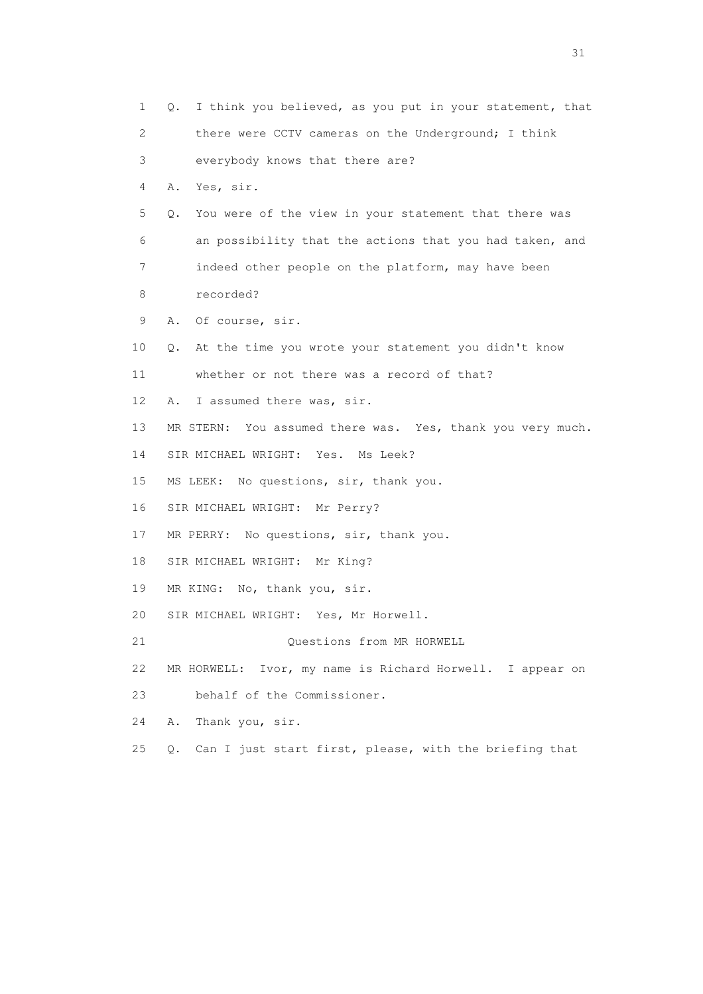1 Q. I think you believed, as you put in your statement, that 2 there were CCTV cameras on the Underground; I think 3 everybody knows that there are? 4 A. Yes, sir. 5 Q. You were of the view in your statement that there was 6 an possibility that the actions that you had taken, and 7 indeed other people on the platform, may have been 8 recorded? 9 A. Of course, sir. 10 Q. At the time you wrote your statement you didn't know 11 whether or not there was a record of that? 12 A. I assumed there was, sir. 13 MR STERN: You assumed there was. Yes, thank you very much. 14 SIR MICHAEL WRIGHT: Yes. Ms Leek? 15 MS LEEK: No questions, sir, thank you. 16 SIR MICHAEL WRIGHT: Mr Perry? 17 MR PERRY: No questions, sir, thank you. 18 SIR MICHAEL WRIGHT: Mr King? 19 MR KING: No, thank you, sir. 20 SIR MICHAEL WRIGHT: Yes, Mr Horwell. 21 Questions from MR HORWELL 22 MR HORWELL: Ivor, my name is Richard Horwell. I appear on 23 behalf of the Commissioner. 24 A. Thank you, sir. 25 Q. Can I just start first, please, with the briefing that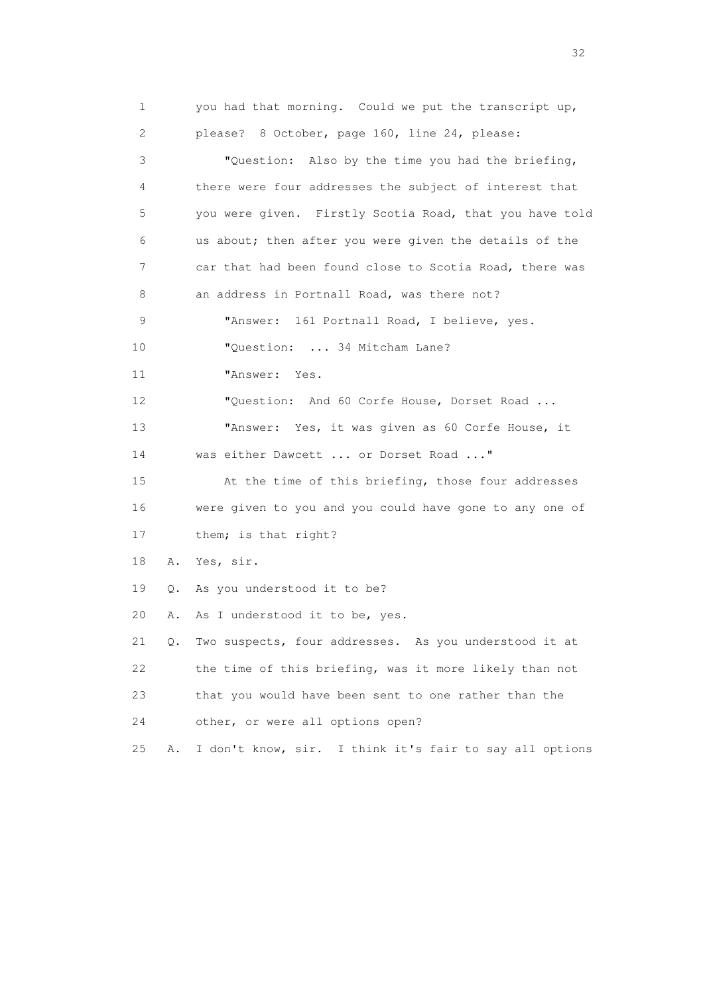1 you had that morning. Could we put the transcript up, 2 please? 8 October, page 160, line 24, please: 3 "Question: Also by the time you had the briefing, 4 there were four addresses the subject of interest that 5 you were given. Firstly Scotia Road, that you have told 6 us about; then after you were given the details of the 7 car that had been found close to Scotia Road, there was 8 an address in Portnall Road, was there not? 9 "Answer: 161 Portnall Road, I believe, yes. 10 "Question: ... 34 Mitcham Lane? 11 "Answer: Yes. 12 "Question: And 60 Corfe House, Dorset Road ... 13 "Answer: Yes, it was given as 60 Corfe House, it 14 was either Dawcett ... or Dorset Road ..." 15 At the time of this briefing, those four addresses 16 were given to you and you could have gone to any one of 17 them; is that right? 18 A. Yes, sir. 19 Q. As you understood it to be? 20 A. As I understood it to be, yes. 21 Q. Two suspects, four addresses. As you understood it at 22 the time of this briefing, was it more likely than not 23 that you would have been sent to one rather than the 24 other, or were all options open? 25 A. I don't know, sir. I think it's fair to say all options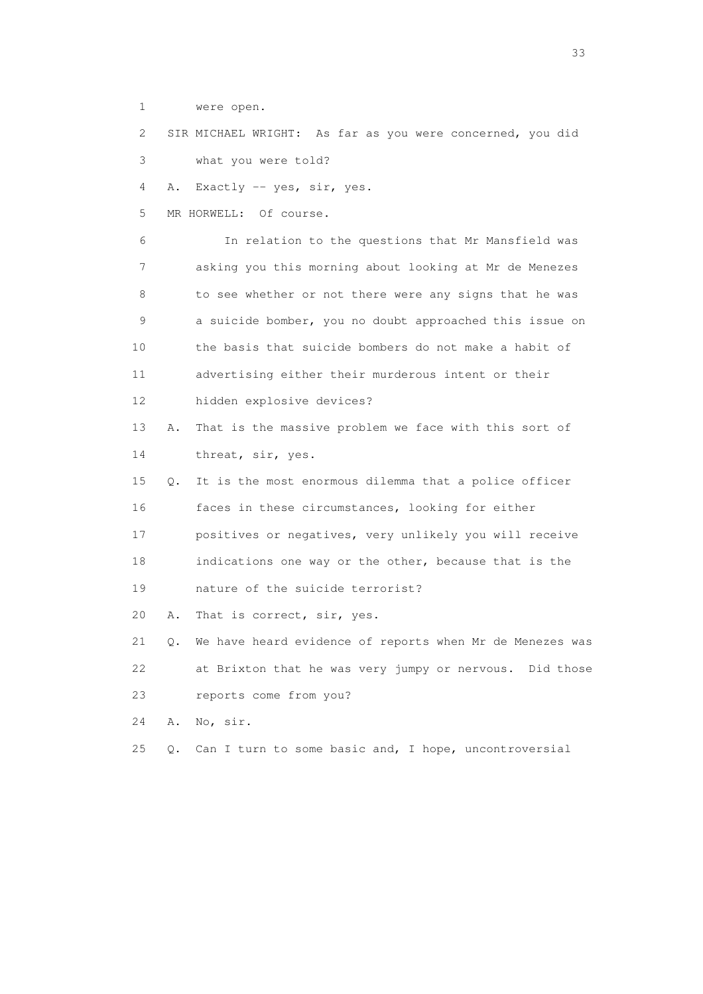1 were open.

 2 SIR MICHAEL WRIGHT: As far as you were concerned, you did 3 what you were told?

4 A. Exactly -- yes, sir, yes.

5 MR HORWELL: Of course.

 6 In relation to the questions that Mr Mansfield was 7 asking you this morning about looking at Mr de Menezes 8 to see whether or not there were any signs that he was 9 a suicide bomber, you no doubt approached this issue on 10 the basis that suicide bombers do not make a habit of 11 advertising either their murderous intent or their 12 hidden explosive devices?

 13 A. That is the massive problem we face with this sort of 14 threat, sir, yes.

 15 Q. It is the most enormous dilemma that a police officer 16 faces in these circumstances, looking for either 17 positives or negatives, very unlikely you will receive

18 indications one way or the other, because that is the

19 nature of the suicide terrorist?

20 A. That is correct, sir, yes.

 21 Q. We have heard evidence of reports when Mr de Menezes was 22 at Brixton that he was very jumpy or nervous. Did those 23 reports come from you?

24 A. No, sir.

25 Q. Can I turn to some basic and, I hope, uncontroversial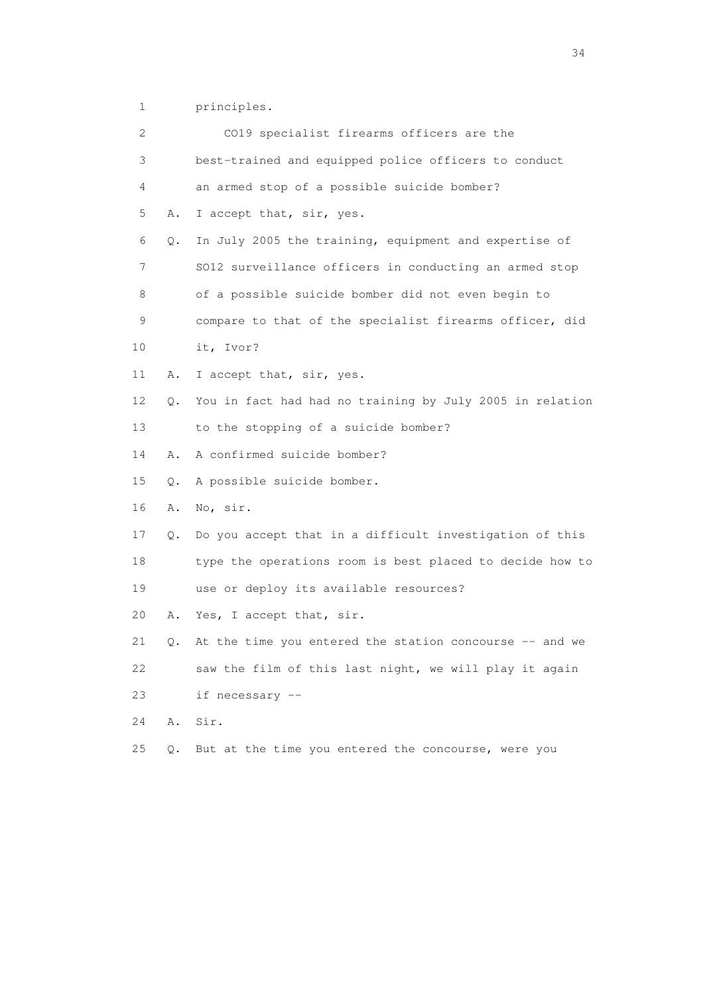1 principles.

| 2  |       | CO19 specialist firearms officers are the                |
|----|-------|----------------------------------------------------------|
| 3  |       | best-trained and equipped police officers to conduct     |
| 4  |       | an armed stop of a possible suicide bomber?              |
| 5  | Α.    | I accept that, sir, yes.                                 |
| 6  | $Q$ . | In July 2005 the training, equipment and expertise of    |
| 7  |       | SO12 surveillance officers in conducting an armed stop   |
| 8  |       | of a possible suicide bomber did not even begin to       |
| 9  |       | compare to that of the specialist firearms officer, did  |
| 10 |       | it, Ivor?                                                |
| 11 | Α.    | I accept that, sir, yes.                                 |
| 12 | Q.    | You in fact had had no training by July 2005 in relation |
| 13 |       | to the stopping of a suicide bomber?                     |
| 14 | Α.    | A confirmed suicide bomber?                              |
| 15 | $Q$ . | A possible suicide bomber.                               |
| 16 | Α.    | No, sir.                                                 |
| 17 | Q.    | Do you accept that in a difficult investigation of this  |
| 18 |       | type the operations room is best placed to decide how to |
| 19 |       | use or deploy its available resources?                   |
| 20 | Α.    | Yes, I accept that, sir.                                 |
| 21 | Q.    | At the time you entered the station concourse -- and we  |
| 22 |       | saw the film of this last night, we will play it again   |
| 23 |       | if necessary --                                          |
| 24 | Α.    | Sir.                                                     |
| 25 | Q.    | But at the time you entered the concourse, were you      |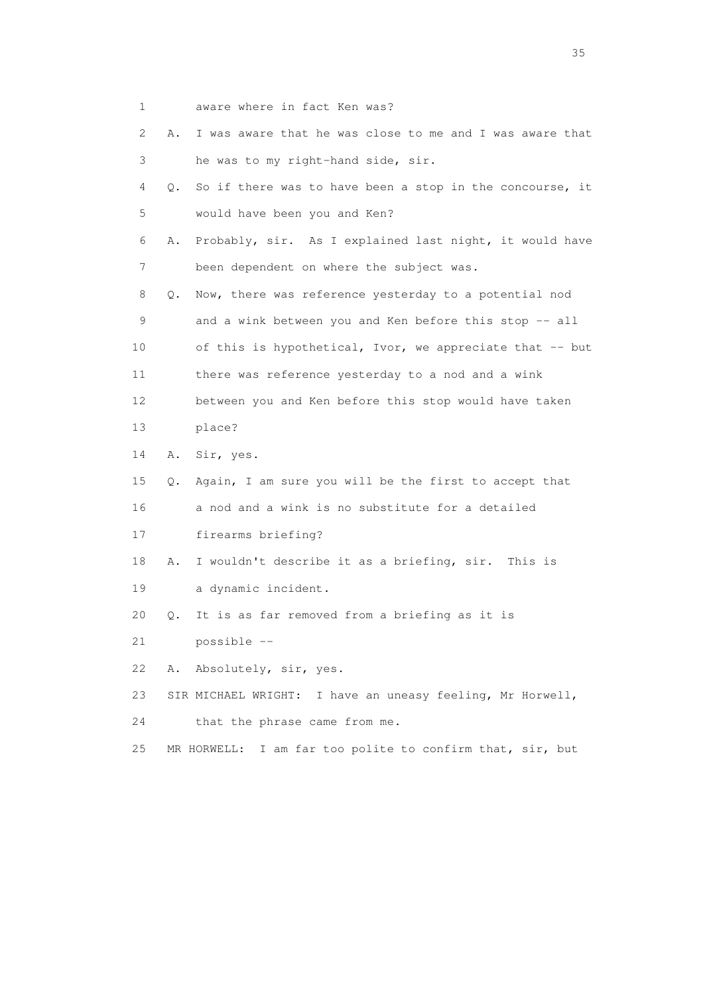- 1 aware where in fact Ken was?
- 2 A. I was aware that he was close to me and I was aware that 3 he was to my right-hand side, sir.
- 4 Q. So if there was to have been a stop in the concourse, it 5 would have been you and Ken?
- 6 A. Probably, sir. As I explained last night, it would have 7 been dependent on where the subject was.
- 8 Q. Now, there was reference yesterday to a potential nod 9 and a wink between you and Ken before this stop -- all 10 of this is hypothetical, Ivor, we appreciate that -- but 11 there was reference yesterday to a nod and a wink 12 between you and Ken before this stop would have taken 13 place?
- 14 A. Sir, yes.
- 15 Q. Again, I am sure you will be the first to accept that 16 a nod and a wink is no substitute for a detailed
- 17 firearms briefing?
- 18 A. I wouldn't describe it as a briefing, sir. This is
- 19 a dynamic incident.
- 20 Q. It is as far removed from a briefing as it is
- 21 possible --
- 22 A. Absolutely, sir, yes.
- 23 SIR MICHAEL WRIGHT: I have an uneasy feeling, Mr Horwell,
- 24 that the phrase came from me.
- 25 MR HORWELL: I am far too polite to confirm that, sir, but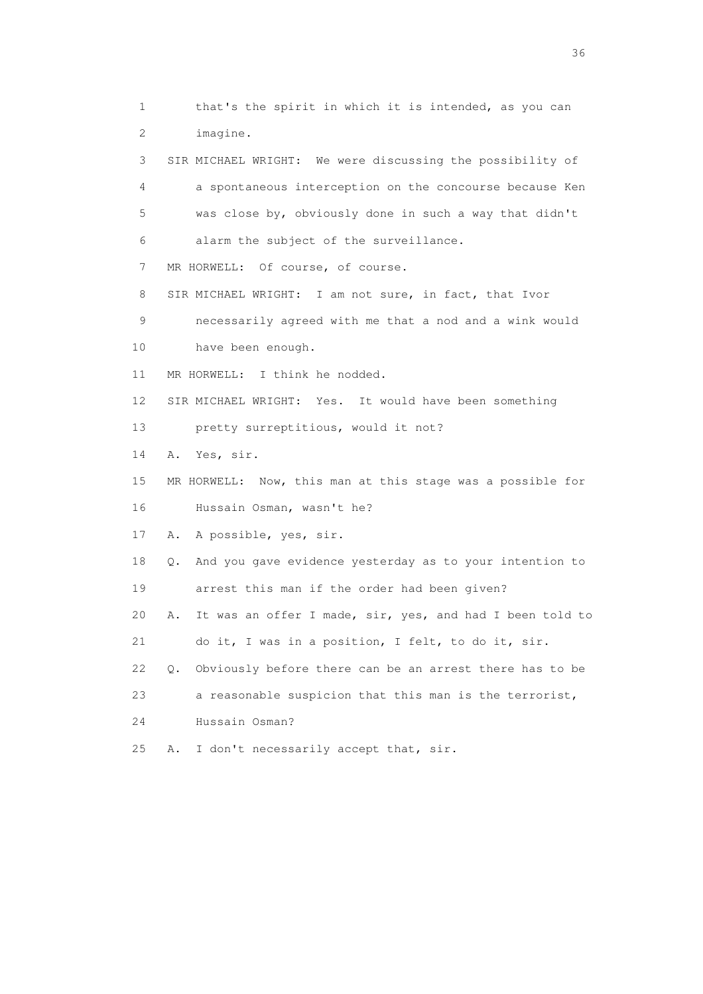1 that's the spirit in which it is intended, as you can 2 imagine. 3 SIR MICHAEL WRIGHT: We were discussing the possibility of 4 a spontaneous interception on the concourse because Ken 5 was close by, obviously done in such a way that didn't 6 alarm the subject of the surveillance. 7 MR HORWELL: Of course, of course. 8 SIR MICHAEL WRIGHT: I am not sure, in fact, that Ivor 9 necessarily agreed with me that a nod and a wink would 10 have been enough. 11 MR HORWELL: I think he nodded. 12 SIR MICHAEL WRIGHT: Yes. It would have been something 13 pretty surreptitious, would it not? 14 A. Yes, sir. 15 MR HORWELL: Now, this man at this stage was a possible for 16 Hussain Osman, wasn't he? 17 A. A possible, yes, sir. 18 Q. And you gave evidence yesterday as to your intention to 19 arrest this man if the order had been given? 20 A. It was an offer I made, sir, yes, and had I been told to 21 do it, I was in a position, I felt, to do it, sir. 22 Q. Obviously before there can be an arrest there has to be 23 a reasonable suspicion that this man is the terrorist, 24 Hussain Osman? 25 A. I don't necessarily accept that, sir.

 $36<sup>2</sup>$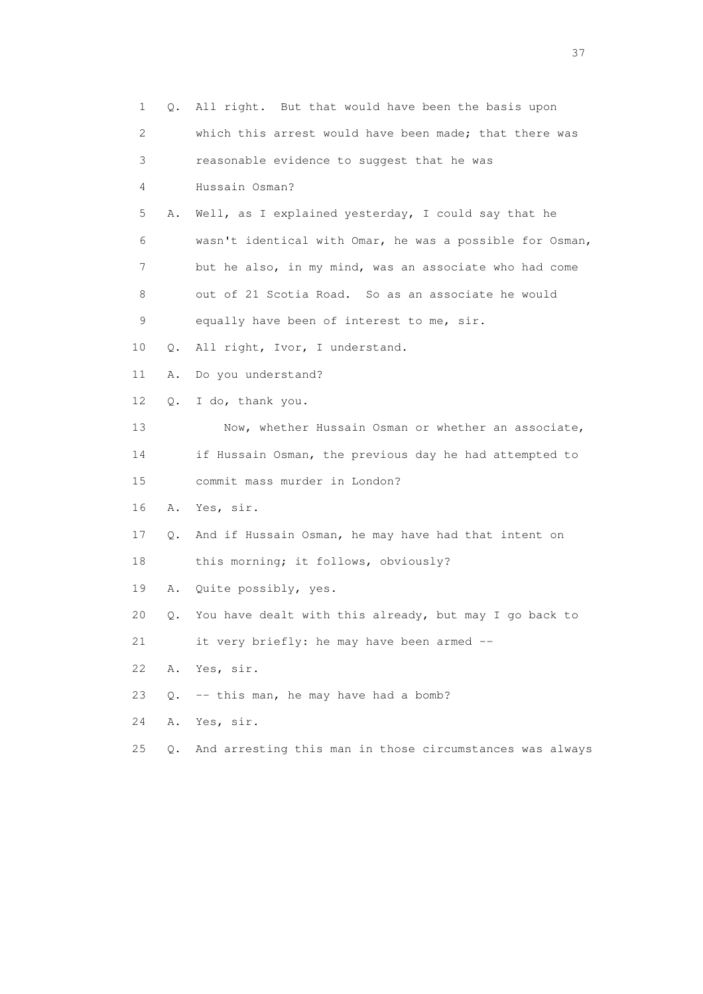| $\mathbf 1$ | Q.            | All right. But that would have been the basis upon       |
|-------------|---------------|----------------------------------------------------------|
| 2           |               | which this arrest would have been made; that there was   |
| 3           |               | reasonable evidence to suggest that he was               |
| 4           |               | Hussain Osman?                                           |
| 5           | Α.            | Well, as I explained yesterday, I could say that he      |
| 6           |               | wasn't identical with Omar, he was a possible for Osman, |
| 7           |               | but he also, in my mind, was an associate who had come   |
| 8           |               | out of 21 Scotia Road. So as an associate he would       |
| 9           |               | equally have been of interest to me, sir.                |
| 10          | Q.            | All right, Ivor, I understand.                           |
| 11          | Α.            | Do you understand?                                       |
| 12          | $Q_{\bullet}$ | I do, thank you.                                         |
| 13          |               | Now, whether Hussain Osman or whether an associate,      |
| 14          |               | if Hussain Osman, the previous day he had attempted to   |
| 15          |               | commit mass murder in London?                            |
| 16          | Α.            | Yes, sir.                                                |
| 17          | Q.            | And if Hussain Osman, he may have had that intent on     |
| 18          |               | this morning; it follows, obviously?                     |
| 19          | Α.            | Quite possibly, yes.                                     |
| 20          | Q.            | You have dealt with this already, but may I go back to   |
| 21          |               | it very briefly: he may have been armed --               |
| 22          | Α.            | Yes, sir.                                                |
| 23          | О.            | -- this man, he may have had a bomb?                     |
| 24          | Α.            | Yes, sir.                                                |
| 25          | $Q$ .         | And arresting this man in those circumstances was always |

<u>37</u>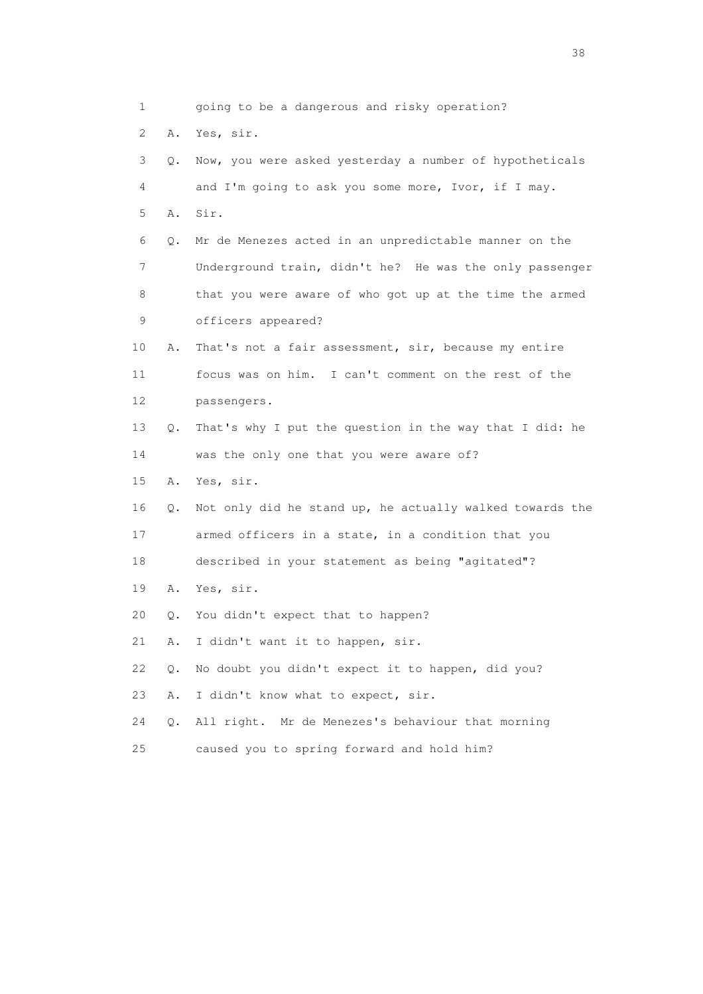1 going to be a dangerous and risky operation? 2 A. Yes, sir. 3 Q. Now, you were asked yesterday a number of hypotheticals 4 and I'm going to ask you some more, Ivor, if I may. 5 A. Sir. 6 Q. Mr de Menezes acted in an unpredictable manner on the 7 Underground train, didn't he? He was the only passenger 8 that you were aware of who got up at the time the armed 9 officers appeared? 10 A. That's not a fair assessment, sir, because my entire 11 focus was on him. I can't comment on the rest of the 12 passengers. 13 Q. That's why I put the question in the way that I did: he 14 was the only one that you were aware of? 15 A. Yes, sir. 16 Q. Not only did he stand up, he actually walked towards the 17 armed officers in a state, in a condition that you 18 described in your statement as being "agitated"? 19 A. Yes, sir. 20 Q. You didn't expect that to happen? 21 A. I didn't want it to happen, sir. 22 Q. No doubt you didn't expect it to happen, did you? 23 A. I didn't know what to expect, sir. 24 Q. All right. Mr de Menezes's behaviour that morning 25 caused you to spring forward and hold him?

and the state of the state of the state of the state of the state of the state of the state of the state of the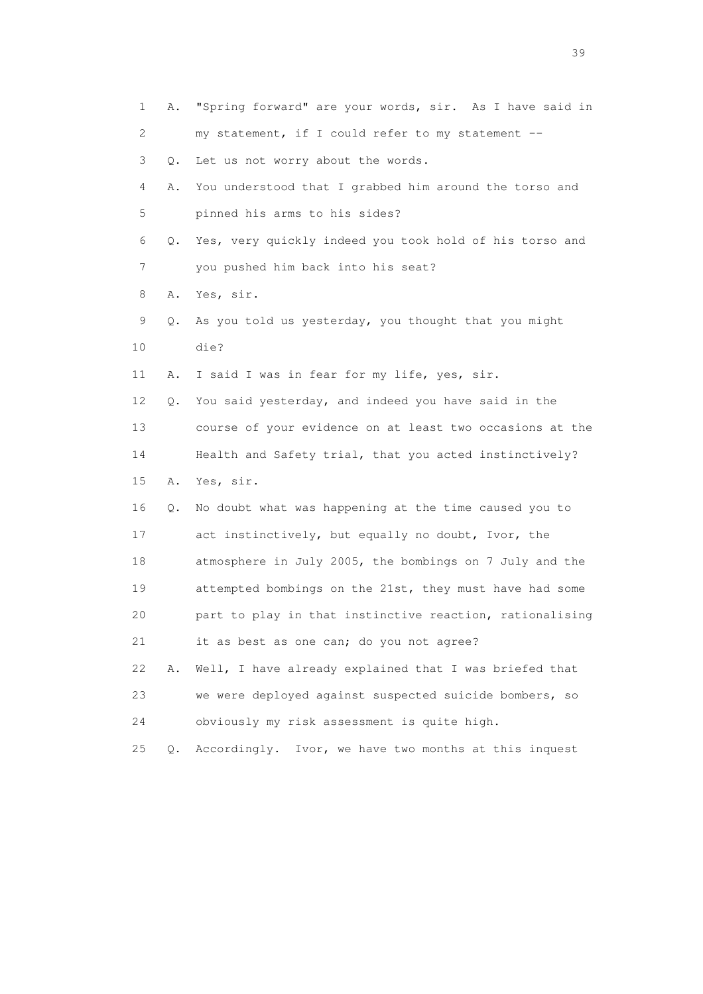| $\mathbf 1$ | Α. | "Spring forward" are your words, sir. As I have said in  |
|-------------|----|----------------------------------------------------------|
| 2           |    | my statement, if I could refer to my statement --        |
| 3           | Q. | Let us not worry about the words.                        |
| 4           | Α. | You understood that I grabbed him around the torso and   |
| 5           |    | pinned his arms to his sides?                            |
| 6           | Q. | Yes, very quickly indeed you took hold of his torso and  |
| 7           |    | you pushed him back into his seat?                       |
| 8           | Α. | Yes, sir.                                                |
| 9           | Q. | As you told us yesterday, you thought that you might     |
| 10          |    | die?                                                     |
| 11          | Α. | I said I was in fear for my life, yes, sir.              |
| 12          | Q. | You said yesterday, and indeed you have said in the      |
| 13          |    | course of your evidence on at least two occasions at the |
| 14          |    | Health and Safety trial, that you acted instinctively?   |
| 15          | Α. | Yes, sir.                                                |
| 16          | Q. | No doubt what was happening at the time caused you to    |
| 17          |    | act instinctively, but equally no doubt, Ivor, the       |
| 18          |    | atmosphere in July 2005, the bombings on 7 July and the  |
| 19          |    | attempted bombings on the 21st, they must have had some  |
| 20          |    | part to play in that instinctive reaction, rationalising |
| 21          |    | it as best as one can; do you not agree?                 |
| 22          | Α. | Well, I have already explained that I was briefed that   |
| 23          |    | we were deployed against suspected suicide bombers, so   |
| 24          |    | obviously my risk assessment is quite high.              |
| 25          | Q. | Accordingly. Ivor, we have two months at this inquest    |

 $39<sup>2</sup>$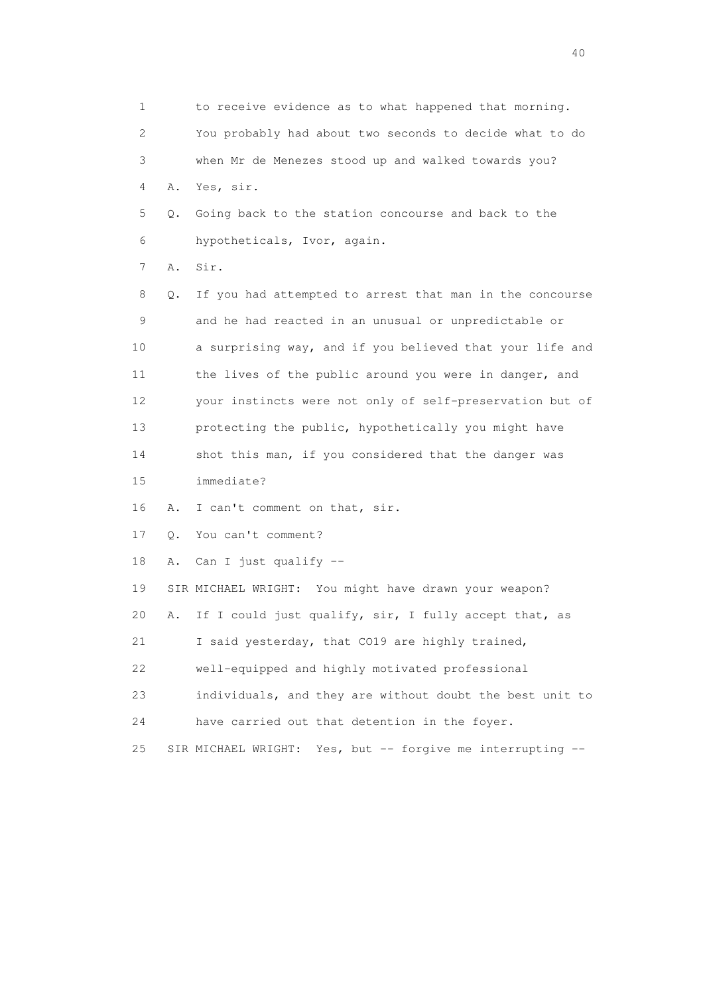1 to receive evidence as to what happened that morning. 2 You probably had about two seconds to decide what to do 3 when Mr de Menezes stood up and walked towards you? 4 A. Yes, sir. 5 Q. Going back to the station concourse and back to the 6 hypotheticals, Ivor, again. 7 A. Sir. 8 Q. If you had attempted to arrest that man in the concourse 9 and he had reacted in an unusual or unpredictable or 10 a surprising way, and if you believed that your life and 11 the lives of the public around you were in danger, and 12 your instincts were not only of self-preservation but of 13 protecting the public, hypothetically you might have 14 shot this man, if you considered that the danger was 15 immediate? 16 A. I can't comment on that, sir. 17 Q. You can't comment? 18 A. Can I just qualify -- 19 SIR MICHAEL WRIGHT: You might have drawn your weapon? 20 A. If I could just qualify, sir, I fully accept that, as 21 I said yesterday, that CO19 are highly trained, 22 well-equipped and highly motivated professional 23 individuals, and they are without doubt the best unit to 24 have carried out that detention in the foyer. 25 SIR MICHAEL WRIGHT: Yes, but -- forgive me interrupting --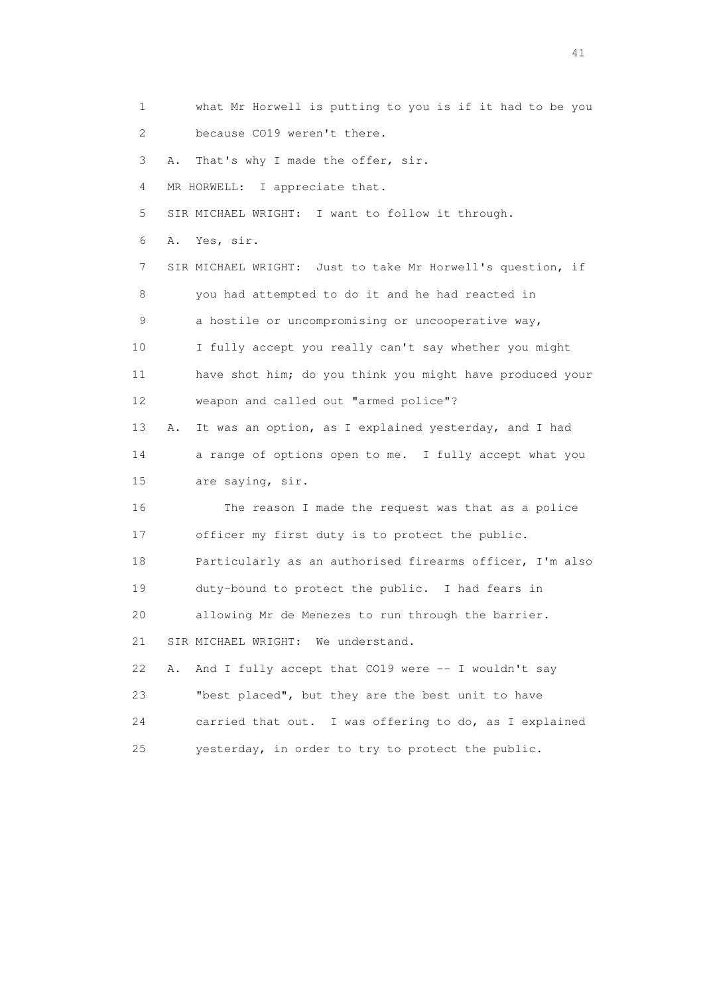1 what Mr Horwell is putting to you is if it had to be you 2 because CO19 weren't there. 3 A. That's why I made the offer, sir. 4 MR HORWELL: I appreciate that. 5 SIR MICHAEL WRIGHT: I want to follow it through. 6 A. Yes, sir. 7 SIR MICHAEL WRIGHT: Just to take Mr Horwell's question, if 8 you had attempted to do it and he had reacted in 9 a hostile or uncompromising or uncooperative way, 10 I fully accept you really can't say whether you might 11 have shot him; do you think you might have produced your 12 weapon and called out "armed police"? 13 A. It was an option, as I explained yesterday, and I had 14 a range of options open to me. I fully accept what you 15 are saying, sir. 16 The reason I made the request was that as a police 17 officer my first duty is to protect the public. 18 Particularly as an authorised firearms officer, I'm also 19 duty-bound to protect the public. I had fears in 20 allowing Mr de Menezes to run through the barrier. 21 SIR MICHAEL WRIGHT: We understand. 22 A. And I fully accept that CO19 were -- I wouldn't say 23 "best placed", but they are the best unit to have 24 carried that out. I was offering to do, as I explained 25 yesterday, in order to try to protect the public.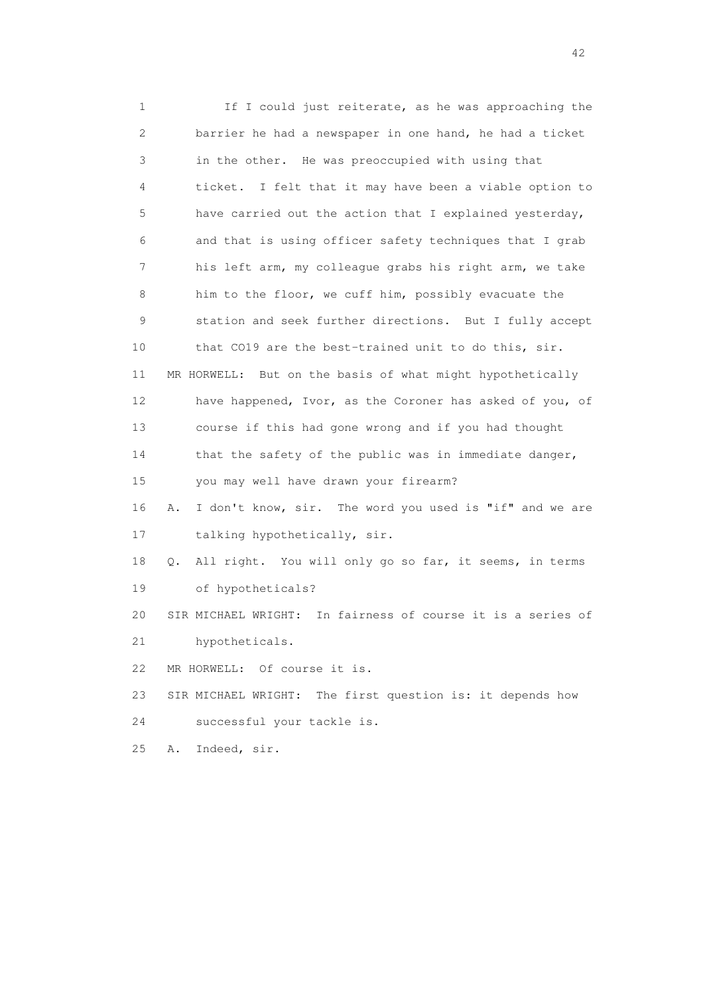1 If I could just reiterate, as he was approaching the 2 barrier he had a newspaper in one hand, he had a ticket 3 in the other. He was preoccupied with using that 4 ticket. I felt that it may have been a viable option to 5 have carried out the action that I explained yesterday, 6 and that is using officer safety techniques that I grab 7 his left arm, my colleague grabs his right arm, we take 8 him to the floor, we cuff him, possibly evacuate the 9 station and seek further directions. But I fully accept 10 that CO19 are the best-trained unit to do this, sir. 11 MR HORWELL: But on the basis of what might hypothetically 12 have happened, Ivor, as the Coroner has asked of you, of 13 course if this had gone wrong and if you had thought 14 that the safety of the public was in immediate danger, 15 you may well have drawn your firearm? 16 A. I don't know, sir. The word you used is "if" and we are 17 talking hypothetically, sir. 18 Q. All right. You will only go so far, it seems, in terms 19 of hypotheticals? 20 SIR MICHAEL WRIGHT: In fairness of course it is a series of 21 hypotheticals. 22 MR HORWELL: Of course it is. 23 SIR MICHAEL WRIGHT: The first question is: it depends how 24 successful your tackle is. 25 A. Indeed, sir.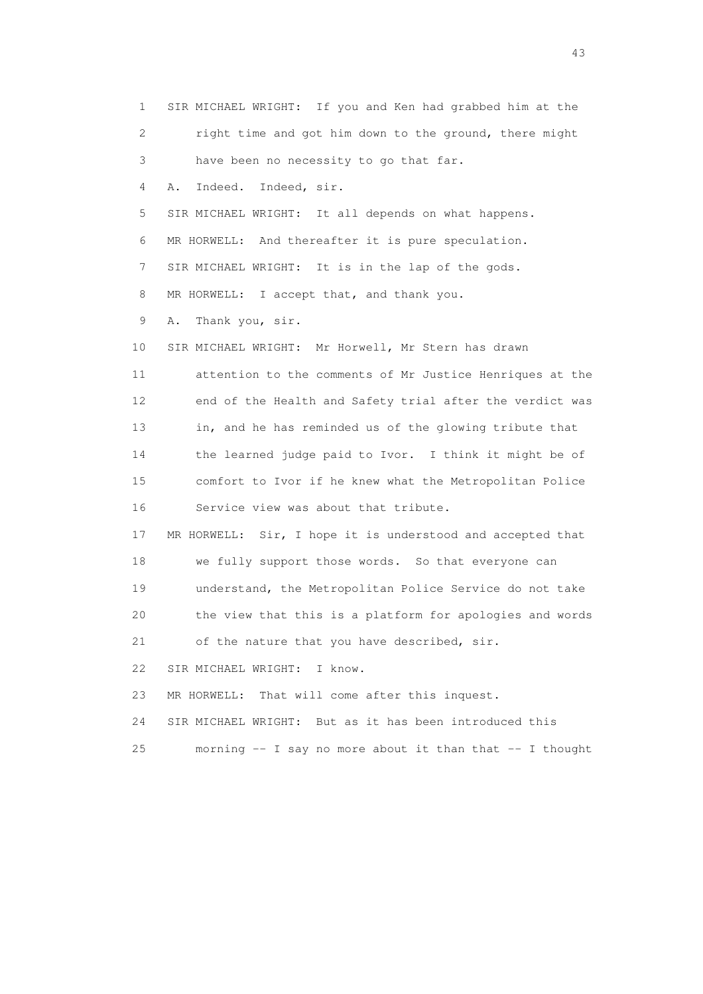1 SIR MICHAEL WRIGHT: If you and Ken had grabbed him at the 2 right time and got him down to the ground, there might 3 have been no necessity to go that far. 4 A. Indeed. Indeed, sir. 5 SIR MICHAEL WRIGHT: It all depends on what happens. 6 MR HORWELL: And thereafter it is pure speculation. 7 SIR MICHAEL WRIGHT: It is in the lap of the gods. 8 MR HORWELL: I accept that, and thank you. 9 A. Thank you, sir. 10 SIR MICHAEL WRIGHT: Mr Horwell, Mr Stern has drawn 11 attention to the comments of Mr Justice Henriques at the 12 end of the Health and Safety trial after the verdict was 13 in, and he has reminded us of the glowing tribute that 14 the learned judge paid to Ivor. I think it might be of 15 comfort to Ivor if he knew what the Metropolitan Police 16 Service view was about that tribute. 17 MR HORWELL: Sir, I hope it is understood and accepted that 18 we fully support those words. So that everyone can 19 understand, the Metropolitan Police Service do not take 20 the view that this is a platform for apologies and words 21 of the nature that you have described, sir. 22 SIR MICHAEL WRIGHT: I know. 23 MR HORWELL: That will come after this inquest. 24 SIR MICHAEL WRIGHT: But as it has been introduced this 25 morning -- I say no more about it than that -- I thought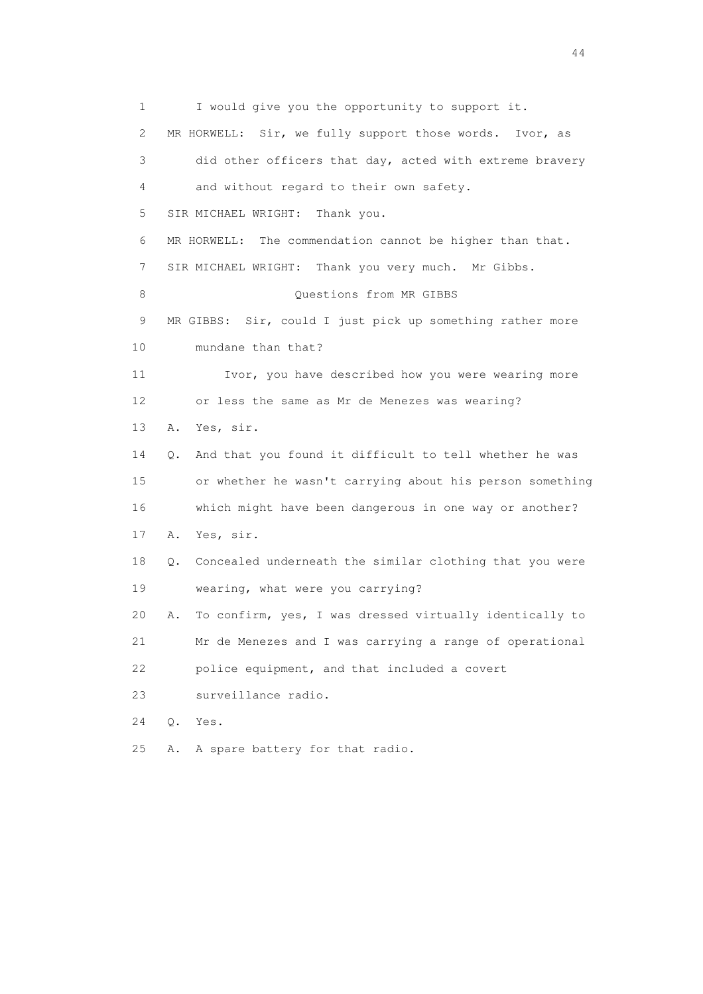1 I would give you the opportunity to support it. 2 MR HORWELL: Sir, we fully support those words. Ivor, as 3 did other officers that day, acted with extreme bravery 4 and without regard to their own safety. 5 SIR MICHAEL WRIGHT: Thank you. 6 MR HORWELL: The commendation cannot be higher than that. 7 SIR MICHAEL WRIGHT: Thank you very much. Mr Gibbs. 8 Ouestions from MR GIBBS 9 MR GIBBS: Sir, could I just pick up something rather more 10 mundane than that? 11 Ivor, you have described how you were wearing more 12 or less the same as Mr de Menezes was wearing? 13 A. Yes, sir. 14 Q. And that you found it difficult to tell whether he was 15 or whether he wasn't carrying about his person something 16 which might have been dangerous in one way or another? 17 A. Yes, sir. 18 Q. Concealed underneath the similar clothing that you were 19 wearing, what were you carrying? 20 A. To confirm, yes, I was dressed virtually identically to 21 Mr de Menezes and I was carrying a range of operational 22 police equipment, and that included a covert 23 surveillance radio. 24 Q. Yes. 25 A. A spare battery for that radio.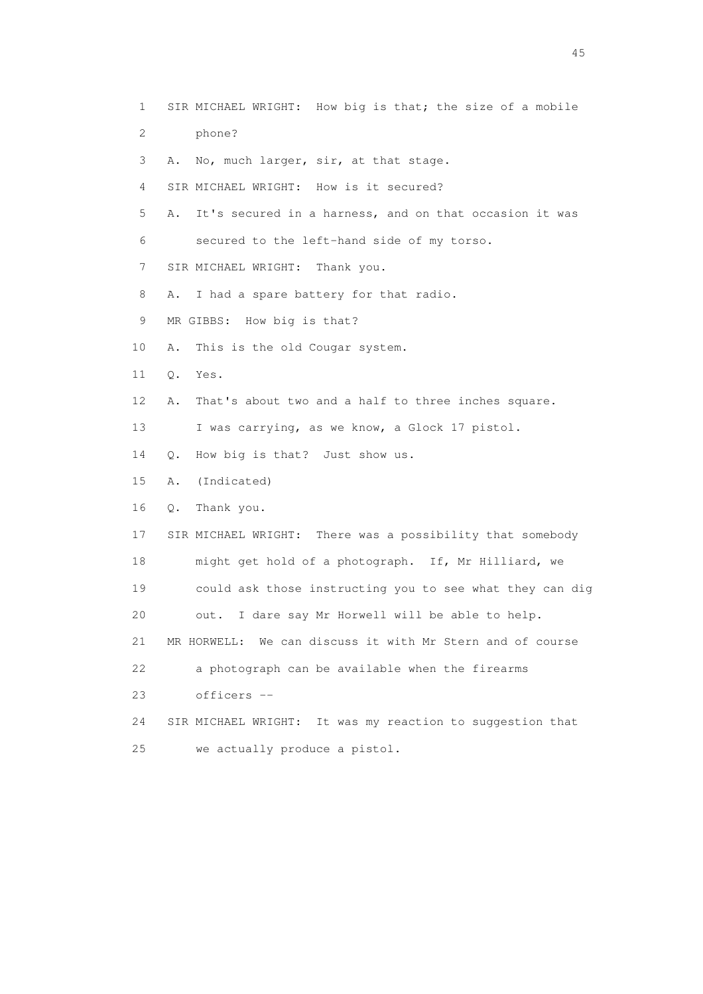1 SIR MICHAEL WRIGHT: How big is that; the size of a mobile 2 phone? 3 A. No, much larger, sir, at that stage. 4 SIR MICHAEL WRIGHT: How is it secured? 5 A. It's secured in a harness, and on that occasion it was 6 secured to the left-hand side of my torso. 7 SIR MICHAEL WRIGHT: Thank you. 8 A. I had a spare battery for that radio. 9 MR GIBBS: How big is that? 10 A. This is the old Cougar system. 11 Q. Yes. 12 A. That's about two and a half to three inches square. 13 I was carrying, as we know, a Glock 17 pistol. 14 Q. How big is that? Just show us. 15 A. (Indicated) 16 Q. Thank you. 17 SIR MICHAEL WRIGHT: There was a possibility that somebody 18 might get hold of a photograph. If, Mr Hilliard, we 19 could ask those instructing you to see what they can dig 20 out. I dare say Mr Horwell will be able to help. 21 MR HORWELL: We can discuss it with Mr Stern and of course 22 a photograph can be available when the firearms 23 officers -- 24 SIR MICHAEL WRIGHT: It was my reaction to suggestion that 25 we actually produce a pistol.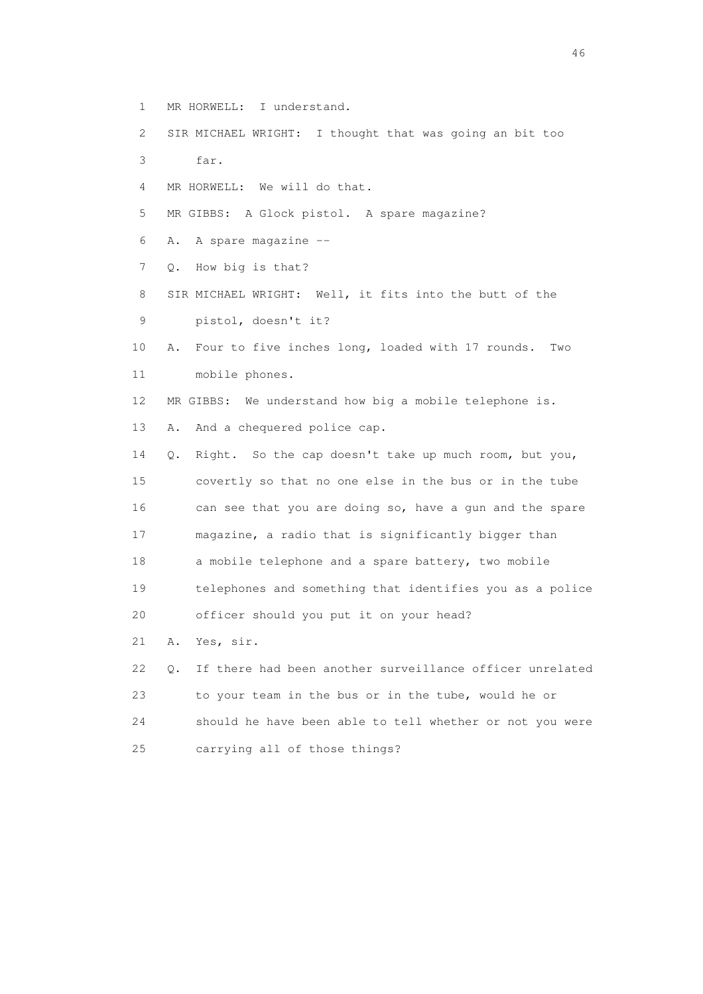- 1 MR HORWELL: I understand.
- 2 SIR MICHAEL WRIGHT: I thought that was going an bit too
- 3 far.
- 4 MR HORWELL: We will do that.
- 5 MR GIBBS: A Glock pistol. A spare magazine?
- 6 A. A spare magazine --
- 7 Q. How big is that?
- 8 SIR MICHAEL WRIGHT: Well, it fits into the butt of the 9 pistol, doesn't it?
- 10 A. Four to five inches long, loaded with 17 rounds. Two 11 mobile phones.
- 12 MR GIBBS: We understand how big a mobile telephone is.
- 13 A. And a chequered police cap.
- 14 Q. Right. So the cap doesn't take up much room, but you, 15 covertly so that no one else in the bus or in the tube 16 can see that you are doing so, have a gun and the spare 17 magazine, a radio that is significantly bigger than 18 a mobile telephone and a spare battery, two mobile 19 telephones and something that identifies you as a police 20 officer should you put it on your head?
- 21 A. Yes, sir.
- 22 Q. If there had been another surveillance officer unrelated 23 to your team in the bus or in the tube, would he or 24 should he have been able to tell whether or not you were 25 carrying all of those things?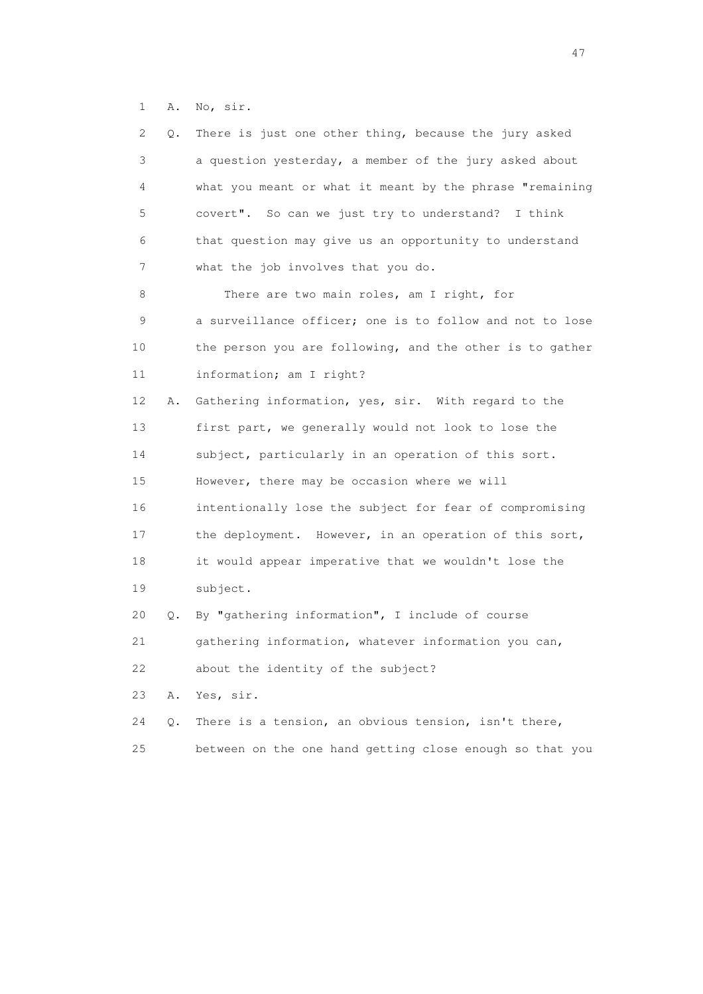1 A. No, sir.

| 2  | Q. | There is just one other thing, because the jury asked    |
|----|----|----------------------------------------------------------|
| 3  |    | a question yesterday, a member of the jury asked about   |
| 4  |    | what you meant or what it meant by the phrase "remaining |
| 5  |    | covert". So can we just try to understand?<br>I think    |
| 6  |    | that question may give us an opportunity to understand   |
| 7  |    | what the job involves that you do.                       |
| 8  |    | There are two main roles, am I right, for                |
| 9  |    | a surveillance officer; one is to follow and not to lose |
| 10 |    | the person you are following, and the other is to gather |
| 11 |    | information; am I right?                                 |
| 12 | Α. | Gathering information, yes, sir. With regard to the      |
| 13 |    | first part, we generally would not look to lose the      |
| 14 |    | subject, particularly in an operation of this sort.      |
| 15 |    | However, there may be occasion where we will             |
| 16 |    | intentionally lose the subject for fear of compromising  |
| 17 |    | the deployment. However, in an operation of this sort,   |
| 18 |    | it would appear imperative that we wouldn't lose the     |
| 19 |    | subject.                                                 |
| 20 | О. | By "gathering information", I include of course          |
| 21 |    | gathering information, whatever information you can,     |
| 22 |    | about the identity of the subject?                       |
| 23 | Α. | Yes, sir.                                                |
| 24 | Q. | There is a tension, an obvious tension, isn't there,     |
| 25 |    | between on the one hand getting close enough so that you |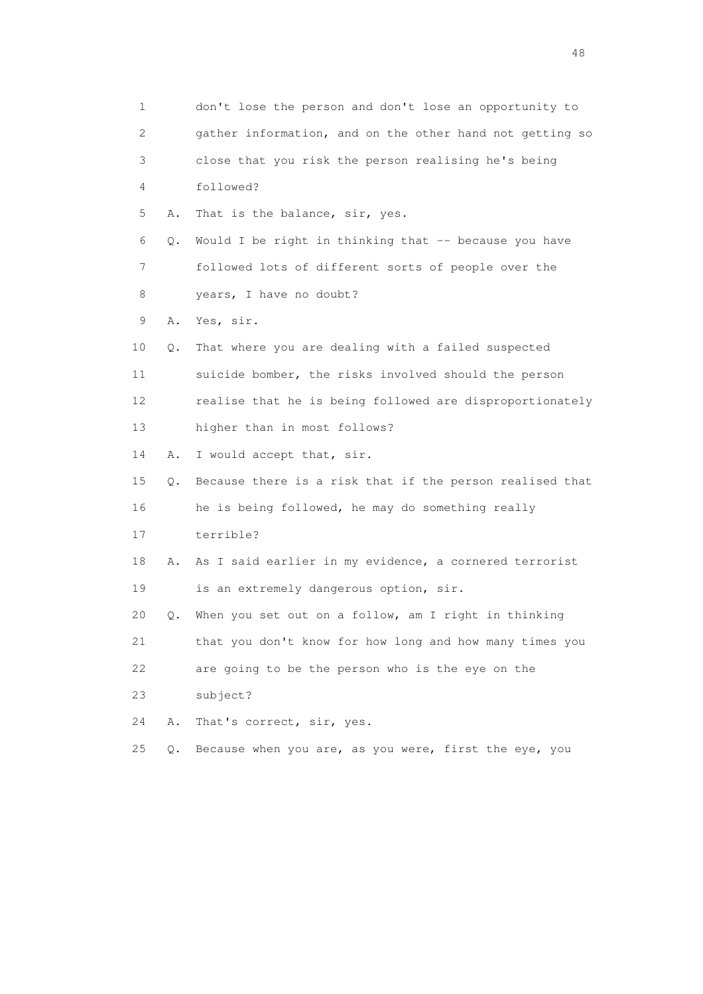| 1                         |    | don't lose the person and don't lose an opportunity to   |
|---------------------------|----|----------------------------------------------------------|
| $\mathbf{2}^{\mathsf{I}}$ |    | gather information, and on the other hand not getting so |
| 3                         |    | close that you risk the person realising he's being      |
| 4                         |    | followed?                                                |
| 5                         | Α. | That is the balance, sir, yes.                           |
| 6                         | Q. | Would I be right in thinking that -- because you have    |
| 7                         |    | followed lots of different sorts of people over the      |
| 8                         |    | years, I have no doubt?                                  |
| 9                         | Α. | Yes, sir.                                                |
| 10                        | Q. | That where you are dealing with a failed suspected       |
| 11                        |    | suicide bomber, the risks involved should the person     |
| 12                        |    | realise that he is being followed are disproportionately |
| 13                        |    | higher than in most follows?                             |
| 14                        | Α. | I would accept that, sir.                                |
| 15                        | Q. | Because there is a risk that if the person realised that |
| 16                        |    | he is being followed, he may do something really         |
| 17                        |    | terrible?                                                |
| 18                        | Α. | As I said earlier in my evidence, a cornered terrorist   |
| 19                        |    | is an extremely dangerous option, sir.                   |
| 20                        | О. | When you set out on a follow, am I right in thinking     |
| 21                        |    | that you don't know for how long and how many times you  |
| 22                        |    | are going to be the person who is the eye on the         |
| 23                        |    | subject?                                                 |
| 24                        | Α. | That's correct, sir, yes.                                |
| 25                        | Q. | Because when you are, as you were, first the eye, you    |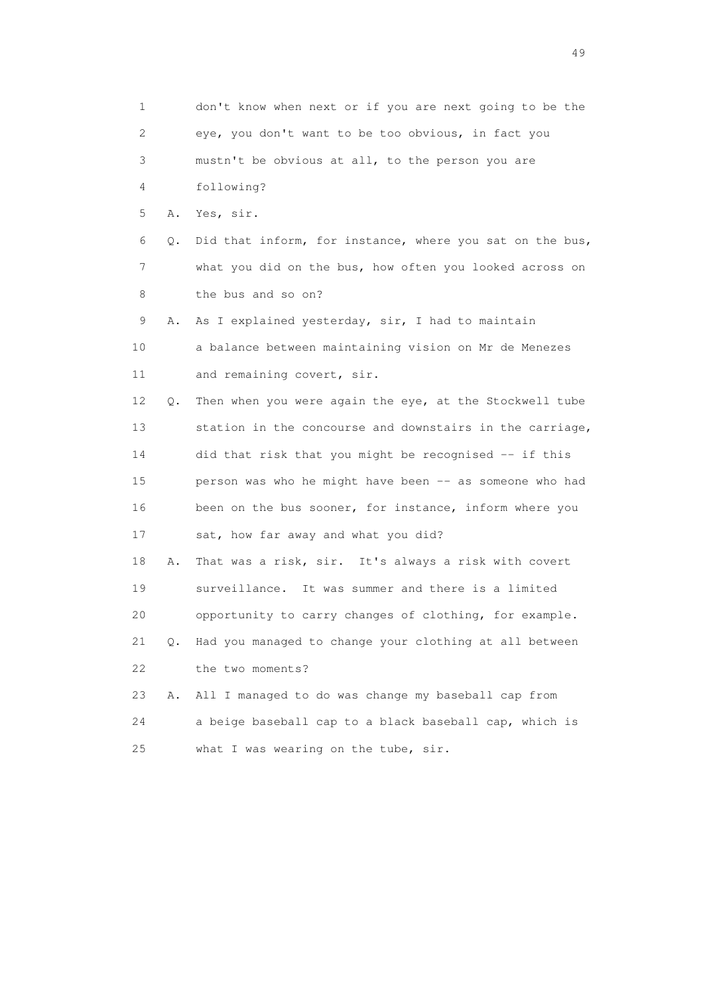1 don't know when next or if you are next going to be the 2 eye, you don't want to be too obvious, in fact you 3 mustn't be obvious at all, to the person you are 4 following? 5 A. Yes, sir. 6 Q. Did that inform, for instance, where you sat on the bus, 7 what you did on the bus, how often you looked across on 8 the bus and so on? 9 A. As I explained yesterday, sir, I had to maintain 10 a balance between maintaining vision on Mr de Menezes 11 and remaining covert, sir. 12 Q. Then when you were again the eye, at the Stockwell tube 13 station in the concourse and downstairs in the carriage, 14 did that risk that you might be recognised -- if this 15 person was who he might have been -- as someone who had 16 been on the bus sooner, for instance, inform where you 17 sat, how far away and what you did? 18 A. That was a risk, sir. It's always a risk with covert 19 surveillance. It was summer and there is a limited 20 opportunity to carry changes of clothing, for example. 21 Q. Had you managed to change your clothing at all between 22 the two moments? 23 A. All I managed to do was change my baseball cap from 24 a beige baseball cap to a black baseball cap, which is 25 what I was wearing on the tube, sir.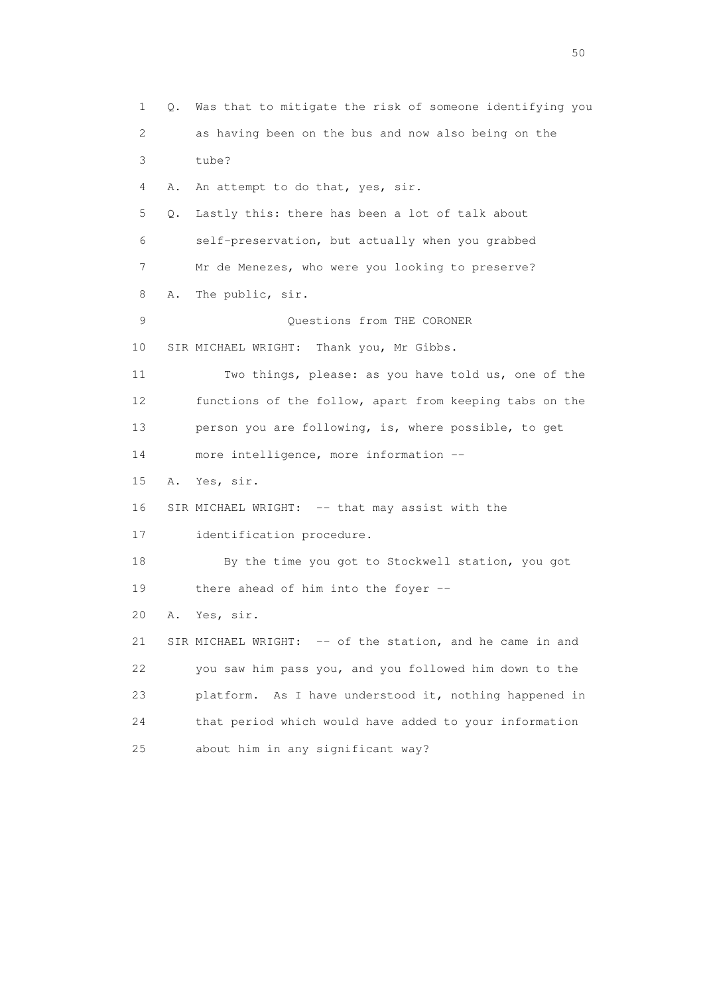1 Q. Was that to mitigate the risk of someone identifying you 2 as having been on the bus and now also being on the 3 tube? 4 A. An attempt to do that, yes, sir. 5 Q. Lastly this: there has been a lot of talk about 6 self-preservation, but actually when you grabbed 7 Mr de Menezes, who were you looking to preserve? 8 A. The public, sir. 9 Questions from THE CORONER 10 SIR MICHAEL WRIGHT: Thank you, Mr Gibbs. 11 Two things, please: as you have told us, one of the 12 functions of the follow, apart from keeping tabs on the 13 person you are following, is, where possible, to get 14 more intelligence, more information -- 15 A. Yes, sir. 16 SIR MICHAEL WRIGHT: -- that may assist with the 17 identification procedure. 18 By the time you got to Stockwell station, you got 19 there ahead of him into the foyer -- 20 A. Yes, sir. 21 SIR MICHAEL WRIGHT: -- of the station, and he came in and 22 you saw him pass you, and you followed him down to the 23 platform. As I have understood it, nothing happened in 24 that period which would have added to your information 25 about him in any significant way?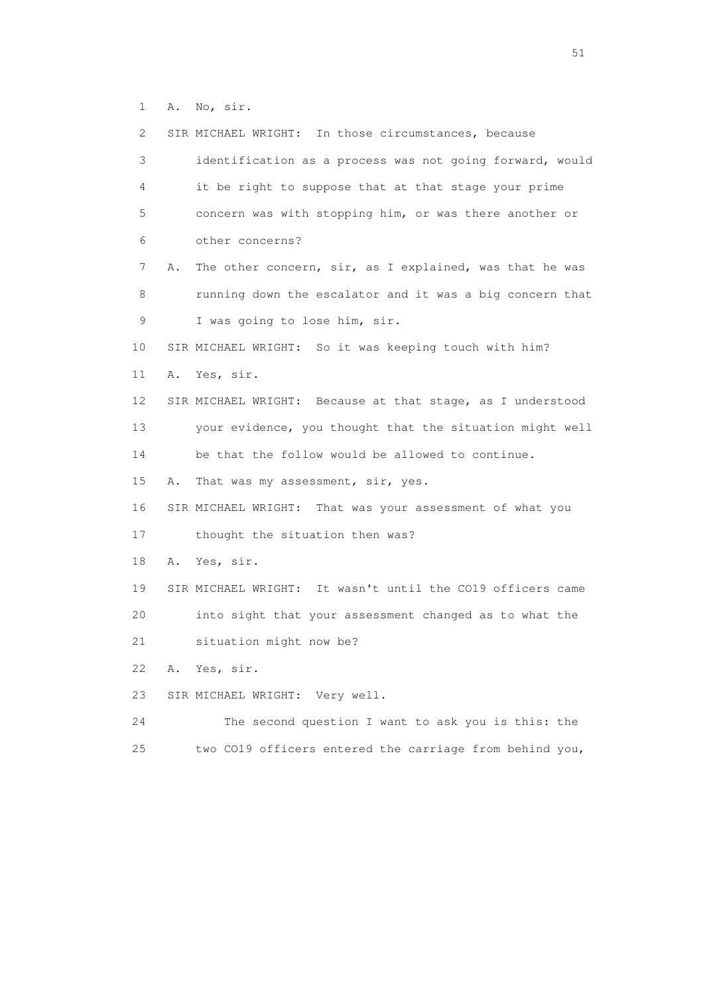1 A. No, sir.

| $\mathbf{2}^{\mathsf{I}}$ | SIR MICHAEL WRIGHT: In those circumstances, because           |
|---------------------------|---------------------------------------------------------------|
| 3                         | identification as a process was not going forward, would      |
| 4                         | it be right to suppose that at that stage your prime          |
| 5                         | concern was with stopping him, or was there another or        |
| 6                         | other concerns?                                               |
| 7                         | The other concern, sir, as I explained, was that he was<br>Α. |
| 8                         | running down the escalator and it was a big concern that      |
| 9                         | I was going to lose him, sir.                                 |
| 10                        | SIR MICHAEL WRIGHT: So it was keeping touch with him?         |
| 11                        | Α.<br>Yes, sir.                                               |
| 12                        | SIR MICHAEL WRIGHT: Because at that stage, as I understood    |
| 13                        | your evidence, you thought that the situation might well      |
| 14                        | be that the follow would be allowed to continue.              |
| 15                        | That was my assessment, sir, yes.<br>Α.                       |
| 16                        | SIR MICHAEL WRIGHT: That was your assessment of what you      |
| 17                        | thought the situation then was?                               |
| 18                        | Yes, sir.<br>Α.                                               |
| 19                        | SIR MICHAEL WRIGHT: It wasn't until the CO19 officers came    |
| 20                        | into sight that your assessment changed as to what the        |
| 21                        | situation might now be?                                       |
| 22                        | Yes, sir.<br>Α.                                               |
| 23                        | SIR MICHAEL WRIGHT: Very well.                                |
| 24                        | The second question I want to ask you is this: the            |
| 25                        | two CO19 officers entered the carriage from behind you,       |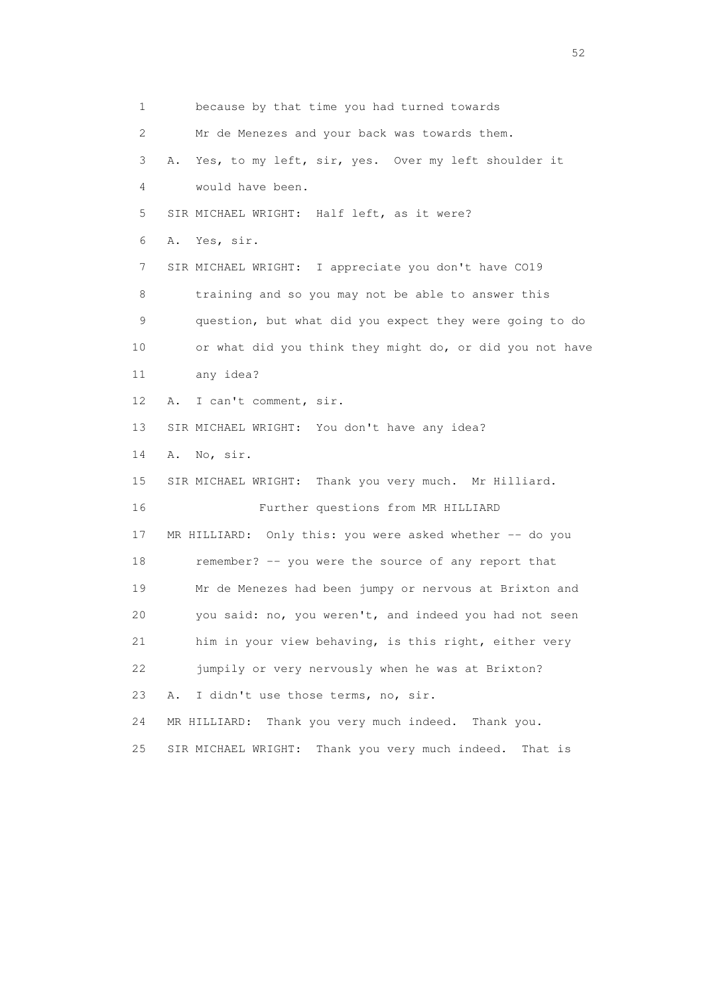1 because by that time you had turned towards 2 Mr de Menezes and your back was towards them. 3 A. Yes, to my left, sir, yes. Over my left shoulder it 4 would have been. 5 SIR MICHAEL WRIGHT: Half left, as it were? 6 A. Yes, sir. 7 SIR MICHAEL WRIGHT: I appreciate you don't have CO19 8 training and so you may not be able to answer this 9 question, but what did you expect they were going to do 10 or what did you think they might do, or did you not have 11 any idea? 12 A. I can't comment, sir. 13 SIR MICHAEL WRIGHT: You don't have any idea? 14 A. No, sir. 15 SIR MICHAEL WRIGHT: Thank you very much. Mr Hilliard. 16 Further questions from MR HILLIARD 17 MR HILLIARD: Only this: you were asked whether -- do you 18 remember? -- you were the source of any report that 19 Mr de Menezes had been jumpy or nervous at Brixton and 20 you said: no, you weren't, and indeed you had not seen 21 him in your view behaving, is this right, either very 22 jumpily or very nervously when he was at Brixton? 23 A. I didn't use those terms, no, sir. 24 MR HILLIARD: Thank you very much indeed. Thank you. 25 SIR MICHAEL WRIGHT: Thank you very much indeed. That is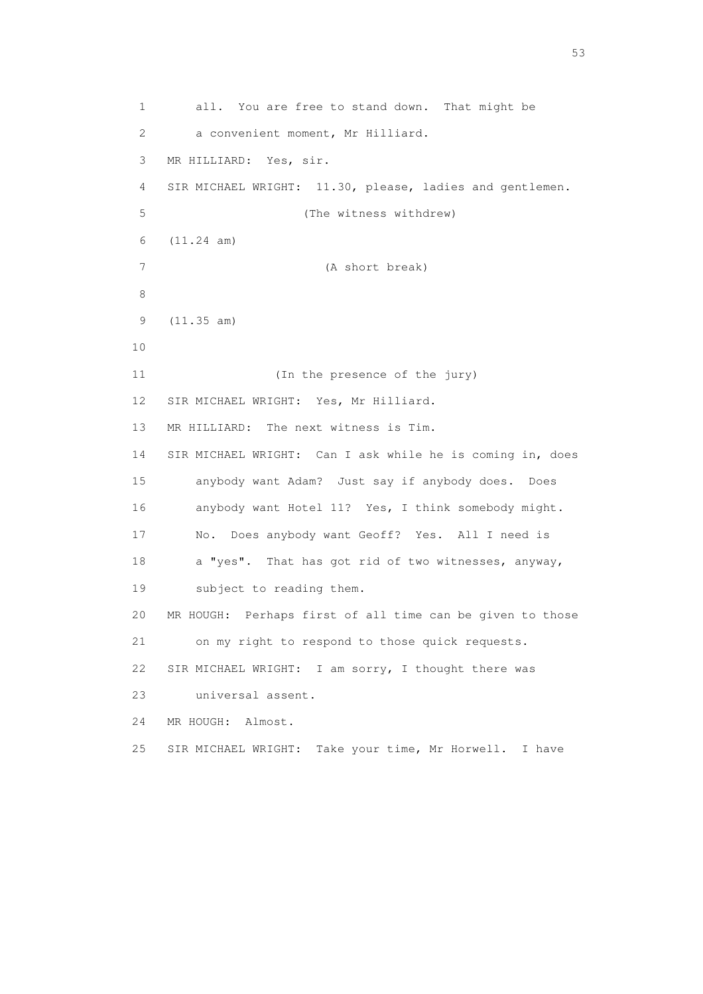1 all. You are free to stand down. That might be 2 a convenient moment, Mr Hilliard. 3 MR HILLIARD: Yes, sir. 4 SIR MICHAEL WRIGHT: 11.30, please, ladies and gentlemen. 5 (The witness withdrew) 6 (11.24 am) 7 (A short break) 8 9 (11.35 am) 10 11 (In the presence of the jury) 12 SIR MICHAEL WRIGHT: Yes, Mr Hilliard. 13 MR HILLIARD: The next witness is Tim. 14 SIR MICHAEL WRIGHT: Can I ask while he is coming in, does 15 anybody want Adam? Just say if anybody does. Does 16 anybody want Hotel 11? Yes, I think somebody might. 17 No. Does anybody want Geoff? Yes. All I need is 18 a "yes". That has got rid of two witnesses, anyway, 19 subject to reading them. 20 MR HOUGH: Perhaps first of all time can be given to those 21 on my right to respond to those quick requests. 22 SIR MICHAEL WRIGHT: I am sorry, I thought there was 23 universal assent. 24 MR HOUGH: Almost. 25 SIR MICHAEL WRIGHT: Take your time, Mr Horwell. I have

 $\sim$  53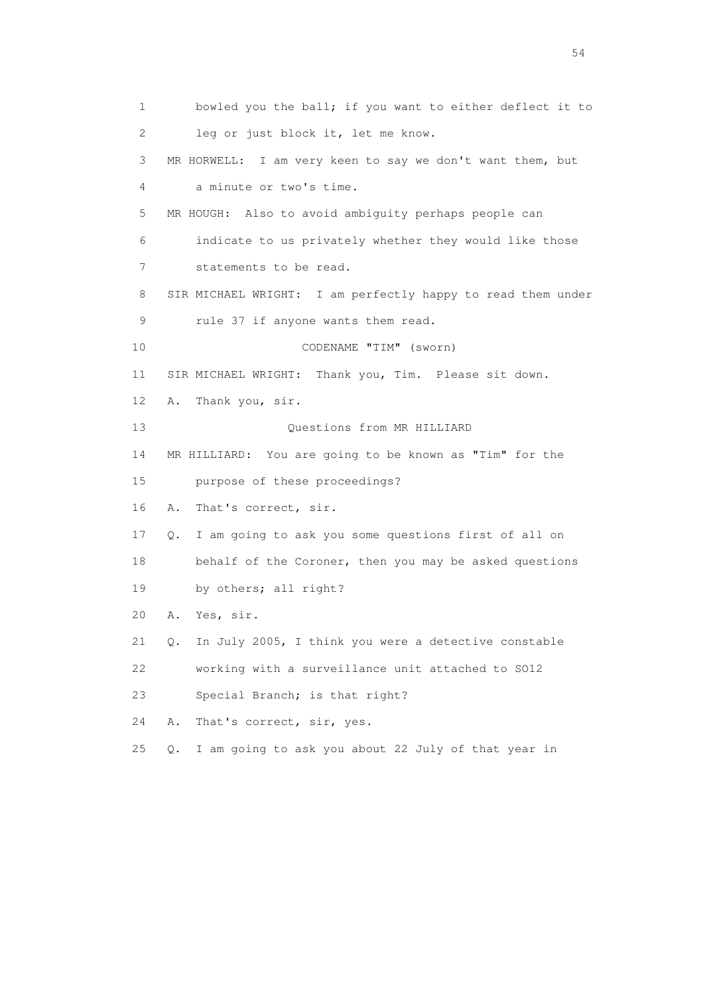1 bowled you the ball; if you want to either deflect it to 2 leg or just block it, let me know. 3 MR HORWELL: I am very keen to say we don't want them, but 4 a minute or two's time. 5 MR HOUGH: Also to avoid ambiguity perhaps people can 6 indicate to us privately whether they would like those 7 statements to be read. 8 SIR MICHAEL WRIGHT: I am perfectly happy to read them under 9 rule 37 if anyone wants them read. 10 CODENAME "TIM" (sworn) 11 SIR MICHAEL WRIGHT: Thank you, Tim. Please sit down. 12 A. Thank you, sir. 13 Ouestions from MR HILLIARD 14 MR HILLIARD: You are going to be known as "Tim" for the 15 purpose of these proceedings? 16 A. That's correct, sir. 17 Q. I am going to ask you some questions first of all on 18 behalf of the Coroner, then you may be asked questions 19 by others; all right? 20 A. Yes, sir. 21 Q. In July 2005, I think you were a detective constable 22 working with a surveillance unit attached to SO12 23 Special Branch; is that right? 24 A. That's correct, sir, yes. 25 Q. I am going to ask you about 22 July of that year in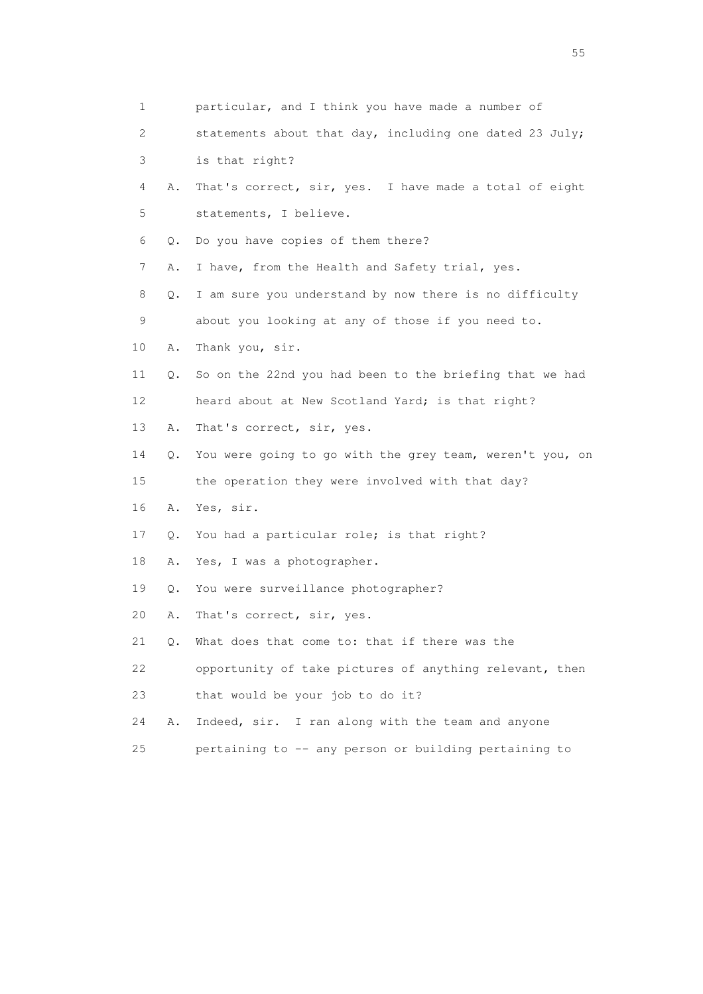| $\mathbf{1}$ |    | particular, and I think you have made a number of        |
|--------------|----|----------------------------------------------------------|
| 2            |    | statements about that day, including one dated 23 July;  |
| 3            |    | is that right?                                           |
| 4            | Α. | That's correct, sir, yes. I have made a total of eight   |
| 5            |    | statements, I believe.                                   |
| 6            | Q. | Do you have copies of them there?                        |
| 7            | Α. | I have, from the Health and Safety trial, yes.           |
| 8            | Q. | I am sure you understand by now there is no difficulty   |
| 9            |    | about you looking at any of those if you need to.        |
| 10           | Α. | Thank you, sir.                                          |
| 11           | Q. | So on the 22nd you had been to the briefing that we had  |
| 12           |    | heard about at New Scotland Yard; is that right?         |
| 13           | Α. | That's correct, sir, yes.                                |
| 14           | Q. | You were going to go with the grey team, weren't you, on |
| 15           |    | the operation they were involved with that day?          |
| 16           | Α. | Yes, sir.                                                |
| 17           | Q. | You had a particular role; is that right?                |
| 18           | Α. | Yes, I was a photographer.                               |
| 19           | Q. | You were surveillance photographer?                      |
| 20           | Α. | That's correct, sir, yes.                                |
| 21           | Q. | What does that come to: that if there was the            |
| 22           |    | opportunity of take pictures of anything relevant, then  |
| 23           |    | that would be your job to do it?                         |
| 24           | Α. | Indeed, sir. I ran along with the team and anyone        |
| 25           |    | pertaining to -- any person or building pertaining to    |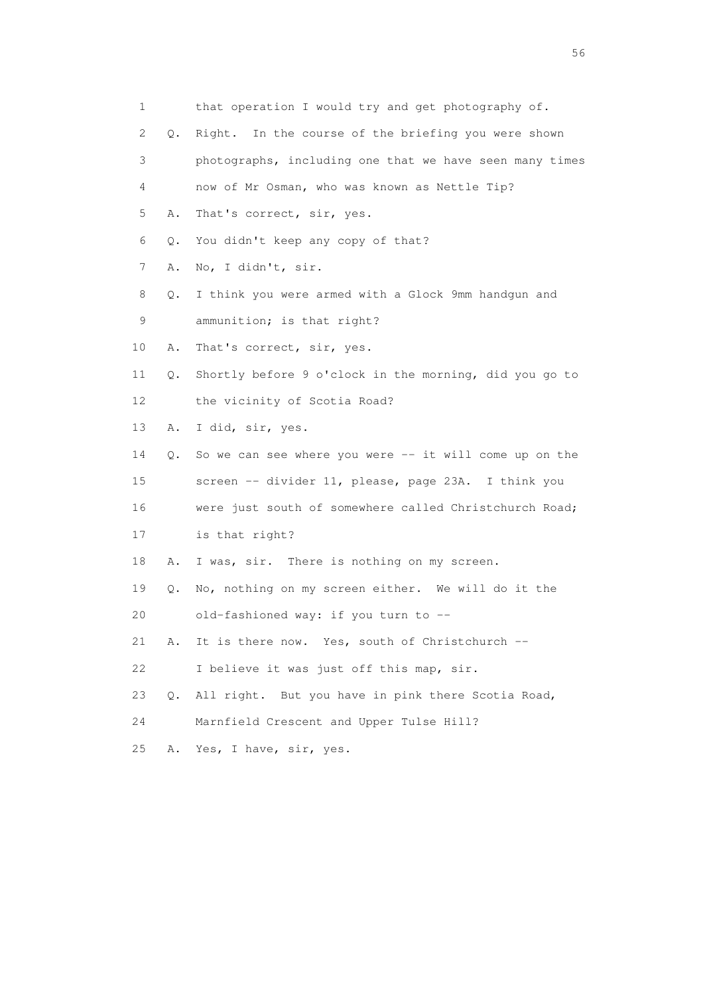| $\mathbf{1}$ |    | that operation I would try and get photography of.      |
|--------------|----|---------------------------------------------------------|
| 2            | Q. | Right. In the course of the briefing you were shown     |
| 3            |    | photographs, including one that we have seen many times |
| 4            |    | now of Mr Osman, who was known as Nettle Tip?           |
| 5            | Α. | That's correct, sir, yes.                               |
| 6            | Q. | You didn't keep any copy of that?                       |
| 7            | Α. | No, I didn't, sir.                                      |
| 8            | Q. | I think you were armed with a Glock 9mm handgun and     |
| 9            |    | ammunition; is that right?                              |
| 10           | Α. | That's correct, sir, yes.                               |
| 11           | Q. | Shortly before 9 o'clock in the morning, did you go to  |
| 12           |    | the vicinity of Scotia Road?                            |
| 13           | Α. | I did, sir, yes.                                        |
| 14           | Q. | So we can see where you were -- it will come up on the  |
| 15           |    | screen -- divider 11, please, page 23A. I think you     |
| 16           |    | were just south of somewhere called Christchurch Road;  |
| 17           |    | is that right?                                          |
| 18           | Α. | I was, sir. There is nothing on my screen.              |
| 19           | Q. | No, nothing on my screen either. We will do it the      |
| 20           |    | old-fashioned way: if you turn to --                    |
| 21           | Α. | It is there now. Yes, south of Christchurch --          |
| 22           |    | I believe it was just off this map, sir.                |
| 23           | Q. | All right. But you have in pink there Scotia Road,      |
| 24           |    | Marnfield Crescent and Upper Tulse Hill?                |
| 25           | Α. | Yes, I have, sir, yes.                                  |

 $56<sup>o</sup>$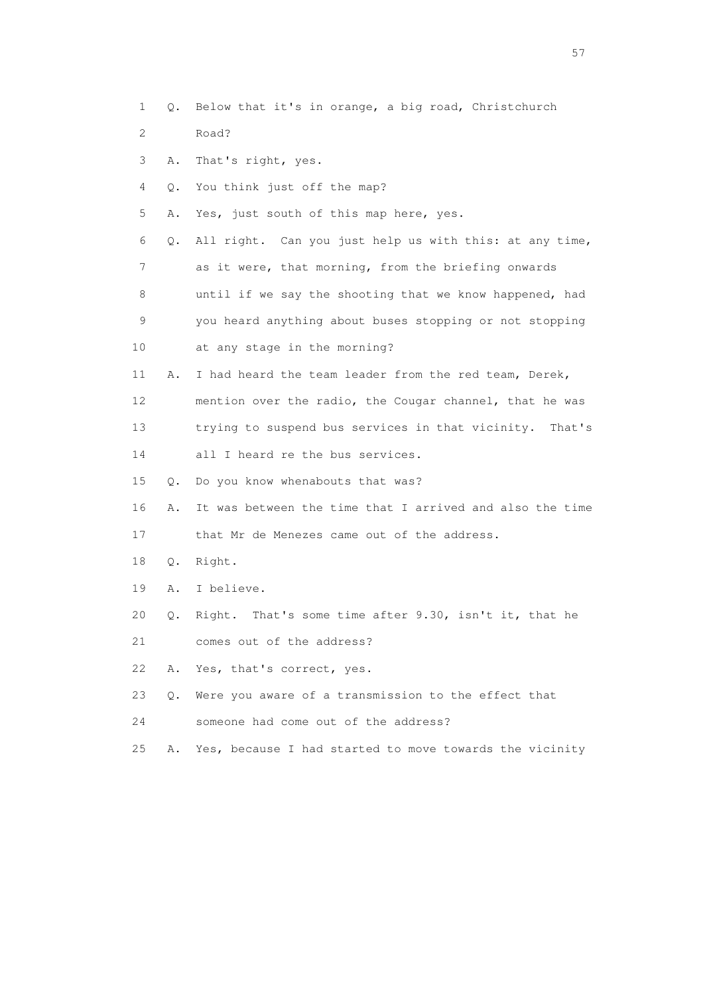- 1 Q. Below that it's in orange, a big road, Christchurch
- 2 Road?
- 3 A. That's right, yes.
- 4 Q. You think just off the map?
- 5 A. Yes, just south of this map here, yes.
- 6 Q. All right. Can you just help us with this: at any time, 7 as it were, that morning, from the briefing onwards 8 until if we say the shooting that we know happened, had 9 you heard anything about buses stopping or not stopping
- 10 at any stage in the morning?
- 11 A. I had heard the team leader from the red team, Derek, 12 mention over the radio, the Cougar channel, that he was 13 trying to suspend bus services in that vicinity. That's
- 14 all I heard re the bus services.
- 15 Q. Do you know whenabouts that was?
- 16 A. It was between the time that I arrived and also the time
- 17 that Mr de Menezes came out of the address.
- 18 Q. Right.
- 19 A. I believe.
- 20 Q. Right. That's some time after 9.30, isn't it, that he
- 21 comes out of the address?
- 22 A. Yes, that's correct, yes.
- 23 Q. Were you aware of a transmission to the effect that
- 24 someone had come out of the address?
- 25 A. Yes, because I had started to move towards the vicinity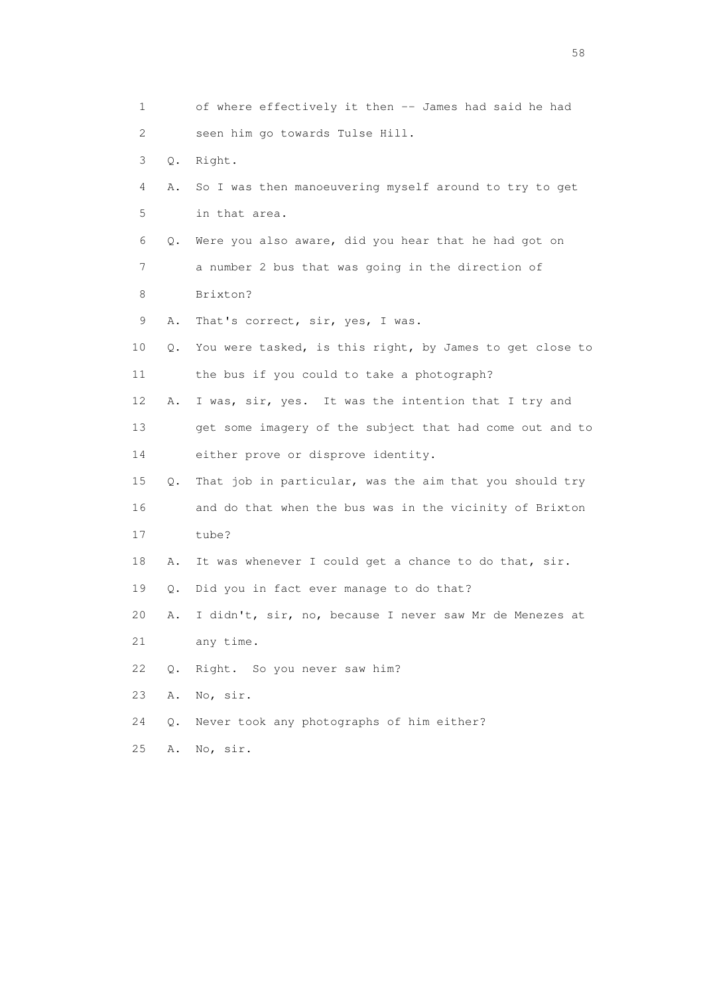|    | 1  |    | of where effectively it then -- James had said he had    |
|----|----|----|----------------------------------------------------------|
|    | 2  |    | seen him go towards Tulse Hill.                          |
|    | 3  | Q. | Right.                                                   |
|    | 4  | Α. | So I was then manoeuvering myself around to try to get   |
|    | 5  |    | in that area.                                            |
|    | 6  | Q. | Were you also aware, did you hear that he had got on     |
|    | 7  |    | a number 2 bus that was going in the direction of        |
|    | 8  |    | Brixton?                                                 |
|    | 9  | Α. | That's correct, sir, yes, I was.                         |
| 10 |    | Q. | You were tasked, is this right, by James to get close to |
| 11 |    |    | the bus if you could to take a photograph?               |
| 12 |    | Α. | I was, sir, yes. It was the intention that I try and     |
| 13 |    |    | get some imagery of the subject that had come out and to |
|    | 14 |    | either prove or disprove identity.                       |
| 15 |    | Q. | That job in particular, was the aim that you should try  |
| 16 |    |    | and do that when the bus was in the vicinity of Brixton  |
|    | 17 |    | tube?                                                    |
|    | 18 | Α. | It was whenever I could get a chance to do that, sir.    |
|    | 19 | Q. | Did you in fact ever manage to do that?                  |
| 20 |    | Α. | I didn't, sir, no, because I never saw Mr de Menezes at  |
|    | 21 |    | any time.                                                |
|    | 22 | Q. | Right. So you never saw him?                             |
|    | 23 | Α. | No, sir.                                                 |
|    | 24 | Q. | Never took any photographs of him either?                |
| 25 |    | Α. | No, sir.                                                 |

the state of the state of the state of the state of the state of the state of the state of the state of the state of the state of the state of the state of the state of the state of the state of the state of the state of t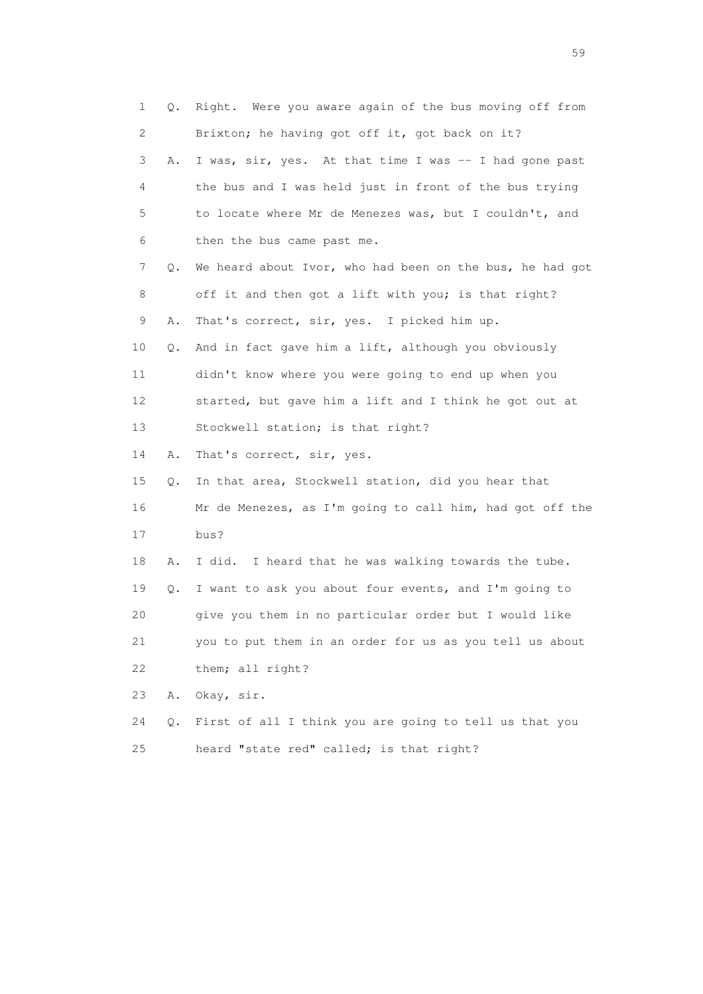1 Q. Right. Were you aware again of the bus moving off from 2 Brixton; he having got off it, got back on it? 3 A. I was, sir, yes. At that time I was -- I had gone past 4 the bus and I was held just in front of the bus trying 5 to locate where Mr de Menezes was, but I couldn't, and 6 then the bus came past me. 7 Q. We heard about Ivor, who had been on the bus, he had got 8 off it and then got a lift with you; is that right? 9 A. That's correct, sir, yes. I picked him up. 10 Q. And in fact gave him a lift, although you obviously 11 didn't know where you were going to end up when you 12 started, but gave him a lift and I think he got out at 13 Stockwell station; is that right? 14 A. That's correct, sir, yes. 15 Q. In that area, Stockwell station, did you hear that 16 Mr de Menezes, as I'm going to call him, had got off the 17 bus? 18 A. I did. I heard that he was walking towards the tube. 19 Q. I want to ask you about four events, and I'm going to 20 give you them in no particular order but I would like 21 you to put them in an order for us as you tell us about 22 them; all right? 23 A. Okay, sir. 24 Q. First of all I think you are going to tell us that you 25 heard "state red" called; is that right?

the contract of the contract of the contract of the contract of the contract of the contract of the contract of the contract of the contract of the contract of the contract of the contract of the contract of the contract o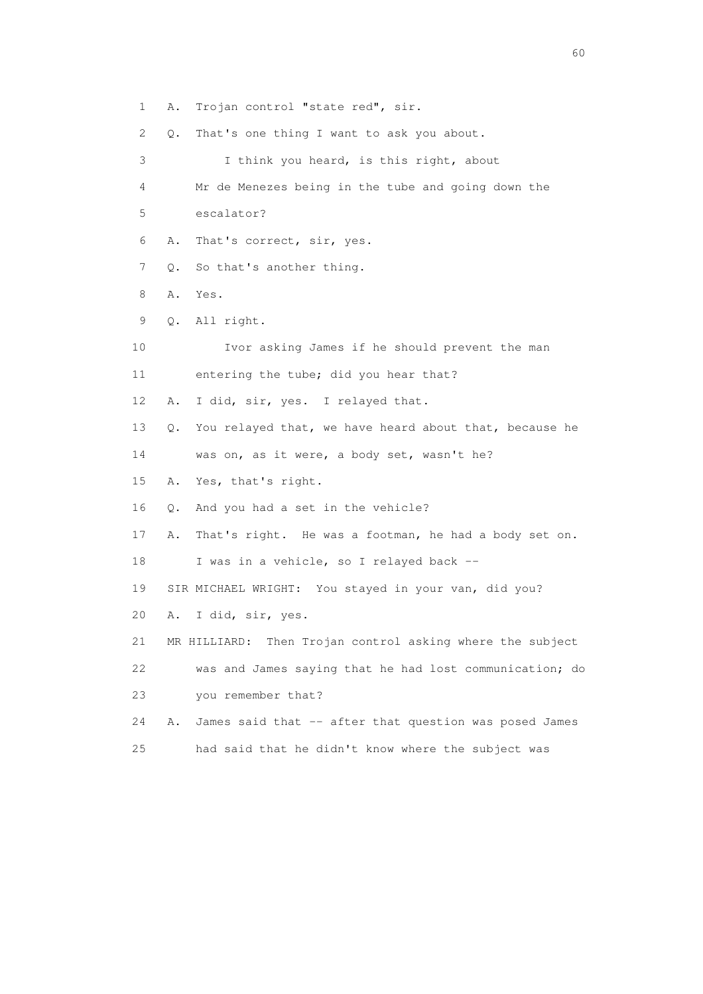1 A. Trojan control "state red", sir. 2 Q. That's one thing I want to ask you about. 3 I think you heard, is this right, about 4 Mr de Menezes being in the tube and going down the 5 escalator? 6 A. That's correct, sir, yes. 7 Q. So that's another thing. 8 A. Yes. 9 Q. All right. 10 Ivor asking James if he should prevent the man 11 entering the tube; did you hear that? 12 A. I did, sir, yes. I relayed that. 13 Q. You relayed that, we have heard about that, because he 14 was on, as it were, a body set, wasn't he? 15 A. Yes, that's right. 16 Q. And you had a set in the vehicle? 17 A. That's right. He was a footman, he had a body set on. 18 I was in a vehicle, so I relayed back -- 19 SIR MICHAEL WRIGHT: You stayed in your van, did you? 20 A. I did, sir, yes. 21 MR HILLIARD: Then Trojan control asking where the subject 22 was and James saying that he had lost communication; do 23 you remember that? 24 A. James said that -- after that question was posed James 25 had said that he didn't know where the subject was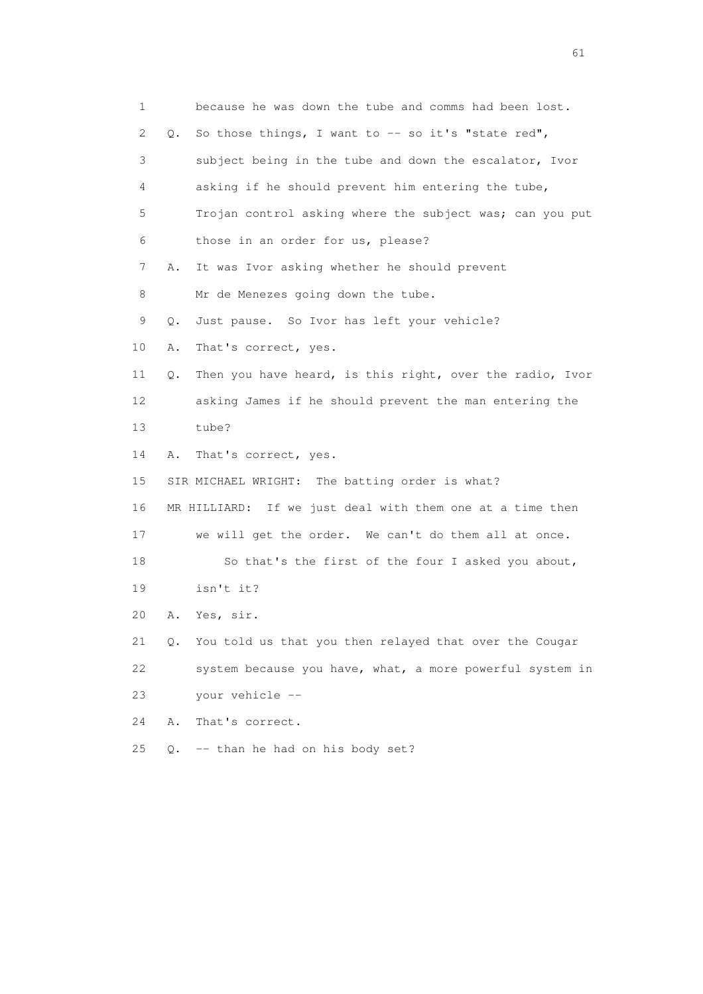1 because he was down the tube and comms had been lost. 2 Q. So those things, I want to -- so it's "state red", 3 subject being in the tube and down the escalator, Ivor 4 asking if he should prevent him entering the tube, 5 Trojan control asking where the subject was; can you put 6 those in an order for us, please? 7 A. It was Ivor asking whether he should prevent 8 Mr de Menezes going down the tube. 9 Q. Just pause. So Ivor has left your vehicle? 10 A. That's correct, yes. 11 Q. Then you have heard, is this right, over the radio, Ivor 12 asking James if he should prevent the man entering the 13 tube? 14 A. That's correct, yes. 15 SIR MICHAEL WRIGHT: The batting order is what? 16 MR HILLIARD: If we just deal with them one at a time then 17 we will get the order. We can't do them all at once. 18 So that's the first of the four I asked you about, 19 isn't it? 20 A. Yes, sir. 21 Q. You told us that you then relayed that over the Cougar 22 system because you have, what, a more powerful system in 23 your vehicle -- 24 A. That's correct. 25 Q. -- than he had on his body set?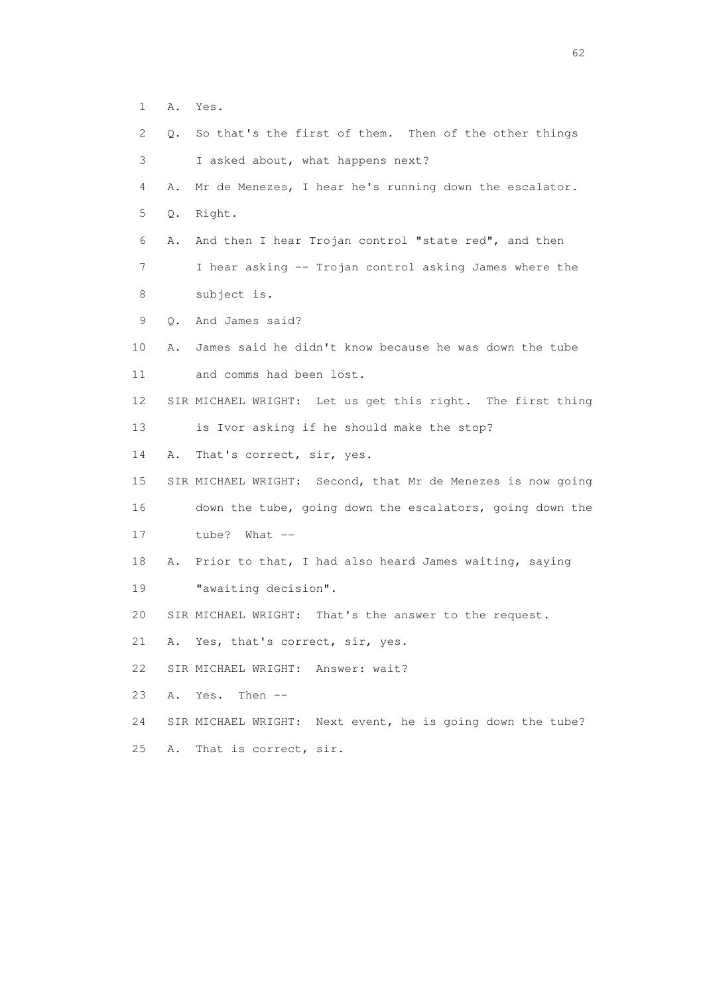- 1 A. Yes.
- 2 Q. So that's the first of them. Then of the other things 3 I asked about, what happens next? 4 A. Mr de Menezes, I hear he's running down the escalator. 5 Q. Right. 6 A. And then I hear Trojan control "state red", and then 7 I hear asking -- Trojan control asking James where the 8 subject is. 9 Q. And James said? 10 A. James said he didn't know because he was down the tube 11 and comms had been lost. 12 SIR MICHAEL WRIGHT: Let us get this right. The first thing 13 is Ivor asking if he should make the stop? 14 A. That's correct, sir, yes. 15 SIR MICHAEL WRIGHT: Second, that Mr de Menezes is now going 16 down the tube, going down the escalators, going down the 17 tube? What -- 18 A. Prior to that, I had also heard James waiting, saying 19 **"**awaiting decision". 20 SIR MICHAEL WRIGHT: That's the answer to the request. 21 A. Yes, that's correct, sir, yes. 22 SIR MICHAEL WRIGHT: Answer: wait? 23 A. Yes. Then -- 24 SIR MICHAEL WRIGHT: Next event, he is going down the tube? 25 A. That is correct, sir.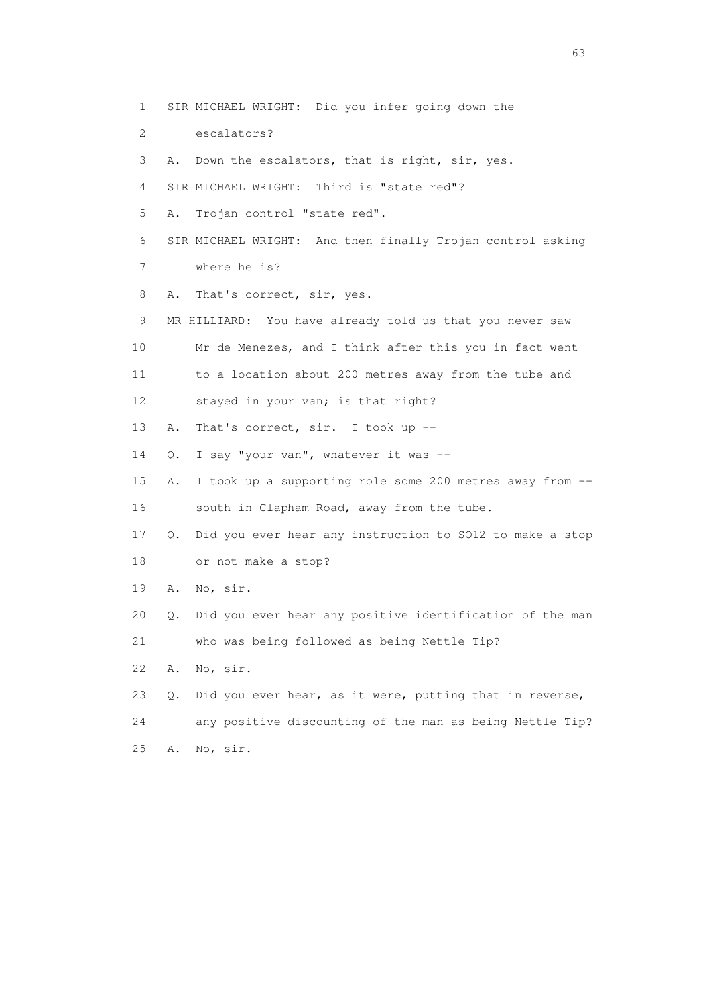1 SIR MICHAEL WRIGHT: Did you infer going down the 2 escalators? 3 A. Down the escalators, that is right, sir, yes. 4 SIR MICHAEL WRIGHT: Third is "state red"? 5 A. Trojan control "state red". 6 SIR MICHAEL WRIGHT: And then finally Trojan control asking 7 where he is? 8 A. That's correct, sir, yes. 9 MR HILLIARD: You have already told us that you never saw 10 Mr de Menezes, and I think after this you in fact went 11 to a location about 200 metres away from the tube and 12 stayed in your van; is that right? 13 A. That's correct, sir. I took up -- 14 Q. I say "your van", whatever it was -- 15 A. I took up a supporting role some 200 metres away from -- 16 south in Clapham Road, away from the tube. 17 Q. Did you ever hear any instruction to SO12 to make a stop 18 or not make a stop? 19 A. No, sir. 20 Q. Did you ever hear any positive identification of the man 21 who was being followed as being Nettle Tip? 22 A. No, sir. 23 Q. Did you ever hear, as it were, putting that in reverse, 24 any positive discounting of the man as being Nettle Tip? 25 A. No, sir.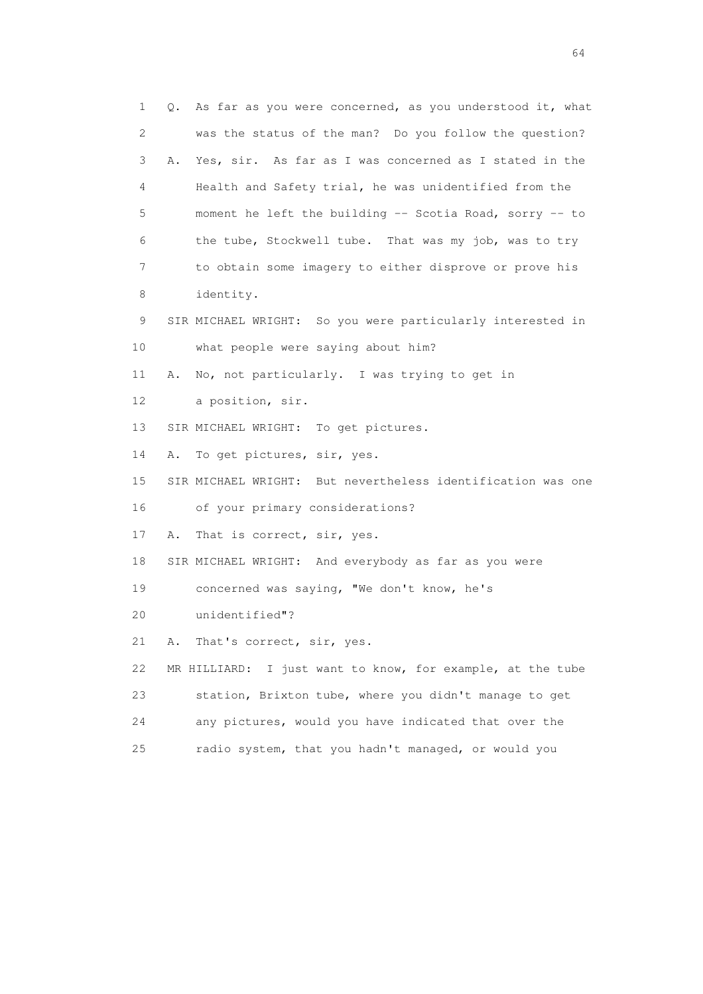1 Q. As far as you were concerned, as you understood it, what 2 was the status of the man? Do you follow the question? 3 A. Yes, sir. As far as I was concerned as I stated in the 4 Health and Safety trial, he was unidentified from the 5 moment he left the building -- Scotia Road, sorry -- to 6 the tube, Stockwell tube. That was my job, was to try 7 to obtain some imagery to either disprove or prove his 8 identity. 9 SIR MICHAEL WRIGHT: So you were particularly interested in 10 what people were saying about him? 11 A. No, not particularly. I was trying to get in 12 a position, sir. 13 SIR MICHAEL WRIGHT: To get pictures. 14 A. To get pictures, sir, yes. 15 SIR MICHAEL WRIGHT: But nevertheless identification was one 16 of your primary considerations? 17 A. That is correct, sir, yes. 18 SIR MICHAEL WRIGHT: And everybody as far as you were 19 concerned was saying, "We don't know, he's 20 unidentified"? 21 A. That's correct, sir, yes. 22 MR HILLIARD: I just want to know, for example, at the tube 23 station, Brixton tube, where you didn't manage to get 24 any pictures, would you have indicated that over the 25 radio system, that you hadn't managed, or would you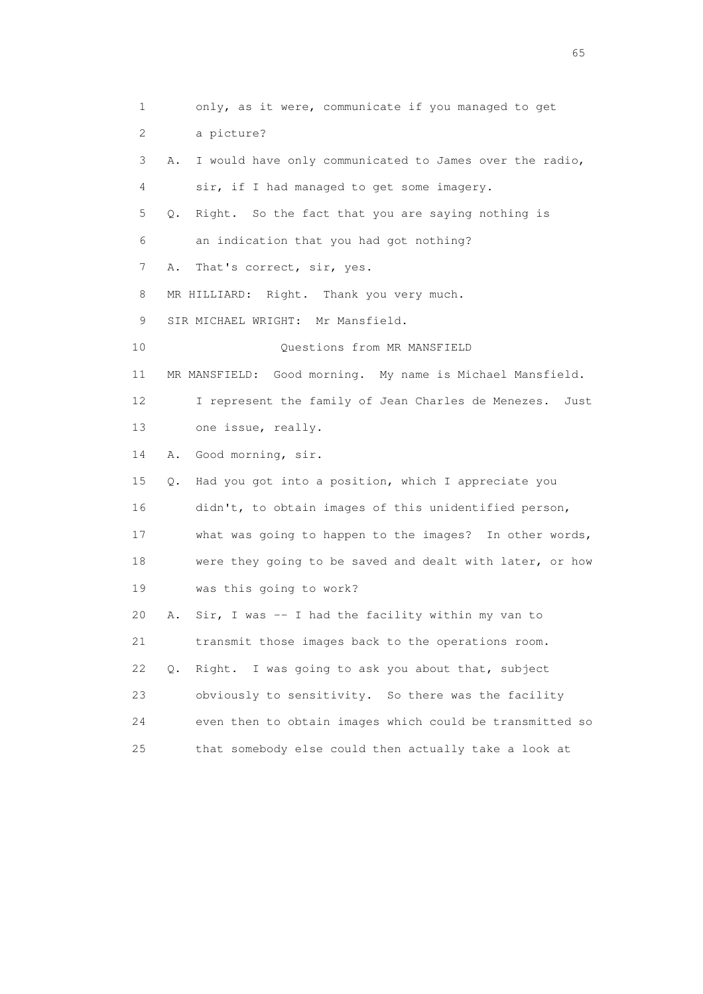1 only, as it were, communicate if you managed to get 2 a picture? 3 A. I would have only communicated to James over the radio, 4 sir, if I had managed to get some imagery. 5 Q. Right. So the fact that you are saying nothing is 6 an indication that you had got nothing? 7 A. That's correct, sir, yes. 8 MR HILLIARD: Right. Thank you very much. 9 SIR MICHAEL WRIGHT: Mr Mansfield. 10 Questions from MR MANSFIELD 11 MR MANSFIELD: Good morning. My name is Michael Mansfield. 12 I represent the family of Jean Charles de Menezes. Just 13 one issue, really. 14 A. Good morning, sir. 15 Q. Had you got into a position, which I appreciate you 16 didn't, to obtain images of this unidentified person, 17 what was going to happen to the images? In other words, 18 were they going to be saved and dealt with later, or how 19 was this going to work? 20 A. Sir, I was -- I had the facility within my van to 21 transmit those images back to the operations room. 22 Q. Right. I was going to ask you about that, subject 23 obviously to sensitivity. So there was the facility 24 even then to obtain images which could be transmitted so 25 that somebody else could then actually take a look at

 $\sim$  65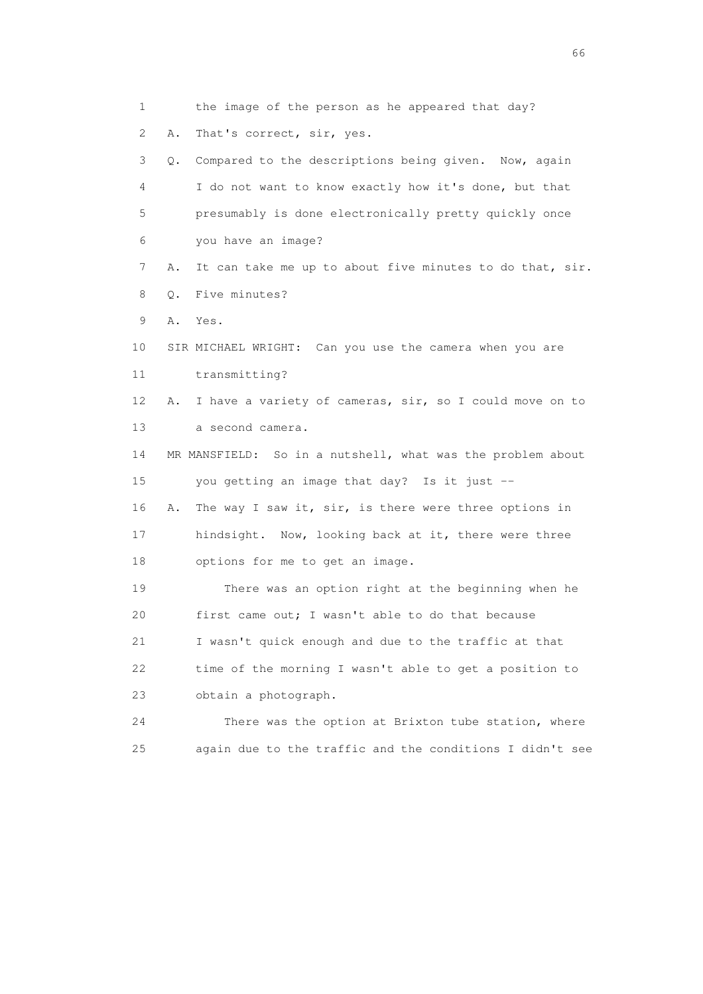1 the image of the person as he appeared that day? 2 A. That's correct, sir, yes. 3 Q. Compared to the descriptions being given. Now, again 4 I do not want to know exactly how it's done, but that 5 presumably is done electronically pretty quickly once 6 you have an image? 7 A. It can take me up to about five minutes to do that, sir. 8 Q. Five minutes? 9 A. Yes. 10 SIR MICHAEL WRIGHT: Can you use the camera when you are 11 transmitting? 12 A. I have a variety of cameras, sir, so I could move on to 13 a second camera. 14 MR MANSFIELD: So in a nutshell, what was the problem about 15 you getting an image that day? Is it just -- 16 A. The way I saw it, sir, is there were three options in 17 hindsight. Now, looking back at it, there were three 18 options for me to get an image. 19 There was an option right at the beginning when he 20 first came out; I wasn't able to do that because 21 I wasn't quick enough and due to the traffic at that 22 time of the morning I wasn't able to get a position to 23 obtain a photograph. 24 There was the option at Brixton tube station, where 25 again due to the traffic and the conditions I didn't see

 $\sim$  66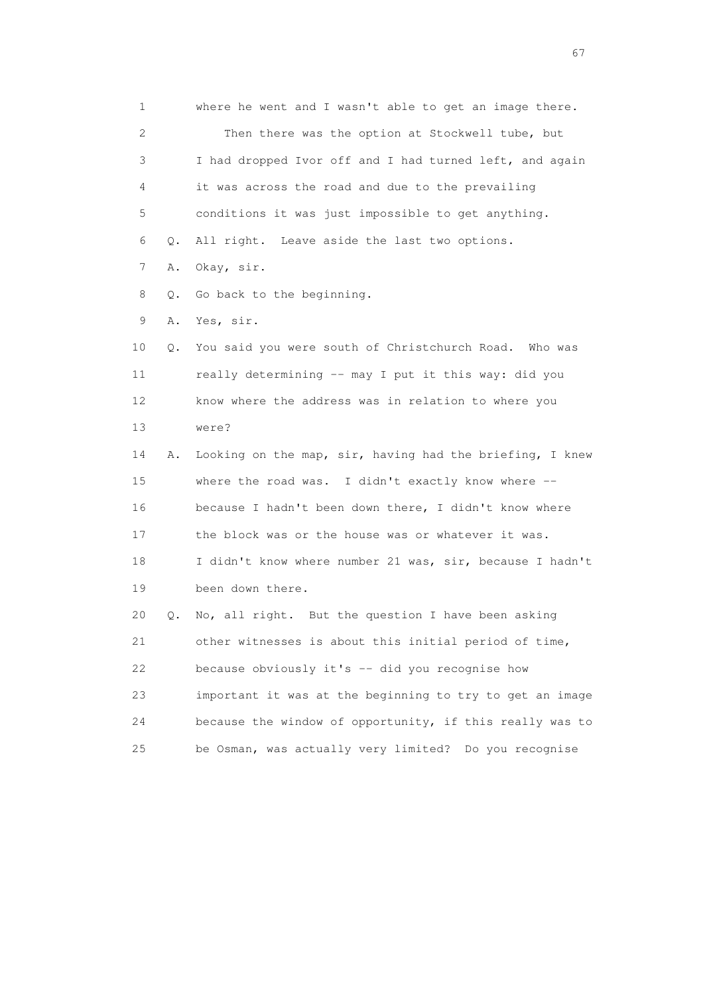1 where he went and I wasn't able to get an image there. 2 Then there was the option at Stockwell tube, but 3 I had dropped Ivor off and I had turned left, and again 4 it was across the road and due to the prevailing 5 conditions it was just impossible to get anything. 6 Q. All right. Leave aside the last two options. 7 A. Okay, sir. 8 Q. Go back to the beginning. 9 A. Yes, sir. 10 Q. You said you were south of Christchurch Road. Who was 11 really determining -- may I put it this way: did you 12 know where the address was in relation to where you 13 were? 14 A. Looking on the map, sir, having had the briefing, I knew 15 where the road was. I didn't exactly know where -- 16 because I hadn't been down there, I didn't know where 17 the block was or the house was or whatever it was. 18 I didn't know where number 21 was, sir, because I hadn't 19 been down there. 20 Q. No, all right. But the question I have been asking 21 other witnesses is about this initial period of time, 22 because obviously it's -- did you recognise how 23 important it was at the beginning to try to get an image 24 because the window of opportunity, if this really was to 25 be Osman, was actually very limited? Do you recognise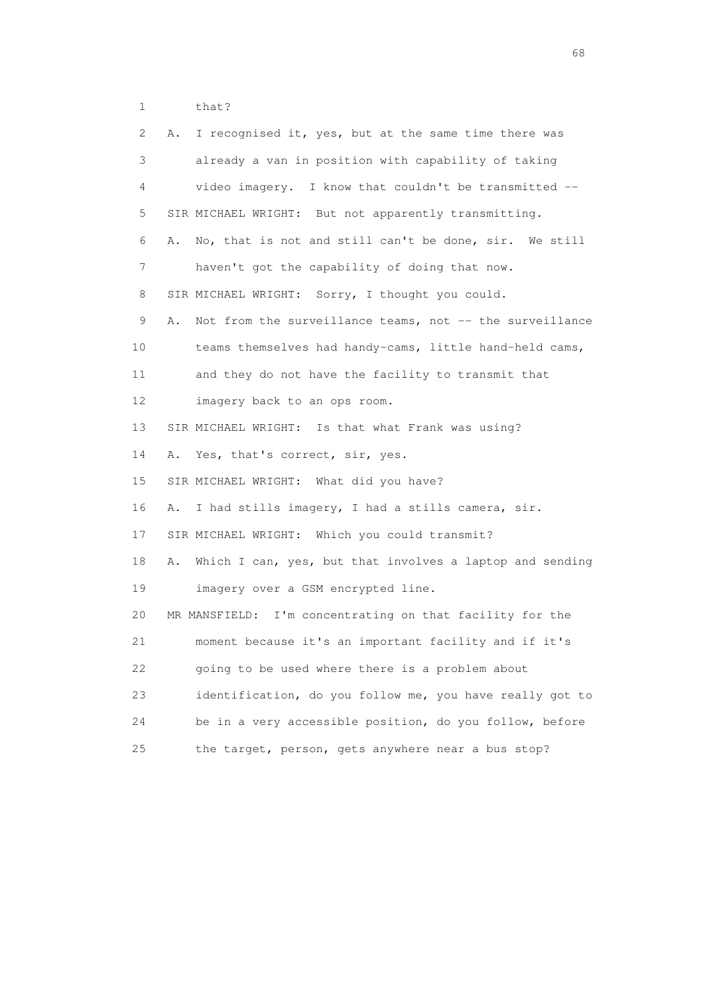1 that?

| $\mathbf{2}^{\mathsf{I}}$ | I recognised it, yes, but at the same time there was<br>Α.     |
|---------------------------|----------------------------------------------------------------|
| 3                         | already a van in position with capability of taking            |
| 4                         | video imagery. I know that couldn't be transmitted --          |
| 5                         | SIR MICHAEL WRIGHT: But not apparently transmitting.           |
| 6                         | No, that is not and still can't be done, sir. We still<br>Α.   |
| 7                         | haven't got the capability of doing that now.                  |
| 8                         | SIR MICHAEL WRIGHT: Sorry, I thought you could.                |
| 9                         | Not from the surveillance teams, not -- the surveillance<br>Α. |
| 10                        | teams themselves had handy-cams, little hand-held cams,        |
| 11                        | and they do not have the facility to transmit that             |
| 12                        | imagery back to an ops room.                                   |
| 13                        | SIR MICHAEL WRIGHT: Is that what Frank was using?              |
| 14                        | Yes, that's correct, sir, yes.<br>Α.                           |
| 15                        | SIR MICHAEL WRIGHT: What did you have?                         |
| 16                        | I had stills imagery, I had a stills camera, sir.<br>Α.        |
| 17                        | SIR MICHAEL WRIGHT: Which you could transmit?                  |
| 18                        | Which I can, yes, but that involves a laptop and sending<br>Α. |
| 19                        | imagery over a GSM encrypted line.                             |
| 20                        | MR MANSFIELD: I'm concentrating on that facility for the       |
| 21                        | moment because it's an important facility and if it's          |
| 22                        | going to be used where there is a problem about                |
| 23                        | identification, do you follow me, you have really got to       |
| 24                        | be in a very accessible position, do you follow, before        |
| 25                        | the target, person, gets anywhere near a bus stop?             |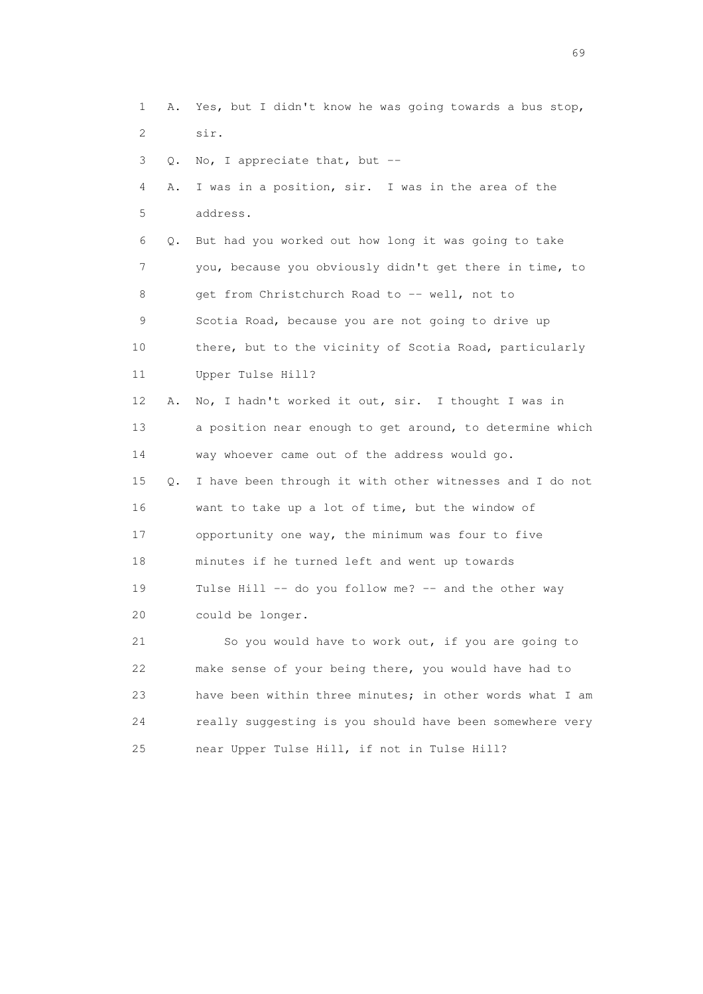1 A. Yes, but I didn't know he was going towards a bus stop, 2 sir. 3 Q. No, I appreciate that, but -- 4 A. I was in a position, sir. I was in the area of the 5 address.

 6 Q. But had you worked out how long it was going to take 7 you, because you obviously didn't get there in time, to 8 get from Christchurch Road to -- well, not to 9 Scotia Road, because you are not going to drive up 10 there, but to the vicinity of Scotia Road, particularly 11 Upper Tulse Hill?

 12 A. No, I hadn't worked it out, sir. I thought I was in 13 a position near enough to get around, to determine which 14 way whoever came out of the address would go.

 15 Q. I have been through it with other witnesses and I do not 16 want to take up a lot of time, but the window of 17 opportunity one way, the minimum was four to five 18 minutes if he turned left and went up towards 19 Tulse Hill -- do you follow me? -- and the other way 20 could be longer.

 21 So you would have to work out, if you are going to 22 make sense of your being there, you would have had to 23 have been within three minutes; in other words what I am 24 really suggesting is you should have been somewhere very 25 near Upper Tulse Hill, if not in Tulse Hill?

entral de la construction de la construction de la construction de la construction de la construction de la co<br>1990 : la construction de la construction de la construction de la construction de la construction de la const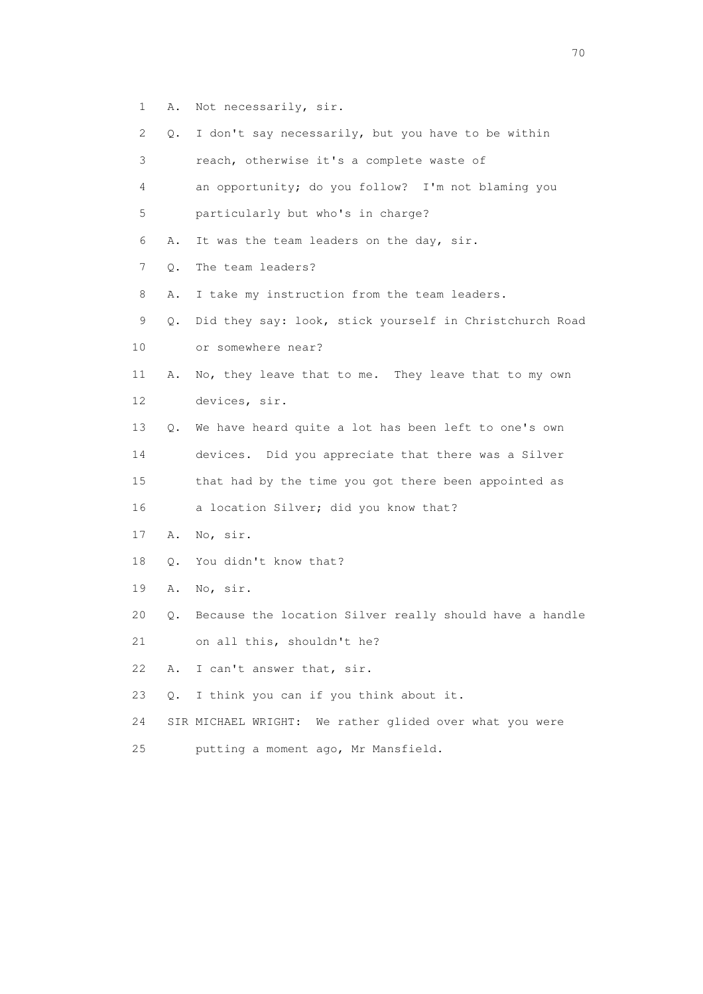- 1 A. Not necessarily, sir.
- 2 Q. I don't say necessarily, but you have to be within
- 3 reach, otherwise it's a complete waste of
- 4 an opportunity; do you follow? I'm not blaming you 5 particularly but who's in charge?
- 6 A. It was the team leaders on the day, sir.
- 7 Q. The team leaders?
- 8 A. I take my instruction from the team leaders.
- 9 Q. Did they say: look, stick yourself in Christchurch Road
- 10 or somewhere near?
- 11 A. No, they leave that to me. They leave that to my own 12 devices, sir.
- 13 Q. We have heard quite a lot has been left to one's own 14 devices. Did you appreciate that there was a Silver
- 15 that had by the time you got there been appointed as 16 a location Silver; did you know that?
- 17 A. No, sir.
- 18 Q. You didn't know that?
- 19 A. No, sir.
- 20 Q. Because the location Silver really should have a handle
- 21 on all this, shouldn't he?
- 22 A. I can't answer that, sir.
- 23 Q. I think you can if you think about it.
- 24 SIR MICHAEL WRIGHT: We rather glided over what you were
- 25 putting a moment ago, Mr Mansfield.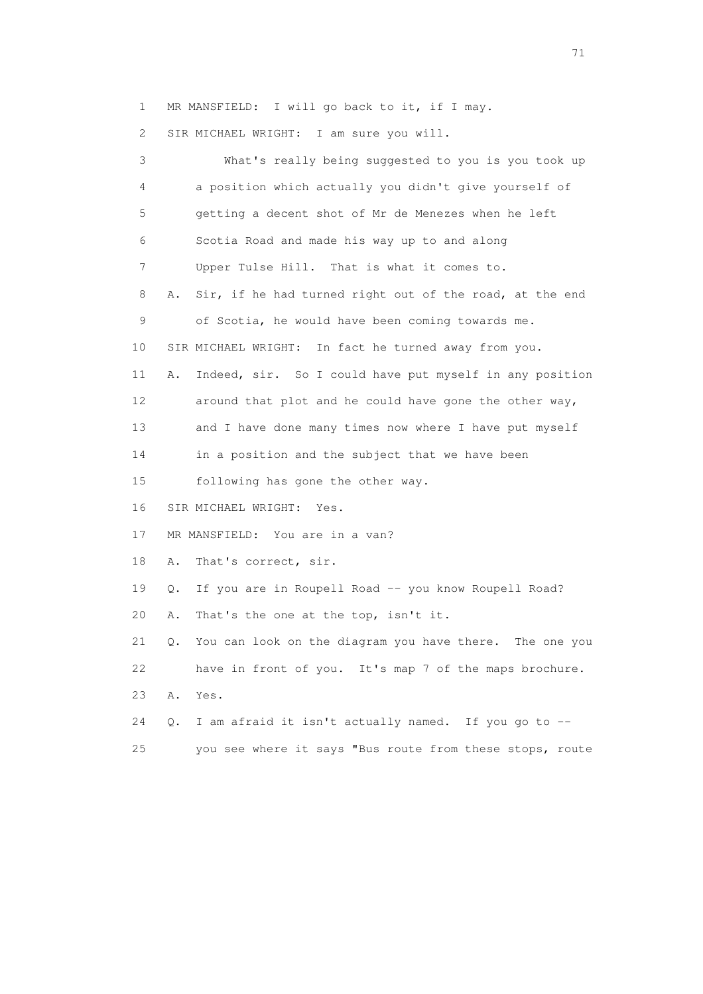1 MR MANSFIELD: I will go back to it, if I may.

2 SIR MICHAEL WRIGHT: I am sure you will.

 3 What's really being suggested to you is you took up 4 a position which actually you didn't give yourself of 5 getting a decent shot of Mr de Menezes when he left 6 Scotia Road and made his way up to and along 7 Upper Tulse Hill. That is what it comes to. 8 A. Sir, if he had turned right out of the road, at the end 9 of Scotia, he would have been coming towards me. 10 SIR MICHAEL WRIGHT: In fact he turned away from you. 11 A. Indeed, sir. So I could have put myself in any position 12 around that plot and he could have gone the other way, 13 and I have done many times now where I have put myself 14 in a position and the subject that we have been 15 following has gone the other way. 16 SIR MICHAEL WRIGHT: Yes. 17 MR MANSFIELD: You are in a van? 18 A. That's correct, sir. 19 Q. If you are in Roupell Road -- you know Roupell Road? 20 A. That's the one at the top, isn't it. 21 Q. You can look on the diagram you have there. The one you 22 have in front of you. It's map 7 of the maps brochure. 23 A. Yes. 24 Q. I am afraid it isn't actually named. If you go to -- 25 you see where it says "Bus route from these stops, route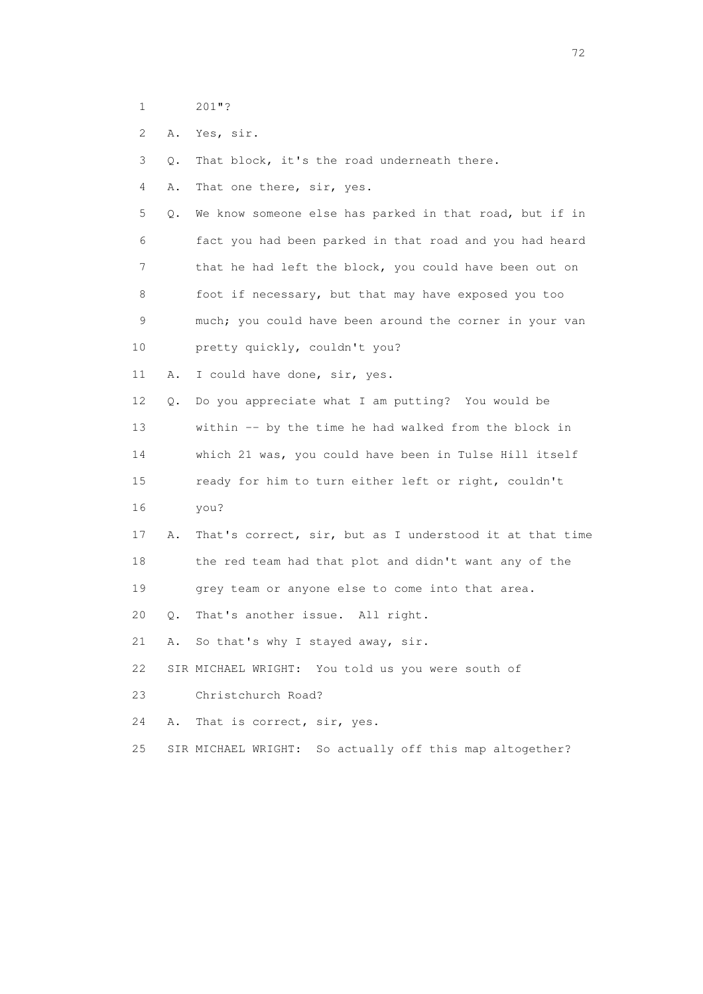- 1 201"?
- 2 A. Yes, sir.
- 3 Q. That block, it's the road underneath there.
- 4 A. That one there, sir, yes.
- 5 Q. We know someone else has parked in that road, but if in 6 fact you had been parked in that road and you had heard 7 that he had left the block, you could have been out on 8 foot if necessary, but that may have exposed you too 9 much; you could have been around the corner in your van
- 10 pretty quickly, couldn't you?
- 11 A. I could have done, sir, yes.

 12 Q. Do you appreciate what I am putting? You would be 13 within -- by the time he had walked from the block in 14 which 21 was, you could have been in Tulse Hill itself 15 ready for him to turn either left or right, couldn't 16 you?

- 17 A. That's correct, sir, but as I understood it at that time 18 the red team had that plot and didn't want any of the 19 grey team or anyone else to come into that area.
- 20 Q. That's another issue. All right.
- 21 A. So that's why I stayed away, sir.
- 22 SIR MICHAEL WRIGHT: You told us you were south of
- 23 Christchurch Road?
- 24 A. That is correct, sir, yes.
- 25 SIR MICHAEL WRIGHT: So actually off this map altogether?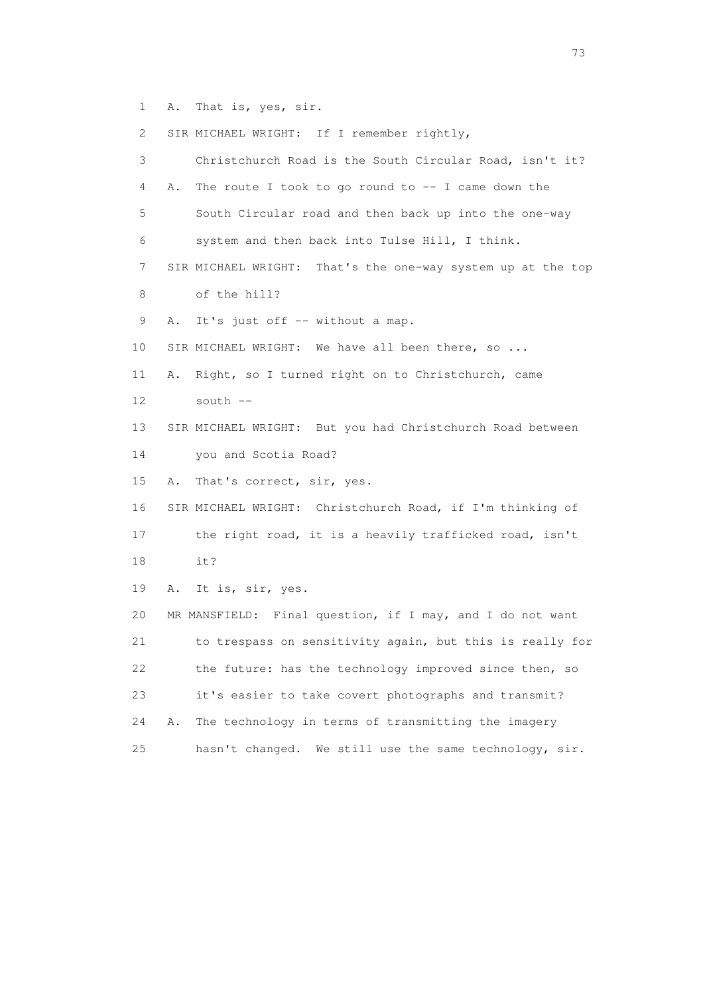1 A. That is, yes, sir.

2 SIR MICHAEL WRIGHT: If I remember rightly,

 3 Christchurch Road is the South Circular Road, isn't it? 4 A. The route I took to go round to -- I came down the 5 South Circular road and then back up into the one-way 6 system and then back into Tulse Hill, I think. 7 SIR MICHAEL WRIGHT: That's the one-way system up at the top 8 of the hill? 9 A. It's just off -- without a map. 10 SIR MICHAEL WRIGHT: We have all been there, so ... 11 A. Right, so I turned right on to Christchurch, came 12 south -- 13 SIR MICHAEL WRIGHT: But you had Christchurch Road between 14 you and Scotia Road? 15 A. That's correct, sir, yes. 16 SIR MICHAEL WRIGHT: Christchurch Road, if I'm thinking of 17 the right road, it is a heavily trafficked road, isn't 18 it? 19 A. It is, sir, yes. 20 MR MANSFIELD: Final question, if I may, and I do not want 21 to trespass on sensitivity again, but this is really for 22 the future: has the technology improved since then, so 23 it's easier to take covert photographs and transmit? 24 A. The technology in terms of transmitting the imagery 25 hasn't changed. We still use the same technology, sir.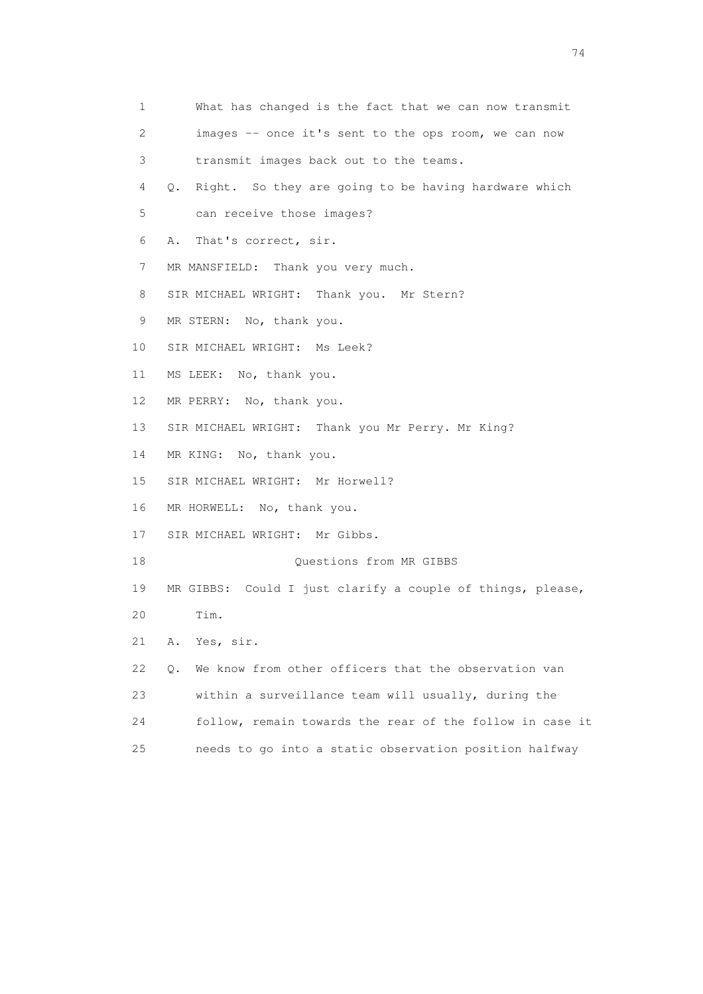1 What has changed is the fact that we can now transmit 2 images -- once it's sent to the ops room, we can now 3 transmit images back out to the teams. 4 Q. Right. So they are going to be having hardware which 5 can receive those images? 6 A. That's correct, sir. 7 MR MANSFIELD: Thank you very much. 8 SIR MICHAEL WRIGHT: Thank you. Mr Stern? 9 MR STERN: No, thank you. 10 SIR MICHAEL WRIGHT: Ms Leek? 11 MS LEEK: No, thank you. 12 MR PERRY: No, thank you. 13 SIR MICHAEL WRIGHT: Thank you Mr Perry. Mr King? 14 MR KING: No, thank you. 15 SIR MICHAEL WRIGHT: Mr Horwell? 16 MR HORWELL: No, thank you. 17 SIR MICHAEL WRIGHT: Mr Gibbs. 18 Ouestions from MR GIBBS 19 MR GIBBS: Could I just clarify a couple of things, please, 20 Tim. 21 A. Yes, sir. 22 Q. We know from other officers that the observation van 23 within a surveillance team will usually, during the 24 follow, remain towards the rear of the follow in case it 25 needs to go into a static observation position halfway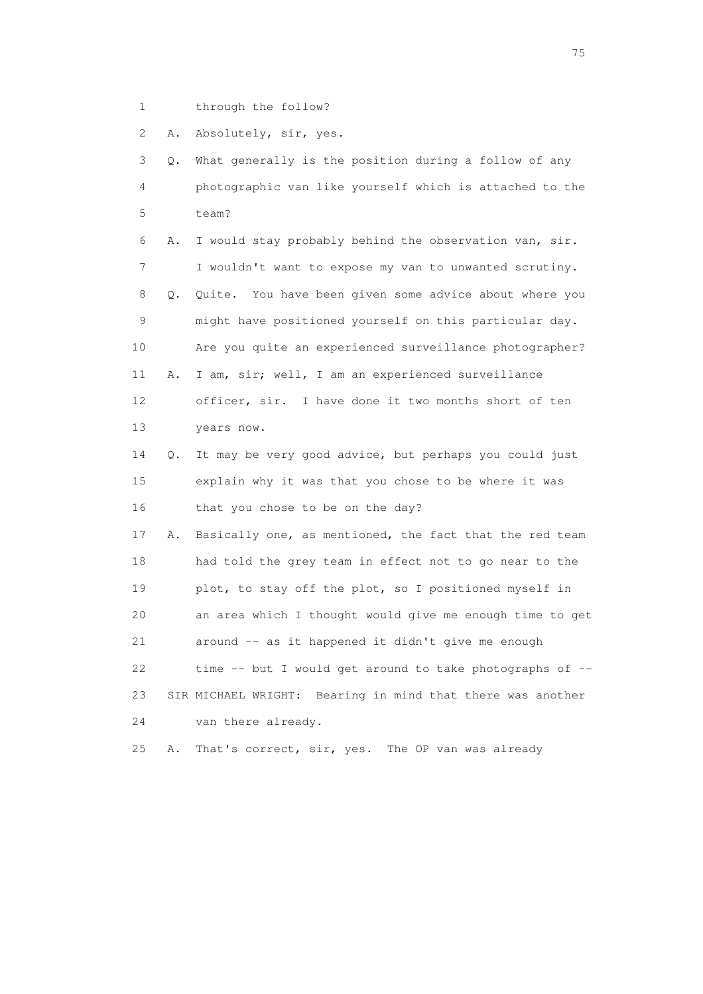1 through the follow?

2 A. Absolutely, sir, yes.

 3 Q. What generally is the position during a follow of any 4 photographic van like yourself which is attached to the 5 team? 6 A. I would stay probably behind the observation van, sir.

 7 I wouldn't want to expose my van to unwanted scrutiny. 8 Q. Quite. You have been given some advice about where you 9 might have positioned yourself on this particular day. 10 Are you quite an experienced surveillance photographer? 11 A. I am, sir; well, I am an experienced surveillance 12 officer, sir. I have done it two months short of ten 13 years now.

 14 Q. It may be very good advice, but perhaps you could just 15 explain why it was that you chose to be where it was 16 that you chose to be on the day?

 17 A. Basically one, as mentioned, the fact that the red team 18 had told the grey team in effect not to go near to the 19 plot, to stay off the plot, so I positioned myself in 20 an area which I thought would give me enough time to get 21 around -- as it happened it didn't give me enough 22 time -- but I would get around to take photographs of -- 23 SIR MICHAEL WRIGHT: Bearing in mind that there was another 24 van there already.

25 A. That's correct, sir, yes. The OP van was already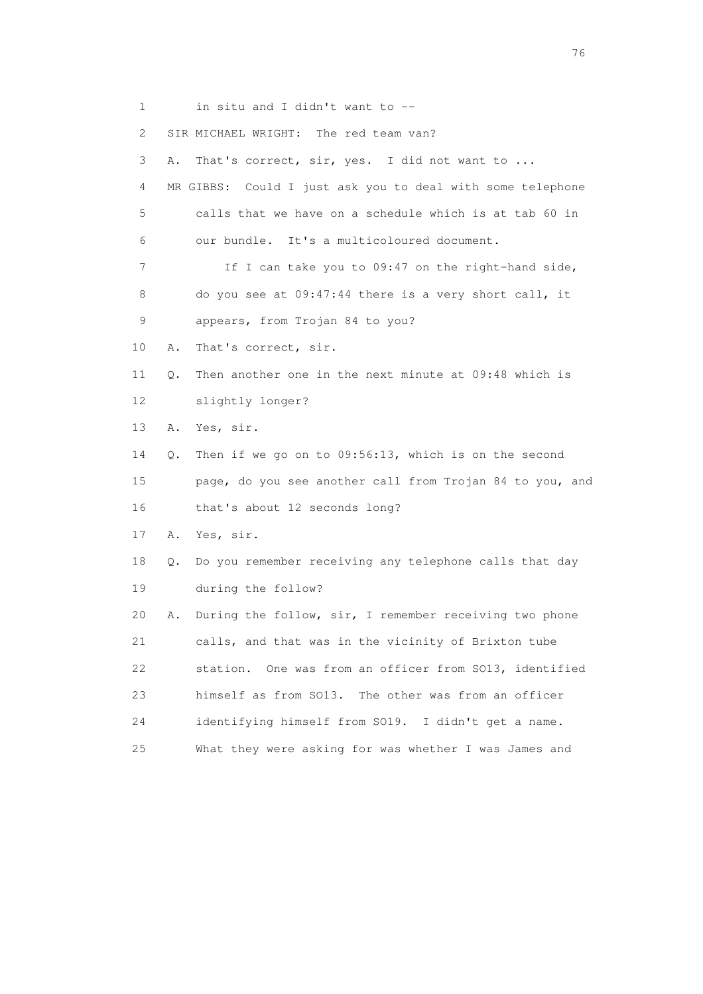1 in situ and I didn't want to --

2 SIR MICHAEL WRIGHT: The red team van?

 3 A. That's correct, sir, yes. I did not want to ... 4 MR GIBBS: Could I just ask you to deal with some telephone 5 calls that we have on a schedule which is at tab 60 in 6 our bundle. It's a multicoloured document. 7 If I can take you to 09:47 on the right-hand side, 8 do you see at 09:47:44 there is a very short call, it 9 appears, from Trojan 84 to you? 10 A. That's correct, sir. 11 Q. Then another one in the next minute at 09:48 which is 12 slightly longer? 13 A. Yes, sir. 14 Q. Then if we go on to 09:56:13, which is on the second 15 page, do you see another call from Trojan 84 to you, and 16 that's about 12 seconds long? 17 A. Yes, sir. 18 Q. Do you remember receiving any telephone calls that day 19 during the follow? 20 A. During the follow, sir, I remember receiving two phone 21 calls, and that was in the vicinity of Brixton tube 22 station. One was from an officer from SO13, identified 23 himself as from SO13. The other was from an officer 24 identifying himself from SO19. I didn't get a name. 25 What they were asking for was whether I was James and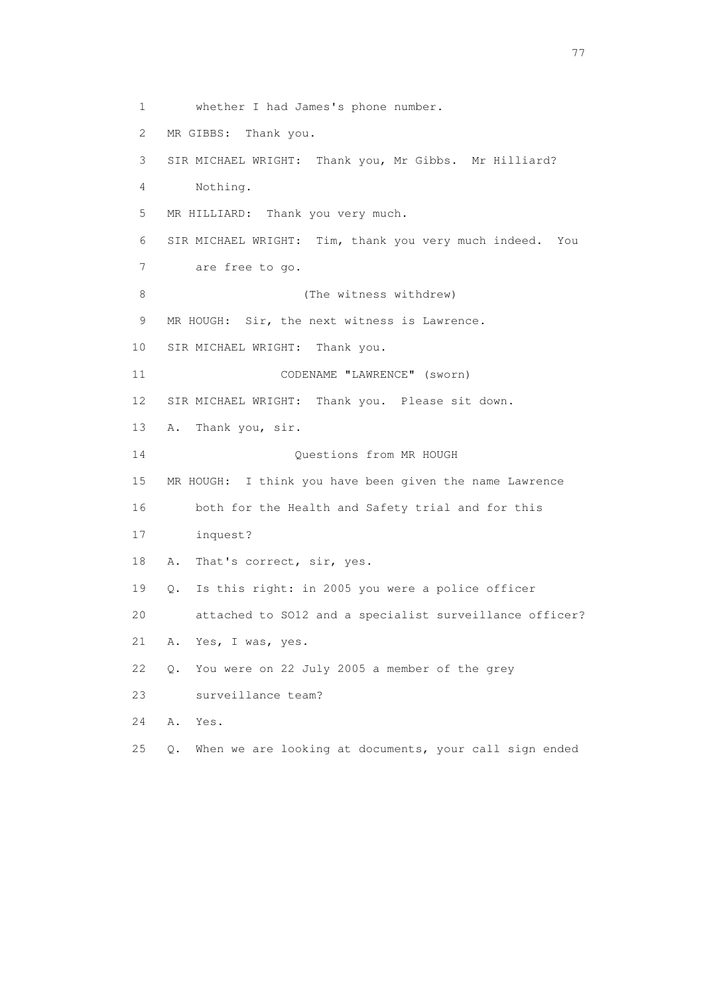1 whether I had James's phone number. 2 MR GIBBS: Thank you. 3 SIR MICHAEL WRIGHT: Thank you, Mr Gibbs. Mr Hilliard? 4 Nothing. 5 MR HILLIARD: Thank you very much. 6 SIR MICHAEL WRIGHT: Tim, thank you very much indeed. You 7 are free to go. 8 (The witness withdrew) 9 MR HOUGH: Sir, the next witness is Lawrence. 10 SIR MICHAEL WRIGHT: Thank you. 11 CODENAME "LAWRENCE" (sworn) 12 SIR MICHAEL WRIGHT: Thank you. Please sit down. 13 A. Thank you, sir. 14 Questions from MR HOUGH 15 MR HOUGH: I think you have been given the name Lawrence 16 both for the Health and Safety trial and for this 17 inquest? 18 A. That's correct, sir, yes. 19 Q. Is this right: in 2005 you were a police officer 20 attached to SO12 and a specialist surveillance officer? 21 A. Yes, I was, yes. 22 Q. You were on 22 July 2005 a member of the grey 23 surveillance team? 24 A. Yes. 25 Q. When we are looking at documents, your call sign ended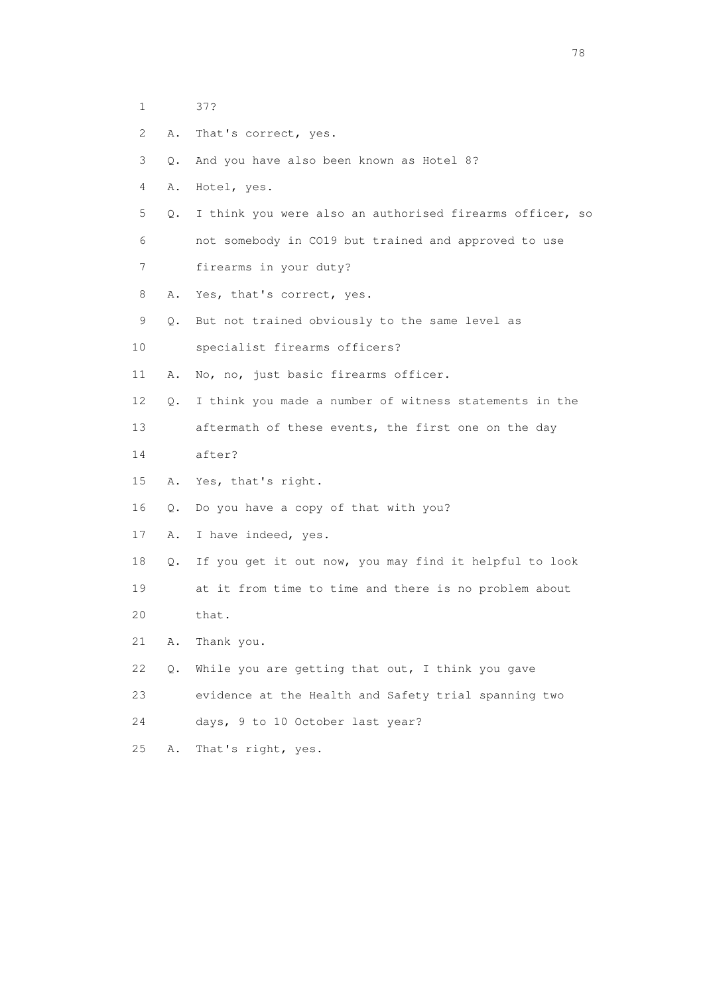- 1 37?
- 2 A. That's correct, yes.
- 3 Q. And you have also been known as Hotel 8?
- 4 A. Hotel, yes.
- 5 Q. I think you were also an authorised firearms officer, so 6 not somebody in CO19 but trained and approved to use
- 7 firearms in your duty?
- 8 A. Yes, that's correct, yes.
- 9 Q. But not trained obviously to the same level as
- 10 specialist firearms officers?
- 11 A. No, no, just basic firearms officer.
- 12 Q. I think you made a number of witness statements in the
- 13 aftermath of these events, the first one on the day
- 14 after?
- 15 A. Yes, that's right.
- 16 Q. Do you have a copy of that with you?
- 17 A. I have indeed, yes.
- 18 Q. If you get it out now, you may find it helpful to look 19 at it from time to time and there is no problem about 20 that.
- 
- 21 A. Thank you.
- 22 Q. While you are getting that out, I think you gave
- 23 evidence at the Health and Safety trial spanning two
- 24 days, 9 to 10 October last year?
- 25 A. That's right, yes.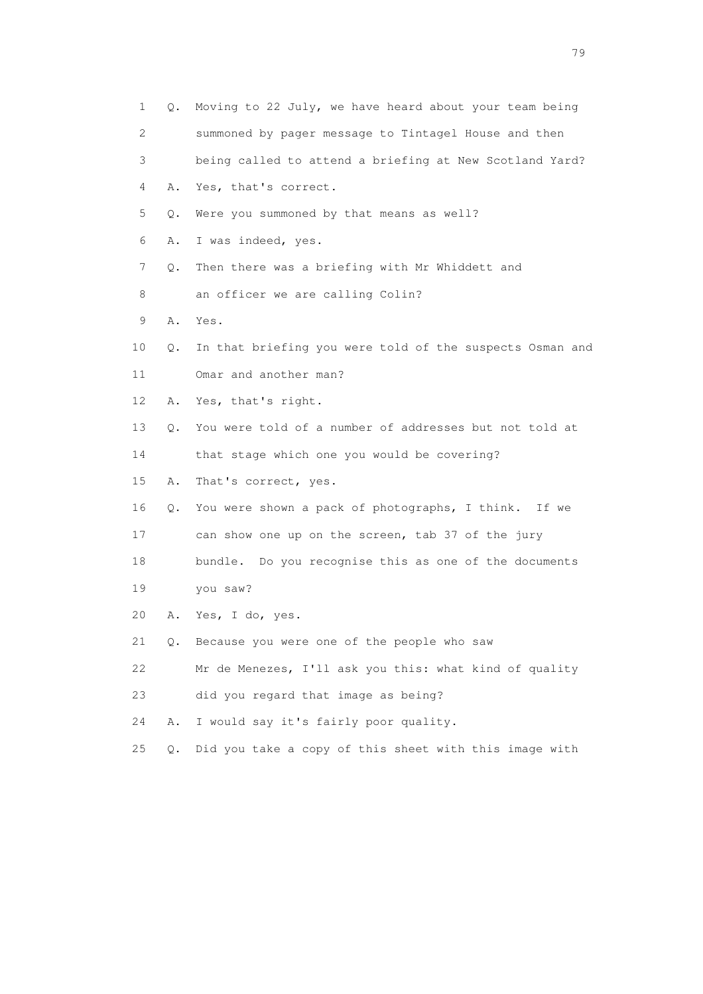|    | 1<br>Q. | Moving to 22 July, we have heard about your team being   |
|----|---------|----------------------------------------------------------|
|    | 2       | summoned by pager message to Tintagel House and then     |
|    | 3       | being called to attend a briefing at New Scotland Yard?  |
|    | 4<br>Α. | Yes, that's correct.                                     |
|    | 5<br>Q. | Were you summoned by that means as well?                 |
|    | 6<br>Α. | I was indeed, yes.                                       |
|    | 7<br>Q. | Then there was a briefing with Mr Whiddett and           |
|    | 8       | an officer we are calling Colin?                         |
|    | 9<br>Α. | Yes.                                                     |
| 10 | Q.      | In that briefing you were told of the suspects Osman and |
| 11 |         | Omar and another man?                                    |
| 12 | Α.      | Yes, that's right.                                       |
| 13 | Q.      | You were told of a number of addresses but not told at   |
| 14 |         | that stage which one you would be covering?              |
| 15 | Α.      | That's correct, yes.                                     |
| 16 | Q.      | You were shown a pack of photographs, I think. If we     |
| 17 |         | can show one up on the screen, tab 37 of the jury        |
| 18 |         | bundle. Do you recognise this as one of the documents    |
| 19 |         | you saw?                                                 |
| 20 | Α.      | Yes, I do, yes.                                          |
| 21 | О.      | Because you were one of the people who saw               |
| 22 |         | Mr de Menezes, I'll ask you this: what kind of quality   |
| 23 |         | did you regard that image as being?                      |
| 24 | Α.      | I would say it's fairly poor quality.                    |
| 25 | $Q$ .   | Did you take a copy of this sheet with this image with   |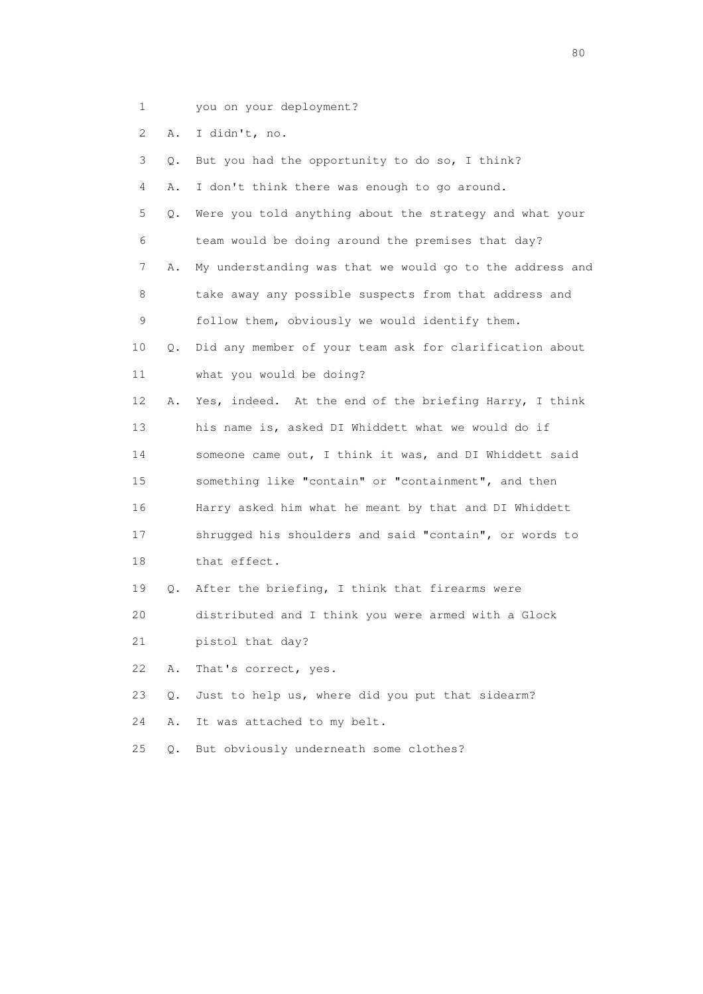- 1 you on your deployment?
- 2 A. I didn't, no.

| 3               | О. | But you had the opportunity to do so, I think?           |
|-----------------|----|----------------------------------------------------------|
| 4               | Α. | I don't think there was enough to go around.             |
| 5               | Q. | Were you told anything about the strategy and what your  |
| 6               |    | team would be doing around the premises that day?        |
| 7               | Α. | My understanding was that we would go to the address and |
| 8               |    | take away any possible suspects from that address and    |
| 9               |    | follow them, obviously we would identify them.           |
| 10              | О. | Did any member of your team ask for clarification about  |
| 11              |    | what you would be doing?                                 |
| 12 <sup>°</sup> | Α. | Yes, indeed. At the end of the briefing Harry, I think   |
| 13              |    | his name is, asked DI Whiddett what we would do if       |
| 14              |    | someone came out, I think it was, and DI Whiddett said   |
| 15              |    | something like "contain" or "containment", and then      |
| 16              |    | Harry asked him what he meant by that and DI Whiddett    |
| 17              |    | shrugged his shoulders and said "contain", or words to   |
| 18              |    | that effect.                                             |
| 19              | Q. | After the briefing, I think that firearms were           |
| 20              |    | distributed and I think you were armed with a Glock      |
| 21              |    | pistol that day?                                         |
| 22              | Α. | That's correct, yes.                                     |
| 23              | Q. | Just to help us, where did you put that sidearm?         |
| 24              | Α. | It was attached to my belt.                              |

25 Q. But obviously underneath some clothes?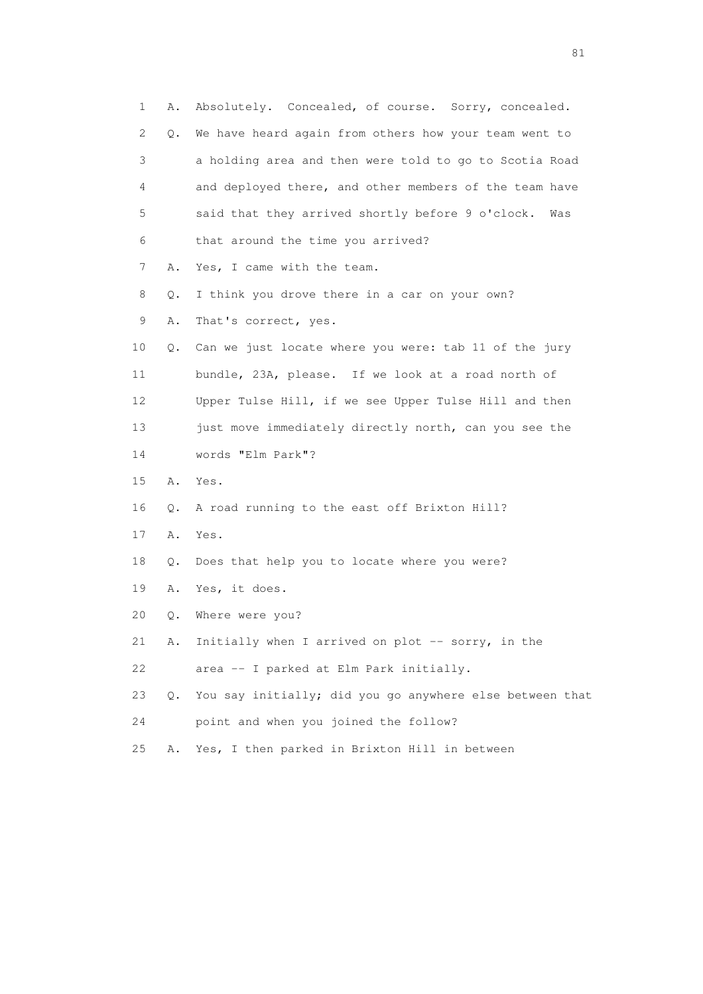1 A. Absolutely. Concealed, of course. Sorry, concealed. 2 Q. We have heard again from others how your team went to 3 a holding area and then were told to go to Scotia Road 4 and deployed there, and other members of the team have 5 said that they arrived shortly before 9 o'clock. Was 6 that around the time you arrived? 7 A. Yes, I came with the team. 8 Q. I think you drove there in a car on your own? 9 A. That's correct, yes. 10 Q. Can we just locate where you were: tab 11 of the jury 11 bundle, 23A, please. If we look at a road north of 12 Upper Tulse Hill, if we see Upper Tulse Hill and then 13 just move immediately directly north, can you see the 14 words "Elm Park"? 15 A. Yes. 16 Q. A road running to the east off Brixton Hill? 17 A. Yes. 18 Q. Does that help you to locate where you were? 19 A. Yes, it does. 20 Q. Where were you? 21 A. Initially when I arrived on plot -- sorry, in the 22 area -- I parked at Elm Park initially. 23 Q. You say initially; did you go anywhere else between that 24 point and when you joined the follow? 25 A. Yes, I then parked in Brixton Hill in between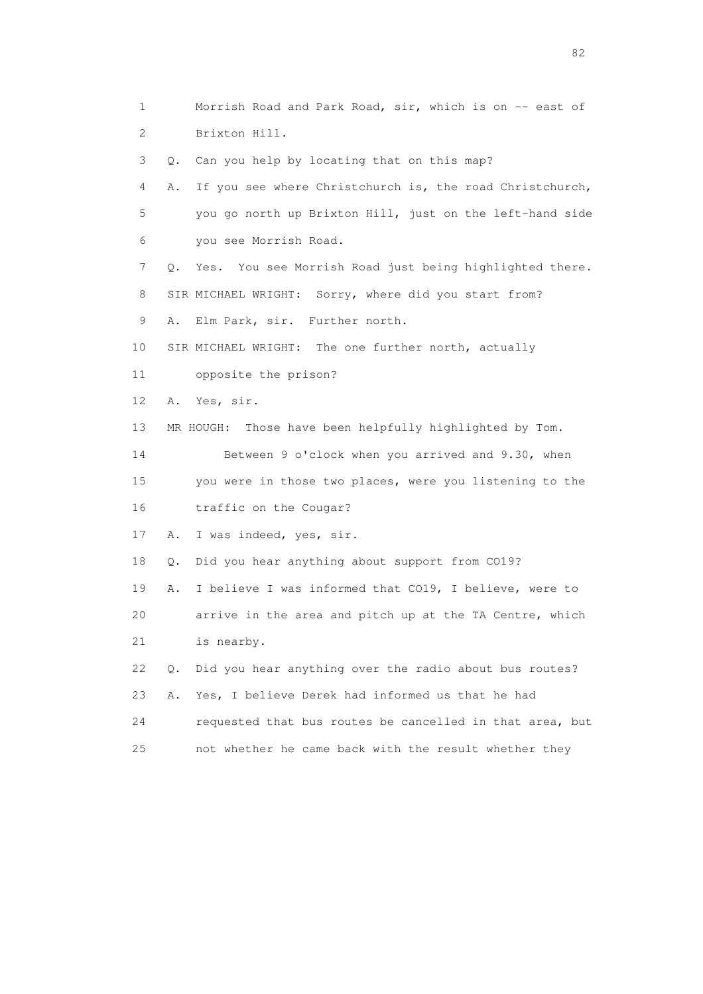1 Morrish Road and Park Road, sir, which is on -- east of 2 Brixton Hill. 3 Q. Can you help by locating that on this map? 4 A. If you see where Christchurch is, the road Christchurch, 5 you go north up Brixton Hill, just on the left-hand side 6 you see Morrish Road. 7 Q. Yes. You see Morrish Road just being highlighted there. 8 SIR MICHAEL WRIGHT: Sorry, where did you start from? 9 A. Elm Park, sir. Further north. 10 SIR MICHAEL WRIGHT: The one further north, actually 11 opposite the prison? 12 A. Yes, sir. 13 MR HOUGH: Those have been helpfully highlighted by Tom. 14 Between 9 o'clock when you arrived and 9.30, when 15 you were in those two places, were you listening to the 16 traffic on the Cougar? 17 A. I was indeed, yes, sir. 18 Q. Did you hear anything about support from CO19? 19 A. I believe I was informed that CO19, I believe, were to 20 arrive in the area and pitch up at the TA Centre, which 21 is nearby. 22 Q. Did you hear anything over the radio about bus routes? 23 A. Yes, I believe Derek had informed us that he had 24 requested that bus routes be cancelled in that area, but 25 not whether he came back with the result whether they

experience of the state of the state of the state of the state of the state of the state of the state of the s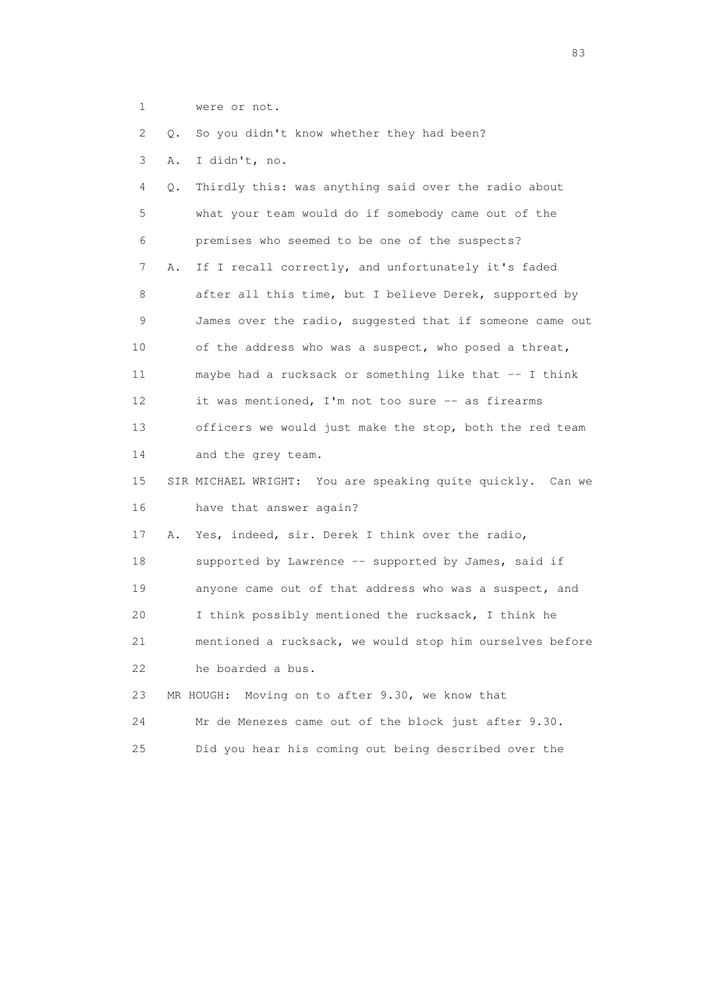1 were or not.

2 Q. So you didn't know whether they had been?

3 A. I didn't, no.

 4 Q. Thirdly this: was anything said over the radio about 5 what your team would do if somebody came out of the 6 premises who seemed to be one of the suspects? 7 A. If I recall correctly, and unfortunately it's faded 8 after all this time, but I believe Derek, supported by 9 James over the radio, suggested that if someone came out 10 of the address who was a suspect, who posed a threat, 11 maybe had a rucksack or something like that -- I think 12 it was mentioned, I'm not too sure -- as firearms 13 officers we would just make the stop, both the red team 14 and the grey team. 15 SIR MICHAEL WRIGHT: You are speaking quite quickly. Can we 16 have that answer again? 17 A. Yes, indeed, sir. Derek I think over the radio, 18 supported by Lawrence -- supported by James, said if 19 anyone came out of that address who was a suspect, and 20 I think possibly mentioned the rucksack, I think he 21 mentioned a rucksack, we would stop him ourselves before 22 he boarded a bus. 23 MR HOUGH: Moving on to after 9.30, we know that 24 Mr de Menezes came out of the block just after 9.30. 25 Did you hear his coming out being described over the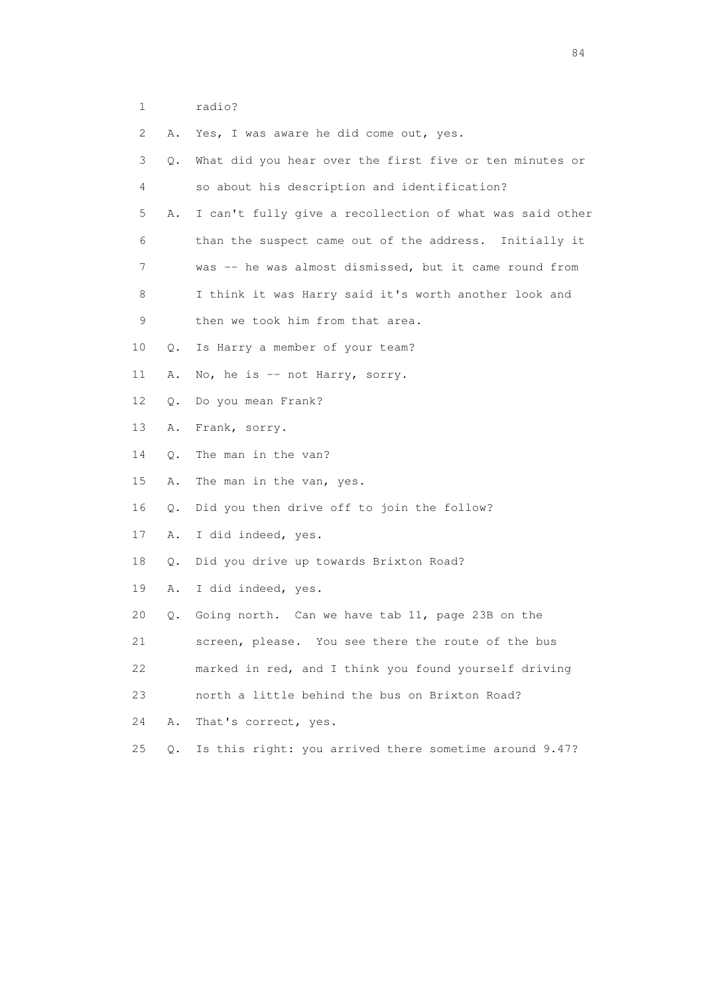1 radio?

| 2. | Α.    | Yes, I was aware he did come out, yes.                   |
|----|-------|----------------------------------------------------------|
| 3  | Q.    | What did you hear over the first five or ten minutes or  |
| 4  |       | so about his description and identification?             |
| 5  | Α.    | I can't fully give a recollection of what was said other |
| 6  |       | than the suspect came out of the address. Initially it   |
| 7  |       | was -- he was almost dismissed, but it came round from   |
| 8  |       | I think it was Harry said it's worth another look and    |
| 9  |       | then we took him from that area.                         |
| 10 | Q.    | Is Harry a member of your team?                          |
| 11 | Α.    | No, he is -- not Harry, sorry.                           |
| 12 | Q.    | Do you mean Frank?                                       |
| 13 | Α.    | Frank, sorry.                                            |
| 14 | Q.    | The man in the van?                                      |
| 15 | Α.    | The man in the van, yes.                                 |
| 16 | Q.    | Did you then drive off to join the follow?               |
| 17 | Α.    | I did indeed, yes.                                       |
| 18 | Q.    | Did you drive up towards Brixton Road?                   |
| 19 | Α.    | I did indeed, yes.                                       |
| 20 | Q.    | Going north. Can we have tab 11, page 23B on the         |
| 21 |       | screen, please. You see there the route of the bus       |
| 22 |       | marked in red, and I think you found yourself driving    |
| 23 |       | north a little behind the bus on Brixton Road?           |
| 24 | Α.    | That's correct, yes.                                     |
| 25 | $Q$ . | Is this right: you arrived there sometime around 9.47?   |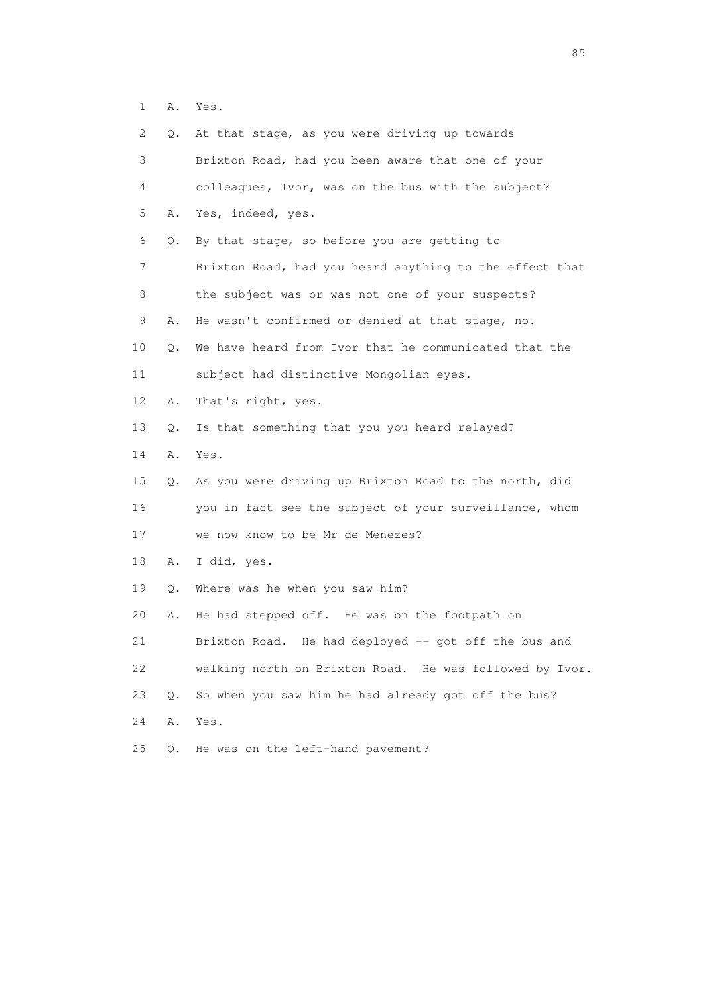1 A. Yes.

| 2  | Q.    | At that stage, as you were driving up towards           |
|----|-------|---------------------------------------------------------|
| 3  |       | Brixton Road, had you been aware that one of your       |
| 4  |       | colleagues, Ivor, was on the bus with the subject?      |
| 5  | Α.    | Yes, indeed, yes.                                       |
| 6  | Q.    | By that stage, so before you are getting to             |
| 7  |       | Brixton Road, had you heard anything to the effect that |
| 8  |       | the subject was or was not one of your suspects?        |
| 9  | Α.    | He wasn't confirmed or denied at that stage, no.        |
| 10 | Q.    | We have heard from Ivor that he communicated that the   |
| 11 |       | subject had distinctive Mongolian eyes.                 |
| 12 | Α.    | That's right, yes.                                      |
| 13 | Q.    | Is that something that you you heard relayed?           |
| 14 | Α.    | Yes.                                                    |
| 15 | Q.    | As you were driving up Brixton Road to the north, did   |
| 16 |       | you in fact see the subject of your surveillance, whom  |
| 17 |       | we now know to be Mr de Menezes?                        |
| 18 | Α.    | I did, yes.                                             |
| 19 | Q.    | Where was he when you saw him?                          |
| 20 | Α.    | He had stepped off. He was on the footpath on           |
| 21 |       | Brixton Road. He had deployed -- got off the bus and    |
| 22 |       | walking north on Brixton Road. He was followed by Ivor. |
| 23 | $Q$ . | So when you saw him he had already got off the bus?     |
| 24 | Α.    | Yes.                                                    |
| 25 | Q.    | He was on the left-hand pavement?                       |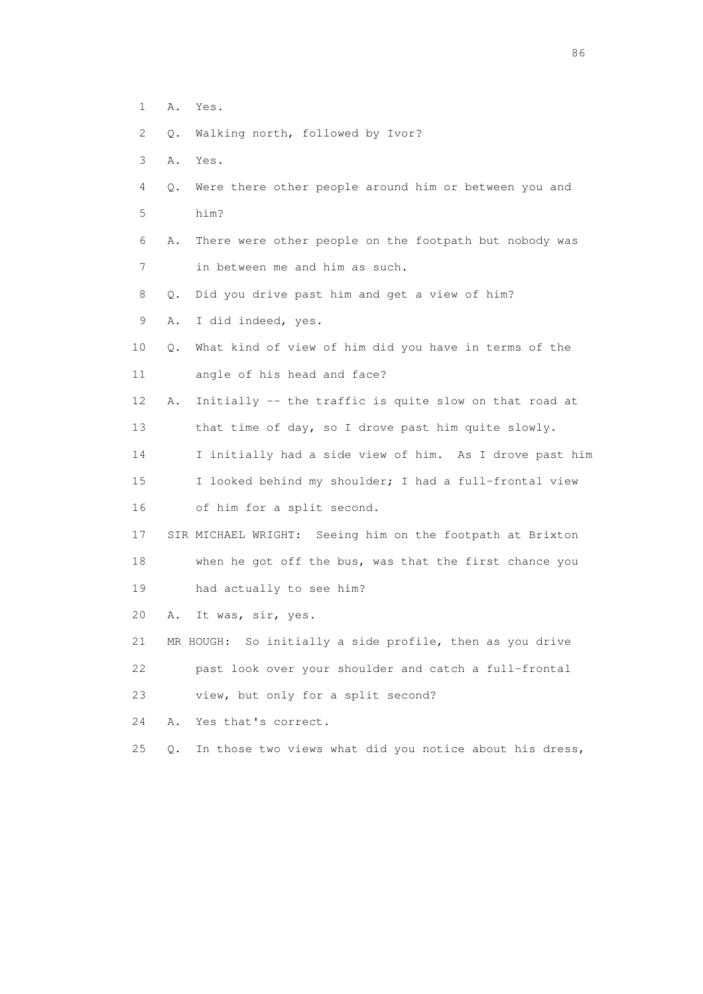- 1 A. Yes.
- 2 Q. Walking north, followed by Ivor?
- 3 A. Yes.
- 4 Q. Were there other people around him or between you and 5 him?
- 6 A. There were other people on the footpath but nobody was 7 in between me and him as such.
- 8 Q. Did you drive past him and get a view of him?
- 9 A. I did indeed, yes.
- 10 Q. What kind of view of him did you have in terms of the 11 angle of his head and face?
- 12 A. Initially -- the traffic is quite slow on that road at 13 that time of day, so I drove past him quite slowly.

14 I initially had a side view of him. As I drove past him

- 15 I looked behind my shoulder; I had a full-frontal view 16 of him for a split second.
- 17 SIR MICHAEL WRIGHT: Seeing him on the footpath at Brixton 18 when he got off the bus, was that the first chance you 19 had actually to see him?
- 20 A. It was, sir, yes.
- 21 MR HOUGH: So initially a side profile, then as you drive 22 past look over your shoulder and catch a full-frontal
- 23 view, but only for a split second?
- 24 A. Yes that's correct.
- 25 Q. In those two views what did you notice about his dress,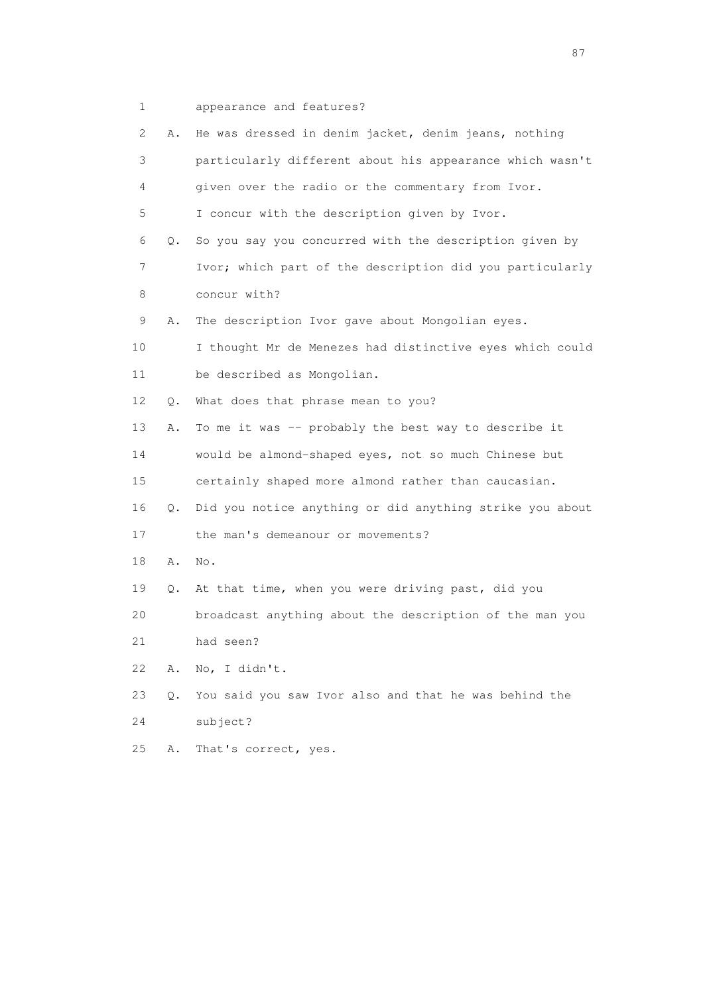1 appearance and features?

| 2  | Α. | He was dressed in denim jacket, denim jeans, nothing     |
|----|----|----------------------------------------------------------|
| 3  |    | particularly different about his appearance which wasn't |
| 4  |    | given over the radio or the commentary from Ivor.        |
| 5  |    | I concur with the description given by Ivor.             |
| 6  | Q. | So you say you concurred with the description given by   |
| 7  |    | Ivor; which part of the description did you particularly |
| 8  |    | concur with?                                             |
| 9  | Α. | The description Ivor gave about Mongolian eyes.          |
| 10 |    | I thought Mr de Menezes had distinctive eyes which could |
| 11 |    | be described as Mongolian.                               |
| 12 | Q. | What does that phrase mean to you?                       |
| 13 | Α. | To me it was -- probably the best way to describe it     |
| 14 |    | would be almond-shaped eyes, not so much Chinese but     |
| 15 |    | certainly shaped more almond rather than caucasian.      |
| 16 | Q. | Did you notice anything or did anything strike you about |
| 17 |    | the man's demeanour or movements?                        |
| 18 | Α. | No.                                                      |
| 19 | Q. | At that time, when you were driving past, did you        |
| 20 |    | broadcast anything about the description of the man you  |
| 21 |    | had seen?                                                |
| 22 | Α. | No, I didn't.                                            |
| 23 | Q. | You said you saw Ivor also and that he was behind the    |
| 24 |    | subject?                                                 |
| 25 | Α. | That's correct, yes.                                     |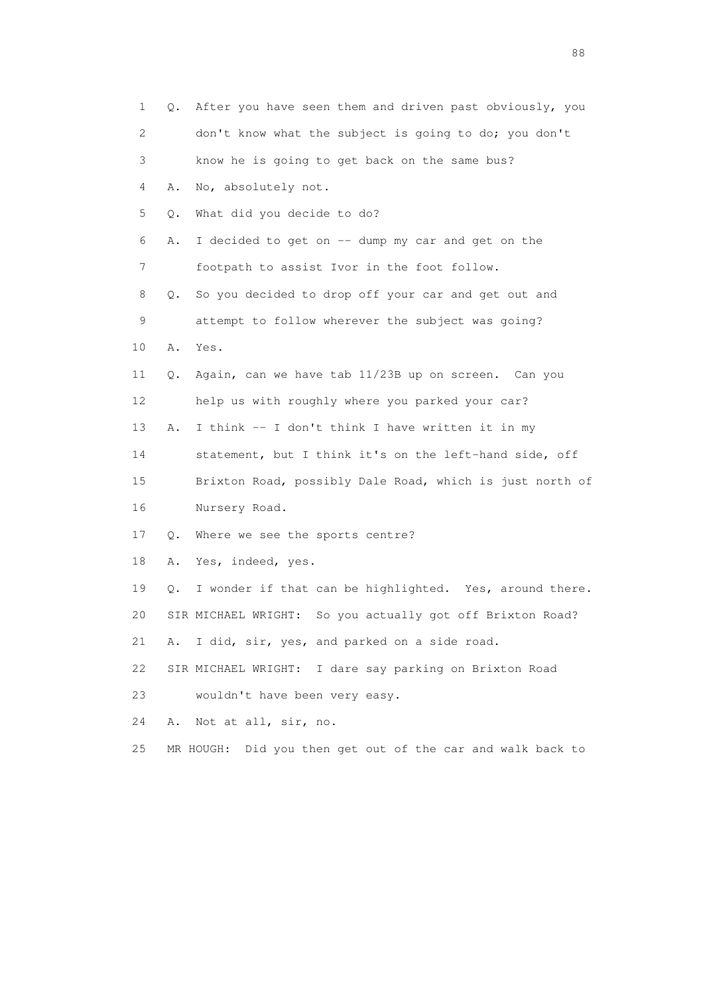| 1                         | Q.    | After you have seen them and driven past obviously, you    |
|---------------------------|-------|------------------------------------------------------------|
| $\mathbf{2}^{\mathsf{I}}$ |       | don't know what the subject is going to do; you don't      |
| 3                         |       | know he is going to get back on the same bus?              |
| 4                         | Α.    | No, absolutely not.                                        |
| 5                         | $Q$ . | What did you decide to do?                                 |
| 6                         | Α.    | I decided to get on -- dump my car and get on the          |
| 7                         |       | footpath to assist Ivor in the foot follow.                |
| 8                         | Q.    | So you decided to drop off your car and get out and        |
| 9                         |       | attempt to follow wherever the subject was going?          |
| 10                        | Α.    | Yes.                                                       |
| 11                        | Q.    | Again, can we have tab 11/23B up on screen. Can you        |
| 12                        |       | help us with roughly where you parked your car?            |
| 13                        | Α.    | I think -- I don't think I have written it in my           |
| 14                        |       | statement, but I think it's on the left-hand side, off     |
| 15                        |       | Brixton Road, possibly Dale Road, which is just north of   |
| 16                        |       | Nursery Road.                                              |
| 17                        |       | Q. Where we see the sports centre?                         |
| 18                        | Α.    | Yes, indeed, yes.                                          |
| 19                        | Q.    | I wonder if that can be highlighted. Yes, around there.    |
| 20                        |       | SIR MICHAEL WRIGHT: So you actually got off Brixton Road?  |
| 21                        | Α.    | I did, sir, yes, and parked on a side road.                |
| 22                        |       | SIR MICHAEL WRIGHT: I dare say parking on Brixton Road     |
| 23                        |       | wouldn't have been very easy.                              |
| 24                        | Α.    | Not at all, sir, no.                                       |
| 25                        |       | MR HOUGH: Did you then get out of the car and walk back to |

en de la construction de la construction de la construction de la construction de la construction de la constr<br>1880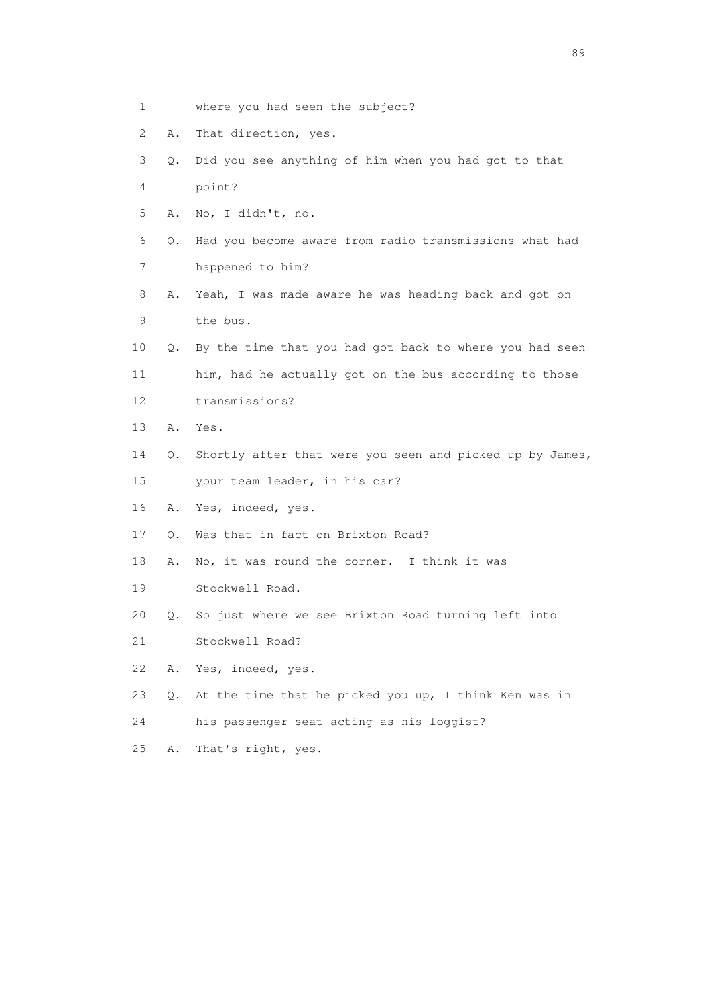- 1 where you had seen the subject?
- 2 A. That direction, yes.
- 3 Q. Did you see anything of him when you had got to that 4 point?
- 5 A. No, I didn't, no.
- 6 Q. Had you become aware from radio transmissions what had 7 happened to him?
- 8 A. Yeah, I was made aware he was heading back and got on 9 the bus.
- 10 Q. By the time that you had got back to where you had seen 11 him, had he actually got on the bus according to those 12 transmissions?
- 13 A. Yes.
- 14 Q. Shortly after that were you seen and picked up by James,
- 15 your team leader, in his car?
- 16 A. Yes, indeed, yes.
- 17 Q. Was that in fact on Brixton Road?
- 18 A. No, it was round the corner. I think it was
- 19 Stockwell Road.
- 20 Q. So just where we see Brixton Road turning left into
- 21 Stockwell Road?
- 22 A. Yes, indeed, yes.
- 23 Q. At the time that he picked you up, I think Ken was in
- 24 his passenger seat acting as his loggist?
- 25 A. That's right, yes.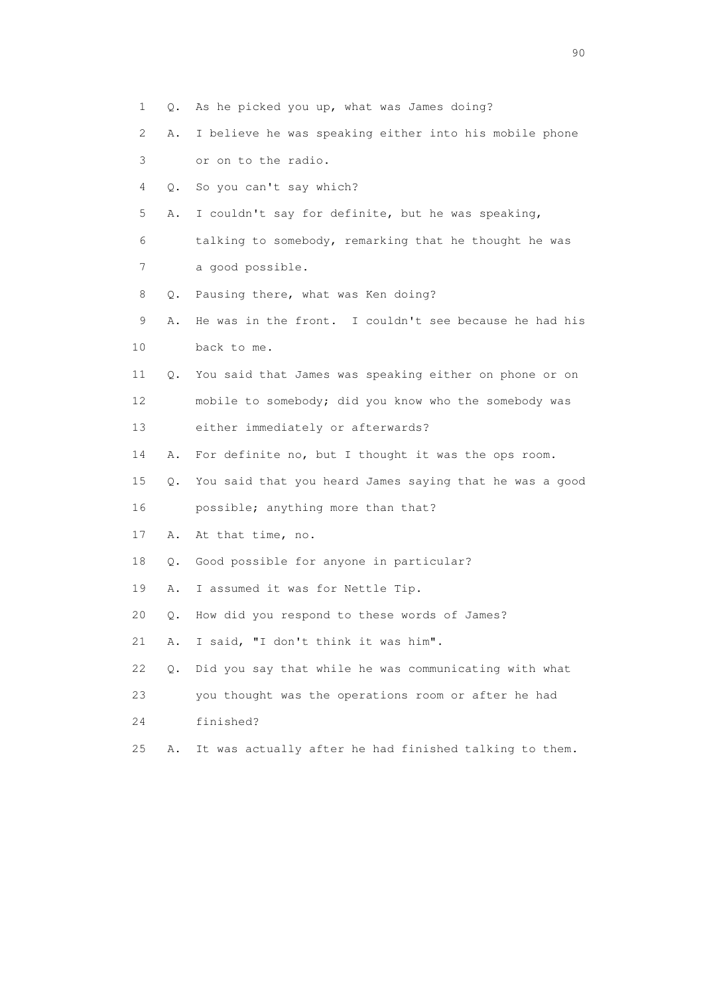1 Q. As he picked you up, what was James doing? 2 A. I believe he was speaking either into his mobile phone 3 or on to the radio. 4 Q. So you can't say which? 5 A. I couldn't say for definite, but he was speaking, 6 talking to somebody, remarking that he thought he was 7 a good possible. 8 Q. Pausing there, what was Ken doing? 9 A. He was in the front. I couldn't see because he had his 10 back to me. 11 Q. You said that James was speaking either on phone or on 12 mobile to somebody; did you know who the somebody was 13 either immediately or afterwards? 14 A. For definite no, but I thought it was the ops room. 15 Q. You said that you heard James saying that he was a good 16 possible; anything more than that? 17 A. At that time, no. 18 Q. Good possible for anyone in particular? 19 A. I assumed it was for Nettle Tip. 20 Q. How did you respond to these words of James? 21 A. I said, "I don't think it was him". 22 Q. Did you say that while he was communicating with what 23 you thought was the operations room or after he had 24 finished? 25 A. It was actually after he had finished talking to them.

entration of the contract of the contract of the contract of the contract of the contract of the contract of the contract of the contract of the contract of the contract of the contract of the contract of the contract of t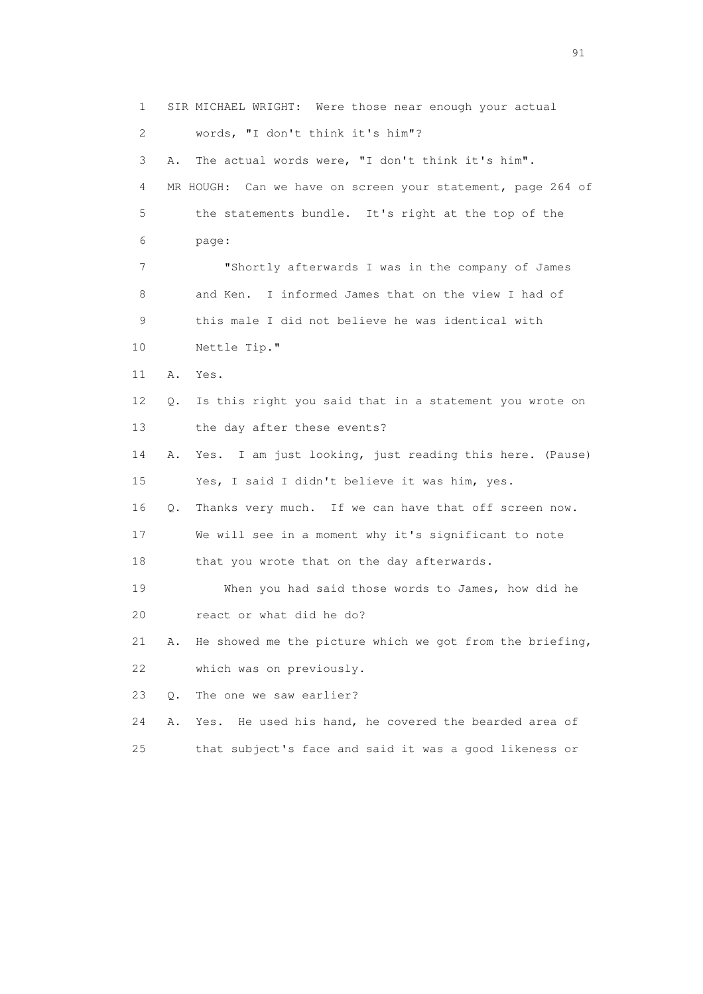1 SIR MICHAEL WRIGHT: Were those near enough your actual 2 words, "I don't think it's him"? 3 A. The actual words were, "I don't think it's him". 4 MR HOUGH: Can we have on screen your statement, page 264 of 5 the statements bundle. It's right at the top of the 6 page: 7 "Shortly afterwards I was in the company of James 8 and Ken. I informed James that on the view I had of 9 this male I did not believe he was identical with 10 Nettle Tip." 11 A. Yes. 12 Q. Is this right you said that in a statement you wrote on 13 the day after these events? 14 A. Yes. I am just looking, just reading this here. (Pause) 15 Yes, I said I didn't believe it was him, yes. 16 Q. Thanks very much. If we can have that off screen now. 17 We will see in a moment why it's significant to note 18 that you wrote that on the day afterwards. 19 When you had said those words to James, how did he 20 react or what did he do? 21 A. He showed me the picture which we got from the briefing, 22 which was on previously. 23 Q. The one we saw earlier? 24 A. Yes. He used his hand, he covered the bearded area of 25 that subject's face and said it was a good likeness or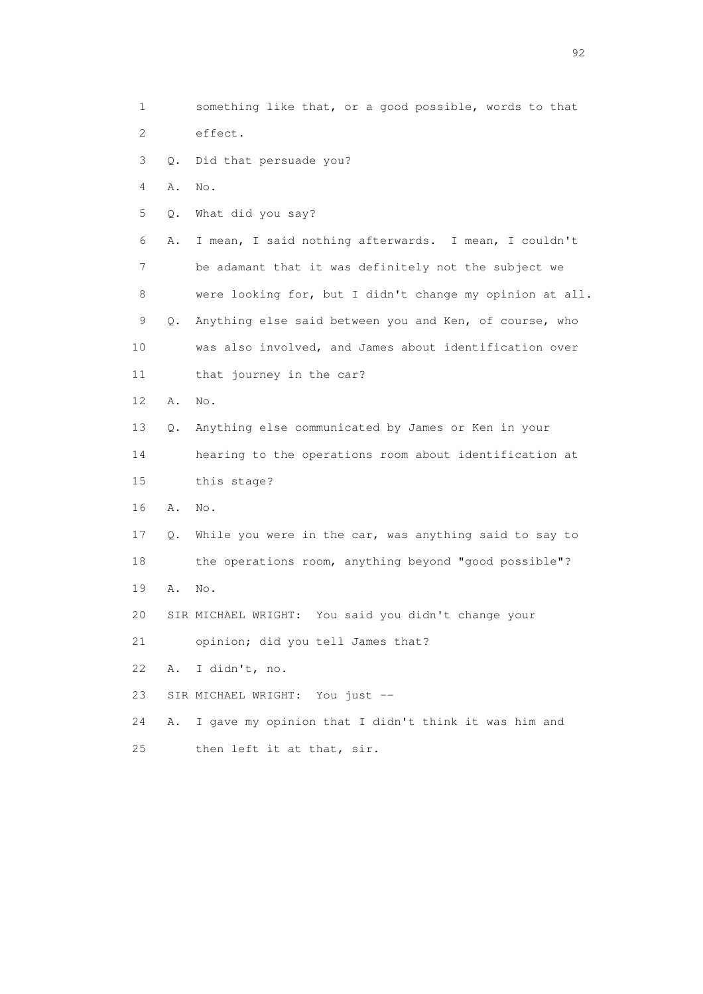1 something like that, or a good possible, words to that 2 effect. 3 Q. Did that persuade you? 4 A. No. 5 Q. What did you say? 6 A. I mean, I said nothing afterwards. I mean, I couldn't 7 be adamant that it was definitely not the subject we 8 were looking for, but I didn't change my opinion at all. 9 Q. Anything else said between you and Ken, of course, who 10 was also involved, and James about identification over 11 that journey in the car? 12 A. No. 13 Q. Anything else communicated by James or Ken in your 14 hearing to the operations room about identification at 15 this stage? 16 A. No. 17 Q. While you were in the car, was anything said to say to 18 the operations room, anything beyond "good possible"? 19 A. No. 20 SIR MICHAEL WRIGHT: You said you didn't change your 21 opinion; did you tell James that? 22 A. I didn't, no. 23 SIR MICHAEL WRIGHT: You just -- 24 A. I gave my opinion that I didn't think it was him and 25 then left it at that, sir.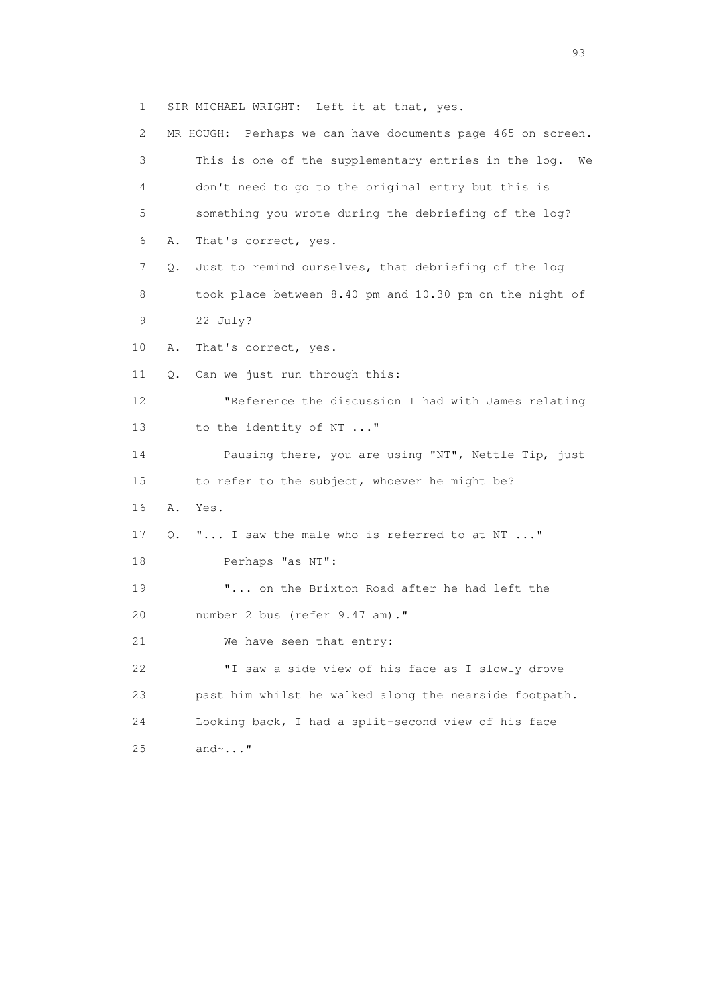1 SIR MICHAEL WRIGHT: Left it at that, yes.

 2 MR HOUGH: Perhaps we can have documents page 465 on screen. 3 This is one of the supplementary entries in the log. We 4 don't need to go to the original entry but this is 5 something you wrote during the debriefing of the log? 6 A. That's correct, yes. 7 Q. Just to remind ourselves, that debriefing of the log 8 took place between 8.40 pm and 10.30 pm on the night of 9 22 July? 10 A. That's correct, yes. 11 Q. Can we just run through this: 12 "Reference the discussion I had with James relating 13 to the identity of NT ..." 14 Pausing there, you are using "NT", Nettle Tip, just 15 to refer to the subject, whoever he might be? 16 A. Yes. 17 Q. "... I saw the male who is referred to at NT ..." 18 Perhaps "as NT": 19 "... on the Brixton Road after he had left the 20 number 2 bus (refer 9.47 am)." 21 We have seen that entry: 22 "I saw a side view of his face as I slowly drove 23 past him whilst he walked along the nearside footpath. 24 Looking back, I had a split-second view of his face 25 and~..."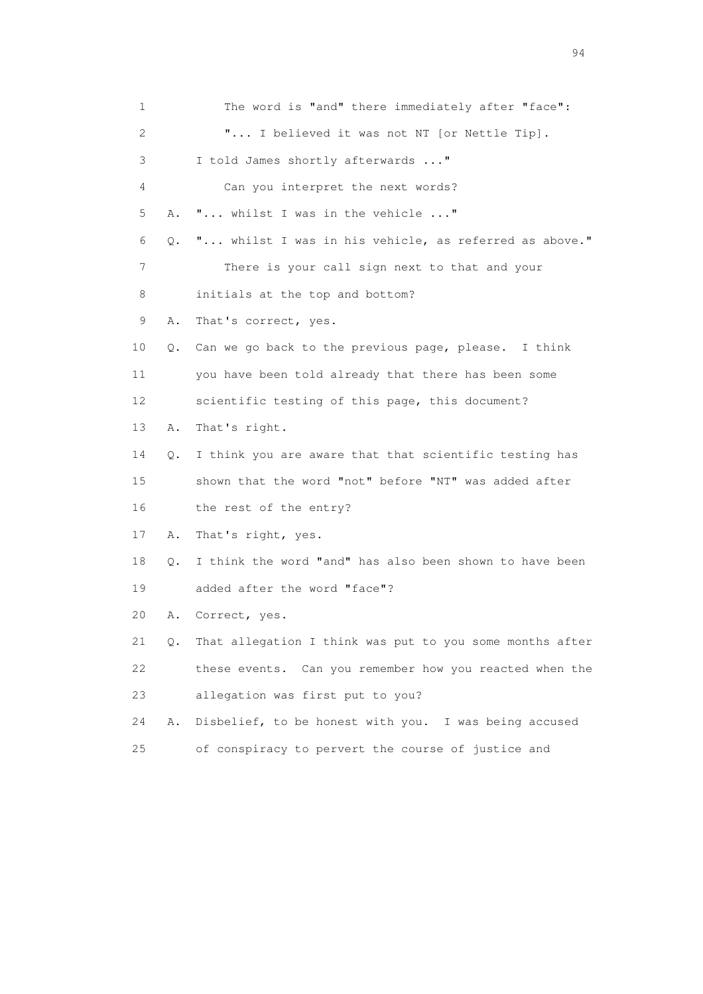1 The word is "and" there immediately after "face": 2 "... I believed it was not NT [or Nettle Tip]. 3 I told James shortly afterwards ..." 4 Can you interpret the next words? 5 A. "... whilst I was in the vehicle ..." 6 Q. "... whilst I was in his vehicle, as referred as above." 7 There is your call sign next to that and your 8 initials at the top and bottom? 9 A. That's correct, yes. 10 Q. Can we go back to the previous page, please. I think 11 you have been told already that there has been some 12 scientific testing of this page, this document? 13 A. That's right. 14 Q. I think you are aware that that scientific testing has 15 shown that the word "not" before "NT" was added after 16 the rest of the entry? 17 A. That's right, yes. 18 Q. I think the word "and" has also been shown to have been 19 added after the word "face"? 20 A. Correct, yes. 21 Q. That allegation I think was put to you some months after 22 these events. Can you remember how you reacted when the 23 allegation was first put to you? 24 A. Disbelief, to be honest with you. I was being accused 25 of conspiracy to pervert the course of justice and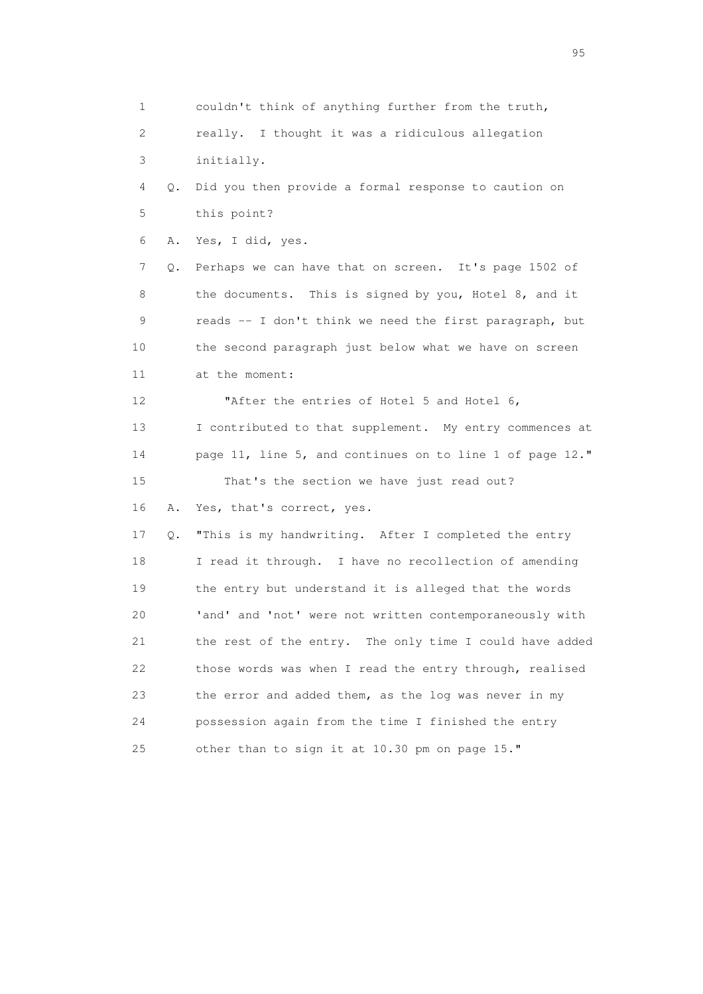1 couldn't think of anything further from the truth, 2 really. I thought it was a ridiculous allegation 3 initially. 4 Q. Did you then provide a formal response to caution on 5 this point? 6 A. Yes, I did, yes. 7 Q. Perhaps we can have that on screen. It's page 1502 of 8 the documents. This is signed by you, Hotel 8, and it 9 reads -- I don't think we need the first paragraph, but 10 the second paragraph just below what we have on screen 11 at the moment: 12 **"After the entries of Hotel 5 and Hotel 6,**  13 I contributed to that supplement. My entry commences at 14 page 11, line 5, and continues on to line 1 of page 12." 15 That's the section we have just read out? 16 A. Yes, that's correct, yes. 17 Q. "This is my handwriting. After I completed the entry 18 I read it through. I have no recollection of amending 19 the entry but understand it is alleged that the words 20 'and' and 'not' were not written contemporaneously with 21 the rest of the entry. The only time I could have added 22 those words was when I read the entry through, realised 23 the error and added them, as the log was never in my 24 possession again from the time I finished the entry 25 other than to sign it at 10.30 pm on page 15."

experience of the contract of the contract of the contract of the contract of the contract of the contract of the contract of the contract of the contract of the contract of the contract of the contract of the contract of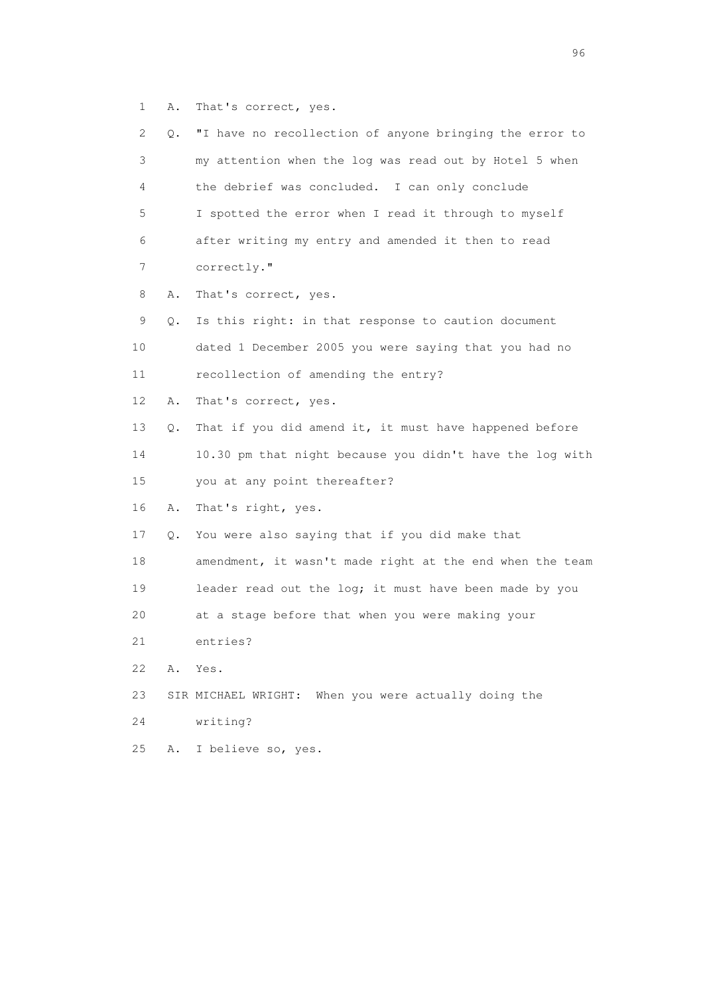1 A. That's correct, yes.

| 2  | Q. | "I have no recollection of anyone bringing the error to  |
|----|----|----------------------------------------------------------|
| 3  |    | my attention when the log was read out by Hotel 5 when   |
| 4  |    | the debrief was concluded. I can only conclude           |
| 5  |    | I spotted the error when I read it through to myself     |
| 6  |    | after writing my entry and amended it then to read       |
| 7  |    | correctly."                                              |
| 8  | Α. | That's correct, yes.                                     |
| 9  | Q. | Is this right: in that response to caution document      |
| 10 |    | dated 1 December 2005 you were saying that you had no    |
| 11 |    | recollection of amending the entry?                      |
| 12 | Α. | That's correct, yes.                                     |
| 13 | Q. | That if you did amend it, it must have happened before   |
| 14 |    | 10.30 pm that night because you didn't have the log with |
| 15 |    | you at any point thereafter?                             |
| 16 | Α. | That's right, yes.                                       |
| 17 | Q. | You were also saying that if you did make that           |
| 18 |    | amendment, it wasn't made right at the end when the team |
| 19 |    | leader read out the log; it must have been made by you   |
| 20 |    | at a stage before that when you were making your         |
| 21 |    | entries?                                                 |
| 22 | Α. | Yes.                                                     |
| 23 |    | SIR MICHAEL WRIGHT: When you were actually doing the     |
| 24 |    | writing?                                                 |
| 25 | Α. | I believe so, yes.                                       |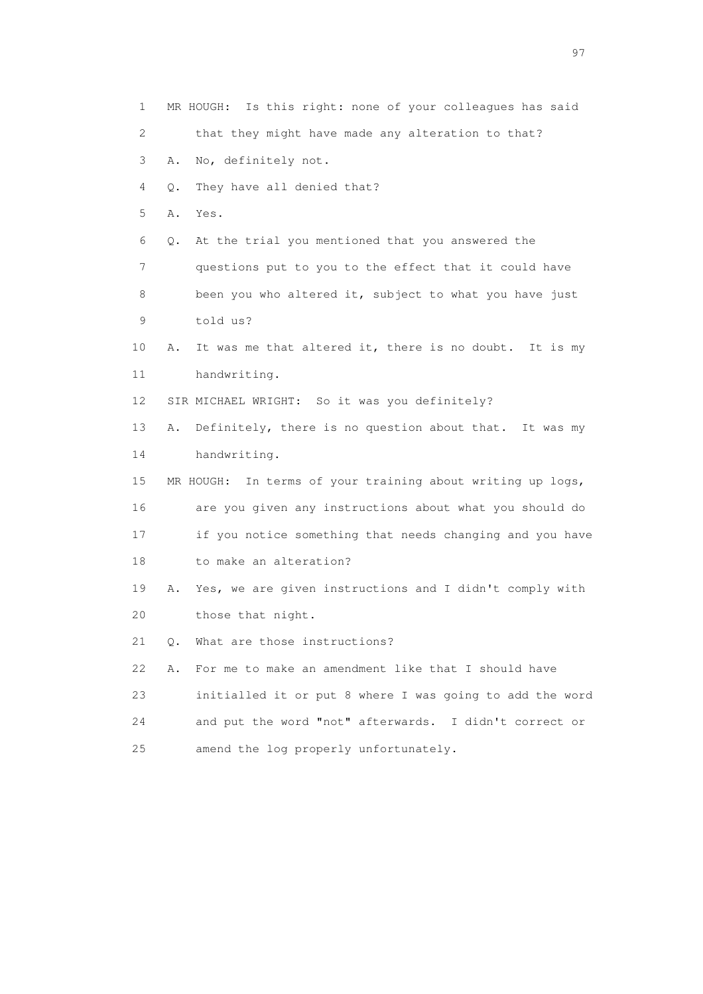1 MR HOUGH: Is this right: none of your colleagues has said 2 that they might have made any alteration to that? 3 A. No, definitely not. 4 Q. They have all denied that? 5 A. Yes. 6 Q. At the trial you mentioned that you answered the 7 questions put to you to the effect that it could have 8 been you who altered it, subject to what you have just 9 told us? 10 A. It was me that altered it, there is no doubt. It is my 11 handwriting. 12 SIR MICHAEL WRIGHT: So it was you definitely? 13 A. Definitely, there is no question about that. It was my 14 handwriting. 15 MR HOUGH: In terms of your training about writing up logs, 16 are you given any instructions about what you should do 17 if you notice something that needs changing and you have 18 to make an alteration? 19 A. Yes, we are given instructions and I didn't comply with 20 those that night. 21 Q. What are those instructions? 22 A. For me to make an amendment like that I should have 23 initialled it or put 8 where I was going to add the word 24 and put the word "not" afterwards. I didn't correct or 25 amend the log properly unfortunately.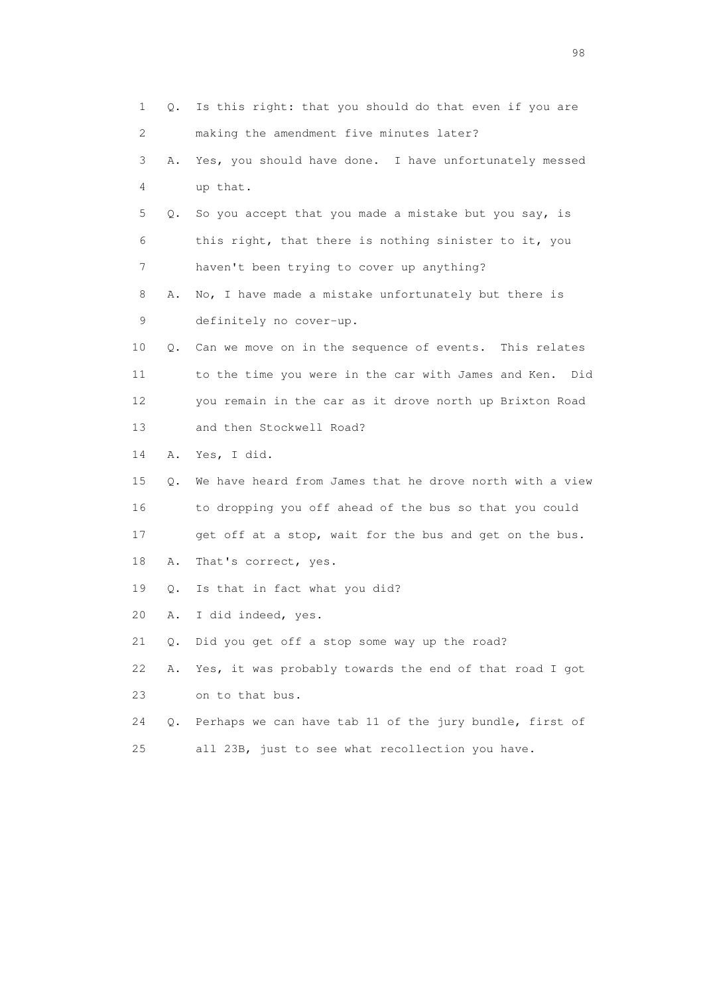|    | 1<br>Q. | Is this right: that you should do that even if you are   |
|----|---------|----------------------------------------------------------|
|    | 2       | making the amendment five minutes later?                 |
|    | 3<br>Α. | Yes, you should have done. I have unfortunately messed   |
|    | 4       | up that.                                                 |
|    | 5<br>Q. | So you accept that you made a mistake but you say, is    |
|    | 6       | this right, that there is nothing sinister to it, you    |
|    | 7       | haven't been trying to cover up anything?                |
|    | 8<br>Α. | No, I have made a mistake unfortunately but there is     |
|    | 9       | definitely no cover-up.                                  |
| 10 | Q.      | Can we move on in the sequence of events. This relates   |
| 11 |         | to the time you were in the car with James and Ken. Did  |
| 12 |         | you remain in the car as it drove north up Brixton Road  |
| 13 |         | and then Stockwell Road?                                 |
| 14 | Α.      | Yes, I did.                                              |
| 15 | Q.      | We have heard from James that he drove north with a view |
| 16 |         | to dropping you off ahead of the bus so that you could   |
| 17 |         | get off at a stop, wait for the bus and get on the bus.  |
| 18 | Α.      | That's correct, yes.                                     |
| 19 | Q.      | Is that in fact what you did?                            |
| 20 | Α.      | I did indeed, yes.                                       |
| 21 | Q.      | Did you get off a stop some way up the road?             |
| 22 | Α.      | Yes, it was probably towards the end of that road I got  |
| 23 |         | on to that bus.                                          |
| 24 | Q.      | Perhaps we can have tab 11 of the jury bundle, first of  |
| 25 |         | all 23B, just to see what recollection you have.         |

en 1988 en 1989 en 1989 en 1989 en 1989 en 1989 en 1989 en 1989 en 1989 en 1989 en 1989 en 1989 en 1989 en 19<br>De grote en 1989 en 1989 en 1989 en 1989 en 1989 en 1989 en 1989 en 1989 en 1989 en 1989 en 1989 en 1989 en 19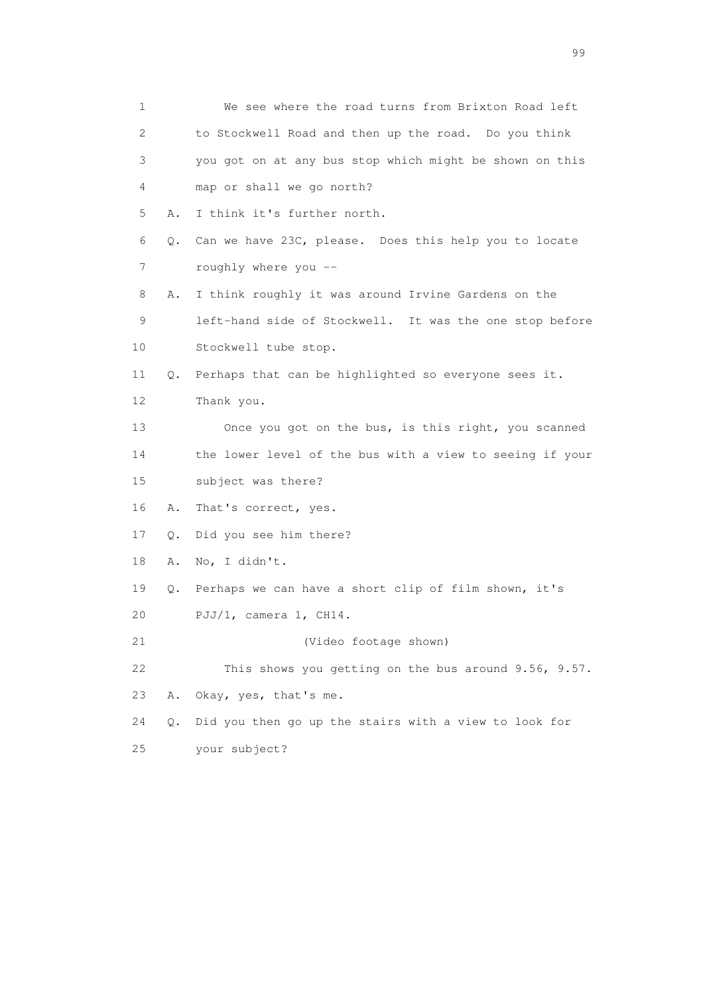| 1  |    | We see where the road turns from Brixton Road left       |
|----|----|----------------------------------------------------------|
| 2. |    | to Stockwell Road and then up the road. Do you think     |
| 3  |    | you got on at any bus stop which might be shown on this  |
| 4  |    | map or shall we go north?                                |
| 5  | Α. | I think it's further north.                              |
| 6  | Q. | Can we have 23C, please. Does this help you to locate    |
| 7  |    | roughly where you --                                     |
| 8  | Α. | I think roughly it was around Irvine Gardens on the      |
| 9  |    | left-hand side of Stockwell. It was the one stop before  |
| 10 |    | Stockwell tube stop.                                     |
| 11 | Q. | Perhaps that can be highlighted so everyone sees it.     |
| 12 |    | Thank you.                                               |
| 13 |    | Once you got on the bus, is this right, you scanned      |
| 14 |    | the lower level of the bus with a view to seeing if your |
| 15 |    | subject was there?                                       |
| 16 | Α. | That's correct, yes.                                     |
| 17 | Q. | Did you see him there?                                   |
| 18 | Α. | No, I didn't.                                            |
| 19 | Q. | Perhaps we can have a short clip of film shown, it's     |
| 20 |    | PJJ/1, camera 1, CH14.                                   |
| 21 |    | (Video footage shown)                                    |
| 22 |    | This shows you getting on the bus around 9.56, 9.57.     |
| 23 | Α. | Okay, yes, that's me.                                    |
| 24 | Q. | Did you then go up the stairs with a view to look for    |
| 25 |    | your subject?                                            |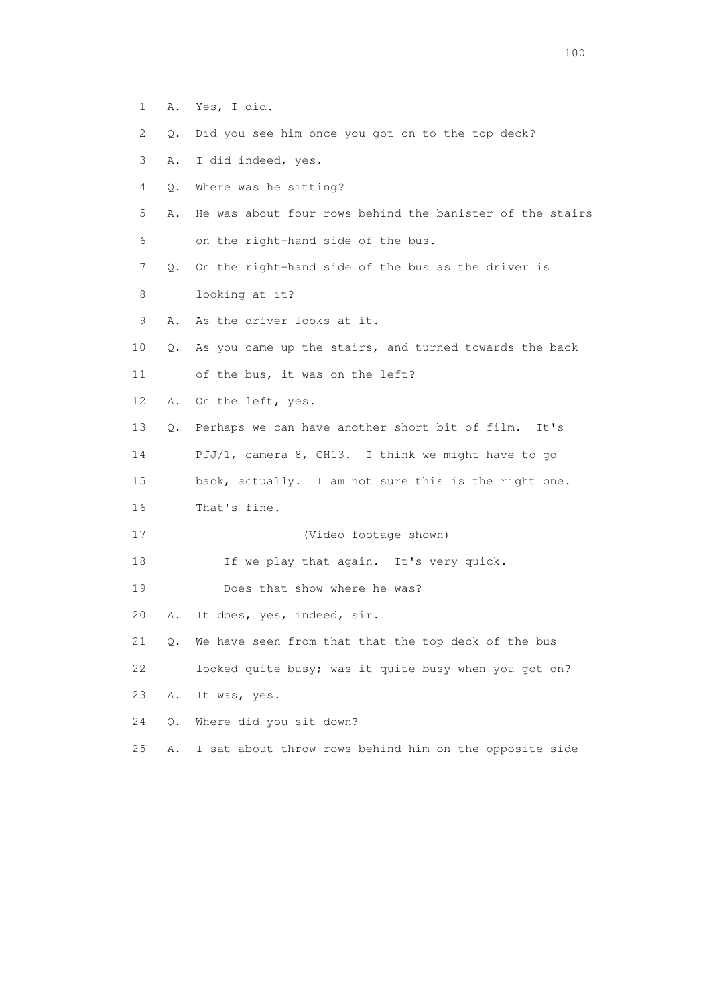- 1 A. Yes, I did.
- 2 Q. Did you see him once you got on to the top deck?
- 3 A. I did indeed, yes.
- 4 Q. Where was he sitting?
- 5 A. He was about four rows behind the banister of the stairs 6 on the right-hand side of the bus.
- 7 Q. On the right-hand side of the bus as the driver is
- 8 looking at it?
- 9 A. As the driver looks at it.
- 10 Q. As you came up the stairs, and turned towards the back
- 11 of the bus, it was on the left?
- 12 A. On the left, yes.
- 13 Q. Perhaps we can have another short bit of film. It's
- 14 PJJ/1, camera 8, CH13. I think we might have to go
- 15 back, actually. I am not sure this is the right one.
- 16 That's fine.
- 17 (Video footage shown)
- 18 If we play that again. It's very quick.
- 19 Does that show where he was?
- 20 A. It does, yes, indeed, sir.
- 21 Q. We have seen from that that the top deck of the bus
- 22 looked quite busy; was it quite busy when you got on?
- 23 A. It was, yes.
- 24 Q. Where did you sit down?
- 25 A. I sat about throw rows behind him on the opposite side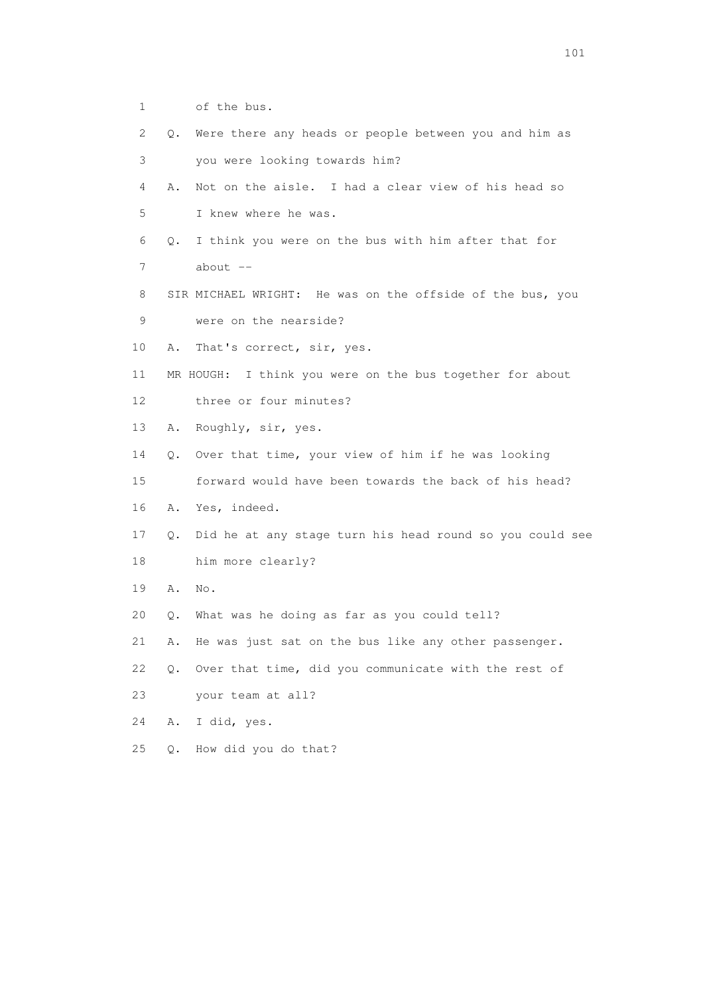- 1 of the bus.
- 2 Q. Were there any heads or people between you and him as 3 you were looking towards him?
- 4 A. Not on the aisle. I had a clear view of his head so 5 I knew where he was.
- 6 Q. I think you were on the bus with him after that for 7 about --
- 8 SIR MICHAEL WRIGHT: He was on the offside of the bus, you 9 were on the nearside?
- 10 A. That's correct, sir, yes.
- 11 MR HOUGH: I think you were on the bus together for about 12 three or four minutes?
- 13 A. Roughly, sir, yes.
- 14 Q. Over that time, your view of him if he was looking
- 15 forward would have been towards the back of his head?
- 16 A. Yes, indeed.
- 17 Q. Did he at any stage turn his head round so you could see 18 him more clearly?
- 19 A. No.
- 20 Q. What was he doing as far as you could tell?
- 21 A. He was just sat on the bus like any other passenger.
- 22 Q. Over that time, did you communicate with the rest of
- 23 your team at all?
- 24 A. I did, yes.
- 25 Q. How did you do that?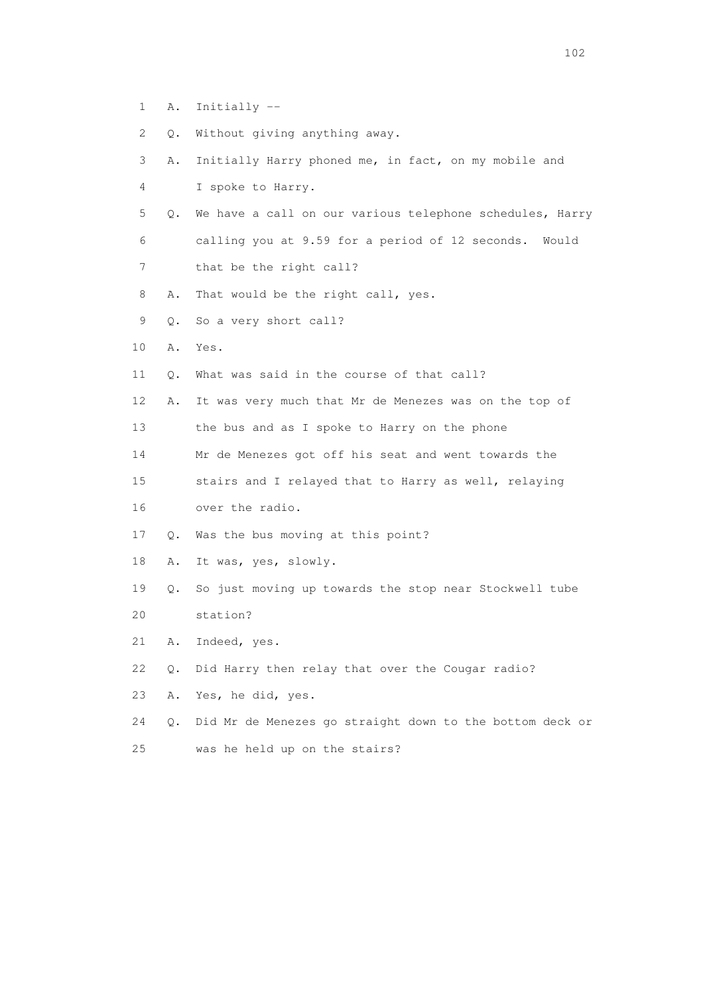- 1 A. Initially --
- 2 Q. Without giving anything away.
- 3 A. Initially Harry phoned me, in fact, on my mobile and
- 4 I spoke to Harry.
- 5 Q. We have a call on our various telephone schedules, Harry 6 calling you at 9.59 for a period of 12 seconds. Would 7 that be the right call?
- 8 A. That would be the right call, yes.
- 9 Q. So a very short call?
- 10 A. Yes.
- 11 Q. What was said in the course of that call?
- 12 A. It was very much that Mr de Menezes was on the top of 13 the bus and as I spoke to Harry on the phone
- 14 Mr de Menezes got off his seat and went towards the
- 15 stairs and I relayed that to Harry as well, relaying 16 over the radio.
- 17 Q. Was the bus moving at this point?
- 18 A. It was, yes, slowly.
- 19 Q. So just moving up towards the stop near Stockwell tube 20 station?
- 21 A. Indeed, yes.
- 22 Q. Did Harry then relay that over the Cougar radio?
- 23 A. Yes, he did, yes.
- 24 Q. Did Mr de Menezes go straight down to the bottom deck or 25 was he held up on the stairs?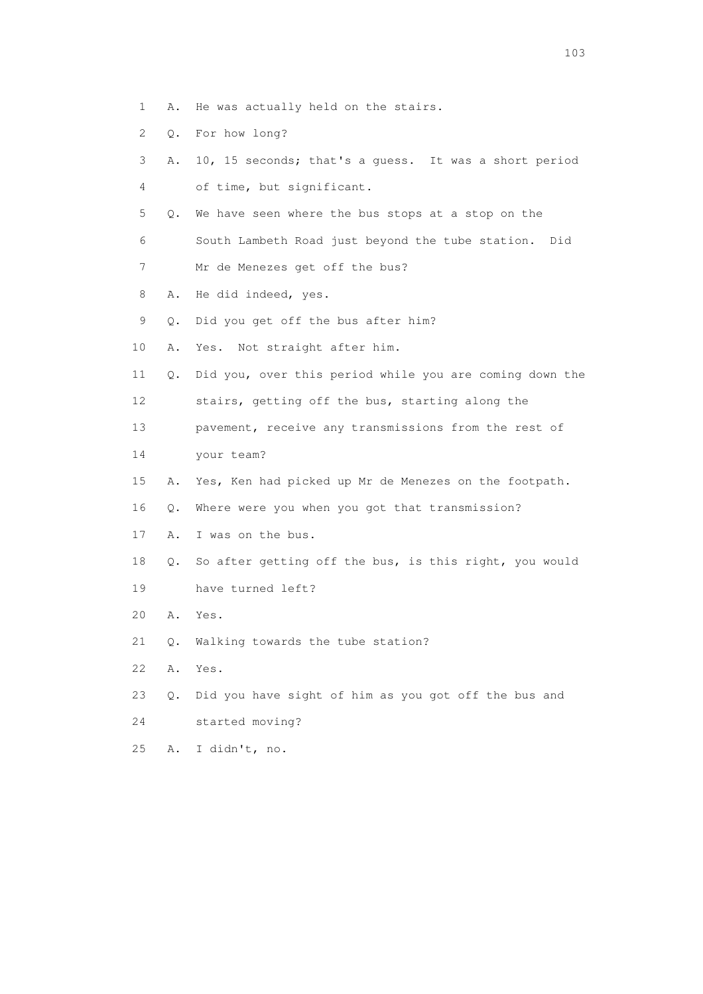- 1 A. He was actually held on the stairs.
- 2 Q. For how long?
- 3 A. 10, 15 seconds; that's a guess. It was a short period 4 of time, but significant.
- 5 Q. We have seen where the bus stops at a stop on the
- 6 South Lambeth Road just beyond the tube station. Did
- 7 Mr de Menezes get off the bus?
- 8 A. He did indeed, yes.
- 9 Q. Did you get off the bus after him?
- 10 A. Yes. Not straight after him.
- 11 Q. Did you, over this period while you are coming down the 12 stairs, getting off the bus, starting along the
- 13 pavement, receive any transmissions from the rest of
- 14 your team?
- 15 A. Yes, Ken had picked up Mr de Menezes on the footpath.
- 16 Q. Where were you when you got that transmission?
- 17 A. I was on the bus.
- 18 Q. So after getting off the bus, is this right, you would
- 19 have turned left?
- 20 A. Yes.
- 21 Q. Walking towards the tube station?
- 22 A. Yes.
- 23 Q. Did you have sight of him as you got off the bus and
- 24 started moving?
- 25 A. I didn't, no.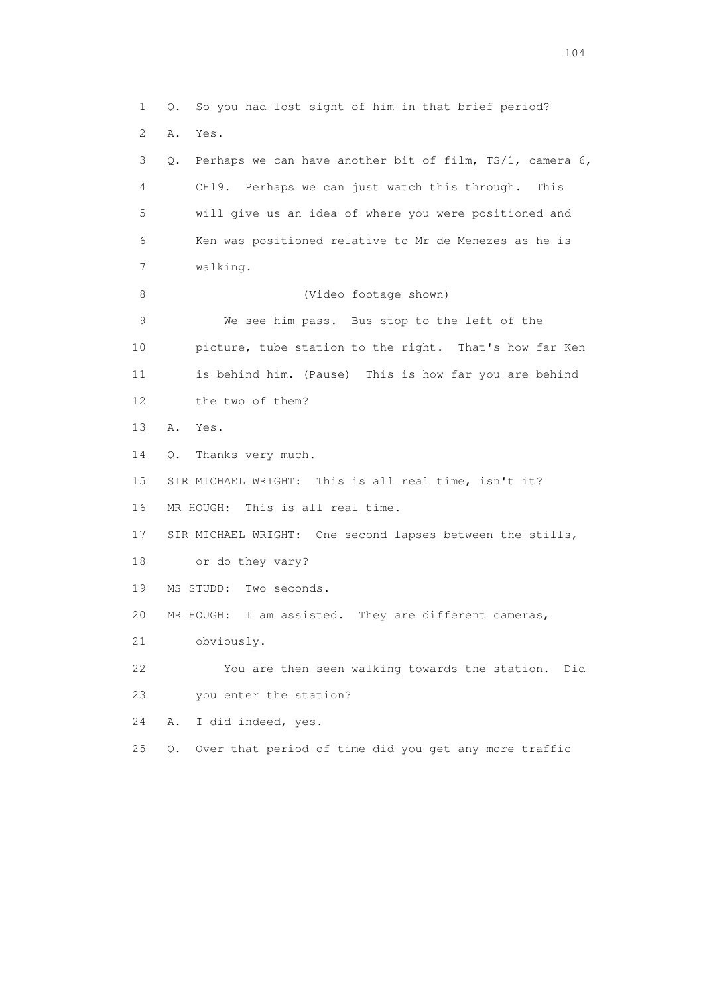1 Q. So you had lost sight of him in that brief period? 2 A. Yes. 3 Q. Perhaps we can have another bit of film, TS/1, camera 6, 4 CH19. Perhaps we can just watch this through. This 5 will give us an idea of where you were positioned and 6 Ken was positioned relative to Mr de Menezes as he is 7 walking. 8 (Video footage shown) 9 We see him pass. Bus stop to the left of the 10 picture, tube station to the right. That's how far Ken 11 is behind him. (Pause) This is how far you are behind 12 the two of them? 13 A. Yes. 14 Q. Thanks very much. 15 SIR MICHAEL WRIGHT: This is all real time, isn't it? 16 MR HOUGH: This is all real time. 17 SIR MICHAEL WRIGHT: One second lapses between the stills, 18 or do they vary? 19 MS STUDD: Two seconds. 20 MR HOUGH: I am assisted. They are different cameras, 21 obviously. 22 You are then seen walking towards the station. Did 23 you enter the station? 24 A. I did indeed, yes. 25 Q. Over that period of time did you get any more traffic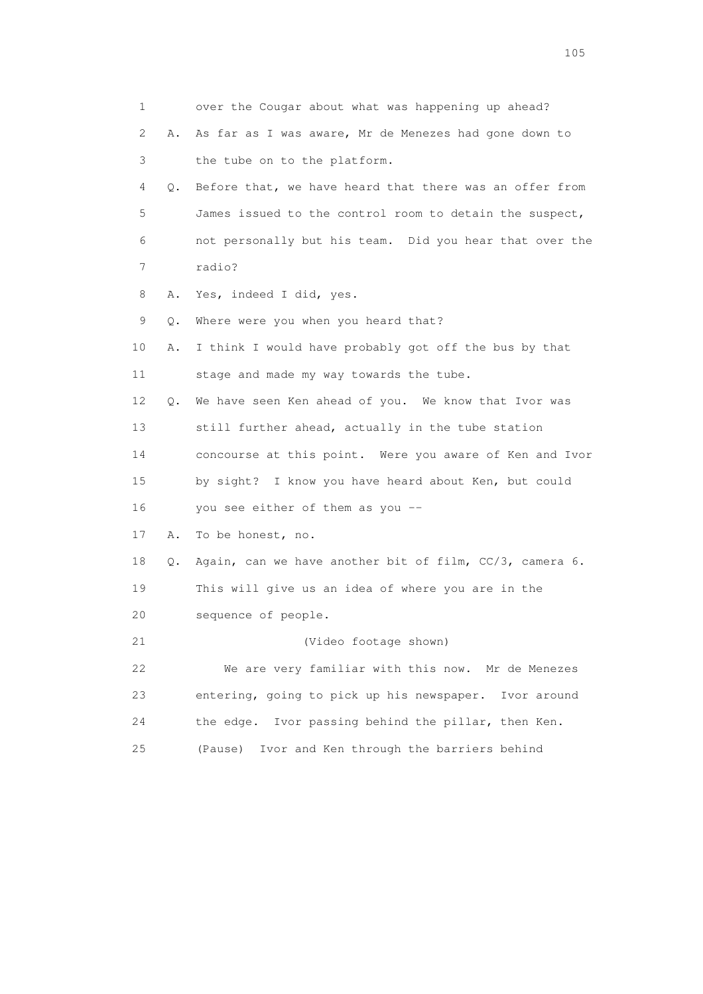| 1  |    | over the Cougar about what was happening up ahead?       |
|----|----|----------------------------------------------------------|
| 2  | Α. | As far as I was aware, Mr de Menezes had gone down to    |
| 3  |    | the tube on to the platform.                             |
| 4  | Q. | Before that, we have heard that there was an offer from  |
| 5  |    | James issued to the control room to detain the suspect,  |
| 6  |    | not personally but his team. Did you hear that over the  |
| 7  |    | radio?                                                   |
| 8  | Α. | Yes, indeed I did, yes.                                  |
| 9  | Q. | Where were you when you heard that?                      |
| 10 | Α. | I think I would have probably got off the bus by that    |
| 11 |    | stage and made my way towards the tube.                  |
| 12 | Q. | We have seen Ken ahead of you. We know that Ivor was     |
| 13 |    | still further ahead, actually in the tube station        |
| 14 |    | concourse at this point. Were you aware of Ken and Ivor  |
| 15 |    | by sight? I know you have heard about Ken, but could     |
| 16 |    | you see either of them as you --                         |
| 17 | Α. | To be honest, no.                                        |
| 18 | Q. | Again, can we have another bit of film, CC/3, camera 6.  |
| 19 |    | This will give us an idea of where you are in the        |
| 20 |    | sequence of people.                                      |
| 21 |    | (Video footage shown)                                    |
| 22 |    | We are very familiar with this now. Mr de Menezes        |
| 23 |    | entering, going to pick up his newspaper.<br>Ivor around |
| 24 |    | Ivor passing behind the pillar, then Ken.<br>the edge.   |
| 25 |    | Ivor and Ken through the barriers behind<br>(Pause)      |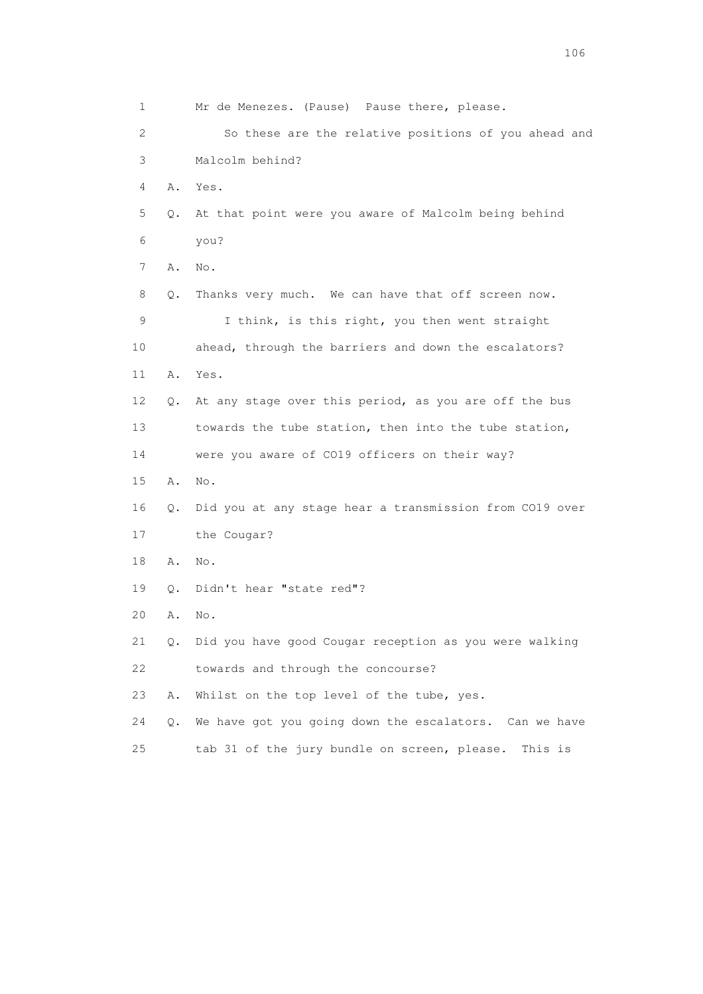1 Mr de Menezes. (Pause) Pause there, please. 2 So these are the relative positions of you ahead and 3 Malcolm behind? 4 A. Yes. 5 Q. At that point were you aware of Malcolm being behind 6 you? 7 A. No. 8 Q. Thanks very much. We can have that off screen now. 9 I think, is this right, you then went straight 10 ahead, through the barriers and down the escalators? 11 A. Yes. 12 Q. At any stage over this period, as you are off the bus 13 towards the tube station, then into the tube station, 14 were you aware of CO19 officers on their way? 15 A. No. 16 Q. Did you at any stage hear a transmission from CO19 over 17 the Cougar? 18 A. No. 19 Q. Didn't hear "state red"? 20 A. No. 21 Q. Did you have good Cougar reception as you were walking 22 towards and through the concourse? 23 A. Whilst on the top level of the tube, yes. 24 Q. We have got you going down the escalators. Can we have 25 tab 31 of the jury bundle on screen, please. This is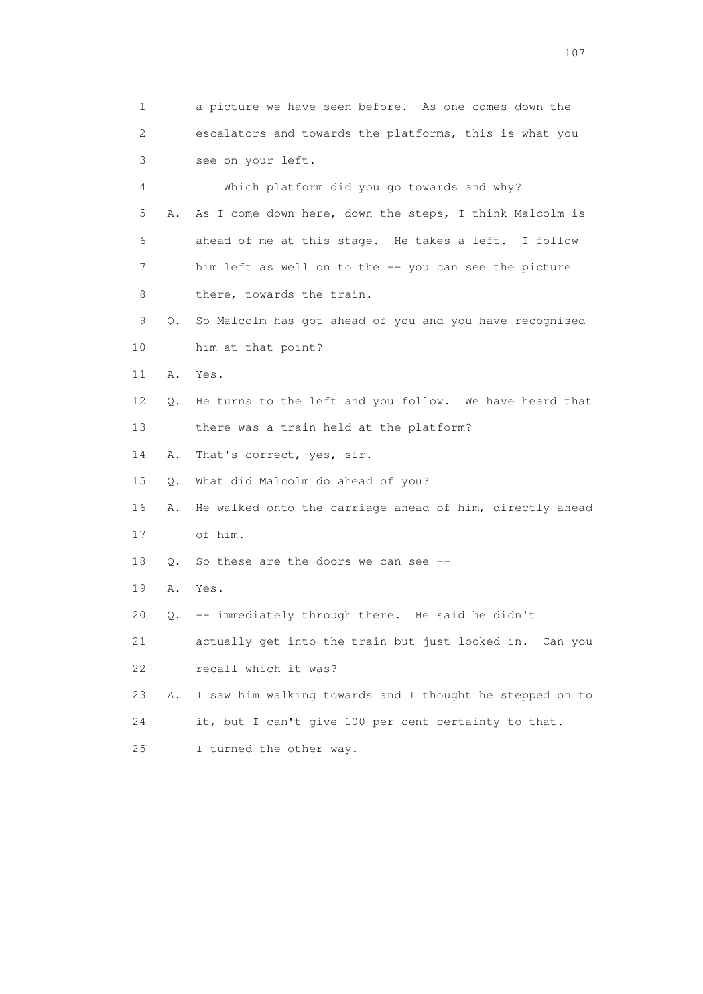1 a picture we have seen before. As one comes down the 2 escalators and towards the platforms, this is what you 3 see on your left. 4 Which platform did you go towards and why? 5 A. As I come down here, down the steps, I think Malcolm is 6 ahead of me at this stage. He takes a left. I follow 7 him left as well on to the -- you can see the picture 8 there, towards the train. 9 Q. So Malcolm has got ahead of you and you have recognised 10 him at that point? 11 A. Yes. 12 Q. He turns to the left and you follow. We have heard that 13 there was a train held at the platform? 14 A. That's correct, yes, sir. 15 Q. What did Malcolm do ahead of you? 16 A. He walked onto the carriage ahead of him, directly ahead 17 of him. 18 Q. So these are the doors we can see -- 19 A. Yes. 20 Q. -- immediately through there. He said he didn't 21 actually get into the train but just looked in. Can you 22 recall which it was? 23 A. I saw him walking towards and I thought he stepped on to 24 it, but I can't give 100 per cent certainty to that. 25 I turned the other way.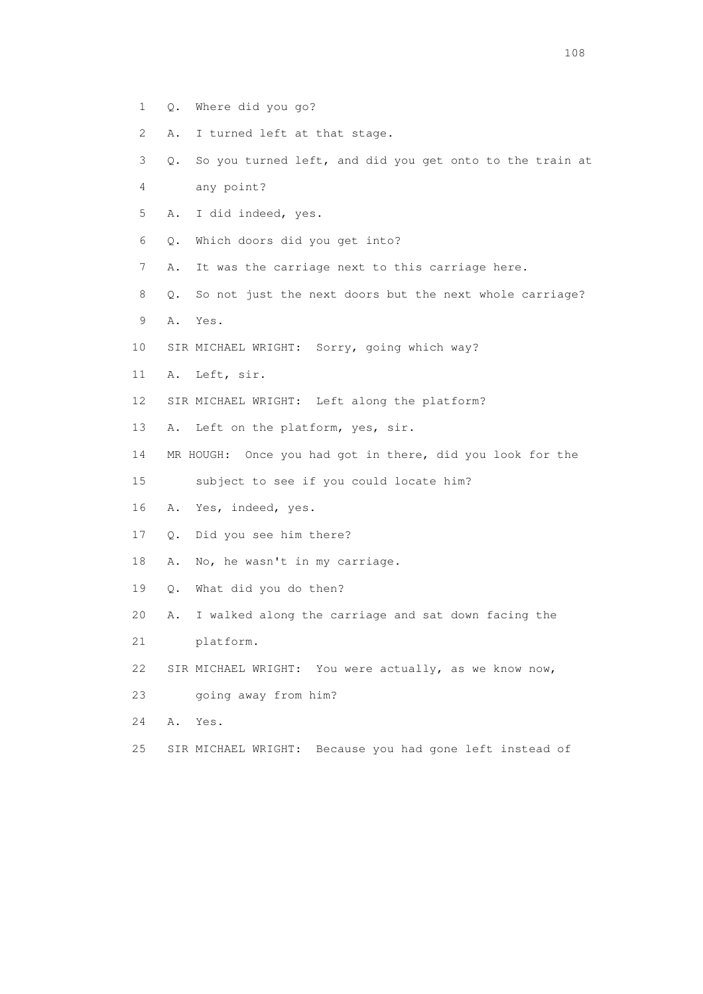- 1 Q. Where did you go?
- 2 A. I turned left at that stage.
- 3 Q. So you turned left, and did you get onto to the train at 4 any point?
- 5 A. I did indeed, yes.
- 6 Q. Which doors did you get into?
- 7 A. It was the carriage next to this carriage here.
- 8 Q. So not just the next doors but the next whole carriage?
- 9 A. Yes.
- 10 SIR MICHAEL WRIGHT: Sorry, going which way?
- 11 A. Left, sir.
- 12 SIR MICHAEL WRIGHT: Left along the platform?
- 13 A. Left on the platform, yes, sir.
- 14 MR HOUGH: Once you had got in there, did you look for the
- 15 subject to see if you could locate him?
- 16 A. Yes, indeed, yes.
- 17 Q. Did you see him there?
- 18 A. No, he wasn't in my carriage.
- 19 Q. What did you do then?
- 20 A. I walked along the carriage and sat down facing the
- 21 platform.
- 22 SIR MICHAEL WRIGHT: You were actually, as we know now,
- 23 going away from him?
- 24 A. Yes.
- 25 SIR MICHAEL WRIGHT: Because you had gone left instead of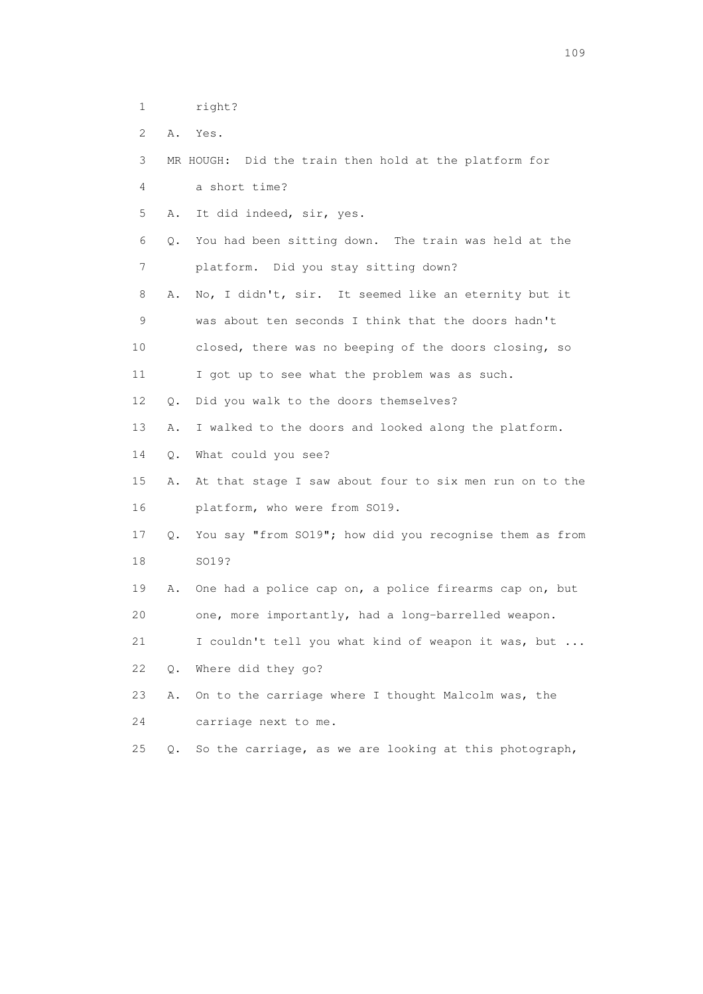- 1 right?
- 2 A. Yes.

3 MR HOUGH: Did the train then hold at the platform for

4 a short time?

5 A. It did indeed, sir, yes.

 6 Q. You had been sitting down. The train was held at the 7 platform. Did you stay sitting down?

 8 A. No, I didn't, sir. It seemed like an eternity but it 9 was about ten seconds I think that the doors hadn't 10 closed, there was no beeping of the doors closing, so

11 I got up to see what the problem was as such.

12 Q. Did you walk to the doors themselves?

13 A. I walked to the doors and looked along the platform.

14 Q. What could you see?

 15 A. At that stage I saw about four to six men run on to the 16 platform, who were from SO19.

 17 Q. You say "from SO19"; how did you recognise them as from 18 SO19?

 19 A. One had a police cap on, a police firearms cap on, but 20 one, more importantly, had a long-barrelled weapon.

21 I couldn't tell you what kind of weapon it was, but ...

22 Q. Where did they go?

23 A. On to the carriage where I thought Malcolm was, the

24 carriage next to me.

25 Q. So the carriage, as we are looking at this photograph,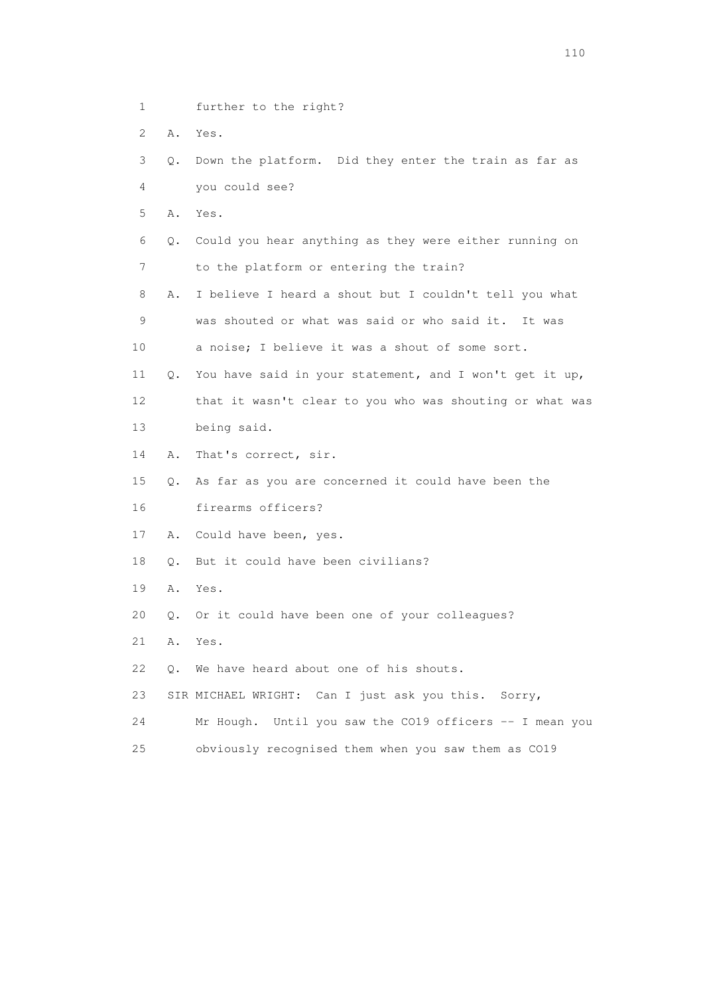- 1 further to the right?
- 2 A. Yes.
- 3 Q. Down the platform. Did they enter the train as far as 4 you could see?
- 5 A. Yes.
- 6 Q. Could you hear anything as they were either running on 7 to the platform or entering the train?
- 8 A. I believe I heard a shout but I couldn't tell you what 9 was shouted or what was said or who said it. It was
- 10 a noise; I believe it was a shout of some sort.
- 11 Q. You have said in your statement, and I won't get it up, 12 that it wasn't clear to you who was shouting or what was 13 being said.
- 14 A. That's correct, sir.
- 15 Q. As far as you are concerned it could have been the 16 firearms officers?
- 17 A. Could have been, yes.
- 18 Q. But it could have been civilians?
- 19 A. Yes.
- 20 Q. Or it could have been one of your colleagues?
- 21 A. Yes.
- 22 Q. We have heard about one of his shouts.
- 23 SIR MICHAEL WRIGHT: Can I just ask you this. Sorry,
- 24 Mr Hough. Until you saw the CO19 officers -- I mean you
- 25 obviously recognised them when you saw them as CO19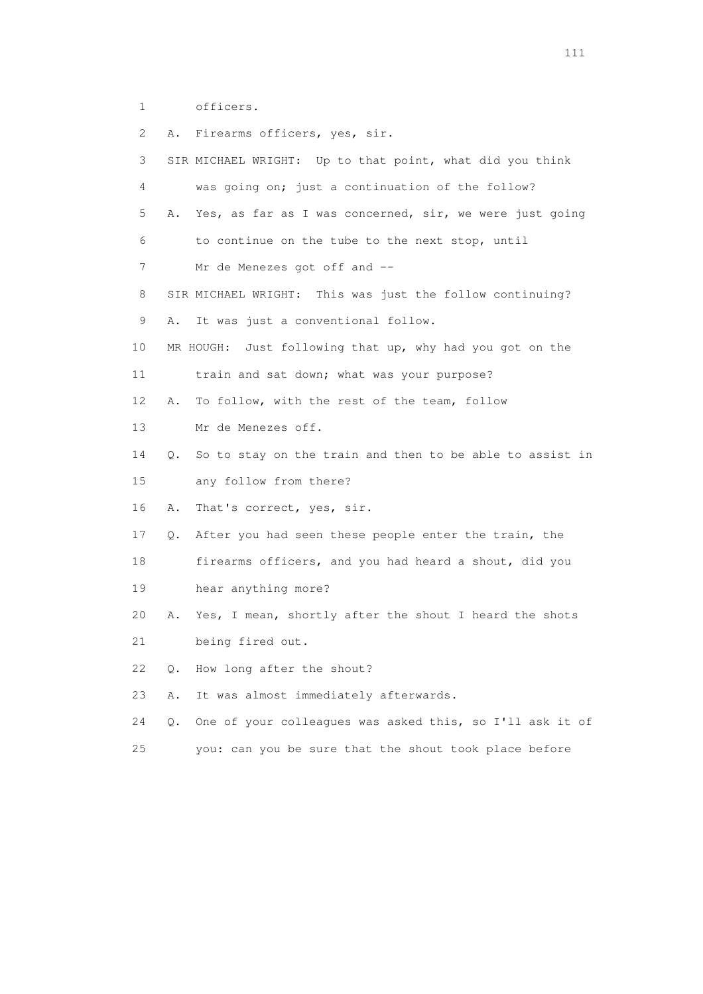1 officers.

| 2  | Α.    | Firearms officers, yes, sir.                             |
|----|-------|----------------------------------------------------------|
| 3  |       | SIR MICHAEL WRIGHT: Up to that point, what did you think |
| 4  |       | was going on; just a continuation of the follow?         |
| 5  | Α.    | Yes, as far as I was concerned, sir, we were just going  |
| 6  |       | to continue on the tube to the next stop, until          |
| 7  |       | Mr de Menezes got off and --                             |
| 8  |       | SIR MICHAEL WRIGHT: This was just the follow continuing? |
| 9  | Α.    | It was just a conventional follow.                       |
| 10 |       | MR HOUGH: Just following that up, why had you got on the |
| 11 |       | train and sat down; what was your purpose?               |
| 12 | Α.    | To follow, with the rest of the team, follow             |
| 13 |       | Mr de Menezes off.                                       |
| 14 | Q.    | So to stay on the train and then to be able to assist in |
| 15 |       | any follow from there?                                   |
| 16 | Α.    | That's correct, yes, sir.                                |
| 17 | Q.    | After you had seen these people enter the train, the     |
| 18 |       | firearms officers, and you had heard a shout, did you    |
| 19 |       | hear anything more?                                      |
| 20 | Α.    | Yes, I mean, shortly after the shout I heard the shots   |
| 21 |       | being fired out.                                         |
| 22 | Q.    | How long after the shout?                                |
| 23 | Α.    | It was almost immediately afterwards.                    |
| 24 | $Q$ . | One of your colleagues was asked this, so I'll ask it of |
| 25 |       | you: can you be sure that the shout took place before    |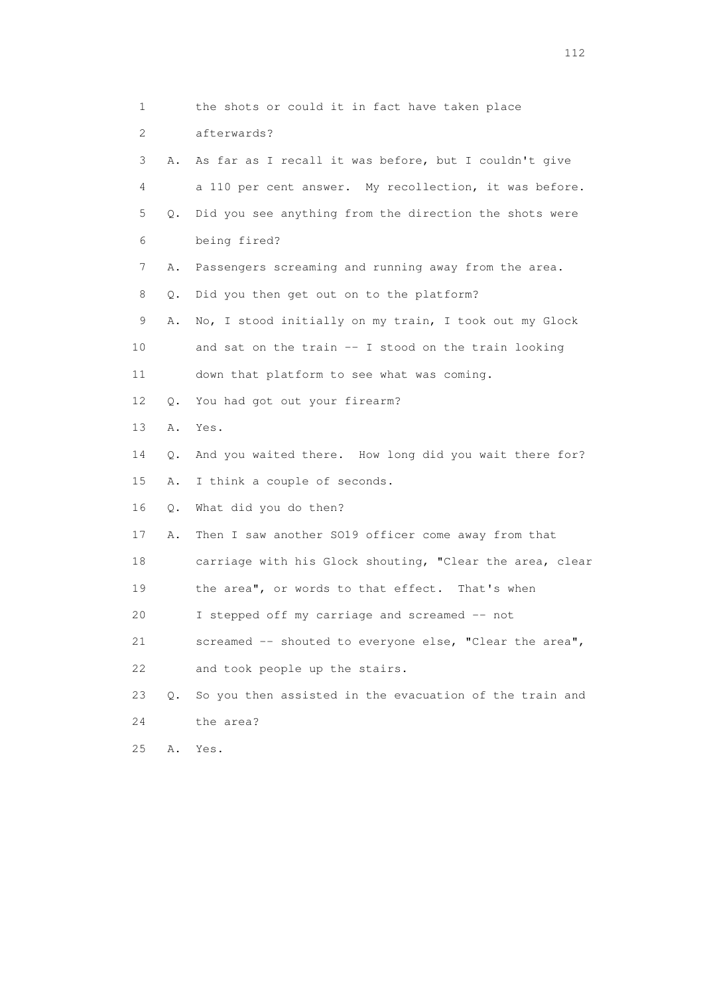1 the shots or could it in fact have taken place 2 afterwards? 3 A. As far as I recall it was before, but I couldn't give 4 a 110 per cent answer. My recollection, it was before. 5 Q. Did you see anything from the direction the shots were 6 being fired? 7 A. Passengers screaming and running away from the area. 8 Q. Did you then get out on to the platform? 9 A. No, I stood initially on my train, I took out my Glock 10 and sat on the train -- I stood on the train looking 11 down that platform to see what was coming. 12 Q. You had got out your firearm? 13 A. Yes. 14 Q. And you waited there. How long did you wait there for? 15 A. I think a couple of seconds. 16 Q. What did you do then? 17 A. Then I saw another SO19 officer come away from that 18 carriage with his Glock shouting, "Clear the area, clear 19 the area", or words to that effect. That's when 20 I stepped off my carriage and screamed -- not 21 screamed -- shouted to everyone else, "Clear the area", 22 and took people up the stairs. 23 Q. So you then assisted in the evacuation of the train and 24 the area? 25 A. Yes.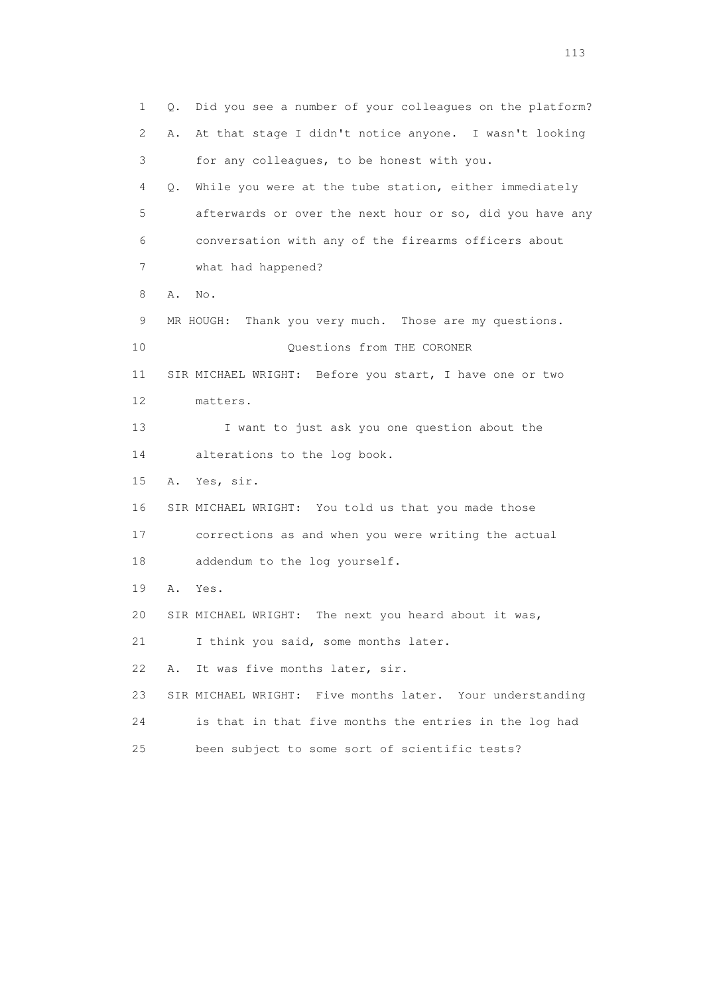1 Q. Did you see a number of your colleagues on the platform? 2 A. At that stage I didn't notice anyone. I wasn't looking 3 for any colleagues, to be honest with you. 4 Q. While you were at the tube station, either immediately 5 afterwards or over the next hour or so, did you have any 6 conversation with any of the firearms officers about 7 what had happened? 8 A. No. 9 MR HOUGH: Thank you very much. Those are my questions. 10 Questions from THE CORONER 11 SIR MICHAEL WRIGHT: Before you start, I have one or two 12 matters. 13 I want to just ask you one question about the 14 alterations to the log book. 15 A. Yes, sir. 16 SIR MICHAEL WRIGHT: You told us that you made those 17 corrections as and when you were writing the actual 18 addendum to the log yourself. 19 A. Yes. 20 SIR MICHAEL WRIGHT: The next you heard about it was, 21 I think you said, some months later. 22 A. It was five months later, sir. 23 SIR MICHAEL WRIGHT: Five months later. Your understanding 24 is that in that five months the entries in the log had 25 been subject to some sort of scientific tests?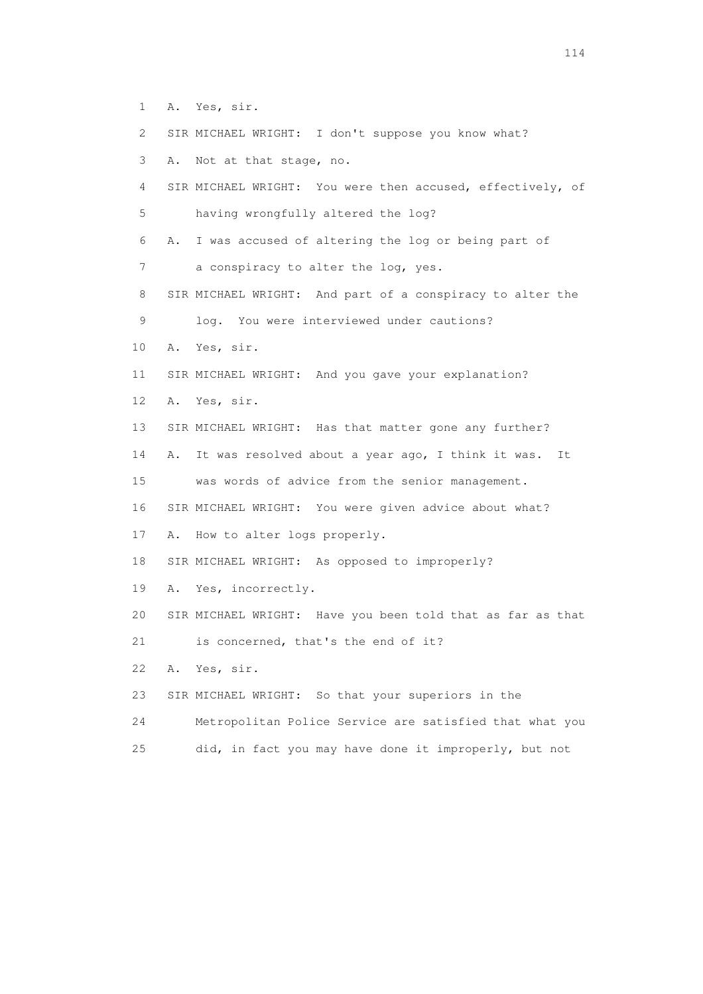- 1 A. Yes, sir.
- 2 SIR MICHAEL WRIGHT: I don't suppose you know what?
- 3 A. Not at that stage, no.
- 4 SIR MICHAEL WRIGHT: You were then accused, effectively, of 5 having wrongfully altered the log?

6 A. I was accused of altering the log or being part of

- 7 a conspiracy to alter the log, yes.
- 8 SIR MICHAEL WRIGHT: And part of a conspiracy to alter the
- 9 log. You were interviewed under cautions?
- 10 A. Yes, sir.
- 11 SIR MICHAEL WRIGHT: And you gave your explanation?
- 12 A. Yes, sir.
- 13 SIR MICHAEL WRIGHT: Has that matter gone any further?
- 14 A. It was resolved about a year ago, I think it was. It

15 was words of advice from the senior management.

- 16 SIR MICHAEL WRIGHT: You were given advice about what?
- 17 A. How to alter logs properly.
- 18 SIR MICHAEL WRIGHT: As opposed to improperly?
- 19 A. Yes, incorrectly.
- 20 SIR MICHAEL WRIGHT: Have you been told that as far as that
- 21 is concerned, that's the end of it?
- 22 A. Yes, sir.
- 23 SIR MICHAEL WRIGHT: So that your superiors in the
- 24 Metropolitan Police Service are satisfied that what you
- 25 did, in fact you may have done it improperly, but not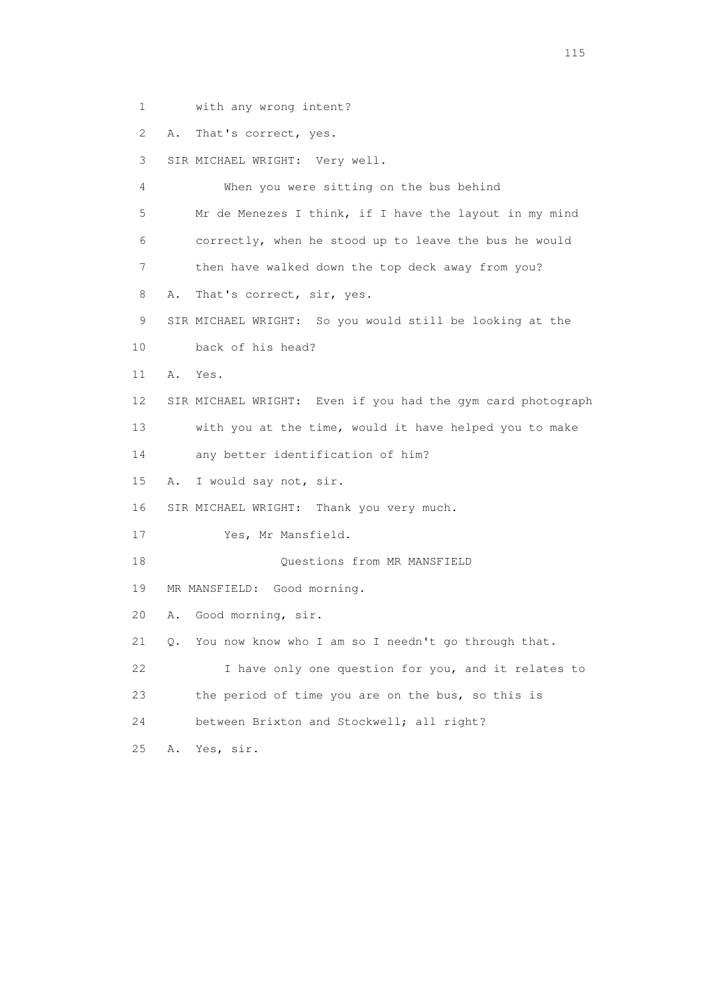1 with any wrong intent?

2 A. That's correct, yes.

3 SIR MICHAEL WRIGHT: Very well.

 4 When you were sitting on the bus behind 5 Mr de Menezes I think, if I have the layout in my mind 6 correctly, when he stood up to leave the bus he would 7 then have walked down the top deck away from you? 8 A. That's correct, sir, yes. 9 SIR MICHAEL WRIGHT: So you would still be looking at the 10 back of his head? 11 A. Yes. 12 SIR MICHAEL WRIGHT: Even if you had the gym card photograph 13 with you at the time, would it have helped you to make 14 any better identification of him? 15 A. I would say not, sir. 16 SIR MICHAEL WRIGHT: Thank you very much. 17 Yes, Mr Mansfield. 18 Questions from MR MANSFIELD 19 MR MANSFIELD: Good morning. 20 A. Good morning, sir. 21 Q. You now know who I am so I needn't go through that. 22 I have only one question for you, and it relates to 23 the period of time you are on the bus, so this is 24 between Brixton and Stockwell; all right? 25 A. Yes, sir.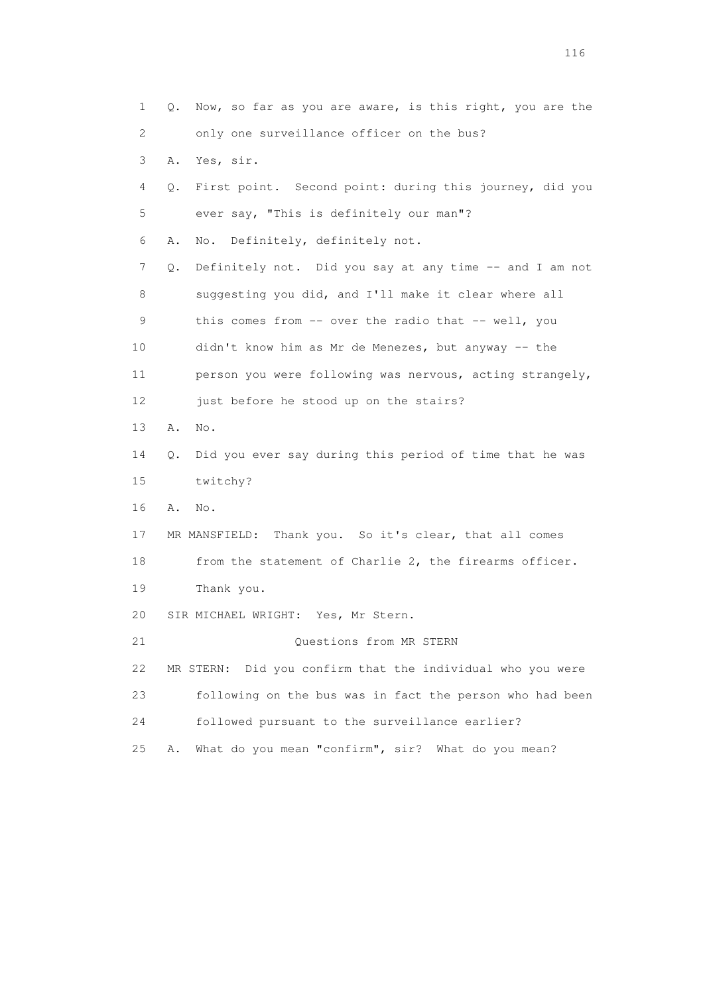1 Q. Now, so far as you are aware, is this right, you are the 2 only one surveillance officer on the bus? 3 A. Yes, sir. 4 Q. First point. Second point: during this journey, did you 5 ever say, "This is definitely our man"? 6 A. No. Definitely, definitely not. 7 Q. Definitely not. Did you say at any time -- and I am not 8 suggesting you did, and I'll make it clear where all 9 this comes from -- over the radio that -- well, you 10 didn't know him as Mr de Menezes, but anyway -- the 11 person you were following was nervous, acting strangely, 12 just before he stood up on the stairs? 13 A. No. 14 Q. Did you ever say during this period of time that he was 15 twitchy? 16 A. No. 17 MR MANSFIELD: Thank you. So it's clear, that all comes 18 from the statement of Charlie 2, the firearms officer. 19 Thank you. 20 SIR MICHAEL WRIGHT: Yes, Mr Stern. 21 Questions from MR STERN 22 MR STERN: Did you confirm that the individual who you were 23 following on the bus was in fact the person who had been 24 followed pursuant to the surveillance earlier? 25 A. What do you mean "confirm", sir? What do you mean?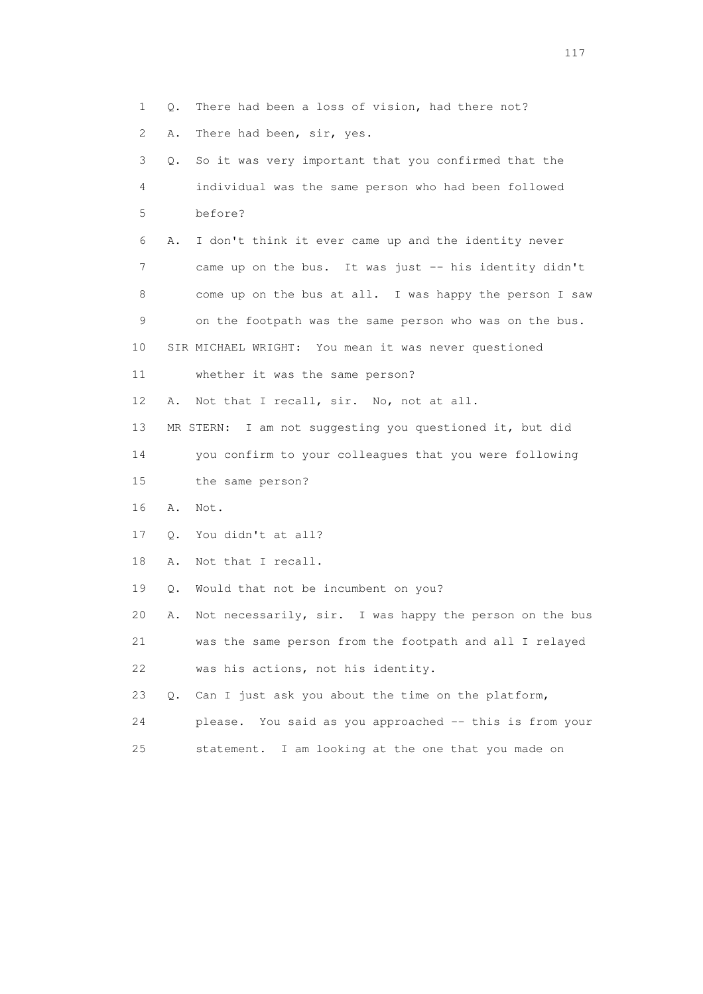1 Q. There had been a loss of vision, had there not? 2 A. There had been, sir, yes. 3 Q. So it was very important that you confirmed that the 4 individual was the same person who had been followed 5 before? 6 A. I don't think it ever came up and the identity never 7 came up on the bus. It was just -- his identity didn't 8 come up on the bus at all. I was happy the person I saw 9 on the footpath was the same person who was on the bus. 10 SIR MICHAEL WRIGHT: You mean it was never questioned 11 whether it was the same person? 12 A. Not that I recall, sir. No, not at all. 13 MR STERN: I am not suggesting you questioned it, but did 14 you confirm to your colleagues that you were following 15 the same person? 16 A. Not. 17 Q. You didn't at all? 18 A. Not that I recall. 19 Q. Would that not be incumbent on you? 20 A. Not necessarily, sir. I was happy the person on the bus 21 was the same person from the footpath and all I relayed 22 was his actions, not his identity. 23 Q. Can I just ask you about the time on the platform, 24 please. You said as you approached -- this is from your 25 statement. I am looking at the one that you made on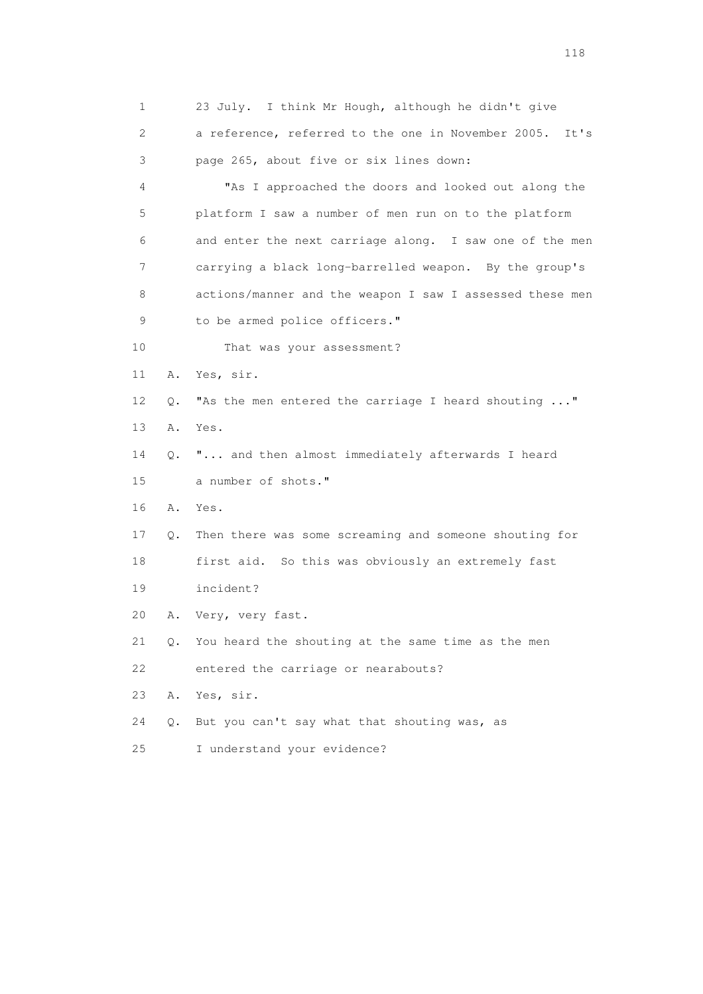1 23 July. I think Mr Hough, although he didn't give 2 a reference, referred to the one in November 2005. It's 3 page 265, about five or six lines down: 4 "As I approached the doors and looked out along the 5 platform I saw a number of men run on to the platform 6 and enter the next carriage along. I saw one of the men 7 carrying a black long-barrelled weapon. By the group's 8 actions/manner and the weapon I saw I assessed these men 9 to be armed police officers." 10 That was your assessment? 11 A. Yes, sir. 12 Q. "As the men entered the carriage I heard shouting ..." 13 A. Yes. 14 Q. "... and then almost immediately afterwards I heard 15 a number of shots." 16 A. Yes. 17 Q. Then there was some screaming and someone shouting for 18 first aid. So this was obviously an extremely fast 19 incident? 20 A. Very, very fast. 21 Q. You heard the shouting at the same time as the men 22 entered the carriage or nearabouts? 23 A. Yes, sir. 24 Q. But you can't say what that shouting was, as 25 I understand your evidence?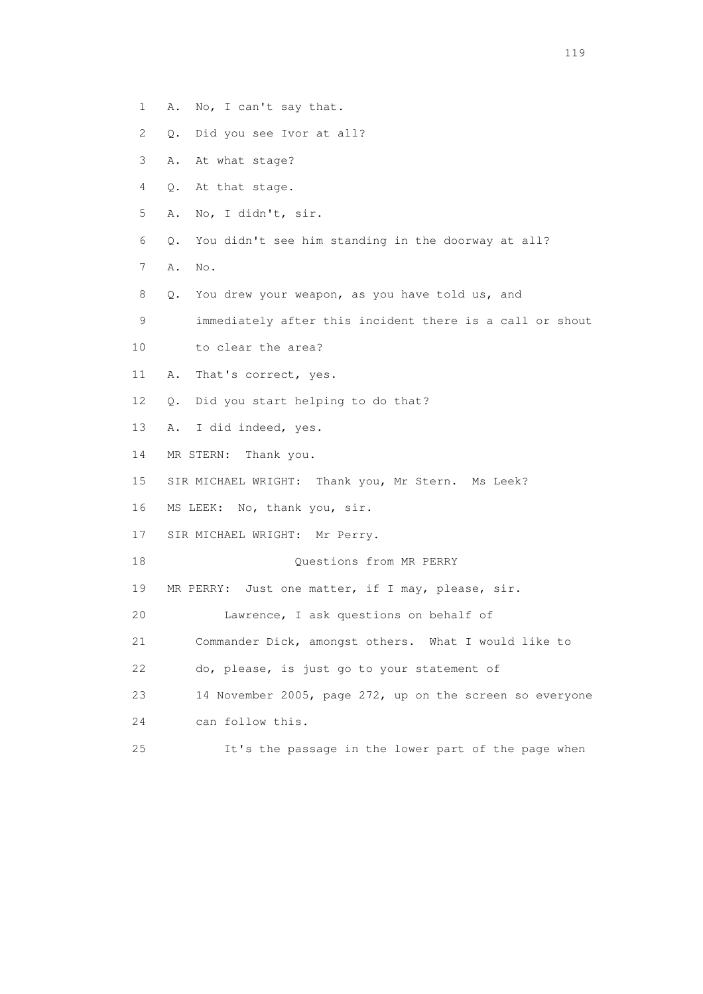- 1 A. No, I can't say that.
- 2 Q. Did you see Ivor at all?
- 3 A. At what stage?
- 4 Q. At that stage.
- 5 A. No, I didn't, sir.
- 6 Q. You didn't see him standing in the doorway at all?
- 7 A. No.
- 8 Q. You drew your weapon, as you have told us, and
- 9 immediately after this incident there is a call or shout
- 10 to clear the area?
- 11 A. That's correct, yes.
- 12 Q. Did you start helping to do that?
- 13 A. I did indeed, yes.
- 14 MR STERN: Thank you.
- 15 SIR MICHAEL WRIGHT: Thank you, Mr Stern. Ms Leek?
- 16 MS LEEK: No, thank you, sir.
- 17 SIR MICHAEL WRIGHT: Mr Perry.
- 18 Ouestions from MR PERRY
- 19 MR PERRY: Just one matter, if I may, please, sir.
- 20 Lawrence, I ask questions on behalf of
- 21 Commander Dick, amongst others. What I would like to
- 22 do, please, is just go to your statement of
- 23 14 November 2005, page 272, up on the screen so everyone
- 24 can follow this.
- 25 It's the passage in the lower part of the page when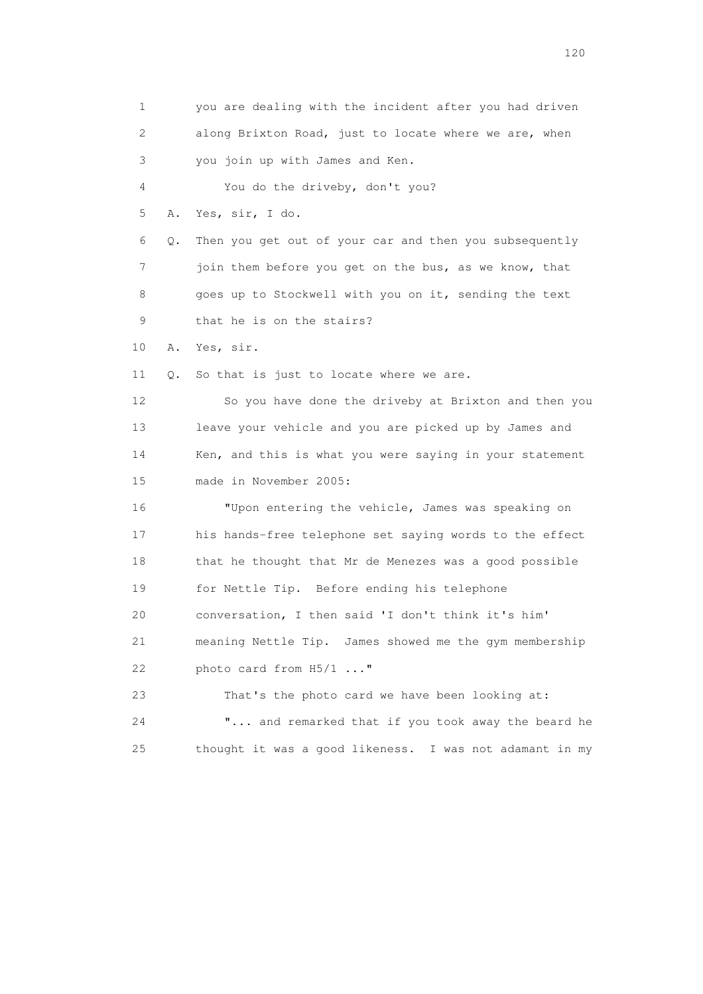1 you are dealing with the incident after you had driven 2 along Brixton Road, just to locate where we are, when 3 you join up with James and Ken. 4 You do the driveby, don't you? 5 A. Yes, sir, I do. 6 Q. Then you get out of your car and then you subsequently 7 join them before you get on the bus, as we know, that 8 goes up to Stockwell with you on it, sending the text 9 that he is on the stairs? 10 A. Yes, sir. 11 Q. So that is just to locate where we are. 12 So you have done the driveby at Brixton and then you 13 leave your vehicle and you are picked up by James and 14 Ken, and this is what you were saying in your statement 15 made in November 2005: 16 "Upon entering the vehicle, James was speaking on 17 his hands-free telephone set saying words to the effect 18 that he thought that Mr de Menezes was a good possible 19 for Nettle Tip. Before ending his telephone 20 conversation, I then said 'I don't think it's him' 21 meaning Nettle Tip. James showed me the gym membership 22 photo card from H5/1 ..." 23 That's the photo card we have been looking at: 24 "... and remarked that if you took away the beard he 25 thought it was a good likeness. I was not adamant in my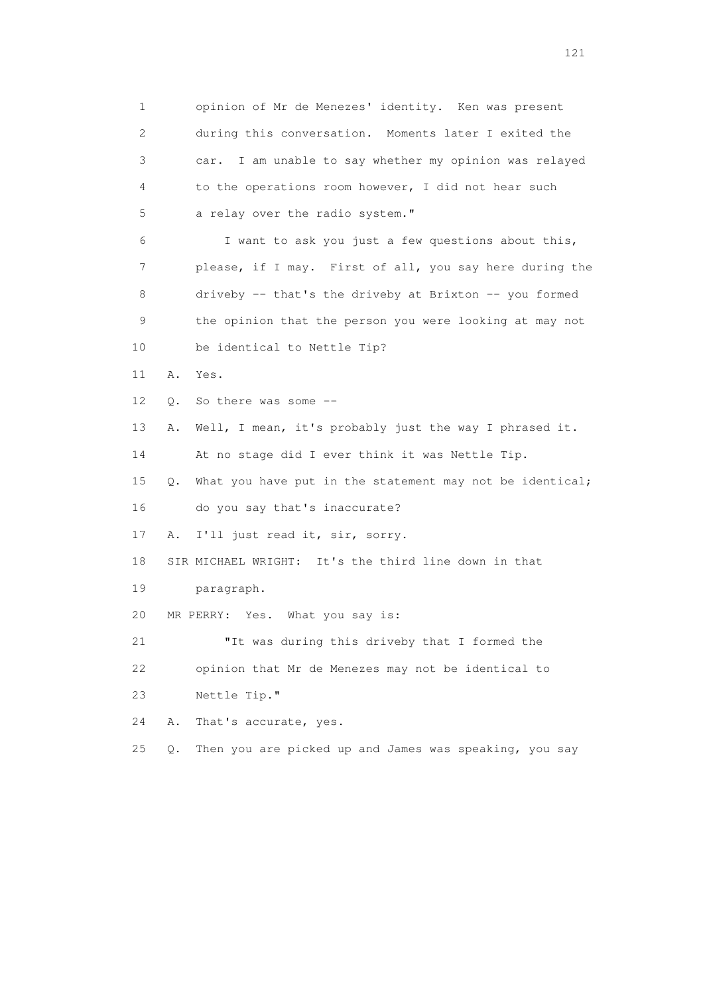1 opinion of Mr de Menezes' identity. Ken was present 2 during this conversation. Moments later I exited the 3 car. I am unable to say whether my opinion was relayed 4 to the operations room however, I did not hear such 5 a relay over the radio system." 6 I want to ask you just a few questions about this, 7 please, if I may. First of all, you say here during the 8 driveby -- that's the driveby at Brixton -- you formed 9 the opinion that the person you were looking at may not 10 be identical to Nettle Tip? 11 A. Yes. 12 Q. So there was some -- 13 A. Well, I mean, it's probably just the way I phrased it. 14 At no stage did I ever think it was Nettle Tip. 15 Q. What you have put in the statement may not be identical; 16 do you say that's inaccurate? 17 A. I'll just read it, sir, sorry. 18 SIR MICHAEL WRIGHT: It's the third line down in that 19 paragraph. 20 MR PERRY: Yes. What you say is: 21 "It was during this driveby that I formed the 22 opinion that Mr de Menezes may not be identical to 23 Nettle Tip." 24 A. That's accurate, yes. 25 Q. Then you are picked up and James was speaking, you say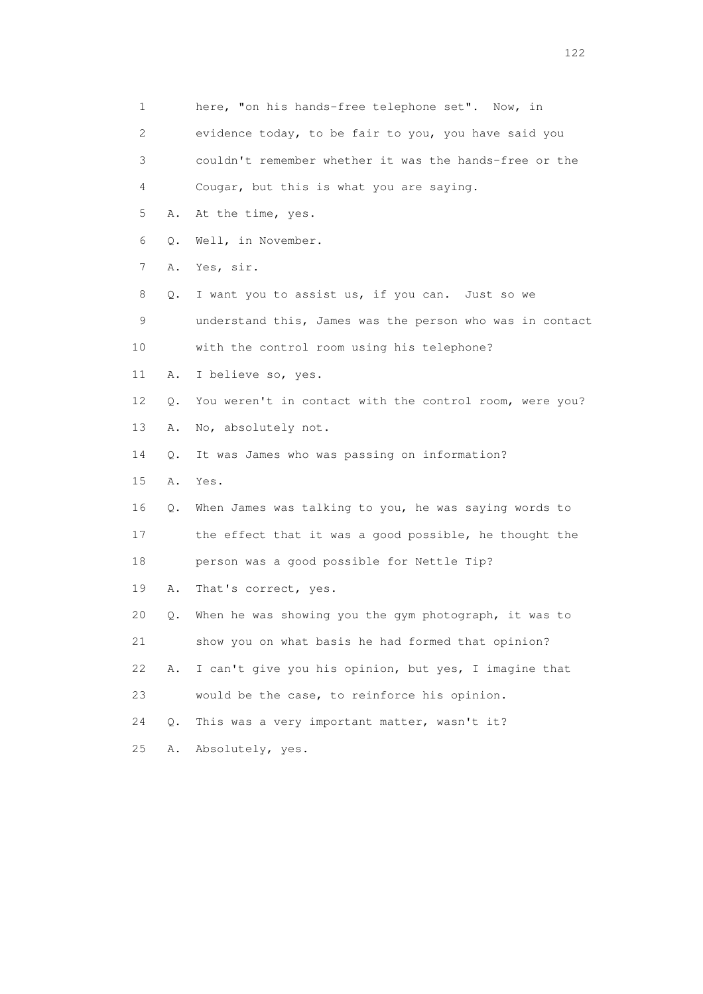1 here, "on his hands-free telephone set". Now, in 2 evidence today, to be fair to you, you have said you 3 couldn't remember whether it was the hands-free or the 4 Cougar, but this is what you are saying. 5 A. At the time, yes. 6 Q. Well, in November. 7 A. Yes, sir. 8 Q. I want you to assist us, if you can. Just so we 9 understand this, James was the person who was in contact 10 with the control room using his telephone? 11 A. I believe so, yes. 12 Q. You weren't in contact with the control room, were you? 13 A. No, absolutely not. 14 Q. It was James who was passing on information? 15 A. Yes. 16 Q. When James was talking to you, he was saying words to 17 the effect that it was a good possible, he thought the 18 person was a good possible for Nettle Tip? 19 A. That's correct, yes. 20 Q. When he was showing you the gym photograph, it was to 21 show you on what basis he had formed that opinion? 22 A. I can't give you his opinion, but yes, I imagine that 23 would be the case, to reinforce his opinion. 24 Q. This was a very important matter, wasn't it? 25 A. Absolutely, yes.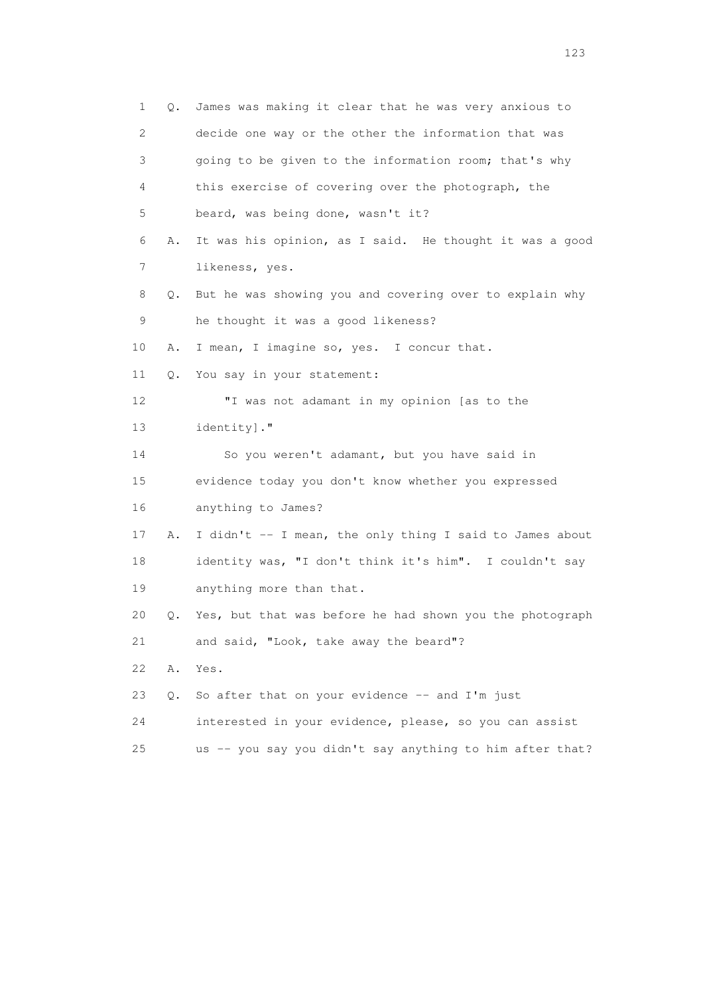1 Q. James was making it clear that he was very anxious to 2 decide one way or the other the information that was 3 going to be given to the information room; that's why 4 this exercise of covering over the photograph, the 5 beard, was being done, wasn't it? 6 A. It was his opinion, as I said. He thought it was a good 7 likeness, yes. 8 Q. But he was showing you and covering over to explain why 9 he thought it was a good likeness? 10 A. I mean, I imagine so, yes. I concur that. 11 Q. You say in your statement: 12 "I was not adamant in my opinion [as to the 13 identity]." 14 So you weren't adamant, but you have said in 15 evidence today you don't know whether you expressed 16 anything to James? 17 A. I didn't -- I mean, the only thing I said to James about 18 identity was, "I don't think it's him". I couldn't say 19 anything more than that. 20 Q. Yes, but that was before he had shown you the photograph 21 and said, "Look, take away the beard"? 22 A. Yes. 23 Q. So after that on your evidence -- and I'm just 24 interested in your evidence, please, so you can assist 25 us -- you say you didn't say anything to him after that?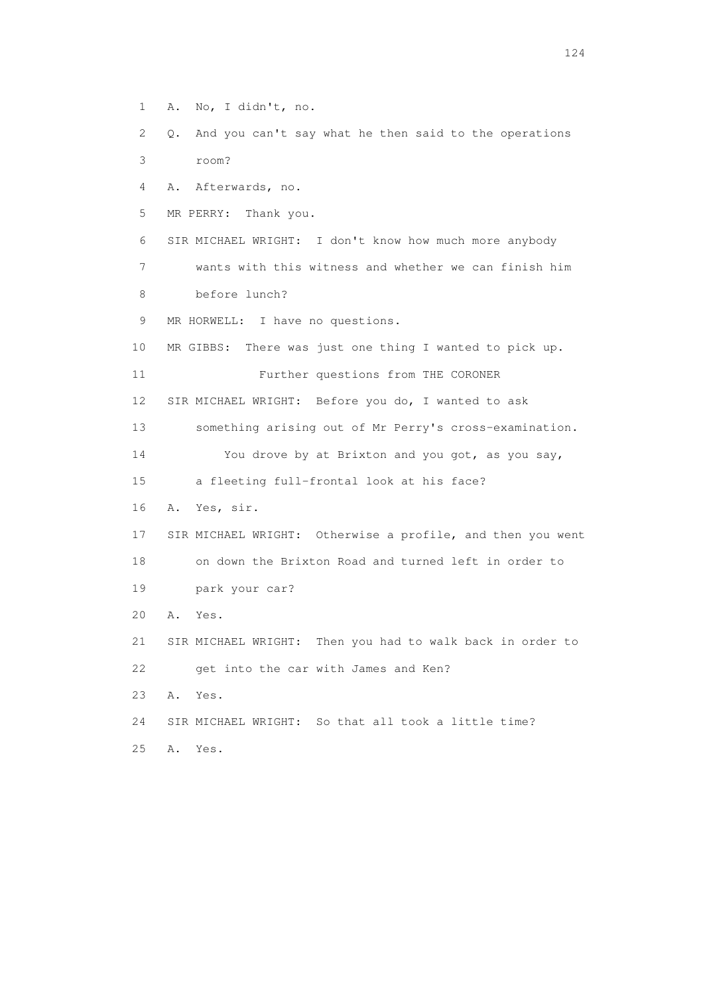1 A. No, I didn't, no.

 2 Q. And you can't say what he then said to the operations 3 room?

4 A. Afterwards, no.

5 MR PERRY: Thank you.

 6 SIR MICHAEL WRIGHT: I don't know how much more anybody 7 wants with this witness and whether we can finish him

8 before lunch?

9 MR HORWELL: I have no questions.

10 MR GIBBS: There was just one thing I wanted to pick up.

11 Further questions from THE CORONER

12 SIR MICHAEL WRIGHT: Before you do, I wanted to ask

13 something arising out of Mr Perry's cross-examination.

14 You drove by at Brixton and you got, as you say,

15 a fleeting full-frontal look at his face?

16 A. Yes, sir.

 17 SIR MICHAEL WRIGHT: Otherwise a profile, and then you went 18 on down the Brixton Road and turned left in order to 19 park your car?

20 A. Yes.

 21 SIR MICHAEL WRIGHT: Then you had to walk back in order to 22 get into the car with James and Ken?

23 A. Yes.

24 SIR MICHAEL WRIGHT: So that all took a little time?

25 A. Yes.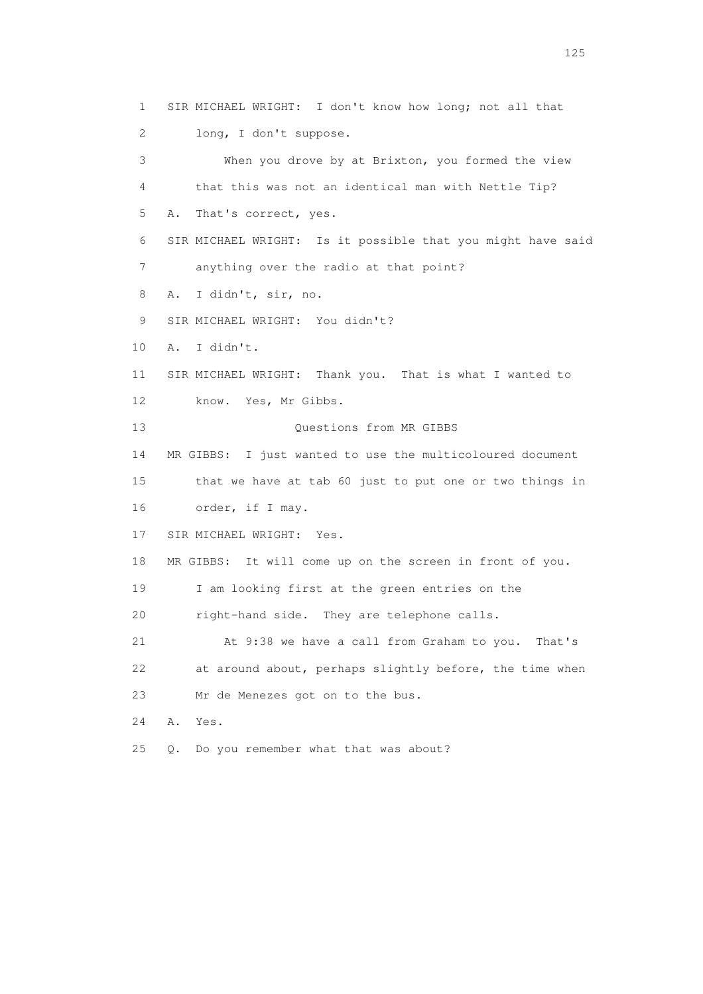1 SIR MICHAEL WRIGHT: I don't know how long; not all that 2 long, I don't suppose. 3 When you drove by at Brixton, you formed the view 4 that this was not an identical man with Nettle Tip? 5 A. That's correct, yes. 6 SIR MICHAEL WRIGHT: Is it possible that you might have said 7 anything over the radio at that point? 8 A. I didn't, sir, no. 9 SIR MICHAEL WRIGHT: You didn't? 10 A. I didn't. 11 SIR MICHAEL WRIGHT: Thank you. That is what I wanted to 12 know. Yes, Mr Gibbs. 13 Ouestions from MR GIBBS 14 MR GIBBS: I just wanted to use the multicoloured document 15 that we have at tab 60 just to put one or two things in 16 order, if I may. 17 SIR MICHAEL WRIGHT: Yes. 18 MR GIBBS: It will come up on the screen in front of you. 19 I am looking first at the green entries on the 20 right-hand side. They are telephone calls. 21 At 9:38 we have a call from Graham to you. That's 22 at around about, perhaps slightly before, the time when 23 Mr de Menezes got on to the bus. 24 A. Yes. 25 Q. Do you remember what that was about?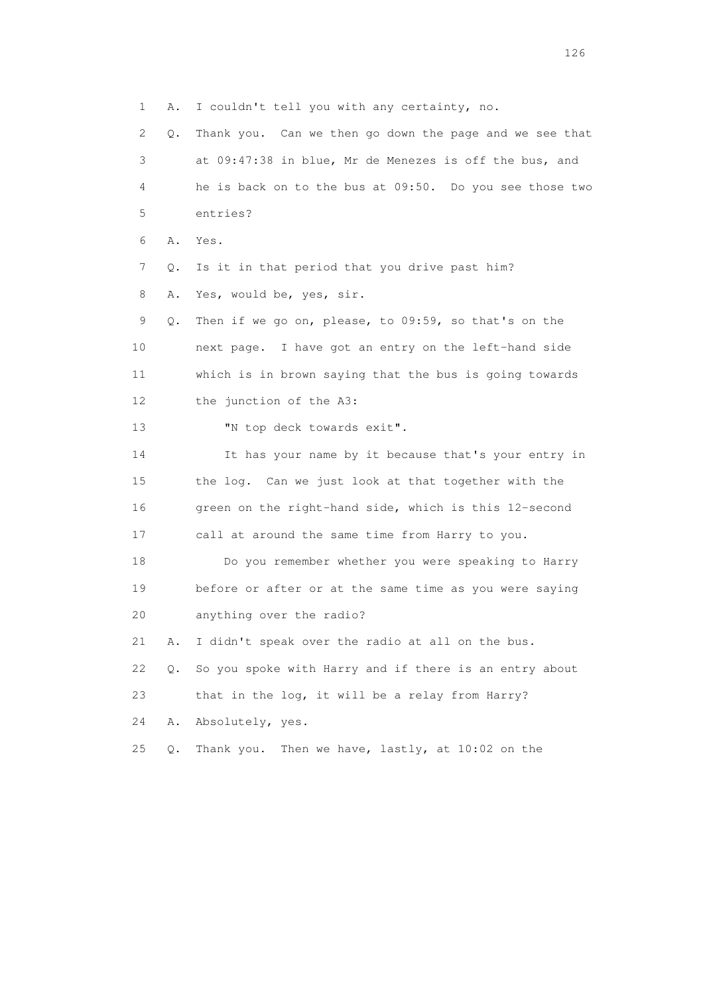1 A. I couldn't tell you with any certainty, no. 2 Q. Thank you. Can we then go down the page and we see that 3 at 09:47:38 in blue, Mr de Menezes is off the bus, and 4 he is back on to the bus at 09:50. Do you see those two 5 entries? 6 A. Yes. 7 Q. Is it in that period that you drive past him? 8 A. Yes, would be, yes, sir. 9 Q. Then if we go on, please, to 09:59, so that's on the 10 next page. I have got an entry on the left-hand side 11 which is in brown saying that the bus is going towards 12 the junction of the A3: 13 "N top deck towards exit". 14 It has your name by it because that's your entry in 15 the log. Can we just look at that together with the 16 green on the right-hand side, which is this 12-second 17 call at around the same time from Harry to you. 18 Do you remember whether you were speaking to Harry 19 before or after or at the same time as you were saying 20 anything over the radio? 21 A. I didn't speak over the radio at all on the bus. 22 Q. So you spoke with Harry and if there is an entry about 23 that in the log, it will be a relay from Harry? 24 A. Absolutely, yes. 25 Q. Thank you. Then we have, lastly, at 10:02 on the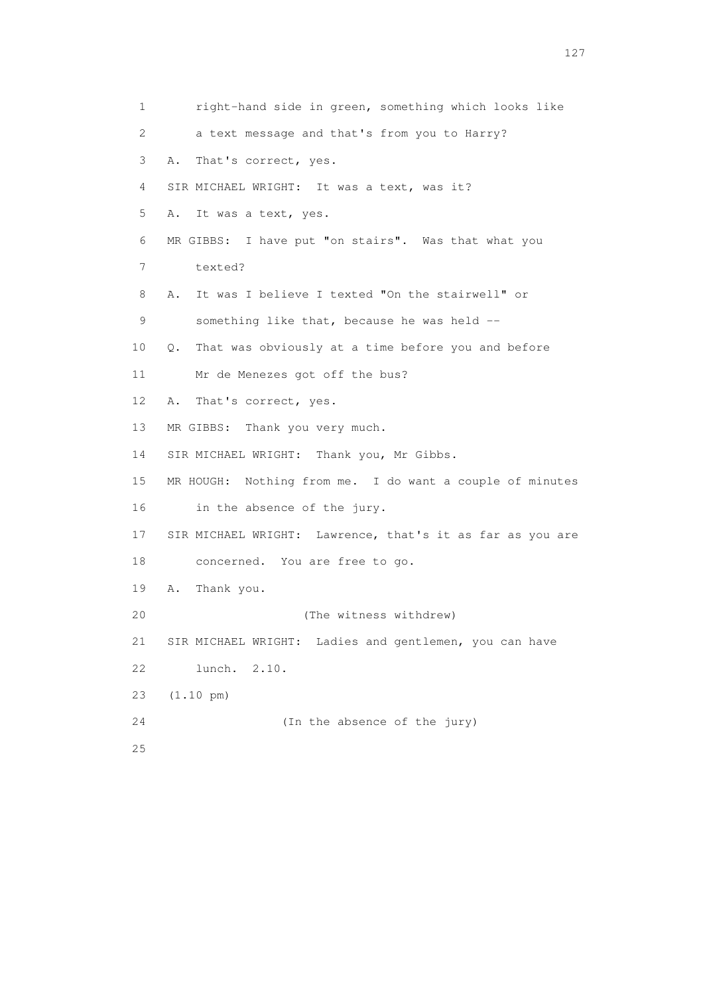1 right-hand side in green, something which looks like 2 a text message and that's from you to Harry? 3 A. That's correct, yes. 4 SIR MICHAEL WRIGHT: It was a text, was it? 5 A. It was a text, yes. 6 MR GIBBS: I have put "on stairs". Was that what you 7 texted? 8 A. It was I believe I texted "On the stairwell" or 9 something like that, because he was held -- 10 Q. That was obviously at a time before you and before 11 Mr de Menezes got off the bus? 12 A. That's correct, yes. 13 MR GIBBS: Thank you very much. 14 SIR MICHAEL WRIGHT: Thank you, Mr Gibbs. 15 MR HOUGH: Nothing from me. I do want a couple of minutes 16 in the absence of the jury. 17 SIR MICHAEL WRIGHT: Lawrence, that's it as far as you are 18 concerned. You are free to go. 19 A. Thank you. 20 (The witness withdrew) 21 SIR MICHAEL WRIGHT: Ladies and gentlemen, you can have 22 lunch. 2.10. 23 (1.10 pm) 24 (In the absence of the jury) 25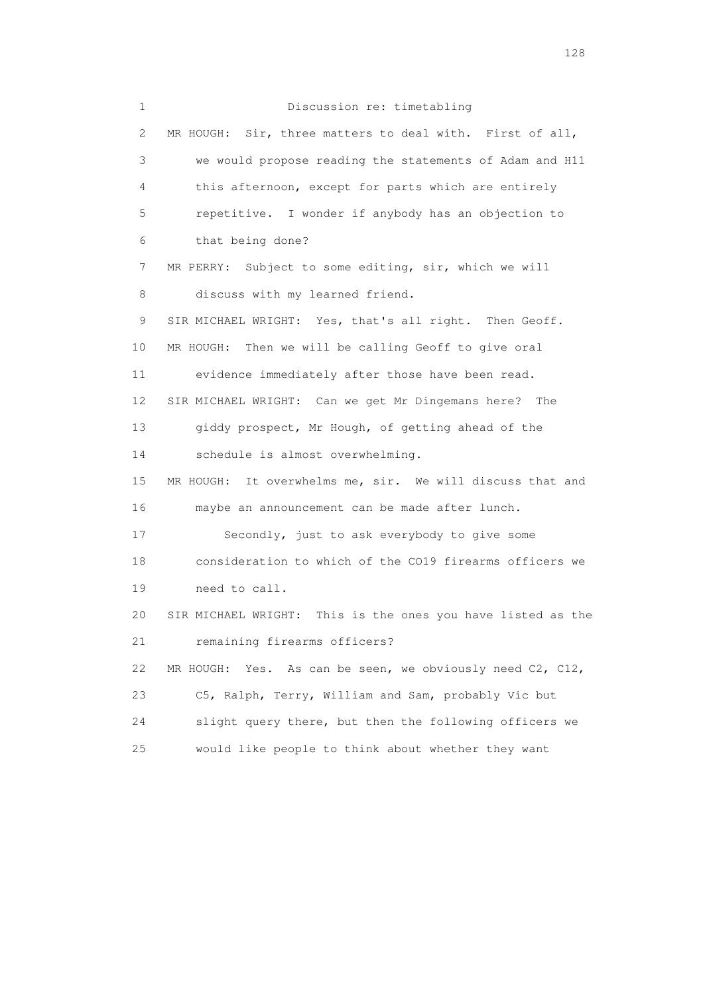1 Discussion re: timetabling 2 MR HOUGH: Sir, three matters to deal with. First of all, 3 we would propose reading the statements of Adam and H11 4 this afternoon, except for parts which are entirely 5 repetitive. I wonder if anybody has an objection to 6 that being done? 7 MR PERRY: Subject to some editing, sir, which we will 8 discuss with my learned friend. 9 SIR MICHAEL WRIGHT: Yes, that's all right. Then Geoff. 10 MR HOUGH: Then we will be calling Geoff to give oral 11 evidence immediately after those have been read. 12 SIR MICHAEL WRIGHT: Can we get Mr Dingemans here? The 13 giddy prospect, Mr Hough, of getting ahead of the 14 schedule is almost overwhelming. 15 MR HOUGH: It overwhelms me, sir. We will discuss that and 16 maybe an announcement can be made after lunch. 17 Secondly, just to ask everybody to give some 18 consideration to which of the CO19 firearms officers we 19 need to call. 20 SIR MICHAEL WRIGHT: This is the ones you have listed as the 21 remaining firearms officers? 22 MR HOUGH: Yes. As can be seen, we obviously need C2, C12, 23 C5, Ralph, Terry, William and Sam, probably Vic but 24 slight query there, but then the following officers we 25 would like people to think about whether they want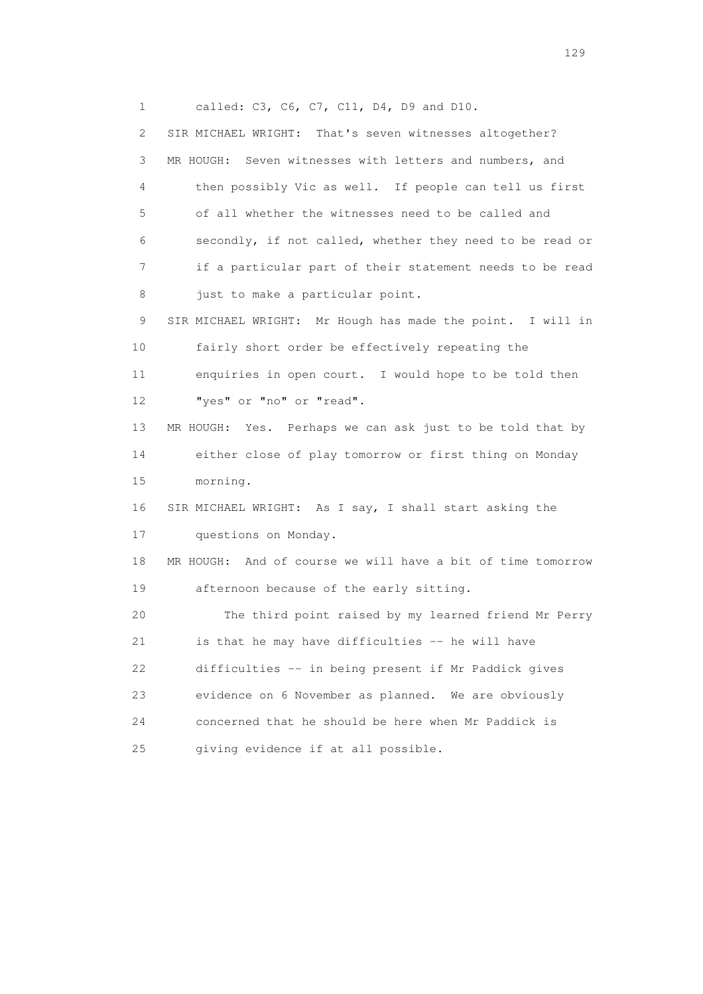1 called: C3, C6, C7, C11, D4, D9 and D10.

 2 SIR MICHAEL WRIGHT: That's seven witnesses altogether? 3 MR HOUGH: Seven witnesses with letters and numbers, and 4 then possibly Vic as well. If people can tell us first 5 of all whether the witnesses need to be called and 6 secondly, if not called, whether they need to be read or 7 if a particular part of their statement needs to be read 8 just to make a particular point. 9 SIR MICHAEL WRIGHT: Mr Hough has made the point. I will in 10 fairly short order be effectively repeating the 11 enquiries in open court. I would hope to be told then 12 "yes" or "no" or "read". 13 MR HOUGH: Yes. Perhaps we can ask just to be told that by 14 either close of play tomorrow or first thing on Monday 15 morning. 16 SIR MICHAEL WRIGHT: As I say, I shall start asking the 17 questions on Monday. 18 MR HOUGH: And of course we will have a bit of time tomorrow 19 afternoon because of the early sitting. 20 The third point raised by my learned friend Mr Perry 21 is that he may have difficulties -- he will have 22 difficulties -- in being present if Mr Paddick gives 23 evidence on 6 November as planned. We are obviously 24 concerned that he should be here when Mr Paddick is 25 giving evidence if at all possible.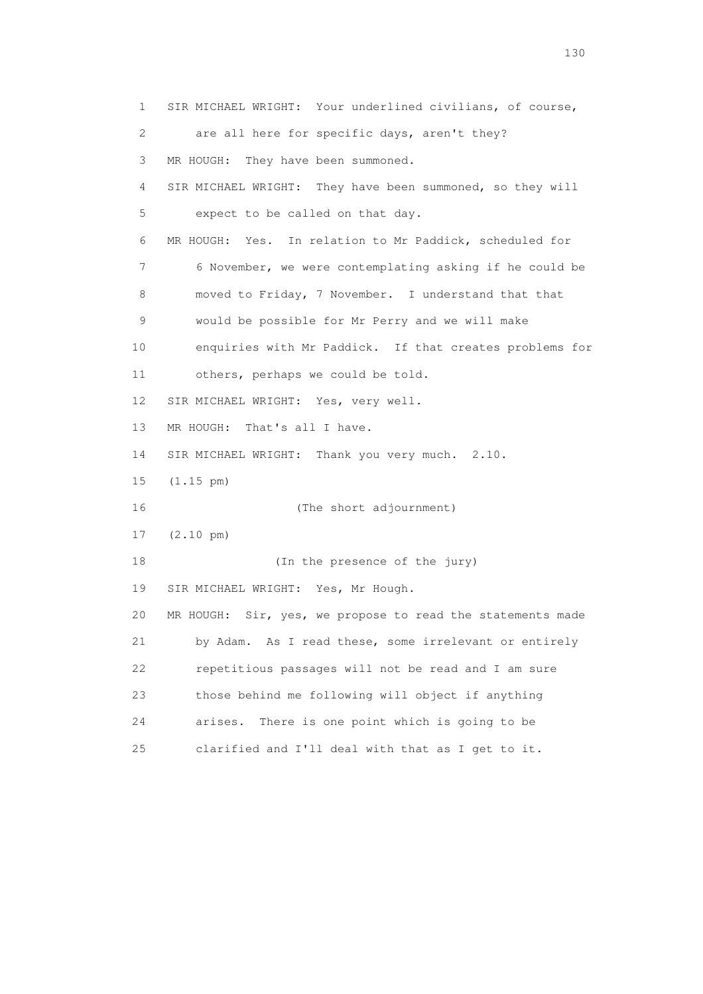1 SIR MICHAEL WRIGHT: Your underlined civilians, of course, 2 are all here for specific days, aren't they? 3 MR HOUGH: They have been summoned. 4 SIR MICHAEL WRIGHT: They have been summoned, so they will 5 expect to be called on that day. 6 MR HOUGH: Yes. In relation to Mr Paddick, scheduled for 7 6 November, we were contemplating asking if he could be 8 moved to Friday, 7 November. I understand that that 9 would be possible for Mr Perry and we will make 10 enquiries with Mr Paddick. If that creates problems for 11 others, perhaps we could be told. 12 SIR MICHAEL WRIGHT: Yes, very well. 13 MR HOUGH: That's all I have. 14 SIR MICHAEL WRIGHT: Thank you very much. 2.10. 15 (1.15 pm) 16 (The short adjournment) 17 (2.10 pm) 18 (In the presence of the jury) 19 SIR MICHAEL WRIGHT: Yes, Mr Hough. 20 MR HOUGH: Sir, yes, we propose to read the statements made 21 by Adam. As I read these, some irrelevant or entirely 22 repetitious passages will not be read and I am sure 23 those behind me following will object if anything 24 arises. There is one point which is going to be 25 clarified and I'll deal with that as I get to it.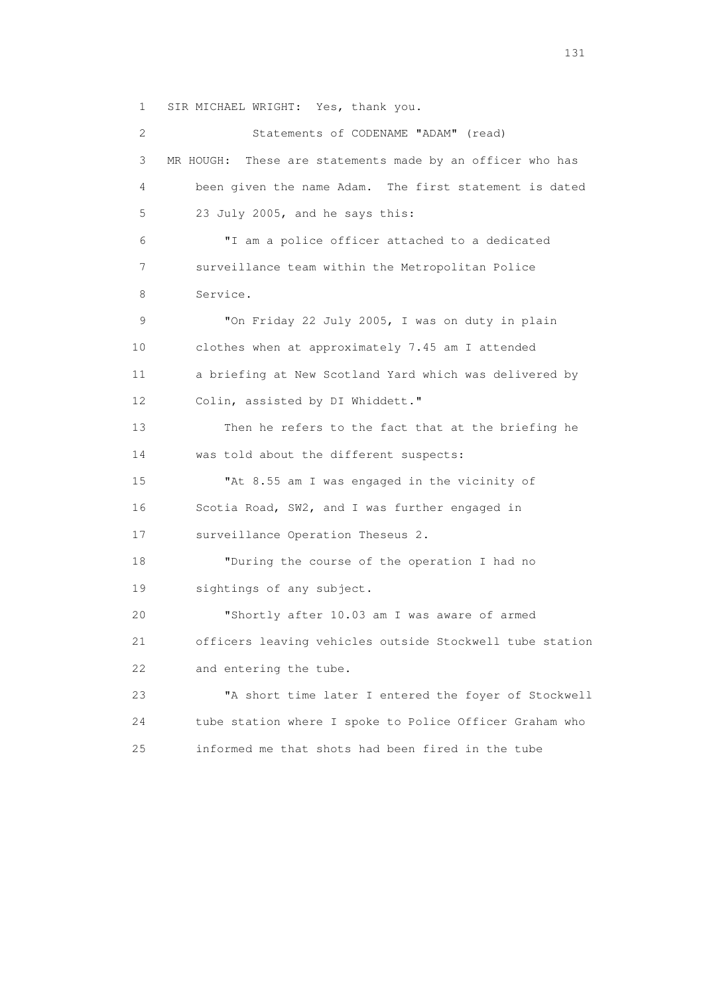1 SIR MICHAEL WRIGHT: Yes, thank you.

 2 Statements of CODENAME "ADAM" (read) 3 MR HOUGH: These are statements made by an officer who has 4 been given the name Adam. The first statement is dated 5 23 July 2005, and he says this: 6 "I am a police officer attached to a dedicated 7 surveillance team within the Metropolitan Police 8 Service. 9 "On Friday 22 July 2005, I was on duty in plain 10 clothes when at approximately 7.45 am I attended 11 a briefing at New Scotland Yard which was delivered by 12 Colin, assisted by DI Whiddett." 13 Then he refers to the fact that at the briefing he 14 was told about the different suspects: 15 "At 8.55 am I was engaged in the vicinity of 16 Scotia Road, SW2, and I was further engaged in 17 surveillance Operation Theseus 2. 18 "During the course of the operation I had no 19 sightings of any subject. 20 "Shortly after 10.03 am I was aware of armed 21 officers leaving vehicles outside Stockwell tube station 22 and entering the tube. 23 "A short time later I entered the foyer of Stockwell 24 tube station where I spoke to Police Officer Graham who 25 informed me that shots had been fired in the tube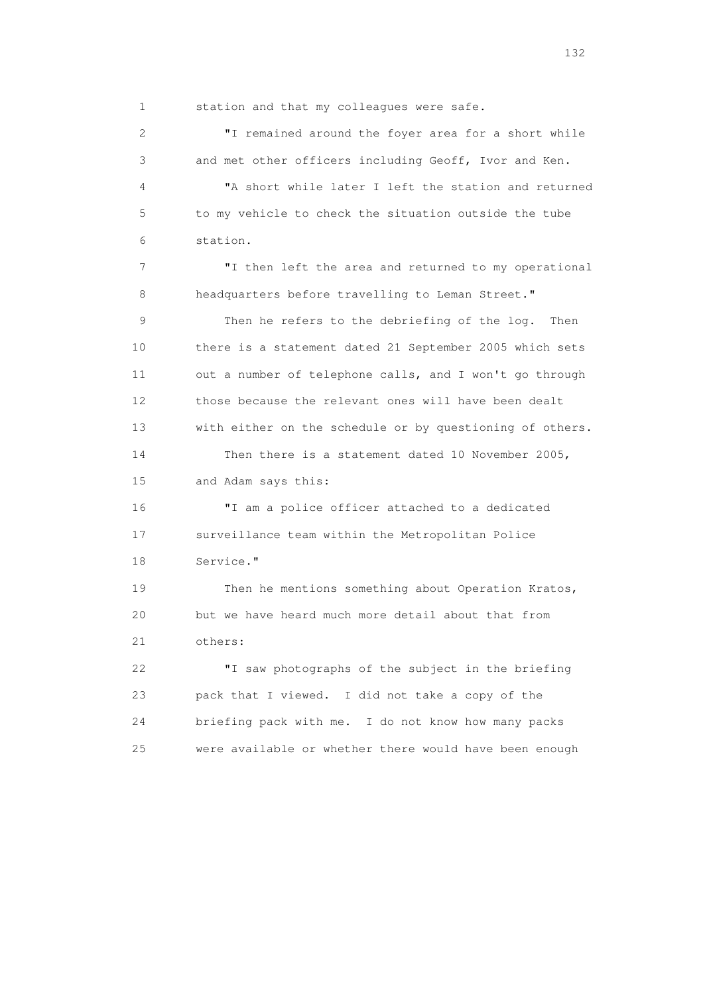1 station and that my colleagues were safe.

 2 "I remained around the foyer area for a short while 3 and met other officers including Geoff, Ivor and Ken. 4 "A short while later I left the station and returned 5 to my vehicle to check the situation outside the tube 6 station. 7 "I then left the area and returned to my operational 8 headquarters before travelling to Leman Street." 9 Then he refers to the debriefing of the log. Then 10 there is a statement dated 21 September 2005 which sets 11 out a number of telephone calls, and I won't go through 12 those because the relevant ones will have been dealt 13 with either on the schedule or by questioning of others. 14 Then there is a statement dated 10 November 2005, 15 and Adam says this: 16 "I am a police officer attached to a dedicated 17 surveillance team within the Metropolitan Police 18 Service." 19 Then he mentions something about Operation Kratos, 20 but we have heard much more detail about that from 21 others: 22 "I saw photographs of the subject in the briefing 23 pack that I viewed. I did not take a copy of the 24 briefing pack with me. I do not know how many packs 25 were available or whether there would have been enough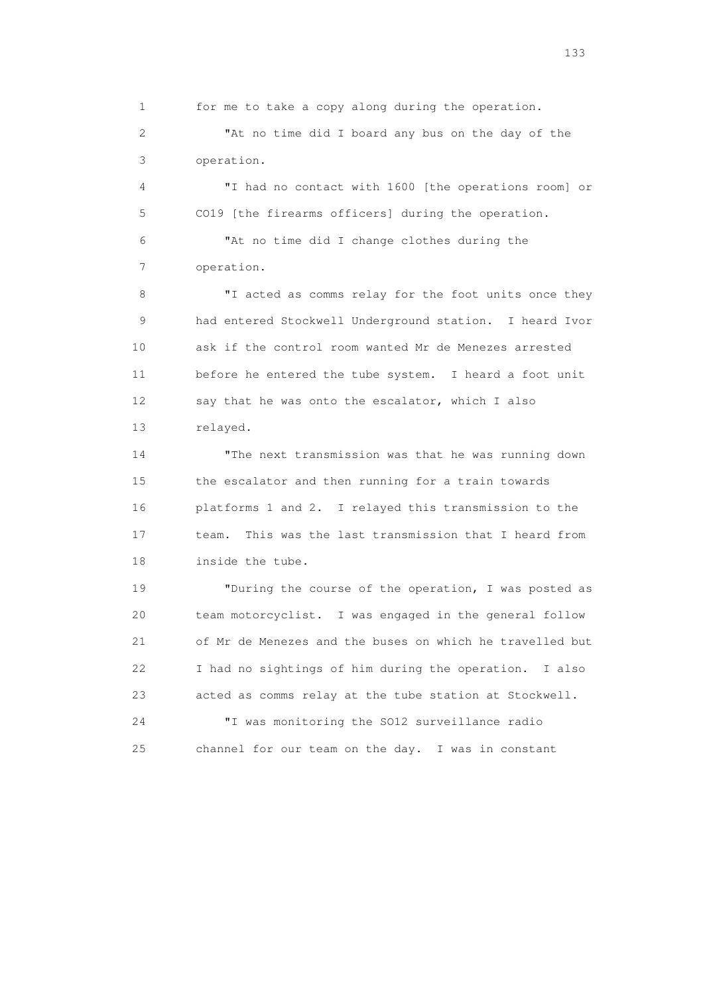1 for me to take a copy along during the operation.

 2 "At no time did I board any bus on the day of the 3 operation.

 4 "I had no contact with 1600 [the operations room] or 5 CO19 [the firearms officers] during the operation.

 6 "At no time did I change clothes during the 7 operation.

 8 "I acted as comms relay for the foot units once they 9 had entered Stockwell Underground station. I heard Ivor 10 ask if the control room wanted Mr de Menezes arrested 11 before he entered the tube system. I heard a foot unit 12 say that he was onto the escalator, which I also 13 relayed.

 14 "The next transmission was that he was running down 15 the escalator and then running for a train towards 16 platforms 1 and 2. I relayed this transmission to the 17 team. This was the last transmission that I heard from 18 inside the tube.

 19 "During the course of the operation, I was posted as 20 team motorcyclist. I was engaged in the general follow 21 of Mr de Menezes and the buses on which he travelled but 22 I had no sightings of him during the operation. I also 23 acted as comms relay at the tube station at Stockwell.

 24 "I was monitoring the SO12 surveillance radio 25 channel for our team on the day. I was in constant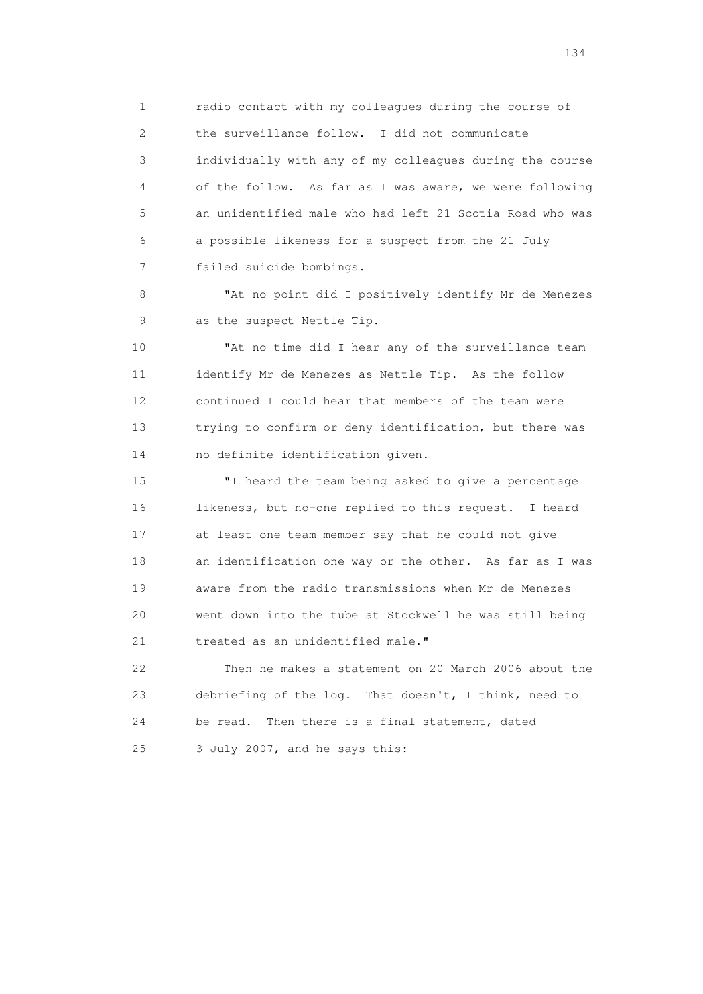1 radio contact with my colleagues during the course of 2 the surveillance follow. I did not communicate 3 individually with any of my colleagues during the course 4 of the follow. As far as I was aware, we were following 5 an unidentified male who had left 21 Scotia Road who was 6 a possible likeness for a suspect from the 21 July 7 failed suicide bombings.

 8 "At no point did I positively identify Mr de Menezes 9 as the suspect Nettle Tip.

 10 "At no time did I hear any of the surveillance team 11 identify Mr de Menezes as Nettle Tip. As the follow 12 continued I could hear that members of the team were 13 trying to confirm or deny identification, but there was 14 no definite identification given.

 15 "I heard the team being asked to give a percentage 16 likeness, but no-one replied to this request. I heard 17 at least one team member say that he could not give 18 an identification one way or the other. As far as I was 19 aware from the radio transmissions when Mr de Menezes 20 went down into the tube at Stockwell he was still being 21 treated as an unidentified male."

 22 Then he makes a statement on 20 March 2006 about the 23 debriefing of the log. That doesn't, I think, need to 24 be read. Then there is a final statement, dated 25 3 July 2007, and he says this: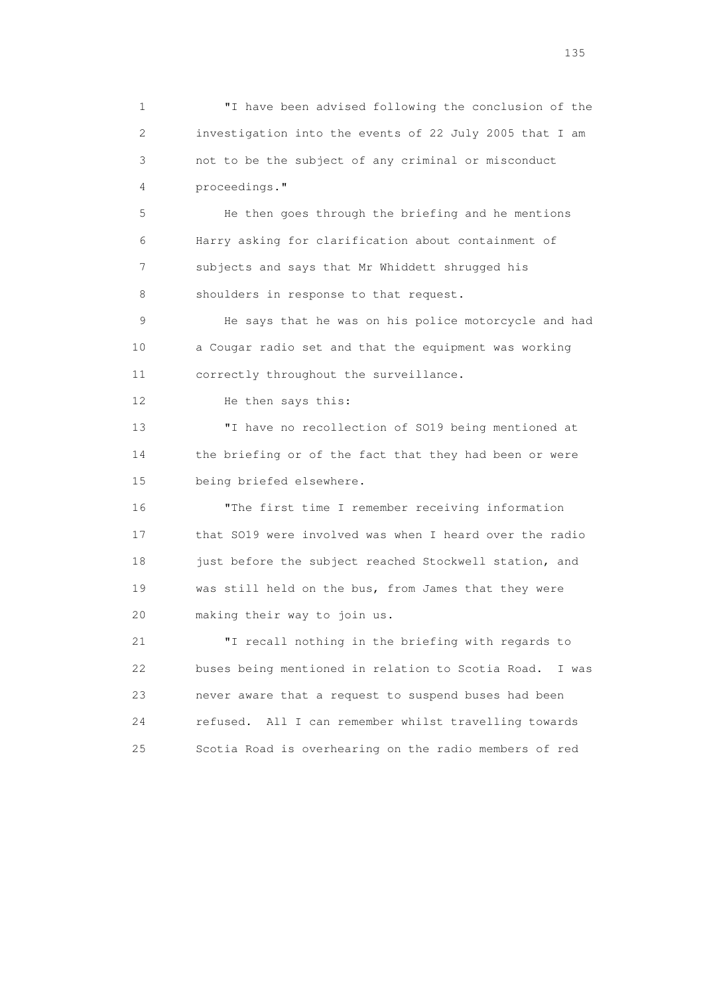1 "I have been advised following the conclusion of the 2 investigation into the events of 22 July 2005 that I am 3 not to be the subject of any criminal or misconduct 4 proceedings."

 5 He then goes through the briefing and he mentions 6 Harry asking for clarification about containment of 7 subjects and says that Mr Whiddett shrugged his 8 shoulders in response to that request.

 9 He says that he was on his police motorcycle and had 10 a Cougar radio set and that the equipment was working 11 correctly throughout the surveillance.

12 He then says this:

 13 "I have no recollection of SO19 being mentioned at 14 the briefing or of the fact that they had been or were 15 being briefed elsewhere.

 16 "The first time I remember receiving information 17 that SO19 were involved was when I heard over the radio 18 just before the subject reached Stockwell station, and 19 was still held on the bus, from James that they were 20 making their way to join us.

 21 "I recall nothing in the briefing with regards to 22 buses being mentioned in relation to Scotia Road. I was 23 never aware that a request to suspend buses had been 24 refused. All I can remember whilst travelling towards 25 Scotia Road is overhearing on the radio members of red

n 135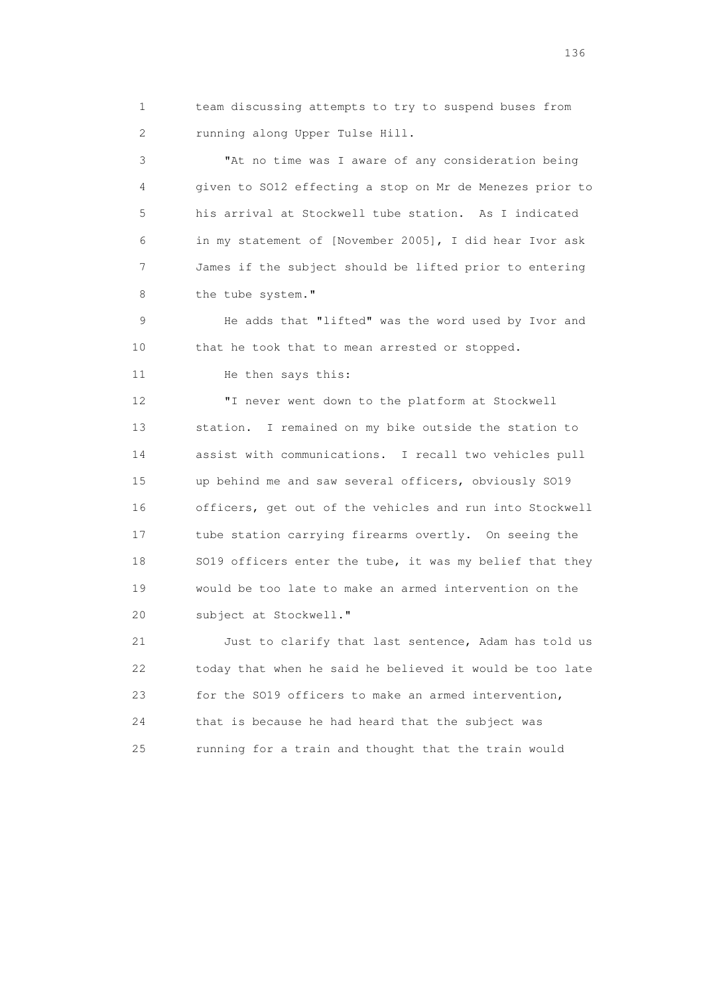1 team discussing attempts to try to suspend buses from 2 running along Upper Tulse Hill.

 3 "At no time was I aware of any consideration being 4 given to SO12 effecting a stop on Mr de Menezes prior to 5 his arrival at Stockwell tube station. As I indicated 6 in my statement of [November 2005], I did hear Ivor ask 7 James if the subject should be lifted prior to entering 8 the tube system."

 9 He adds that "lifted" was the word used by Ivor and 10 that he took that to mean arrested or stopped.

11 He then says this:

 12 "I never went down to the platform at Stockwell 13 station. I remained on my bike outside the station to 14 assist with communications. I recall two vehicles pull 15 up behind me and saw several officers, obviously SO19 16 officers, get out of the vehicles and run into Stockwell 17 tube station carrying firearms overtly. On seeing the 18 SO19 officers enter the tube, it was my belief that they 19 would be too late to make an armed intervention on the 20 subject at Stockwell."

 21 Just to clarify that last sentence, Adam has told us 22 today that when he said he believed it would be too late 23 for the SO19 officers to make an armed intervention, 24 that is because he had heard that the subject was 25 running for a train and thought that the train would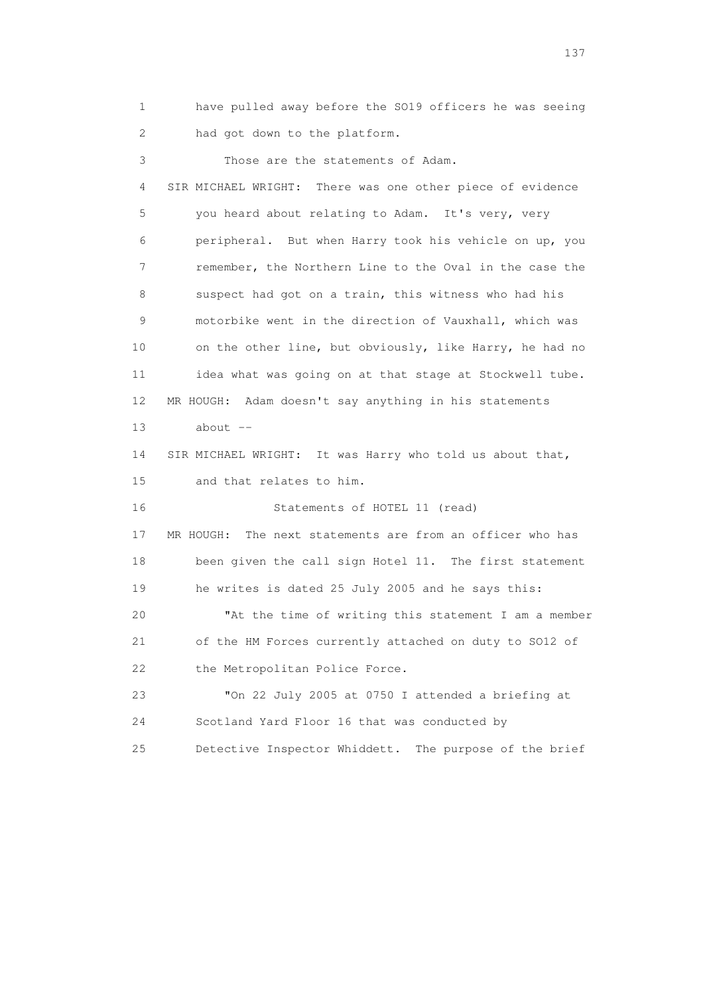1 have pulled away before the SO19 officers he was seeing 2 had got down to the platform.

 3 Those are the statements of Adam. 4 SIR MICHAEL WRIGHT: There was one other piece of evidence 5 you heard about relating to Adam. It's very, very 6 peripheral. But when Harry took his vehicle on up, you 7 remember, the Northern Line to the Oval in the case the 8 suspect had got on a train, this witness who had his 9 motorbike went in the direction of Vauxhall, which was 10 on the other line, but obviously, like Harry, he had no 11 idea what was going on at that stage at Stockwell tube. 12 MR HOUGH: Adam doesn't say anything in his statements  $13$  about  $-$  14 SIR MICHAEL WRIGHT: It was Harry who told us about that, 15 and that relates to him. 16 Statements of HOTEL 11 (read) 17 MR HOUGH: The next statements are from an officer who has 18 been given the call sign Hotel 11. The first statement 19 he writes is dated 25 July 2005 and he says this: 20 "At the time of writing this statement I am a member 21 of the HM Forces currently attached on duty to SO12 of 22 the Metropolitan Police Force. 23 "On 22 July 2005 at 0750 I attended a briefing at 24 Scotland Yard Floor 16 that was conducted by

25 Detective Inspector Whiddett. The purpose of the brief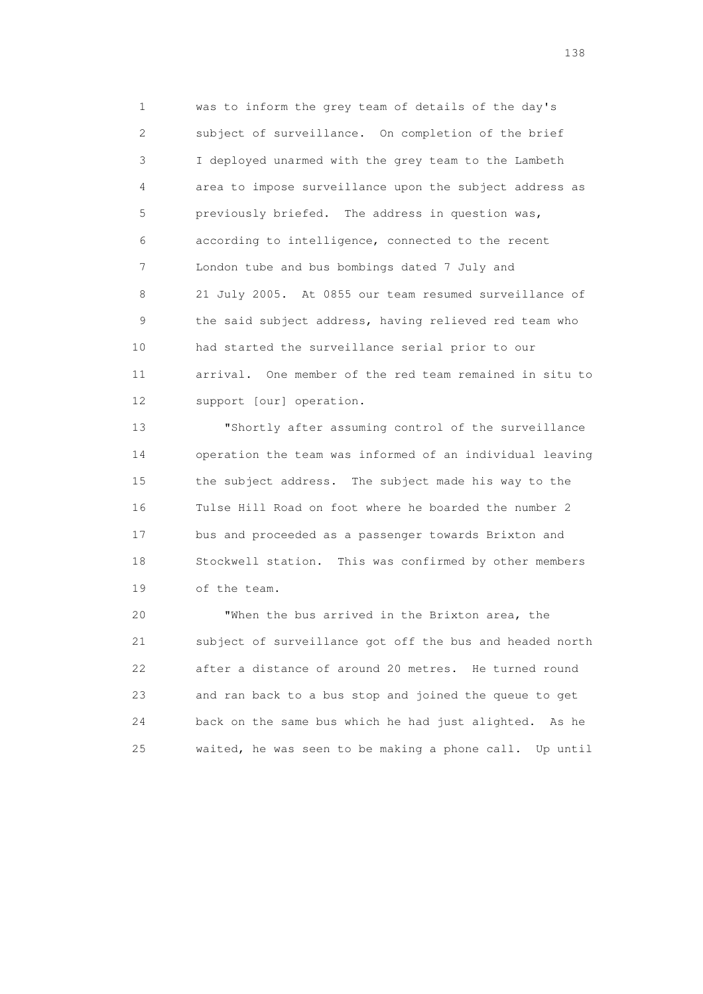1 was to inform the grey team of details of the day's 2 subject of surveillance. On completion of the brief 3 I deployed unarmed with the grey team to the Lambeth 4 area to impose surveillance upon the subject address as 5 previously briefed. The address in question was, 6 according to intelligence, connected to the recent 7 London tube and bus bombings dated 7 July and 8 21 July 2005. At 0855 our team resumed surveillance of 9 the said subject address, having relieved red team who 10 had started the surveillance serial prior to our 11 arrival. One member of the red team remained in situ to 12 support [our] operation.

 13 "Shortly after assuming control of the surveillance 14 operation the team was informed of an individual leaving 15 the subject address. The subject made his way to the 16 Tulse Hill Road on foot where he boarded the number 2 17 bus and proceeded as a passenger towards Brixton and 18 Stockwell station. This was confirmed by other members 19 of the team.

 20 "When the bus arrived in the Brixton area, the 21 subject of surveillance got off the bus and headed north 22 after a distance of around 20 metres. He turned round 23 and ran back to a bus stop and joined the queue to get 24 back on the same bus which he had just alighted. As he 25 waited, he was seen to be making a phone call. Up until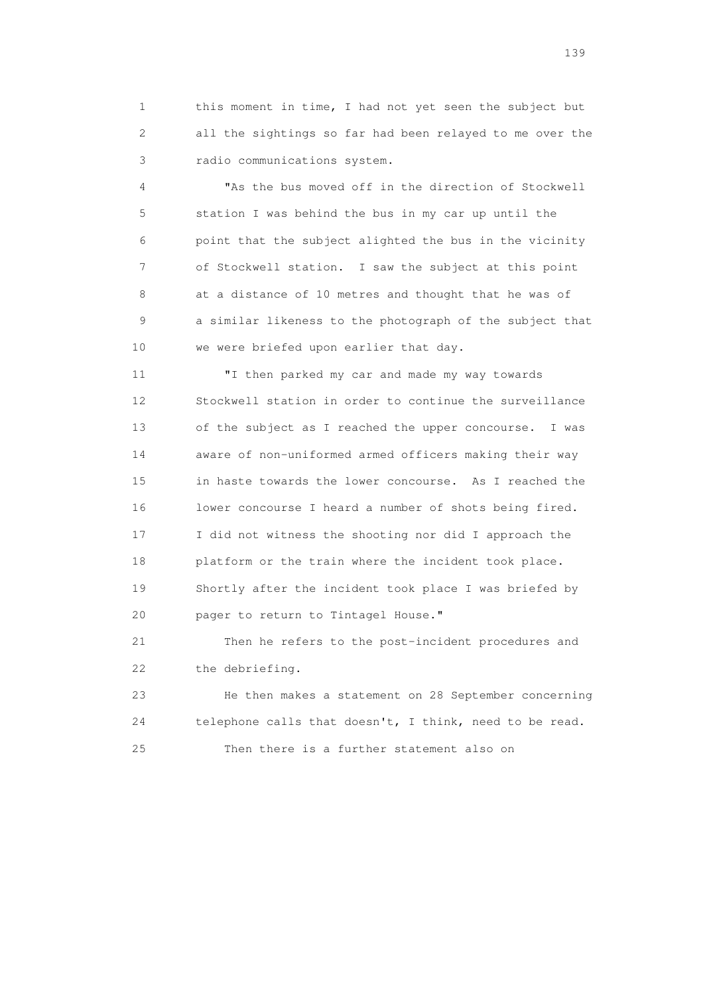1 this moment in time, I had not yet seen the subject but 2 all the sightings so far had been relayed to me over the 3 radio communications system.

 4 "As the bus moved off in the direction of Stockwell 5 station I was behind the bus in my car up until the 6 point that the subject alighted the bus in the vicinity 7 of Stockwell station. I saw the subject at this point 8 at a distance of 10 metres and thought that he was of 9 a similar likeness to the photograph of the subject that 10 we were briefed upon earlier that day.

 11 "I then parked my car and made my way towards 12 Stockwell station in order to continue the surveillance 13 of the subject as I reached the upper concourse. I was 14 aware of non-uniformed armed officers making their way 15 in haste towards the lower concourse. As I reached the 16 lower concourse I heard a number of shots being fired. 17 I did not witness the shooting nor did I approach the 18 platform or the train where the incident took place. 19 Shortly after the incident took place I was briefed by 20 pager to return to Tintagel House."

 21 Then he refers to the post-incident procedures and 22 the debriefing.

 23 He then makes a statement on 28 September concerning 24 telephone calls that doesn't, I think, need to be read. 25 Then there is a further statement also on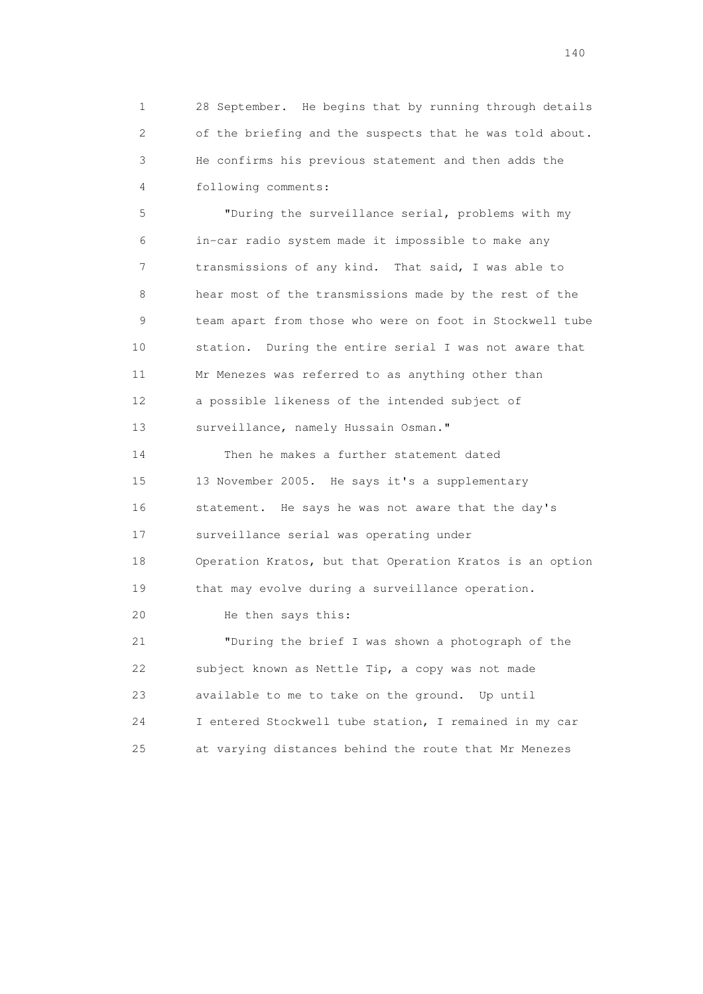1 28 September. He begins that by running through details 2 of the briefing and the suspects that he was told about. 3 He confirms his previous statement and then adds the 4 following comments:

 5 "During the surveillance serial, problems with my 6 in-car radio system made it impossible to make any 7 transmissions of any kind. That said, I was able to 8 hear most of the transmissions made by the rest of the 9 team apart from those who were on foot in Stockwell tube 10 station. During the entire serial I was not aware that 11 Mr Menezes was referred to as anything other than 12 a possible likeness of the intended subject of 13 surveillance, namely Hussain Osman."

 14 Then he makes a further statement dated 15 13 November 2005. He says it's a supplementary 16 statement. He says he was not aware that the day's 17 surveillance serial was operating under 18 Operation Kratos, but that Operation Kratos is an option 19 that may evolve during a surveillance operation. 20 He then says this: 21 "During the brief I was shown a photograph of the 22 subject known as Nettle Tip, a copy was not made 23 available to me to take on the ground. Up until 24 I entered Stockwell tube station, I remained in my car 25 at varying distances behind the route that Mr Menezes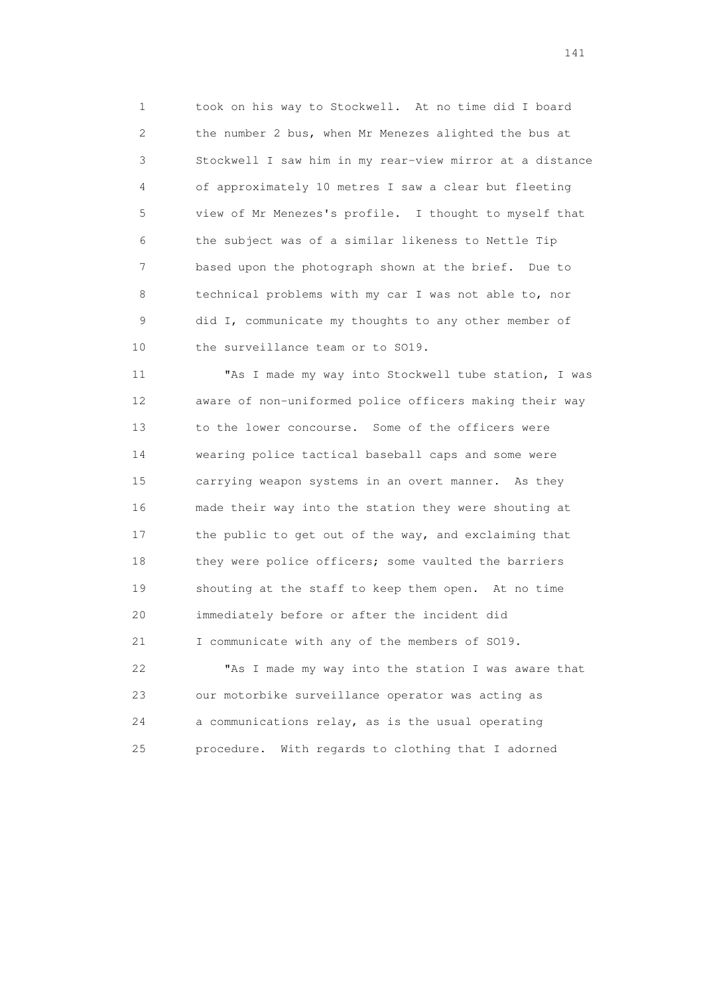1 took on his way to Stockwell. At no time did I board 2 the number 2 bus, when Mr Menezes alighted the bus at 3 Stockwell I saw him in my rear-view mirror at a distance 4 of approximately 10 metres I saw a clear but fleeting 5 view of Mr Menezes's profile. I thought to myself that 6 the subject was of a similar likeness to Nettle Tip 7 based upon the photograph shown at the brief. Due to 8 technical problems with my car I was not able to, nor 9 did I, communicate my thoughts to any other member of 10 the surveillance team or to SO19.

 11 "As I made my way into Stockwell tube station, I was 12 aware of non-uniformed police officers making their way 13 to the lower concourse. Some of the officers were 14 wearing police tactical baseball caps and some were 15 carrying weapon systems in an overt manner. As they 16 made their way into the station they were shouting at 17 the public to get out of the way, and exclaiming that 18 they were police officers; some vaulted the barriers 19 shouting at the staff to keep them open. At no time 20 immediately before or after the incident did 21 I communicate with any of the members of SO19.

 22 "As I made my way into the station I was aware that 23 our motorbike surveillance operator was acting as 24 a communications relay, as is the usual operating 25 procedure. With regards to clothing that I adorned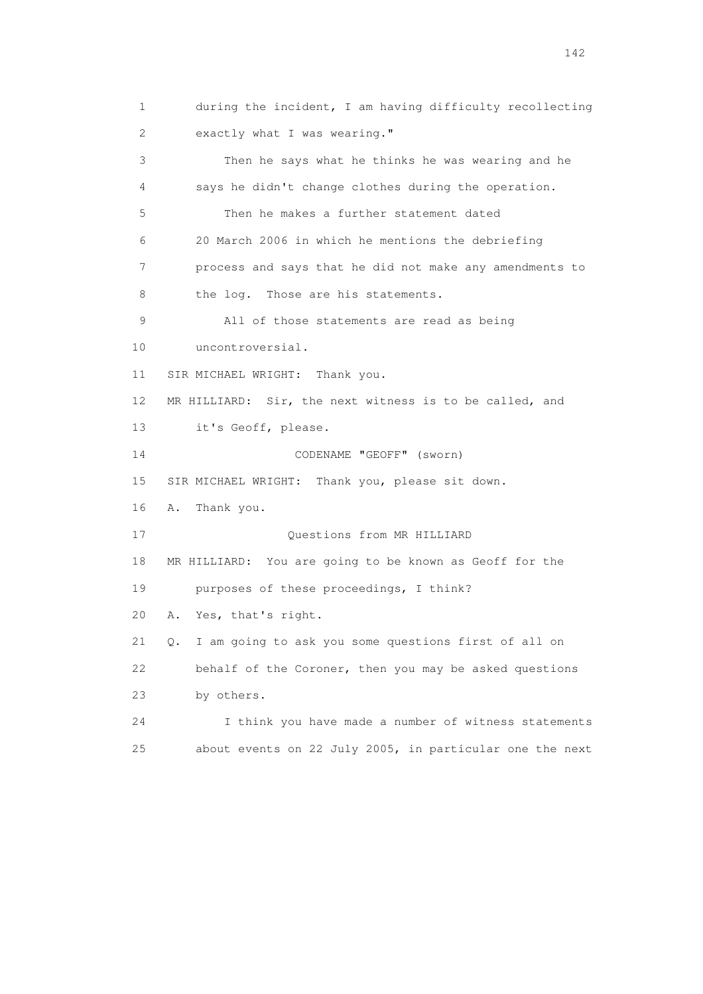1 during the incident, I am having difficulty recollecting 2 exactly what I was wearing." 3 Then he says what he thinks he was wearing and he 4 says he didn't change clothes during the operation. 5 Then he makes a further statement dated 6 20 March 2006 in which he mentions the debriefing 7 process and says that he did not make any amendments to 8 the log. Those are his statements. 9 All of those statements are read as being 10 uncontroversial. 11 SIR MICHAEL WRIGHT: Thank you. 12 MR HILLIARD: Sir, the next witness is to be called, and 13 it's Geoff, please. 14 CODENAME "GEOFF" (sworn) 15 SIR MICHAEL WRIGHT: Thank you, please sit down. 16 A. Thank you. 17 Ouestions from MR HILLIARD 18 MR HILLIARD: You are going to be known as Geoff for the 19 purposes of these proceedings, I think? 20 A. Yes, that's right. 21 Q. I am going to ask you some questions first of all on 22 behalf of the Coroner, then you may be asked questions 23 by others. 24 I think you have made a number of witness statements 25 about events on 22 July 2005, in particular one the next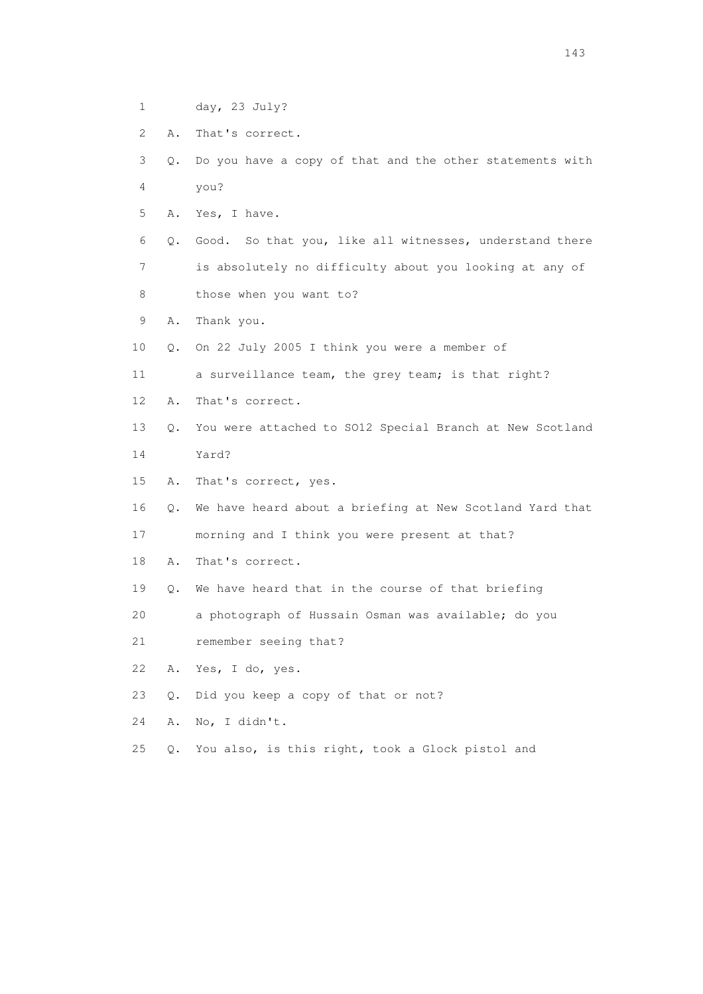- 1 day, 23 July?
- 2 A. That's correct.
- 3 Q. Do you have a copy of that and the other statements with 4 you?
- 5 A. Yes, I have.
- 6 Q. Good. So that you, like all witnesses, understand there 7 is absolutely no difficulty about you looking at any of
- 8 those when you want to?
- 9 A. Thank you.
- 10 Q. On 22 July 2005 I think you were a member of
- 11 a surveillance team, the grey team; is that right?
- 12 A. That's correct.
- 13 Q. You were attached to SO12 Special Branch at New Scotland
- 14 Yard?
- 15 A. That's correct, yes.
- 16 Q. We have heard about a briefing at New Scotland Yard that
- 17 morning and I think you were present at that?
- 18 A. That's correct.
- 19 Q. We have heard that in the course of that briefing
- 20 a photograph of Hussain Osman was available; do you
- 21 remember seeing that?
- 22 A. Yes, I do, yes.
- 23 Q. Did you keep a copy of that or not?

- 24 A. No, I didn't.
- 25 Q. You also, is this right, took a Glock pistol and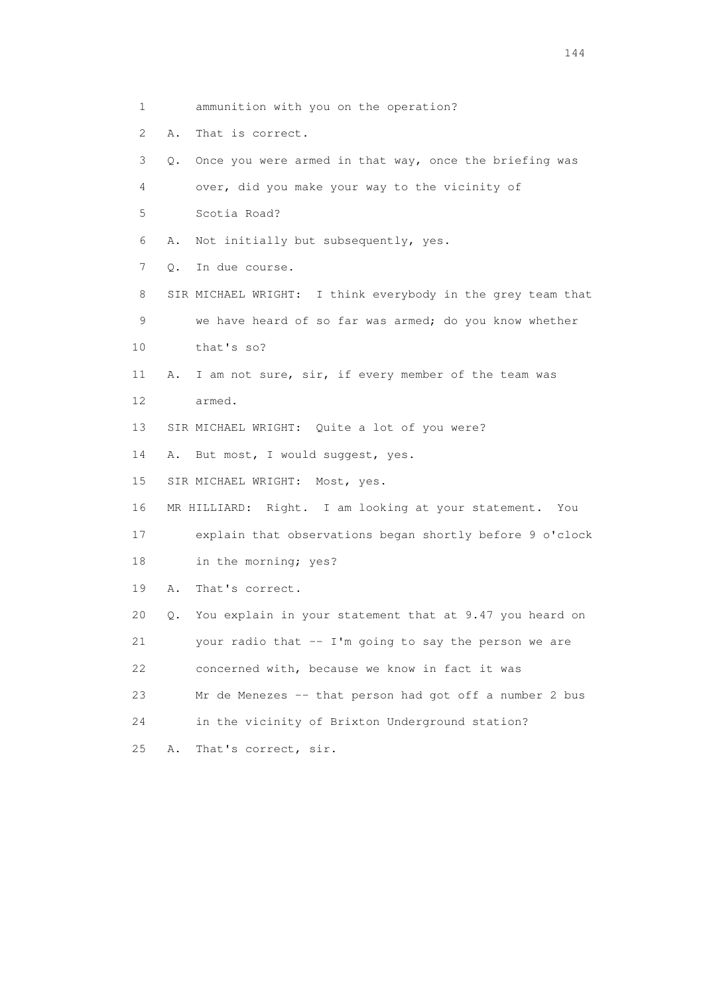2 A. That is correct. 3 Q. Once you were armed in that way, once the briefing was 4 over, did you make your way to the vicinity of 5 Scotia Road? 6 A. Not initially but subsequently, yes. 7 Q. In due course. 8 SIR MICHAEL WRIGHT: I think everybody in the grey team that 9 we have heard of so far was armed; do you know whether 10 that's so? 11 A. I am not sure, sir, if every member of the team was 12 armed. 13 SIR MICHAEL WRIGHT: Quite a lot of you were? 14 A. But most, I would suggest, yes. 15 SIR MICHAEL WRIGHT: Most, yes. 16 MR HILLIARD: Right. I am looking at your statement. You 17 explain that observations began shortly before 9 o'clock 18 in the morning; yes? 19 A. That's correct. 20 Q. You explain in your statement that at 9.47 you heard on 21 your radio that -- I'm going to say the person we are 22 concerned with, because we know in fact it was 23 Mr de Menezes -- that person had got off a number 2 bus 24 in the vicinity of Brixton Underground station?

1 ammunition with you on the operation?

25 A. That's correct, sir.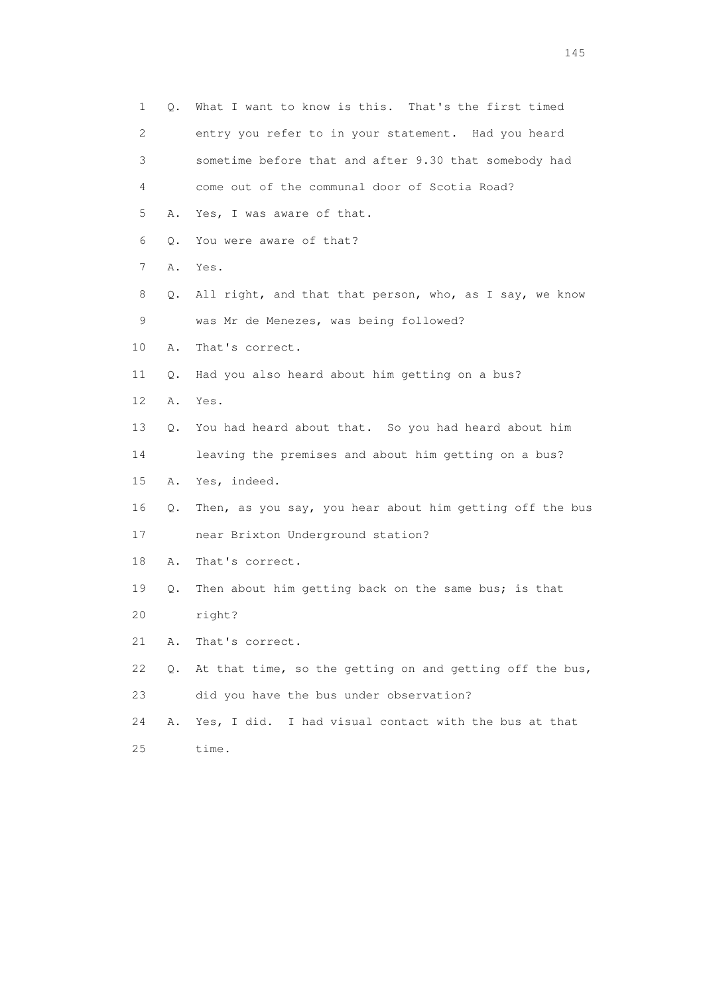| 1  | Q. | What I want to know is this. That's the first timed      |
|----|----|----------------------------------------------------------|
| 2  |    | entry you refer to in your statement. Had you heard      |
| 3  |    | sometime before that and after 9.30 that somebody had    |
| 4  |    | come out of the communal door of Scotia Road?            |
| 5  | Α. | Yes, I was aware of that.                                |
| 6  | Q. | You were aware of that?                                  |
| 7  | Α. | Yes.                                                     |
| 8  | Q. | All right, and that that person, who, as I say, we know  |
| 9  |    | was Mr de Menezes, was being followed?                   |
| 10 | Α. | That's correct.                                          |
| 11 | Q. | Had you also heard about him getting on a bus?           |
| 12 | Α. | Yes.                                                     |
| 13 | Q. | You had heard about that. So you had heard about him     |
| 14 |    | leaving the premises and about him getting on a bus?     |
| 15 | A. | Yes, indeed.                                             |
| 16 | Q. | Then, as you say, you hear about him getting off the bus |
| 17 |    | near Brixton Underground station?                        |
| 18 | Α. | That's correct.                                          |
| 19 | Q. | Then about him getting back on the same bus; is that     |
| 20 |    | right?                                                   |
| 21 | Α. | That's correct.                                          |
| 22 | Q. | At that time, so the getting on and getting off the bus, |
| 23 |    | did you have the bus under observation?                  |
| 24 | Α. | Yes, I did. I had visual contact with the bus at that    |
| 25 |    | time.                                                    |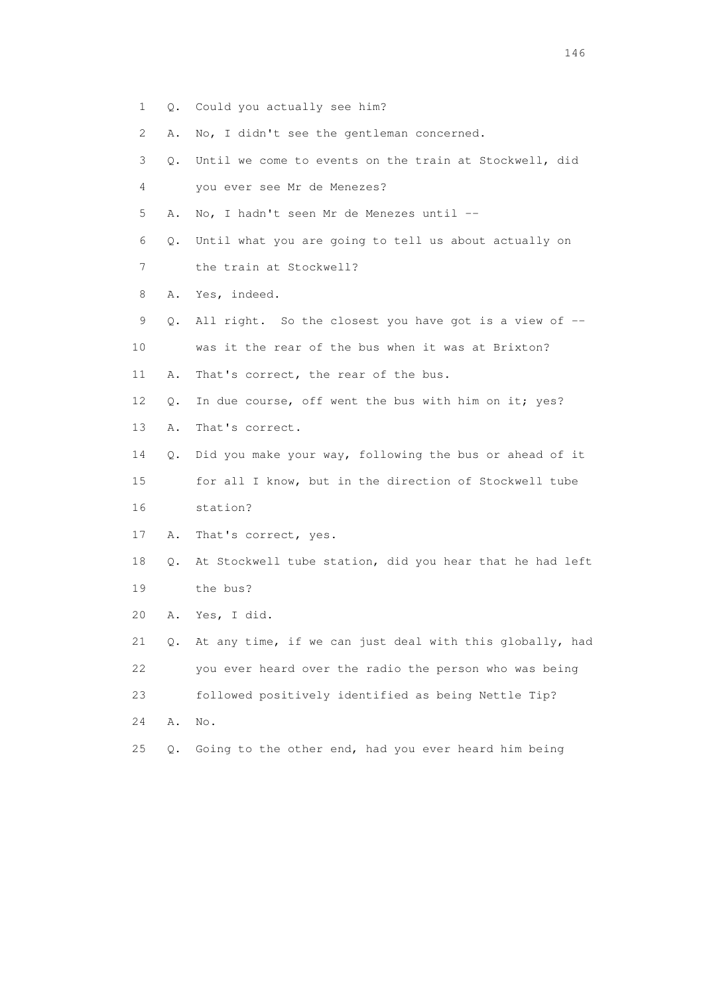- 1 Q. Could you actually see him?
- 2 A. No, I didn't see the gentleman concerned.
- 3 Q. Until we come to events on the train at Stockwell, did 4 you ever see Mr de Menezes?
- 5 A. No, I hadn't seen Mr de Menezes until --
- 6 Q. Until what you are going to tell us about actually on
- 7 the train at Stockwell?
- 8 A. Yes, indeed.
- 9 Q. All right. So the closest you have got is a view of --
- 10 was it the rear of the bus when it was at Brixton?
- 11 A. That's correct, the rear of the bus.
- 12 Q. In due course, off went the bus with him on it; yes?
- 13 A. That's correct.
- 14 Q. Did you make your way, following the bus or ahead of it 15 for all I know, but in the direction of Stockwell tube 16 station?
- 17 A. That's correct, yes.
- 18 Q. At Stockwell tube station, did you hear that he had left 19 the bus?
- 20 A. Yes, I did.
- 21 Q. At any time, if we can just deal with this globally, had 22 you ever heard over the radio the person who was being 23 followed positively identified as being Nettle Tip? 24 A. No.
- 25 Q. Going to the other end, had you ever heard him being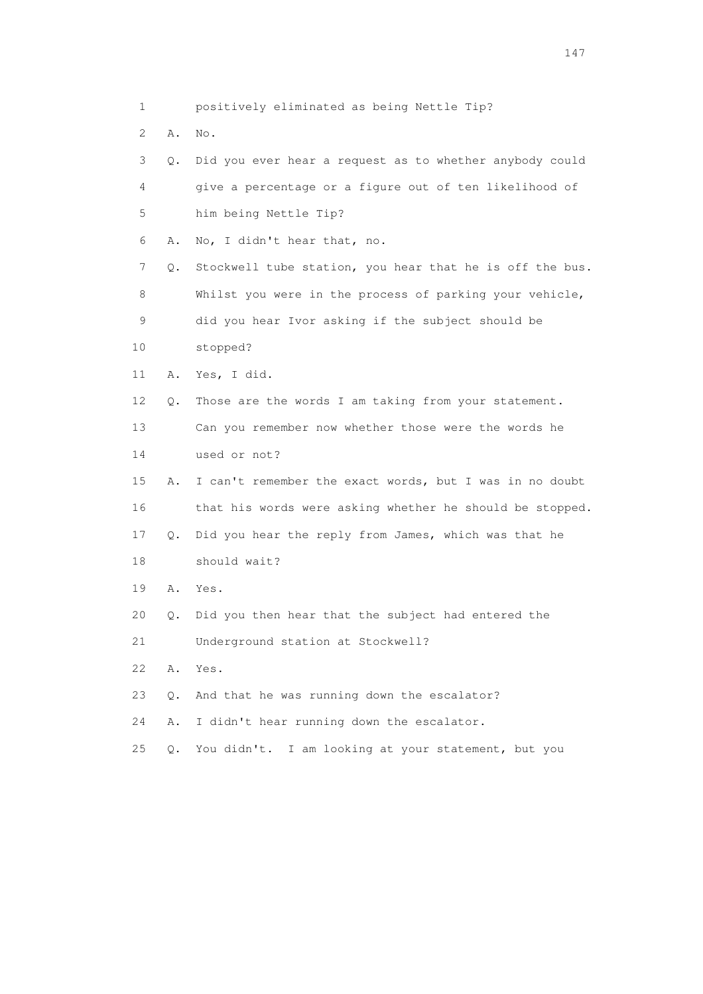1 positively eliminated as being Nettle Tip? 2 A. No. 3 Q. Did you ever hear a request as to whether anybody could

 4 give a percentage or a figure out of ten likelihood of 5 him being Nettle Tip? 6 A. No, I didn't hear that, no. 7 Q. Stockwell tube station, you hear that he is off the bus. 8 Whilst you were in the process of parking your vehicle, 9 did you hear Ivor asking if the subject should be 10 stopped? 11 A. Yes, I did. 12 Q. Those are the words I am taking from your statement. 13 Can you remember now whether those were the words he 14 used or not? 15 A. I can't remember the exact words, but I was in no doubt 16 that his words were asking whether he should be stopped. 17 Q. Did you hear the reply from James, which was that he 18 should wait? 19 A. Yes. 20 Q. Did you then hear that the subject had entered the 21 Underground station at Stockwell? 22 A. Yes. 23 Q. And that he was running down the escalator? 24 A. I didn't hear running down the escalator.

25 Q. You didn't. I am looking at your statement, but you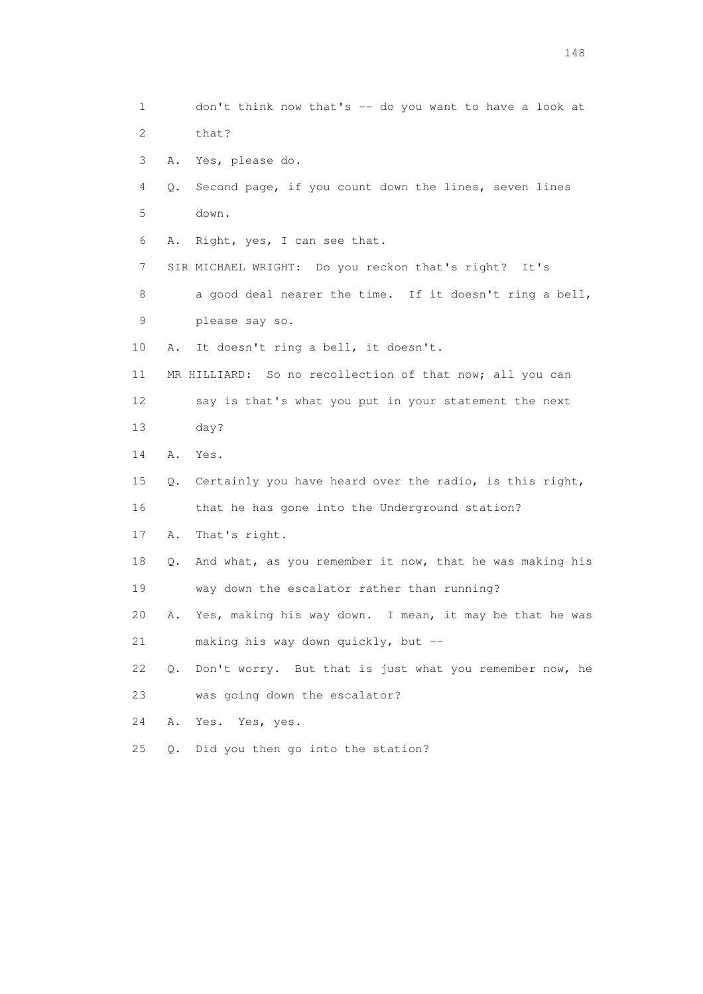1 don't think now that's -- do you want to have a look at 2 that? 3 A. Yes, please do. 4 Q. Second page, if you count down the lines, seven lines 5 down. 6 A. Right, yes, I can see that. 7 SIR MICHAEL WRIGHT: Do you reckon that's right? It's 8 a good deal nearer the time. If it doesn't ring a bell, 9 please say so. 10 A. It doesn't ring a bell, it doesn't. 11 MR HILLIARD: So no recollection of that now; all you can 12 say is that's what you put in your statement the next 13 day? 14 A. Yes. 15 Q. Certainly you have heard over the radio, is this right, 16 that he has gone into the Underground station? 17 A. That's right. 18 Q. And what, as you remember it now, that he was making his 19 way down the escalator rather than running? 20 A. Yes, making his way down. I mean, it may be that he was 21 making his way down quickly, but -- 22 Q. Don't worry. But that is just what you remember now, he 23 was going down the escalator? 24 A. Yes. Yes, yes. 25 Q. Did you then go into the station?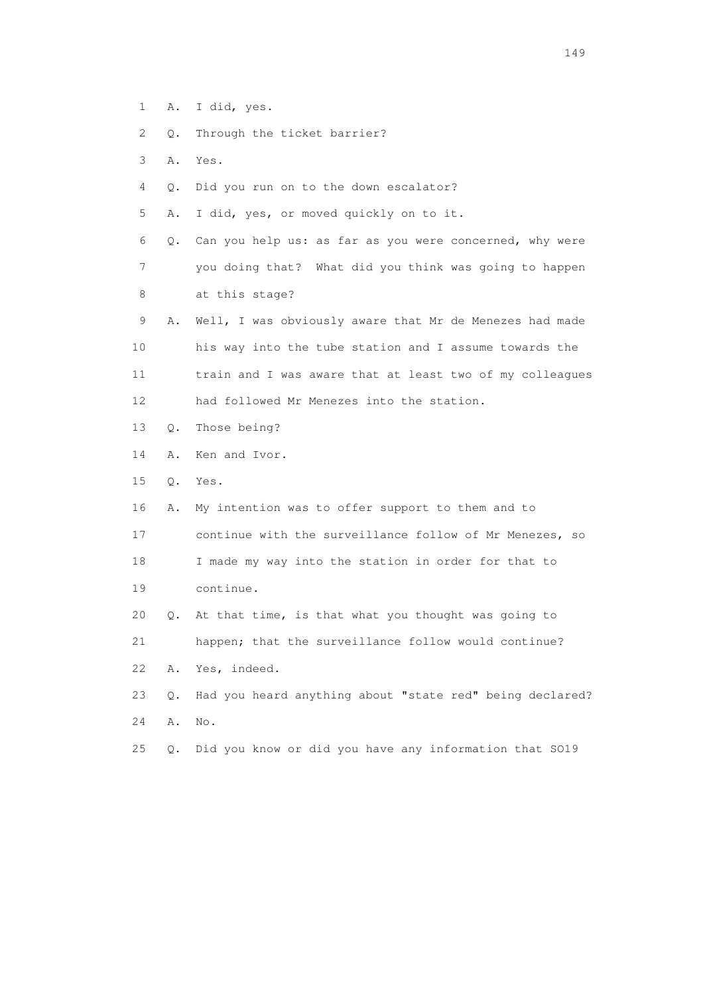- 1 A. I did, yes.
- 2 Q. Through the ticket barrier?
- 3 A. Yes.
- 4 Q. Did you run on to the down escalator?
- 5 A. I did, yes, or moved quickly on to it.

 6 Q. Can you help us: as far as you were concerned, why were 7 you doing that? What did you think was going to happen 8 at this stage?

- 9 A. Well, I was obviously aware that Mr de Menezes had made 10 his way into the tube station and I assume towards the 11 train and I was aware that at least two of my colleagues 12 had followed Mr Menezes into the station.
- 13 Q. Those being?
- 14 A. Ken and Ivor.
- 15 Q. Yes.
- 16 A. My intention was to offer support to them and to
- 17 continue with the surveillance follow of Mr Menezes, so
- 18 I made my way into the station in order for that to 19 continue.
- 20 Q. At that time, is that what you thought was going to
- 21 happen; that the surveillance follow would continue?
- 22 A. Yes, indeed.
- 23 Q. Had you heard anything about "state red" being declared? 24 A. No.
- 25 Q. Did you know or did you have any information that SO19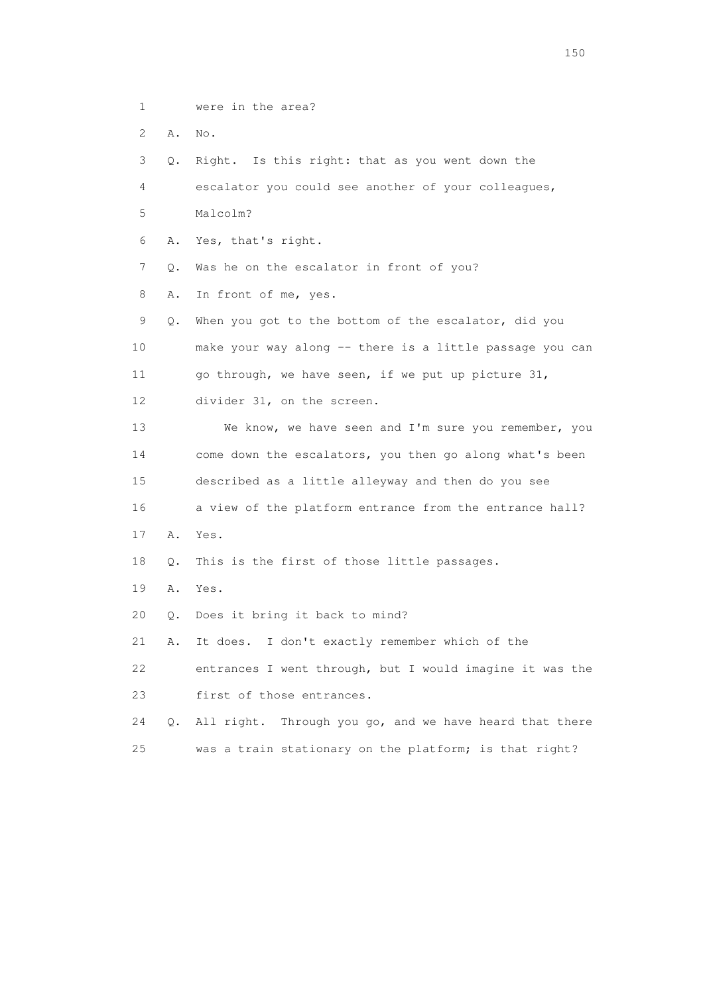1 were in the area?

2 A. No.

 3 Q. Right. Is this right: that as you went down the 4 escalator you could see another of your colleagues, 5 Malcolm? 6 A. Yes, that's right. 7 Q. Was he on the escalator in front of you? 8 A. In front of me, yes. 9 Q. When you got to the bottom of the escalator, did you 10 make your way along -- there is a little passage you can 11 go through, we have seen, if we put up picture 31, 12 divider 31, on the screen. 13 We know, we have seen and I'm sure you remember, you 14 come down the escalators, you then go along what's been 15 described as a little alleyway and then do you see 16 a view of the platform entrance from the entrance hall? 17 A. Yes. 18 Q. This is the first of those little passages. 19 A. Yes. 20 Q. Does it bring it back to mind? 21 A. It does. I don't exactly remember which of the 22 entrances I went through, but I would imagine it was the 23 first of those entrances. 24 Q. All right. Through you go, and we have heard that there 25 was a train stationary on the platform; is that right?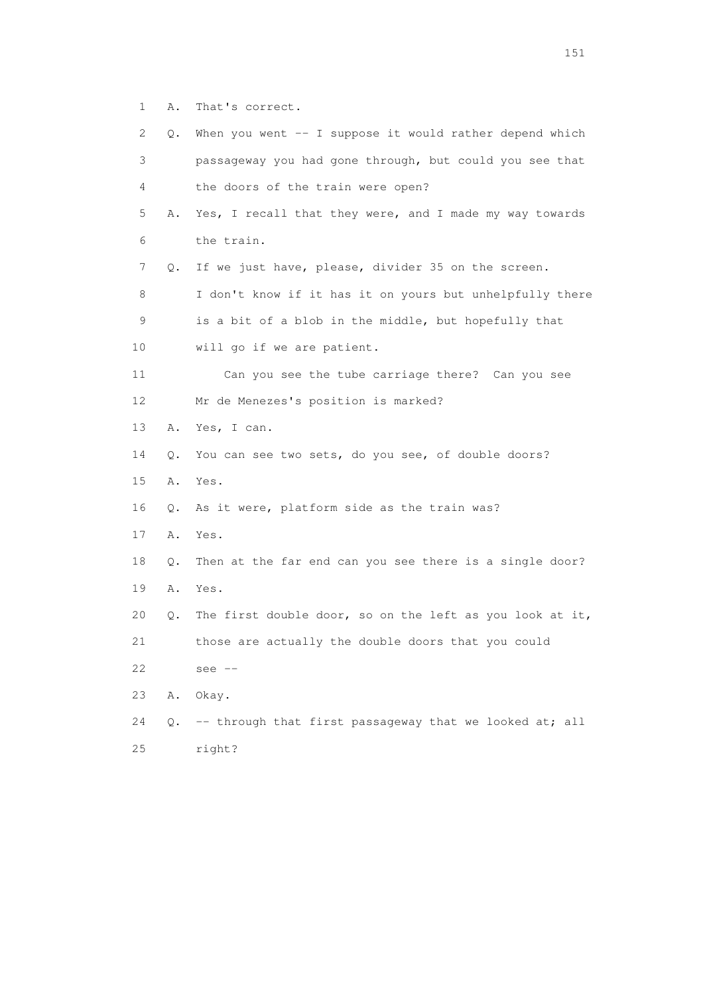1 A. That's correct.

| 2  | Q. | When you went -- I suppose it would rather depend which  |
|----|----|----------------------------------------------------------|
| 3  |    | passageway you had gone through, but could you see that  |
| 4  |    | the doors of the train were open?                        |
| 5  | Α. | Yes, I recall that they were, and I made my way towards  |
| 6  |    | the train.                                               |
| 7  | Q. | If we just have, please, divider 35 on the screen.       |
| 8  |    | I don't know if it has it on yours but unhelpfully there |
| 9  |    | is a bit of a blob in the middle, but hopefully that     |
| 10 |    | will go if we are patient.                               |
| 11 |    | Can you see the tube carriage there? Can you see         |
| 12 |    | Mr de Menezes's position is marked?                      |
| 13 | Α. | Yes, I can.                                              |
| 14 | Q. | You can see two sets, do you see, of double doors?       |
| 15 | Α. | Yes.                                                     |
| 16 | Q. | As it were, platform side as the train was?              |
| 17 | Α. | Yes.                                                     |
| 18 | Q. | Then at the far end can you see there is a single door?  |
| 19 | Α. | Yes.                                                     |
| 20 | Q. | The first double door, so on the left as you look at it, |
| 21 |    | those are actually the double doors that you could       |
| 22 |    | see $--$                                                 |
| 23 | Α. | Okay.                                                    |
| 24 | Q. | -- through that first passageway that we looked at; all  |
| 25 |    | right?                                                   |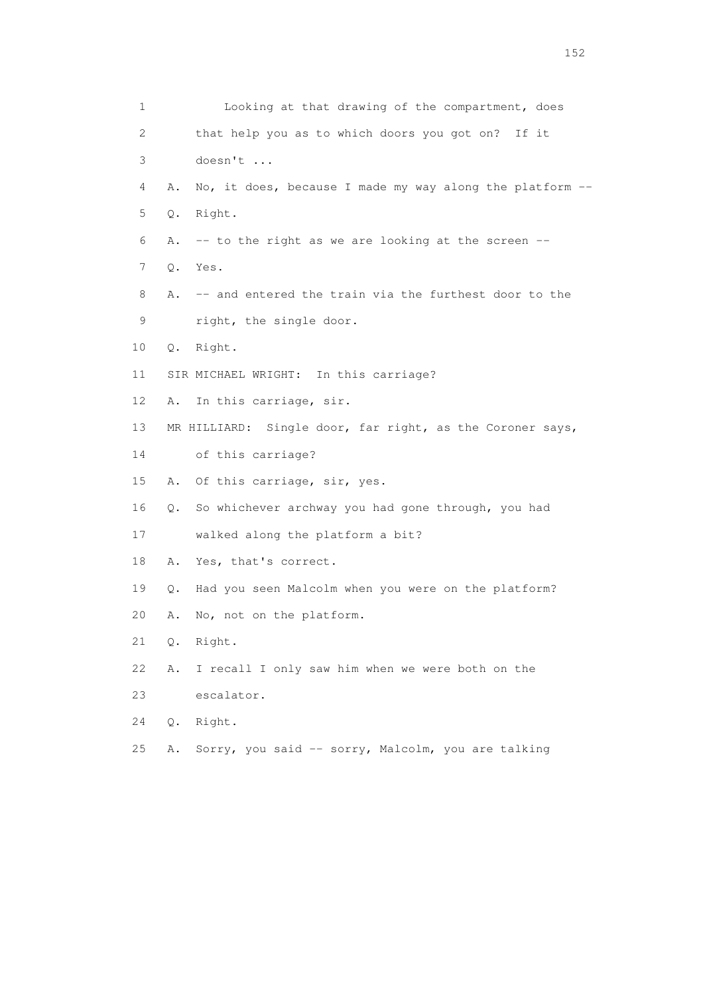| 1  |       | Looking at that drawing of the compartment, does          |
|----|-------|-----------------------------------------------------------|
| 2  |       | that help you as to which doors you got on? If it         |
| 3  |       | doesn't                                                   |
| 4  | Α.    | No, it does, because I made my way along the platform --  |
| 5  | Q.    | Right.                                                    |
| 6  | Α.    | -- to the right as we are looking at the screen --        |
| 7  | Q.    | Yes.                                                      |
| 8  | Α.    | -- and entered the train via the furthest door to the     |
| 9  |       | right, the single door.                                   |
| 10 |       | Q. Right.                                                 |
| 11 |       | SIR MICHAEL WRIGHT: In this carriage?                     |
| 12 | Α.    | In this carriage, sir.                                    |
| 13 |       | MR HILLIARD: Single door, far right, as the Coroner says, |
| 14 |       | of this carriage?                                         |
| 15 | Α.    | Of this carriage, sir, yes.                               |
| 16 | Q.    | So whichever archway you had gone through, you had        |
| 17 |       | walked along the platform a bit?                          |
| 18 | Α.    | Yes, that's correct.                                      |
| 19 | Q.    | Had you seen Malcolm when you were on the platform?       |
| 20 | Α.    | No, not on the platform.                                  |
| 21 | $Q$ . | Right.                                                    |
| 22 | Α.    | I recall I only saw him when we were both on the          |
| 23 |       | escalator.                                                |
| 24 | Q.    | Right.                                                    |
| 25 | Α.    | Sorry, you said -- sorry, Malcolm, you are talking        |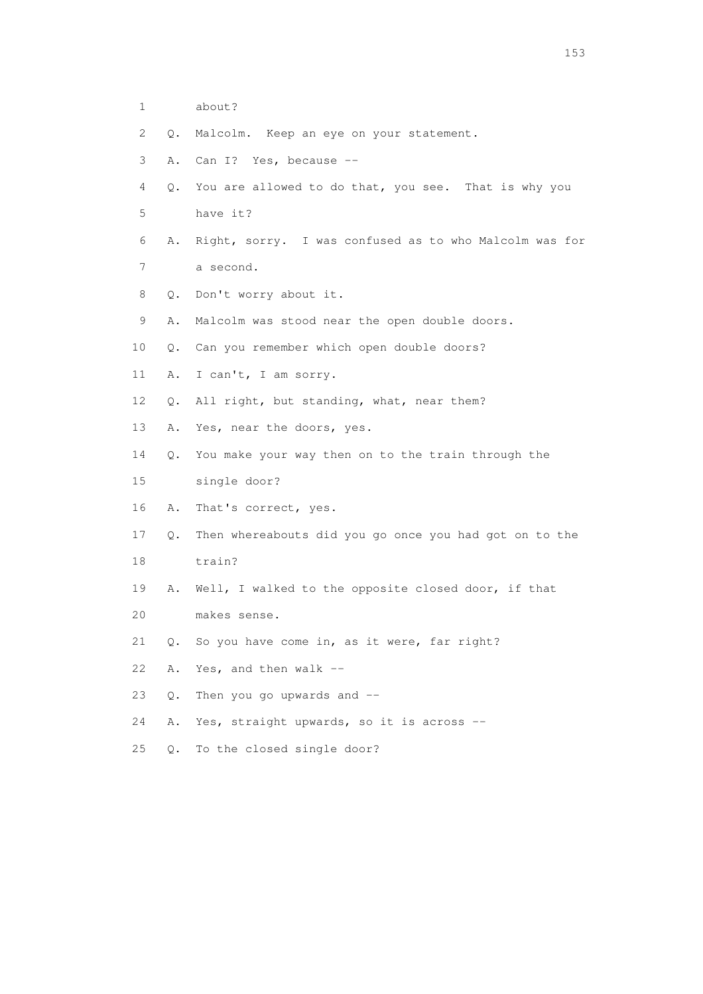- 1 about?
- 2 Q. Malcolm. Keep an eye on your statement.
- 3 A. Can I? Yes, because --
- 4 Q. You are allowed to do that, you see. That is why you 5 have it?
- 6 A. Right, sorry. I was confused as to who Malcolm was for
- 7 a second.
- 8 Q. Don't worry about it.
- 9 A. Malcolm was stood near the open double doors.
- 10 Q. Can you remember which open double doors?
- 11 A. I can't, I am sorry.
- 12 Q. All right, but standing, what, near them?
- 13 A. Yes, near the doors, yes.
- 14 Q. You make your way then on to the train through the
- 15 single door?
- 16 A. That's correct, yes.
- 17 Q. Then whereabouts did you go once you had got on to the
- 18 train?
- 19 A. Well, I walked to the opposite closed door, if that
- 20 makes sense.
- 21 Q. So you have come in, as it were, far right?
- 22 A. Yes, and then walk --
- 23 Q. Then you go upwards and --
- 24 A. Yes, straight upwards, so it is across --
- 25 Q. To the closed single door?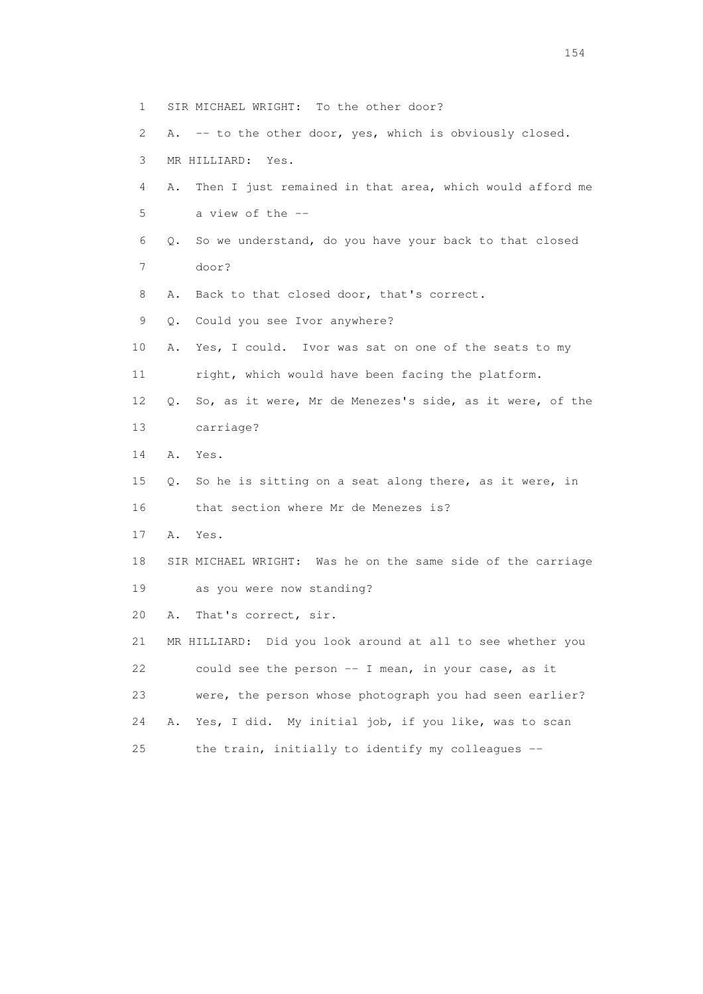1 SIR MICHAEL WRIGHT: To the other door? 2 A. -- to the other door, yes, which is obviously closed. 3 MR HILLIARD: Yes. 4 A. Then I just remained in that area, which would afford me 5 a view of the -- 6 Q. So we understand, do you have your back to that closed 7 door? 8 A. Back to that closed door, that's correct. 9 Q. Could you see Ivor anywhere? 10 A. Yes, I could. Ivor was sat on one of the seats to my 11 right, which would have been facing the platform. 12 Q. So, as it were, Mr de Menezes's side, as it were, of the 13 carriage? 14 A. Yes. 15 Q. So he is sitting on a seat along there, as it were, in 16 that section where Mr de Menezes is? 17 A. Yes. 18 SIR MICHAEL WRIGHT: Was he on the same side of the carriage 19 as you were now standing? 20 A. That's correct, sir. 21 MR HILLIARD: Did you look around at all to see whether you 22 could see the person -- I mean, in your case, as it 23 were, the person whose photograph you had seen earlier? 24 A. Yes, I did. My initial job, if you like, was to scan 25 the train, initially to identify my colleagues --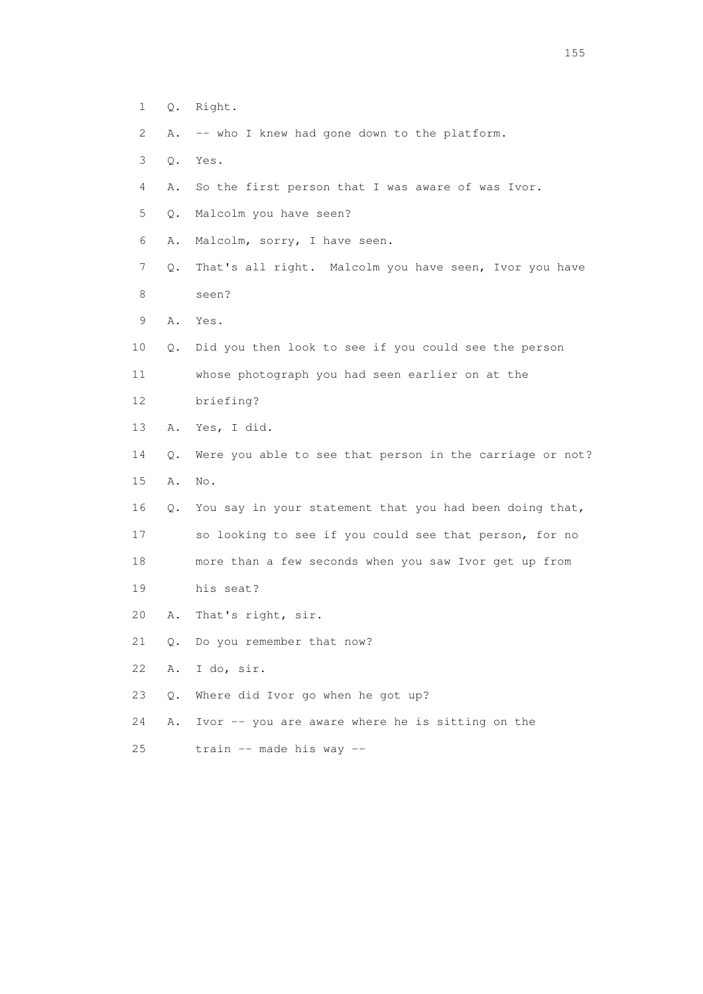| $\mathbf 1$     | Q. | Right.                                                   |
|-----------------|----|----------------------------------------------------------|
| 2               | Α. | -- who I knew had gone down to the platform.             |
| 3               | Q. | Yes.                                                     |
| 4               | Α. | So the first person that I was aware of was Ivor.        |
| 5               | Q. | Malcolm you have seen?                                   |
| 6               | Α. | Malcolm, sorry, I have seen.                             |
| 7               | Q. | That's all right. Malcolm you have seen, Ivor you have   |
| 8               |    | seen?                                                    |
| 9               | A. | Yes.                                                     |
| $10$            | Q. | Did you then look to see if you could see the person     |
| 11              |    | whose photograph you had seen earlier on at the          |
| 12 <sup>°</sup> |    | briefing?                                                |
| 13              | Α. | Yes, I did.                                              |
| 14              | Q. | Were you able to see that person in the carriage or not? |
| 15              | Α. | No.                                                      |
| 16              | Q. | You say in your statement that you had been doing that,  |
| 17              |    | so looking to see if you could see that person, for no   |
| 18              |    | more than a few seconds when you saw Ivor get up from    |
| 19              |    | his seat?                                                |
| 20              | Α. | That's right, sir.                                       |
| 21              | Q. | Do you remember that now?                                |
| 22              | Α. | I do, sir.                                               |
| 23              | Q. | Where did Ivor go when he got up?                        |
| 24              | Α. | Ivor -- you are aware where he is sitting on the         |
| 25              |    | train -- made his way --                                 |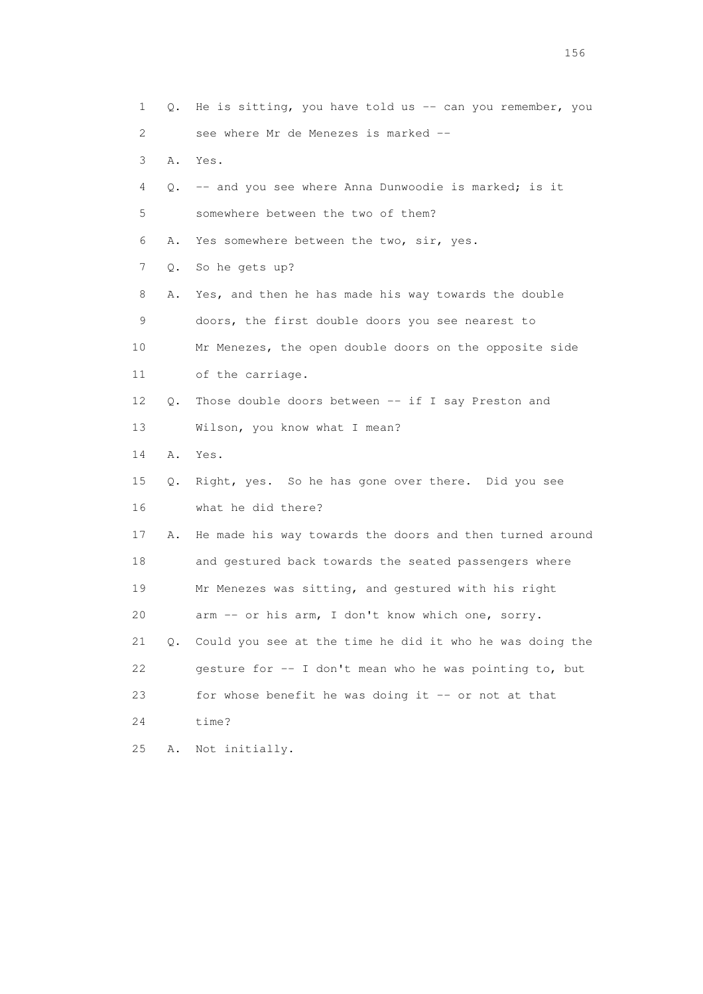| 1  | Q. | He is sitting, you have told us -- can you remember, you |
|----|----|----------------------------------------------------------|
| 2  |    | see where Mr de Menezes is marked --                     |
| 3  | Α. | Yes.                                                     |
| 4  | Q. | -- and you see where Anna Dunwoodie is marked; is it     |
| 5  |    | somewhere between the two of them?                       |
| 6  | Α. | Yes somewhere between the two, sir, yes.                 |
| 7  | Q. | So he gets up?                                           |
| 8  | Α. | Yes, and then he has made his way towards the double     |
| 9  |    | doors, the first double doors you see nearest to         |
| 10 |    | Mr Menezes, the open double doors on the opposite side   |
| 11 |    | of the carriage.                                         |
| 12 | Q. | Those double doors between -- if I say Preston and       |
| 13 |    | Wilson, you know what I mean?                            |
| 14 | Α. | Yes.                                                     |
| 15 | Q. | Right, yes. So he has gone over there. Did you see       |
| 16 |    | what he did there?                                       |
| 17 | Α. | He made his way towards the doors and then turned around |
| 18 |    | and gestured back towards the seated passengers where    |
| 19 |    | Mr Menezes was sitting, and gestured with his right      |
| 20 |    | arm -- or his arm, I don't know which one, sorry.        |
| 21 | Q. | Could you see at the time he did it who he was doing the |
| 22 |    | gesture for -- I don't mean who he was pointing to, but  |
| 23 |    | for whose benefit he was doing it -- or not at that      |
| 24 |    | time?                                                    |
| 25 | Α. | Not initially.                                           |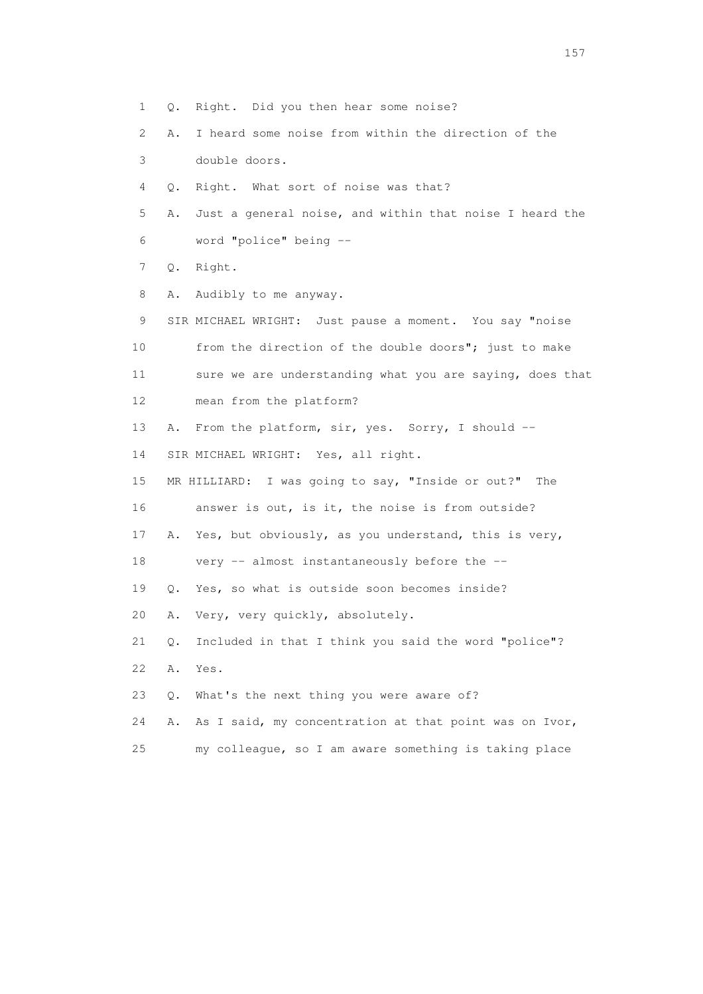1 Q. Right. Did you then hear some noise? 2 A. I heard some noise from within the direction of the 3 double doors. 4 Q. Right. What sort of noise was that? 5 A. Just a general noise, and within that noise I heard the 6 word "police" being -- 7 Q. Right. 8 A. Audibly to me anyway. 9 SIR MICHAEL WRIGHT: Just pause a moment. You say "noise 10 from the direction of the double doors"; just to make 11 sure we are understanding what you are saying, does that 12 mean from the platform? 13 A. From the platform, sir, yes. Sorry, I should -- 14 SIR MICHAEL WRIGHT: Yes, all right. 15 MR HILLIARD: I was going to say, "Inside or out?" The 16 answer is out, is it, the noise is from outside? 17 A. Yes, but obviously, as you understand, this is very, 18 very -- almost instantaneously before the -- 19 Q. Yes, so what is outside soon becomes inside? 20 A. Very, very quickly, absolutely. 21 Q. Included in that I think you said the word "police"? 22 A. Yes. 23 Q. What's the next thing you were aware of? 24 A. As I said, my concentration at that point was on Ivor, 25 my colleague, so I am aware something is taking place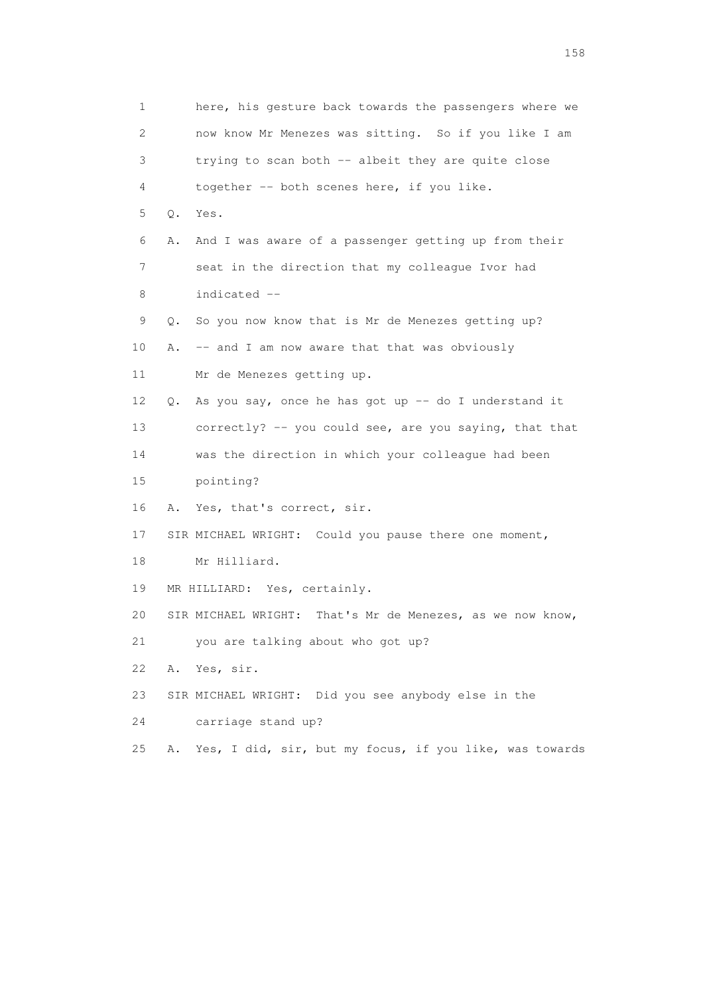1 here, his gesture back towards the passengers where we 2 now know Mr Menezes was sitting. So if you like I am 3 trying to scan both -- albeit they are quite close 4 together -- both scenes here, if you like. 5 Q. Yes. 6 A. And I was aware of a passenger getting up from their 7 seat in the direction that my colleague Ivor had 8 indicated -- 9 Q. So you now know that is Mr de Menezes getting up? 10 A. -- and I am now aware that that was obviously 11 Mr de Menezes getting up. 12 Q. As you say, once he has got up -- do I understand it 13 correctly? -- you could see, are you saying, that that 14 was the direction in which your colleague had been 15 pointing? 16 A. Yes, that's correct, sir. 17 SIR MICHAEL WRIGHT: Could you pause there one moment, 18 Mr Hilliard. 19 MR HILLIARD: Yes, certainly. 20 SIR MICHAEL WRIGHT: That's Mr de Menezes, as we now know, 21 you are talking about who got up? 22 A. Yes, sir. 23 SIR MICHAEL WRIGHT: Did you see anybody else in the 24 carriage stand up? 25 A. Yes, I did, sir, but my focus, if you like, was towards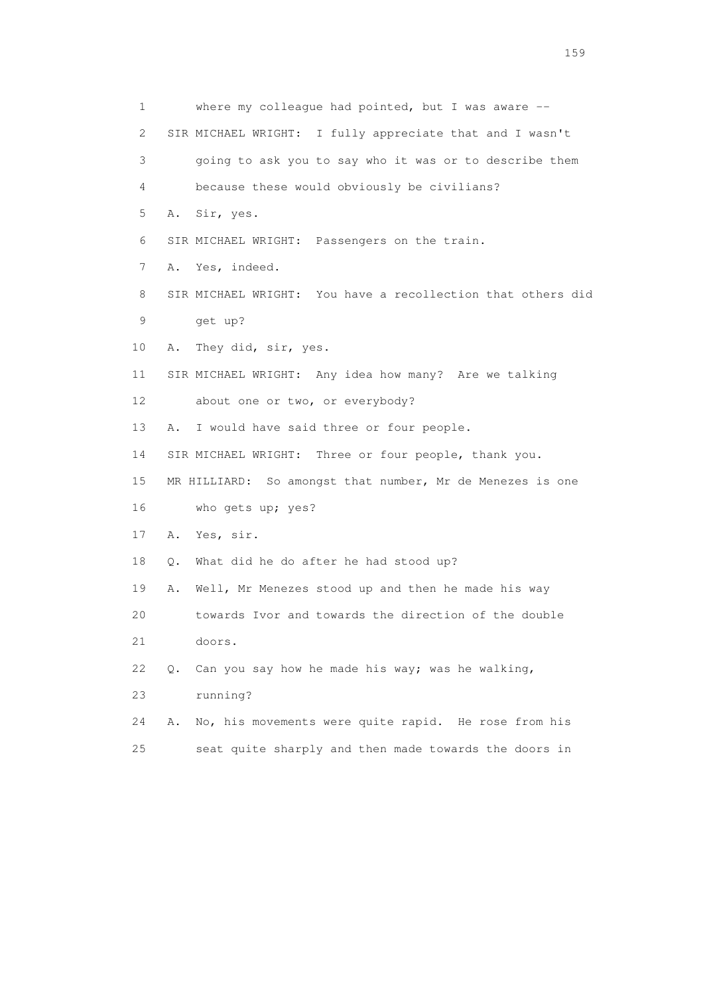| 1                         | where my colleague had pointed, but I was aware --            |
|---------------------------|---------------------------------------------------------------|
| $\mathbf{2}^{\mathsf{I}}$ | SIR MICHAEL WRIGHT: I fully appreciate that and I wasn't      |
| 3                         | going to ask you to say who it was or to describe them        |
| 4                         | because these would obviously be civilians?                   |
| 5                         | A. Sir, yes.                                                  |
| 6                         | SIR MICHAEL WRIGHT: Passengers on the train.                  |
| 7                         | Yes, indeed.<br>Α.                                            |
| 8                         | SIR MICHAEL WRIGHT: You have a recollection that others did   |
| 9                         | get up?                                                       |
| 10                        | They did, sir, yes.<br>Α.                                     |
| 11                        | SIR MICHAEL WRIGHT: Any idea how many? Are we talking         |
| 12                        | about one or two, or everybody?                               |
| 13                        | I would have said three or four people.<br>Α.                 |
| 14                        | SIR MICHAEL WRIGHT: Three or four people, thank you.          |
| 15                        | MR HILLIARD: So amongst that number, Mr de Menezes is one     |
| 16                        | who gets up; yes?                                             |
| 17                        | Yes, sir.<br>Α.                                               |
| 18                        | What did he do after he had stood up?<br>Q.                   |
| 19                        | Well, Mr Menezes stood up and then he made his way<br>Α.      |
| 20                        | towards Ivor and towards the direction of the double          |
| 21                        | doors.                                                        |
| 22                        | Can you say how he made his way; was he walking,<br>$\circ$ . |
| 23                        | running?                                                      |
| 24                        | No, his movements were quite rapid. He rose from his<br>Α.    |
| 25                        | seat quite sharply and then made towards the doors in         |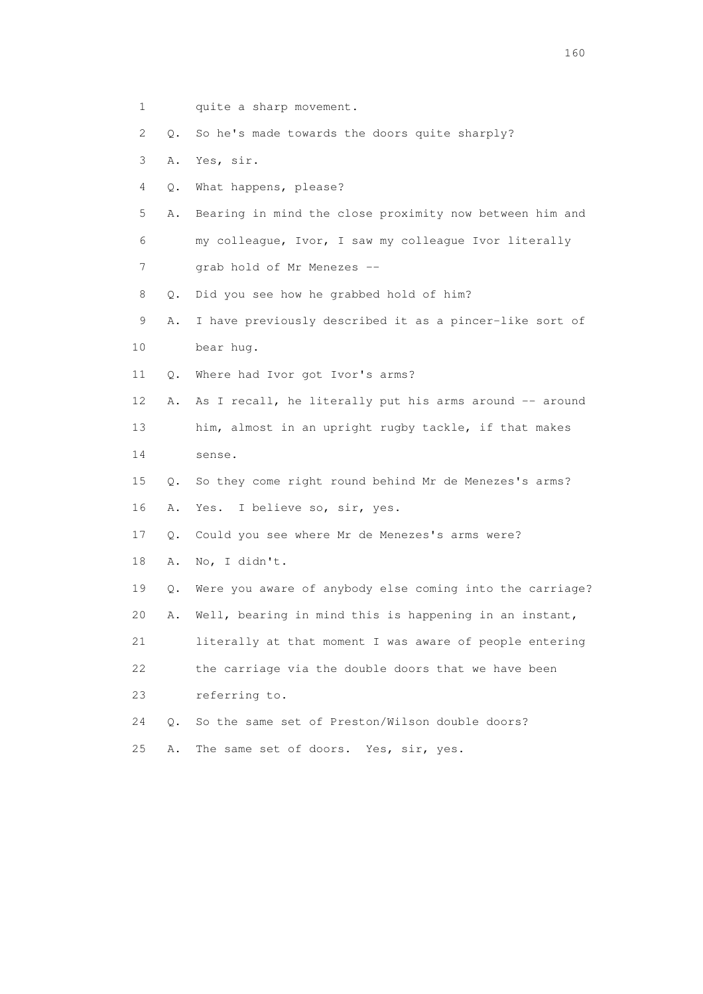- 1 quite a sharp movement.
- 2 Q. So he's made towards the doors quite sharply?
- 3 A. Yes, sir.
- 4 Q. What happens, please?
- 5 A. Bearing in mind the close proximity now between him and 6 my colleague, Ivor, I saw my colleague Ivor literally 7 grab hold of Mr Menezes --
- 
- 9 A. I have previously described it as a pincer-like sort of 10 bear hug.
- 11 Q. Where had Ivor got Ivor's arms?
- 12 A. As I recall, he literally put his arms around -- around
- 13 him, almost in an upright rugby tackle, if that makes
- 14 sense.
- 15 Q. So they come right round behind Mr de Menezes's arms? 16 A. Yes. I believe so, sir, yes.
- 17 Q. Could you see where Mr de Menezes's arms were?
- 18 A. No, I didn't.
- 19 Q. Were you aware of anybody else coming into the carriage?
- 20 A. Well, bearing in mind this is happening in an instant,
- 21 literally at that moment I was aware of people entering
- 22 the carriage via the double doors that we have been
- 23 referring to.
- 24 Q. So the same set of Preston/Wilson double doors?
- 
- 8 Q. Did you see how he grabbed hold of him?

- 
- 25 A. The same set of doors. Yes, sir, yes.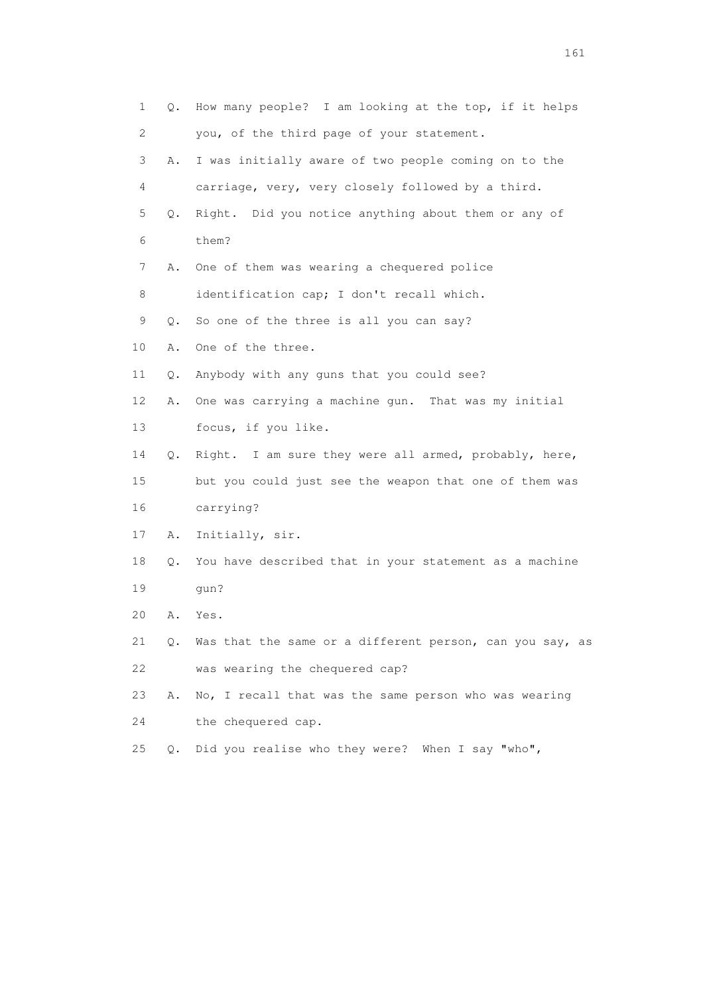| 1  | Q.    | How many people? I am looking at the top, if it helps    |
|----|-------|----------------------------------------------------------|
| 2  |       | you, of the third page of your statement.                |
| 3  | Α.    | I was initially aware of two people coming on to the     |
| 4  |       | carriage, very, very closely followed by a third.        |
| 5  | Q.    | Right. Did you notice anything about them or any of      |
| 6  |       | them?                                                    |
| 7  | Α.    | One of them was wearing a chequered police               |
| 8  |       | identification cap; I don't recall which.                |
| 9  | Q.    | So one of the three is all you can say?                  |
| 10 | Α.    | One of the three.                                        |
| 11 | Q.    | Anybody with any guns that you could see?                |
| 12 | Α.    | One was carrying a machine gun. That was my initial      |
| 13 |       | focus, if you like.                                      |
| 14 | Q.    | Right. I am sure they were all armed, probably, here,    |
| 15 |       | but you could just see the weapon that one of them was   |
| 16 |       | carrying?                                                |
| 17 | Α.    | Initially, sir.                                          |
| 18 | Q.    | You have described that in your statement as a machine   |
| 19 |       | qun?                                                     |
| 20 | Α.    | Yes.                                                     |
| 21 | Q.    | Was that the same or a different person, can you say, as |
| 22 |       | was wearing the chequered cap?                           |
| 23 | Α.    | No, I recall that was the same person who was wearing    |
| 24 |       | the chequered cap.                                       |
| 25 | $Q$ . | Did you realise who they were?<br>When I say "who",      |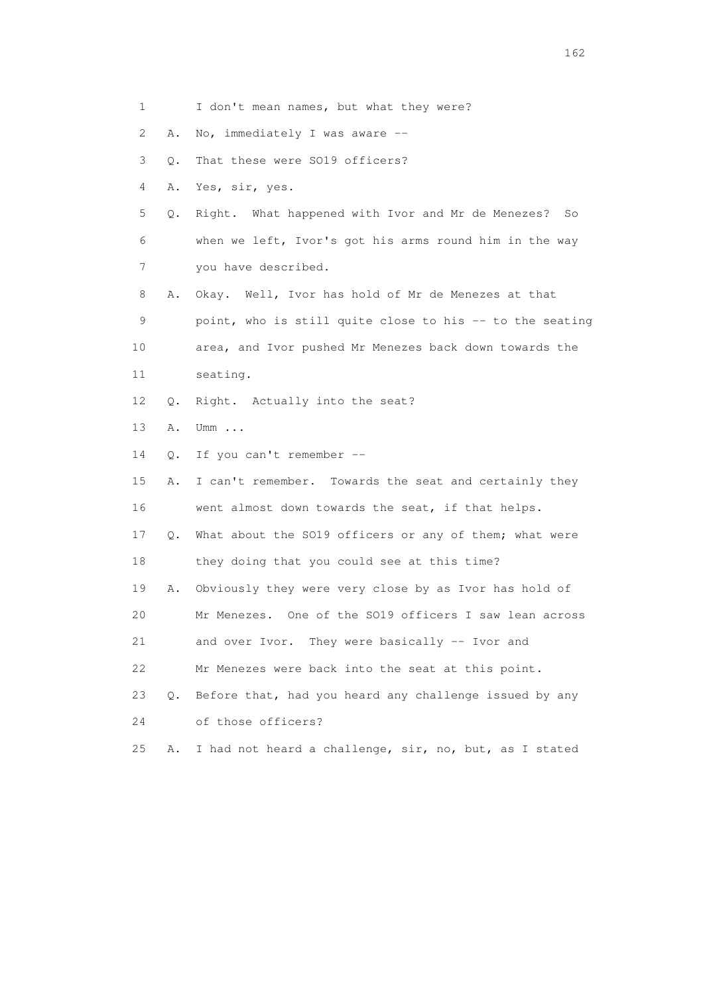| $\mathbf{2}^{\mathsf{I}}$ | Α. | No, immediately I was aware --                           |
|---------------------------|----|----------------------------------------------------------|
| 3                         | Q. | That these were SO19 officers?                           |
| 4                         | Α. | Yes, sir, yes.                                           |
| 5                         | Q. | Right. What happened with Ivor and Mr de Menezes?<br>So  |
| 6                         |    | when we left, Ivor's got his arms round him in the way   |
| 7                         |    | you have described.                                      |
| 8                         | Α. | Okay. Well, Ivor has hold of Mr de Menezes at that       |
| 9                         |    | point, who is still quite close to his -- to the seating |
| 10                        |    | area, and Ivor pushed Mr Menezes back down towards the   |
| 11                        |    | seating.                                                 |
| 12                        | Q. | Right. Actually into the seat?                           |
| 13                        | Α. | Umm $\ldots$                                             |
| 14                        | Q. | If you can't remember --                                 |
| 15                        | Α. | I can't remember. Towards the seat and certainly they    |
| 16                        |    | went almost down towards the seat, if that helps.        |
| 17                        | Q. | What about the SO19 officers or any of them; what were   |
| 18                        |    | they doing that you could see at this time?              |
| 19                        | Α. | Obviously they were very close by as Ivor has hold of    |
| 20                        |    | Mr Menezes. One of the SO19 officers I saw lean across   |
| 21                        |    | They were basically -- Ivor and<br>and over Ivor.        |
| 22                        |    | Mr Menezes were back into the seat at this point.        |
| 23                        | Q. | Before that, had you heard any challenge issued by any   |
| 24                        |    | of those officers?                                       |
| 25                        | Α. | I had not heard a challenge, sir, no, but, as I stated   |
|                           |    |                                                          |
|                           |    |                                                          |
|                           |    |                                                          |

1 I don't mean names, but what they were?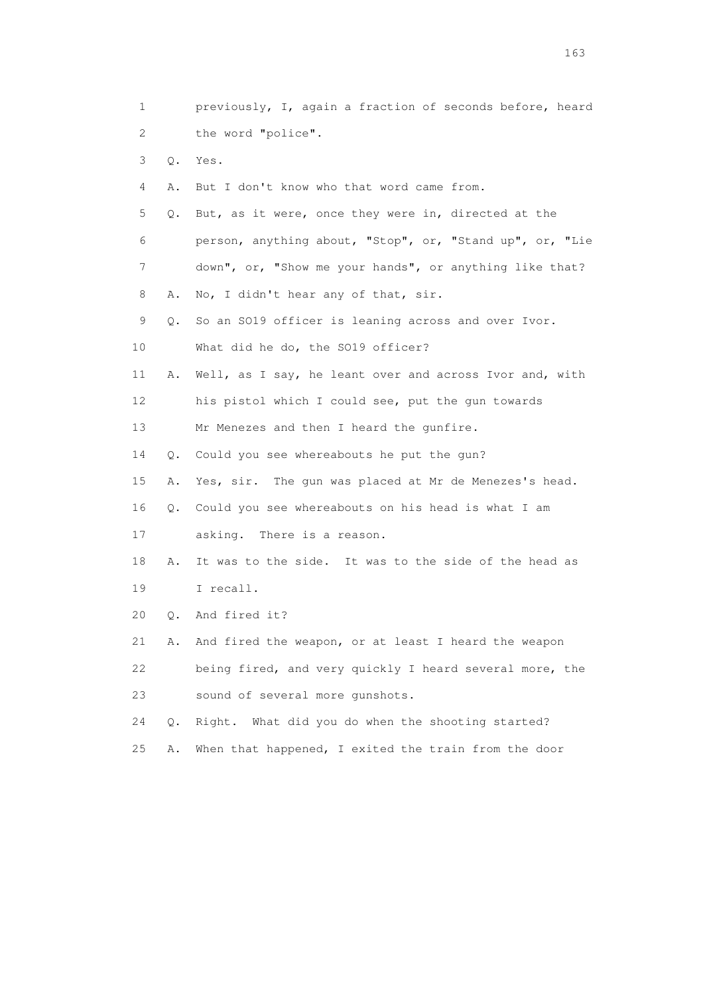1 previously, I, again a fraction of seconds before, heard 2 the word "police". 3 Q. Yes. 4 A. But I don't know who that word came from. 5 Q. But, as it were, once they were in, directed at the 6 person, anything about, "Stop", or, "Stand up", or, "Lie 7 down", or, "Show me your hands", or anything like that? 8 A. No, I didn't hear any of that, sir. 9 Q. So an SO19 officer is leaning across and over Ivor. 10 What did he do, the SO19 officer? 11 A. Well, as I say, he leant over and across Ivor and, with 12 his pistol which I could see, put the gun towards 13 Mr Menezes and then I heard the qunfire. 14 Q. Could you see whereabouts he put the gun? 15 A. Yes, sir. The gun was placed at Mr de Menezes's head. 16 Q. Could you see whereabouts on his head is what I am 17 asking. There is a reason. 18 A. It was to the side. It was to the side of the head as 19 I recall. 20 Q. And fired it? 21 A. And fired the weapon, or at least I heard the weapon 22 being fired, and very quickly I heard several more, the 23 sound of several more gunshots. 24 Q. Right. What did you do when the shooting started? 25 A. When that happened, I exited the train from the door

<u>163</u>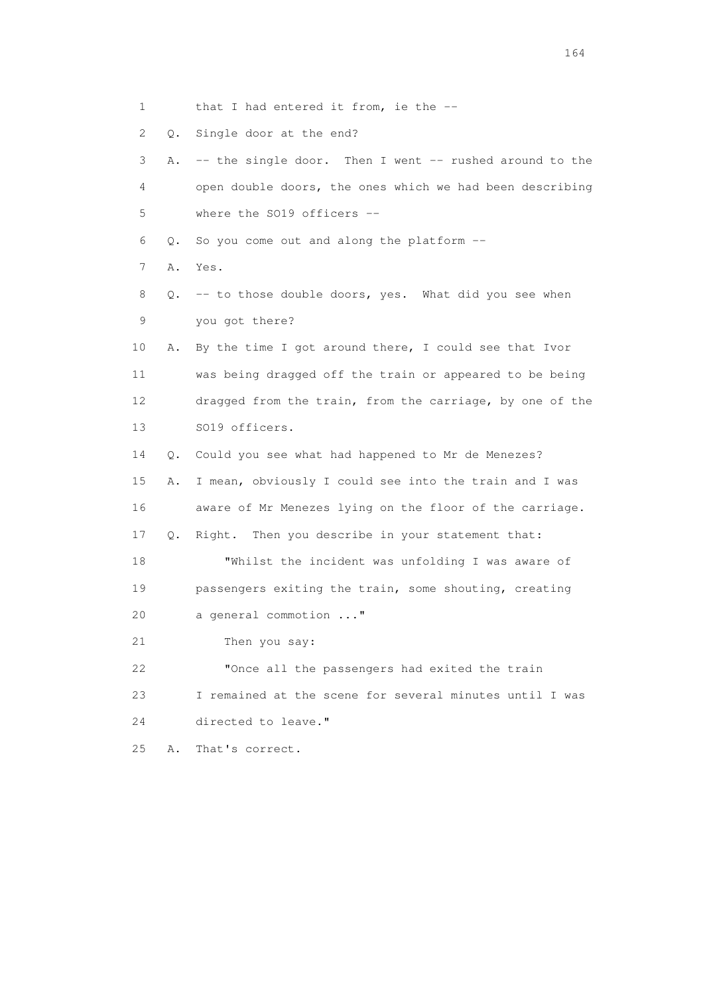1 that I had entered it from, ie the --

2 Q. Single door at the end?

| 3               | Α. | -- the single door. Then I went -- rushed around to the  |
|-----------------|----|----------------------------------------------------------|
| 4               |    | open double doors, the ones which we had been describing |
| 5               |    | where the SO19 officers --                               |
| 6               | О. | So you come out and along the platform --                |
| 7               | Α. | Yes.                                                     |
| 8               | Q. | -- to those double doors, yes. What did you see when     |
| 9               |    | you got there?                                           |
| 10              | Α. | By the time I got around there, I could see that Ivor    |
| 11              |    | was being dragged off the train or appeared to be being  |
| 12 <sup>°</sup> |    | dragged from the train, from the carriage, by one of the |
| 13              |    | SO19 officers.                                           |
| 14              | Q. | Could you see what had happened to Mr de Menezes?        |
| 15              | Α. | I mean, obviously I could see into the train and I was   |
| 16              |    | aware of Mr Menezes lying on the floor of the carriage.  |
| 17              | О. | Right. Then you describe in your statement that:         |
| 18              |    | "Whilst the incident was unfolding I was aware of        |
| 19              |    | passengers exiting the train, some shouting, creating    |
| 20              |    | a general commotion "                                    |
| 21              |    | Then you say:                                            |
| 22              |    | "Once all the passengers had exited the train            |
| 23              |    | I remained at the scene for several minutes until I was  |
| 24              |    | directed to leave."                                      |
| 25              | Α. | That's correct.                                          |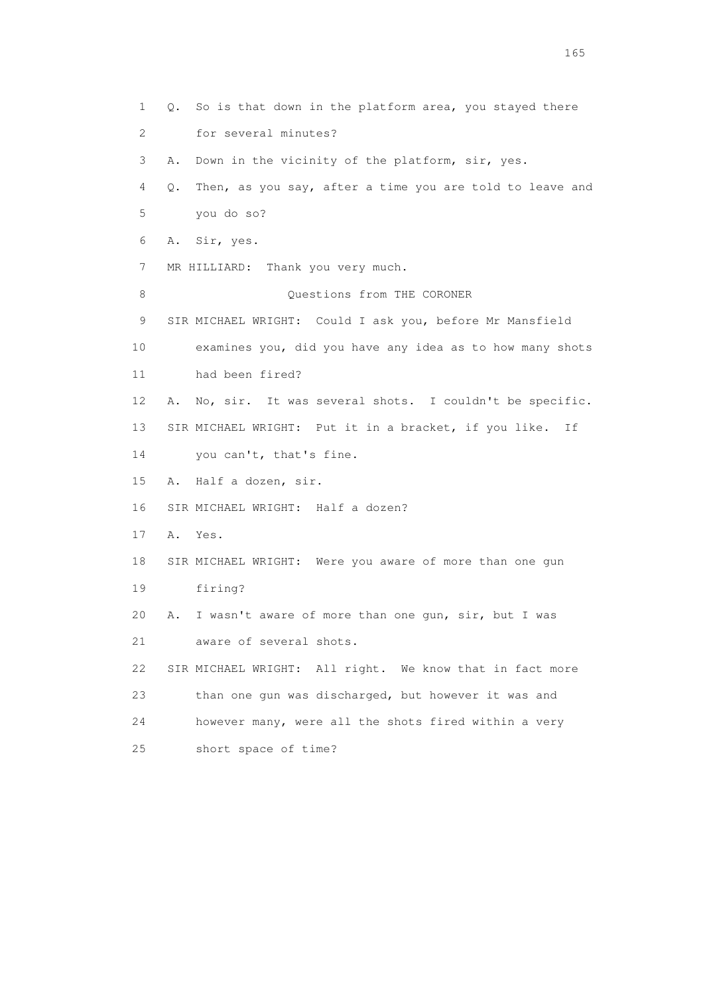1 Q. So is that down in the platform area, you stayed there 2 for several minutes? 3 A. Down in the vicinity of the platform, sir, yes. 4 Q. Then, as you say, after a time you are told to leave and 5 you do so? 6 A. Sir, yes. 7 MR HILLIARD: Thank you very much. 8 Ouestions from THE CORONER 9 SIR MICHAEL WRIGHT: Could I ask you, before Mr Mansfield 10 examines you, did you have any idea as to how many shots 11 had been fired? 12 A. No, sir. It was several shots. I couldn't be specific. 13 SIR MICHAEL WRIGHT: Put it in a bracket, if you like. If 14 you can't, that's fine. 15 A. Half a dozen, sir. 16 SIR MICHAEL WRIGHT: Half a dozen? 17 A. Yes. 18 SIR MICHAEL WRIGHT: Were you aware of more than one gun 19 firing? 20 A. I wasn't aware of more than one gun, sir, but I was 21 aware of several shots. 22 SIR MICHAEL WRIGHT: All right. We know that in fact more 23 than one gun was discharged, but however it was and 24 however many, were all the shots fired within a very 25 short space of time?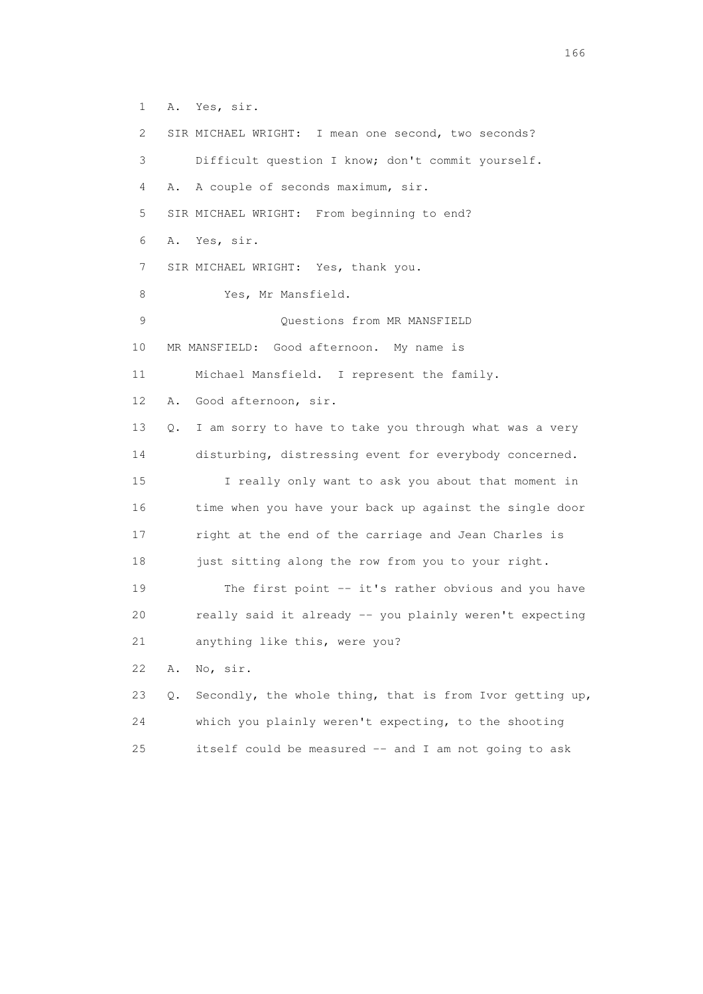1 A. Yes, sir. 2 SIR MICHAEL WRIGHT: I mean one second, two seconds? 3 Difficult question I know; don't commit yourself. 4 A. A couple of seconds maximum, sir. 5 SIR MICHAEL WRIGHT: From beginning to end? 6 A. Yes, sir. 7 SIR MICHAEL WRIGHT: Yes, thank you. 8 Yes, Mr Mansfield. 9 Questions from MR MANSFIELD 10 MR MANSFIELD: Good afternoon. My name is 11 Michael Mansfield. I represent the family. 12 A. Good afternoon, sir. 13 Q. I am sorry to have to take you through what was a very 14 disturbing, distressing event for everybody concerned. 15 I really only want to ask you about that moment in 16 time when you have your back up against the single door 17 right at the end of the carriage and Jean Charles is 18 just sitting along the row from you to your right. 19 The first point -- it's rather obvious and you have 20 really said it already -- you plainly weren't expecting 21 anything like this, were you? 22 A. No, sir. 23 Q. Secondly, the whole thing, that is from Ivor getting up, 24 which you plainly weren't expecting, to the shooting

25 itself could be measured -- and I am not going to ask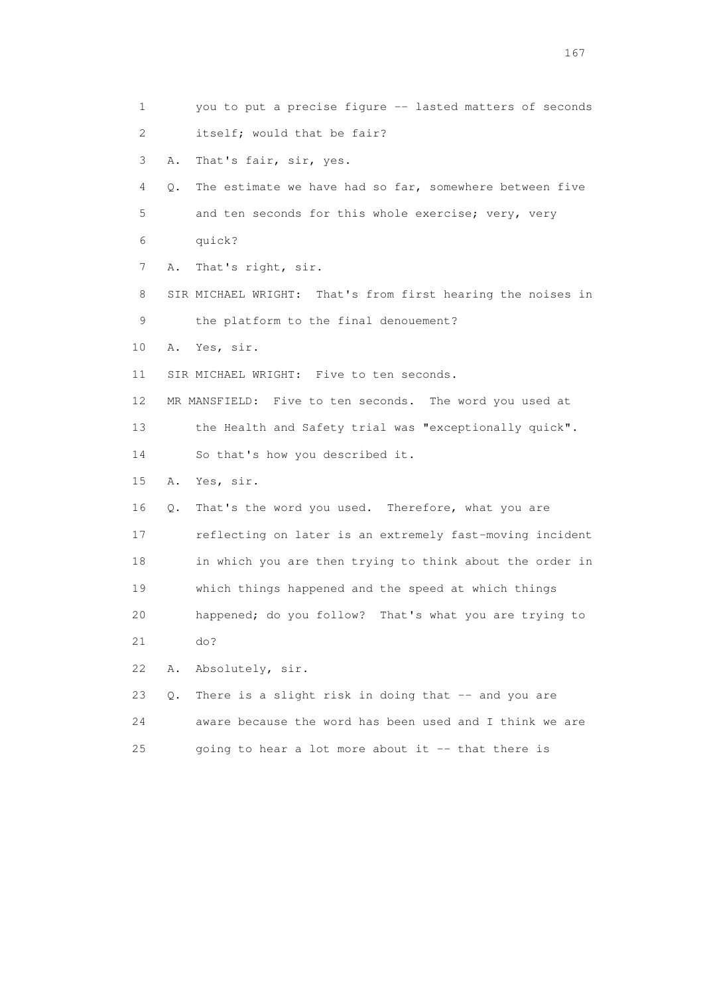1 you to put a precise figure -- lasted matters of seconds 2 itself; would that be fair? 3 A. That's fair, sir, yes. 4 Q. The estimate we have had so far, somewhere between five 5 and ten seconds for this whole exercise; very, very 6 quick? 7 A. That's right, sir. 8 SIR MICHAEL WRIGHT: That's from first hearing the noises in 9 the platform to the final denouement? 10 A. Yes, sir. 11 SIR MICHAEL WRIGHT: Five to ten seconds. 12 MR MANSFIELD: Five to ten seconds. The word you used at 13 the Health and Safety trial was "exceptionally quick". 14 So that's how you described it. 15 A. Yes, sir. 16 Q. That's the word you used. Therefore, what you are 17 reflecting on later is an extremely fast-moving incident 18 in which you are then trying to think about the order in 19 which things happened and the speed at which things 20 happened; do you follow? That's what you are trying to 21 do? 22 A. Absolutely, sir. 23 Q. There is a slight risk in doing that -- and you are 24 aware because the word has been used and I think we are 25 going to hear a lot more about it -- that there is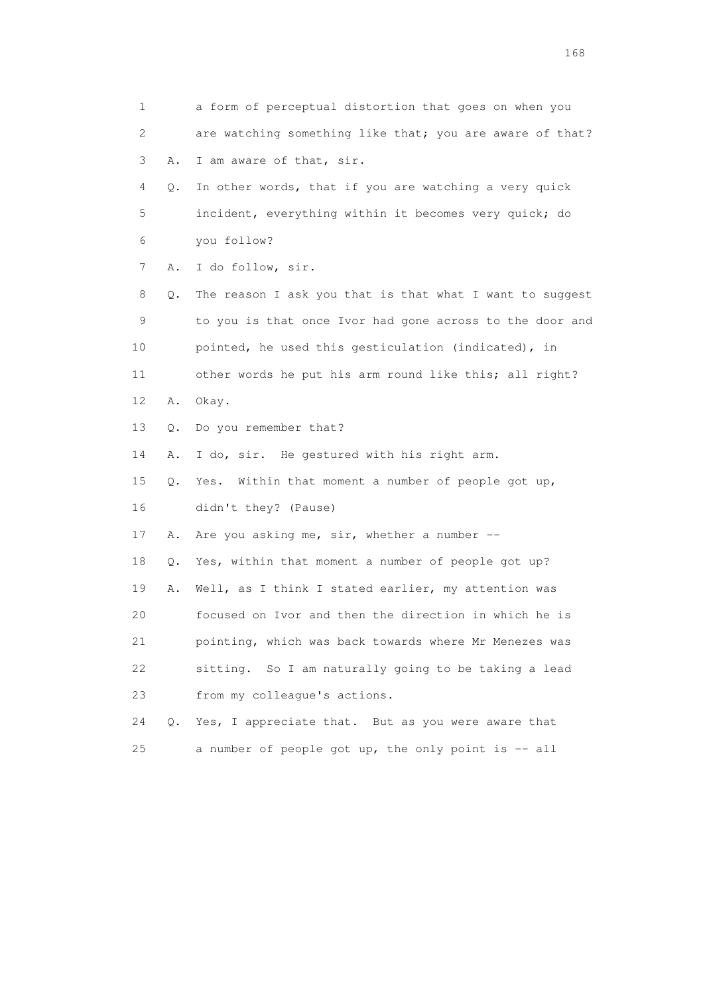1 a form of perceptual distortion that goes on when you 2 are watching something like that; you are aware of that? 3 A. I am aware of that, sir. 4 Q. In other words, that if you are watching a very quick 5 incident, everything within it becomes very quick; do 6 you follow? 7 A. I do follow, sir. 8 Q. The reason I ask you that is that what I want to suggest 9 to you is that once Ivor had gone across to the door and 10 pointed, he used this gesticulation (indicated), in 11 other words he put his arm round like this; all right? 12 A. Okay. 13 Q. Do you remember that? 14 A. I do, sir. He gestured with his right arm. 15 Q. Yes. Within that moment a number of people got up, 16 didn't they? (Pause) 17 A. Are you asking me, sir, whether a number -- 18 Q. Yes, within that moment a number of people got up? 19 A. Well, as I think I stated earlier, my attention was 20 focused on Ivor and then the direction in which he is 21 pointing, which was back towards where Mr Menezes was 22 sitting. So I am naturally going to be taking a lead 23 from my colleague's actions. 24 Q. Yes, I appreciate that. But as you were aware that 25 a number of people got up, the only point is -- all

<u>168</u> **168**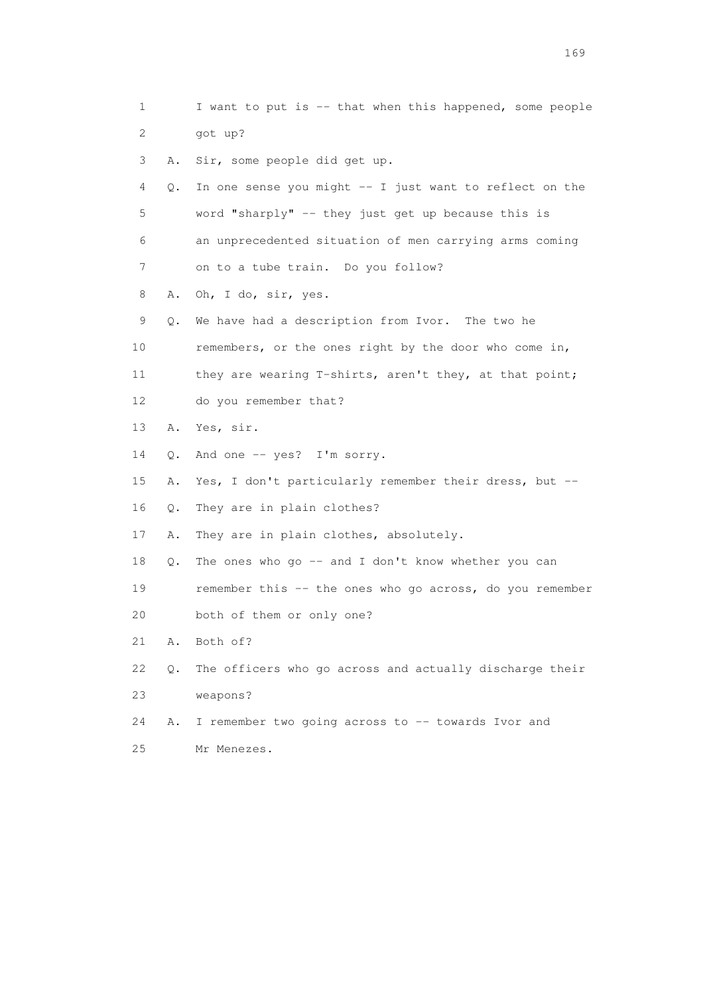1 I want to put is -- that when this happened, some people 2 got up? 3 A. Sir, some people did get up. 4 Q. In one sense you might -- I just want to reflect on the 5 word "sharply" -- they just get up because this is 6 an unprecedented situation of men carrying arms coming 7 on to a tube train. Do you follow? 8 A. Oh, I do, sir, yes. 9 Q. We have had a description from Ivor. The two he 10 remembers, or the ones right by the door who come in, 11 they are wearing T-shirts, aren't they, at that point; 12 do you remember that? 13 A. Yes, sir. 14 Q. And one -- yes? I'm sorry. 15 A. Yes, I don't particularly remember their dress, but -- 16 Q. They are in plain clothes? 17 A. They are in plain clothes, absolutely. 18 Q. The ones who go -- and I don't know whether you can 19 remember this -- the ones who go across, do you remember 20 both of them or only one? 21 A. Both of? 22 Q. The officers who go across and actually discharge their 23 weapons? 24 A. I remember two going across to -- towards Ivor and 25 Mr Menezes.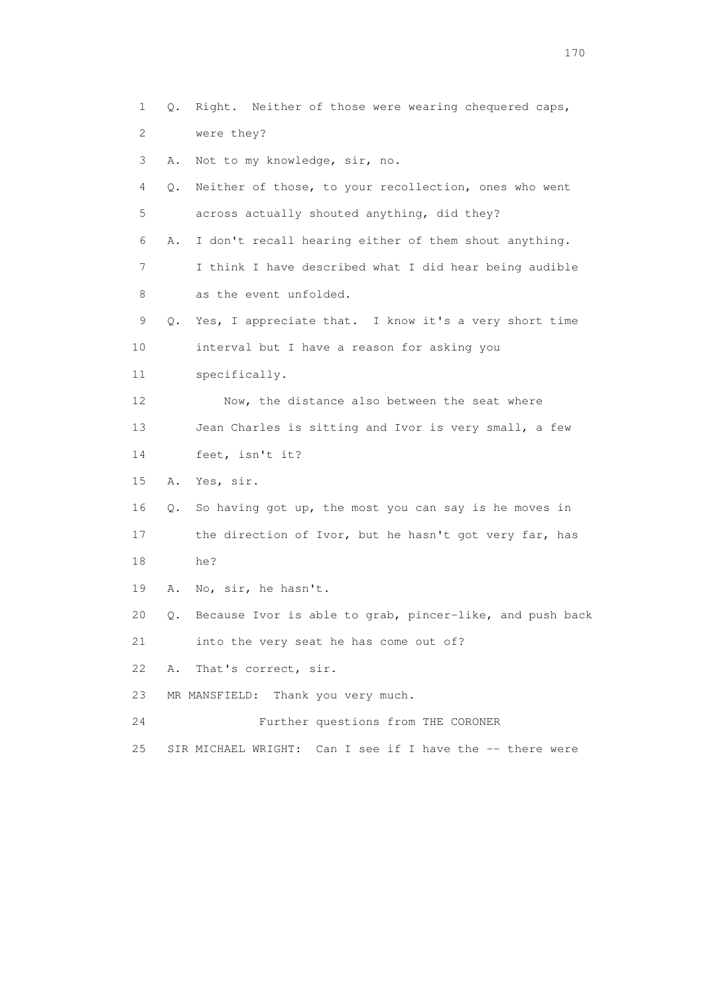1 Q. Right. Neither of those were wearing chequered caps, 2 were they? 3 A. Not to my knowledge, sir, no. 4 Q. Neither of those, to your recollection, ones who went 5 across actually shouted anything, did they? 6 A. I don't recall hearing either of them shout anything. 7 I think I have described what I did hear being audible 8 as the event unfolded. 9 Q. Yes, I appreciate that. I know it's a very short time 10 interval but I have a reason for asking you 11 specifically. 12 Now, the distance also between the seat where 13 Jean Charles is sitting and Ivor is very small, a few 14 feet, isn't it? 15 A. Yes, sir. 16 Q. So having got up, the most you can say is he moves in 17 the direction of Ivor, but he hasn't got very far, has 18 he? 19 A. No, sir, he hasn't. 20 Q. Because Ivor is able to grab, pincer-like, and push back 21 into the very seat he has come out of? 22 A. That's correct, sir. 23 MR MANSFIELD: Thank you very much. 24 Further questions from THE CORONER 25 SIR MICHAEL WRIGHT: Can I see if I have the -- there were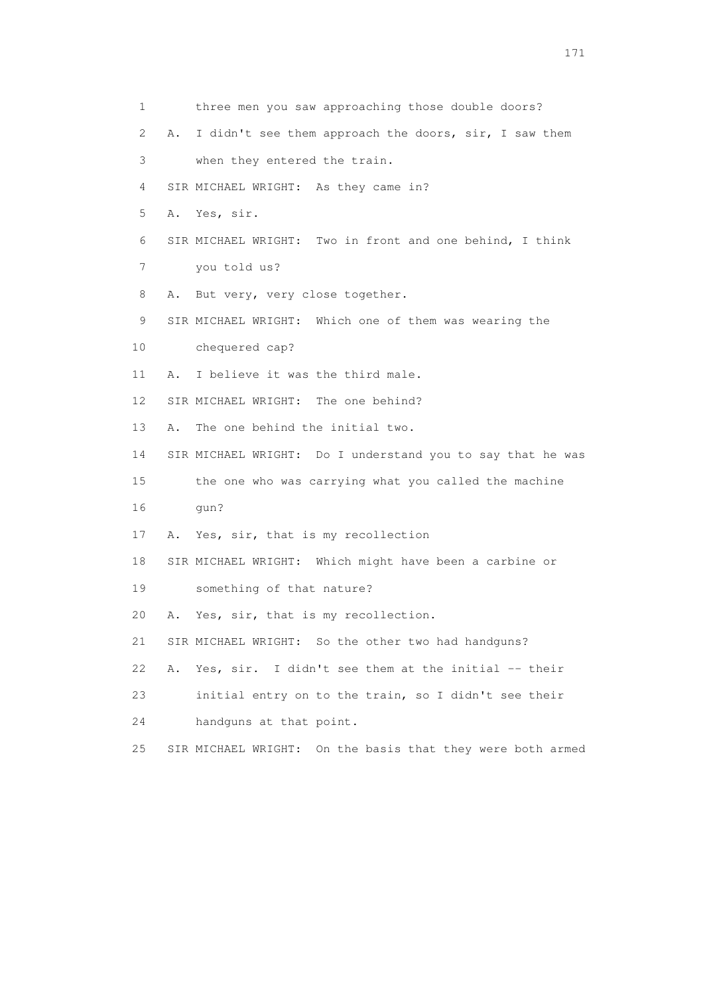| 1  |    | three men you saw approaching those double doors?             |
|----|----|---------------------------------------------------------------|
| 2  | Α. | I didn't see them approach the doors, sir, I saw them         |
| 3  |    | when they entered the train.                                  |
| 4  |    | SIR MICHAEL WRIGHT: As they came in?                          |
| 5  |    | A. Yes, sir.                                                  |
| 6  |    | SIR MICHAEL WRIGHT: Two in front and one behind, I think      |
| 7  |    | you told us?                                                  |
| 8  | Α. | But very, very close together.                                |
| 9  |    | SIR MICHAEL WRIGHT: Which one of them was wearing the         |
| 10 |    | chequered cap?                                                |
| 11 | Α. | I believe it was the third male.                              |
| 12 |    | SIR MICHAEL WRIGHT: The one behind?                           |
| 13 | Α. | The one behind the initial two.                               |
| 14 |    | SIR MICHAEL WRIGHT: Do I understand you to say that he was    |
| 15 |    | the one who was carrying what you called the machine          |
| 16 |    | qun?                                                          |
| 17 |    | A. Yes, sir, that is my recollection                          |
| 18 |    | SIR MICHAEL WRIGHT: Which might have been a carbine or        |
| 19 |    | something of that nature?                                     |
| 20 | Α. | Yes, sir, that is my recollection.                            |
| 21 |    | SIR MICHAEL WRIGHT: So the other two had handguns?            |
| 22 | Α. | Yes, sir. I didn't see them at the initial -- their           |
| 23 |    | initial entry on to the train, so I didn't see their          |
| 24 |    | handguns at that point.                                       |
| 25 |    | On the basis that they were both armed<br>SIR MICHAEL WRIGHT: |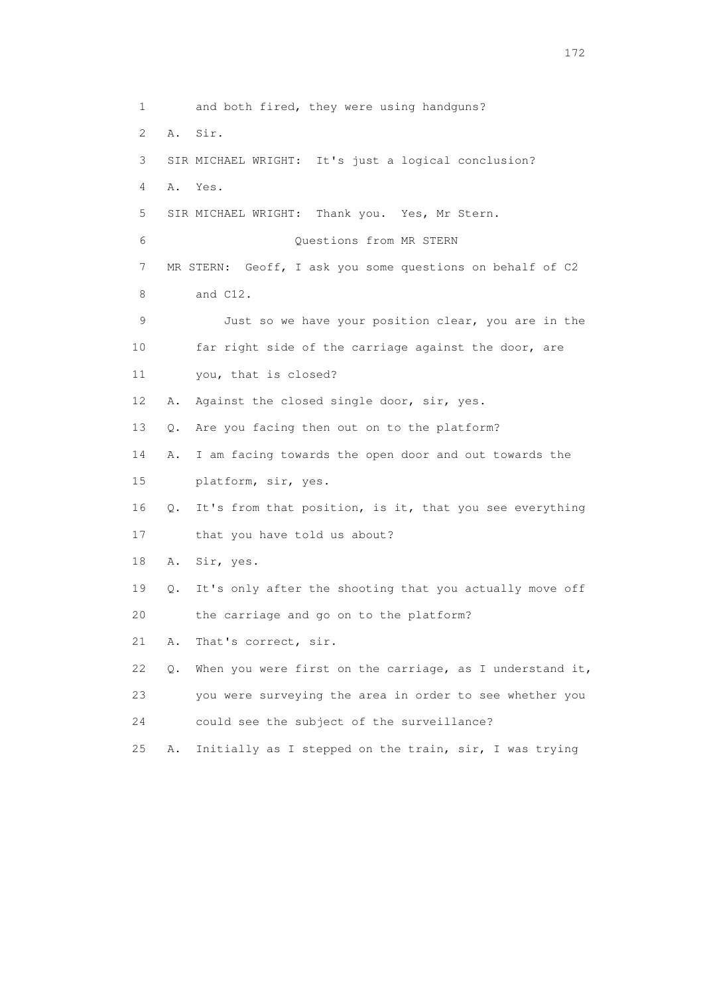1 and both fired, they were using handguns? 2 A. Sir. 3 SIR MICHAEL WRIGHT: It's just a logical conclusion? 4 A. Yes. 5 SIR MICHAEL WRIGHT: Thank you. Yes, Mr Stern. 6 Questions from MR STERN 7 MR STERN: Geoff, I ask you some questions on behalf of C2 8 and C12. 9 Just so we have your position clear, you are in the 10 far right side of the carriage against the door, are 11 you, that is closed? 12 A. Against the closed single door, sir, yes. 13 Q. Are you facing then out on to the platform? 14 A. I am facing towards the open door and out towards the 15 platform, sir, yes. 16 Q. It's from that position, is it, that you see everything 17 that you have told us about? 18 A. Sir, yes. 19 Q. It's only after the shooting that you actually move off 20 the carriage and go on to the platform? 21 A. That's correct, sir. 22  $\,$  Q. When you were first on the carriage, as I understand it, 23 you were surveying the area in order to see whether you 24 could see the subject of the surveillance? 25 A. Initially as I stepped on the train, sir, I was trying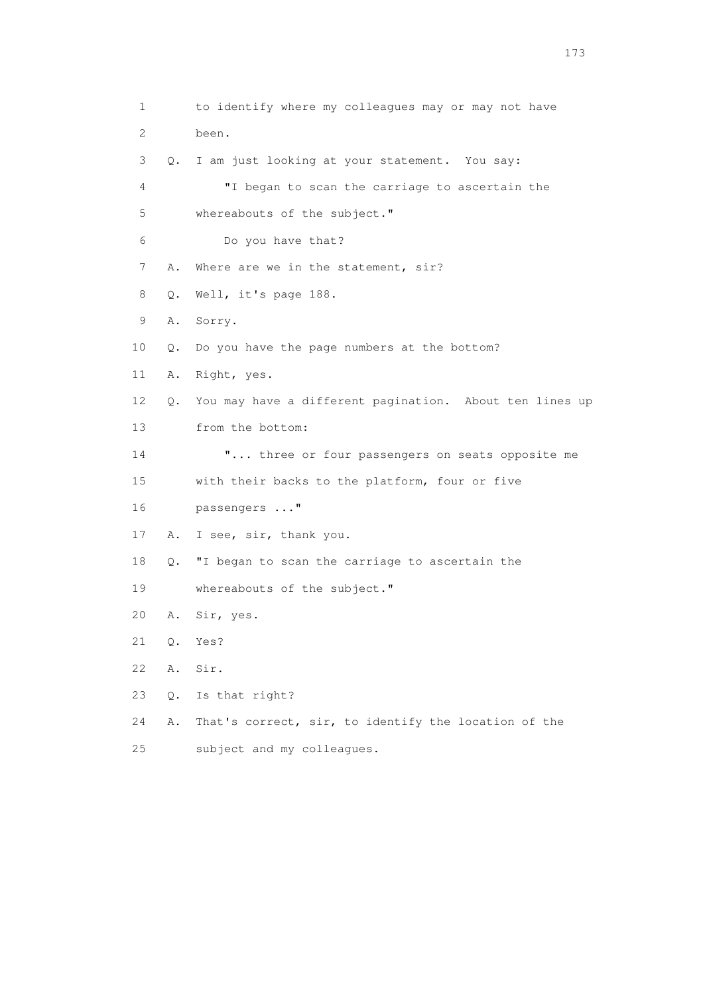1 to identify where my colleagues may or may not have 2 been. 3 Q. I am just looking at your statement. You say: 4 "I began to scan the carriage to ascertain the 5 whereabouts of the subject." 6 Do you have that? 7 A. Where are we in the statement, sir? 8 Q. Well, it's page 188. 9 A. Sorry. 10 Q. Do you have the page numbers at the bottom? 11 A. Right, yes. 12 Q. You may have a different pagination. About ten lines up 13 from the bottom: 14 "... three or four passengers on seats opposite me 15 with their backs to the platform, four or five 16 passengers ..." 17 A. I see, sir, thank you. 18 Q. "I began to scan the carriage to ascertain the 19 whereabouts of the subject." 20 A. Sir, yes. 21 Q. Yes? 22 A. Sir. 23 Q. Is that right? 24 A. That's correct, sir, to identify the location of the 25 subject and my colleagues.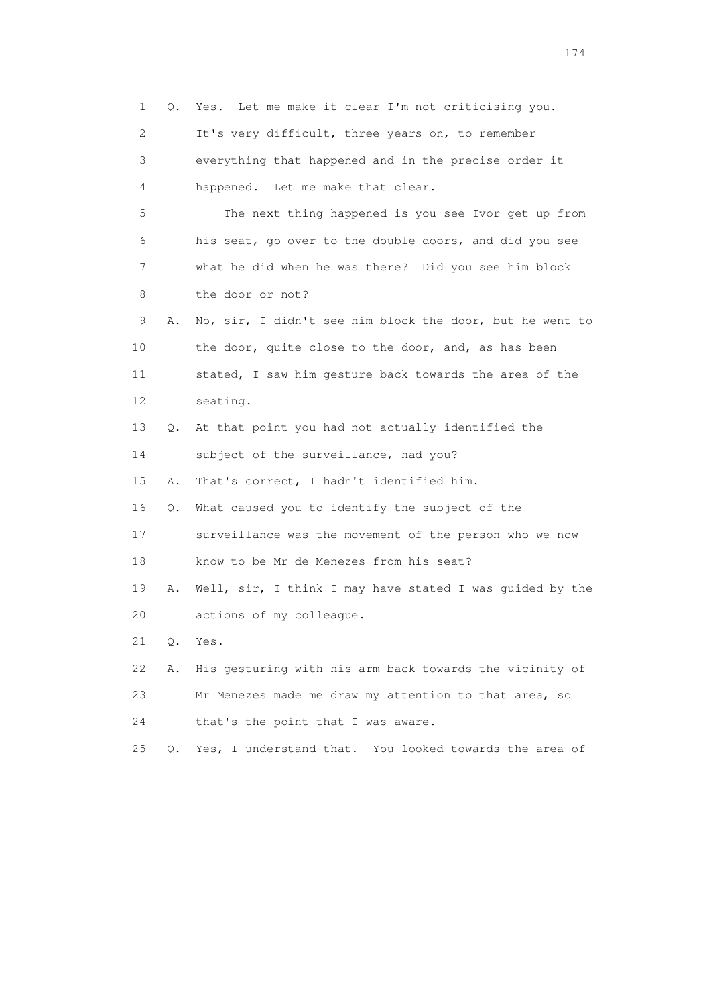1 Q. Yes. Let me make it clear I'm not criticising you. 2 It's very difficult, three years on, to remember 3 everything that happened and in the precise order it 4 happened. Let me make that clear. 5 The next thing happened is you see Ivor get up from 6 his seat, go over to the double doors, and did you see 7 what he did when he was there? Did you see him block 8 the door or not? 9 A. No, sir, I didn't see him block the door, but he went to 10 the door, quite close to the door, and, as has been 11 stated, I saw him gesture back towards the area of the 12 seating. 13 Q. At that point you had not actually identified the 14 subject of the surveillance, had you? 15 A. That's correct, I hadn't identified him. 16 Q. What caused you to identify the subject of the 17 surveillance was the movement of the person who we now 18 know to be Mr de Menezes from his seat? 19 A. Well, sir, I think I may have stated I was guided by the 20 actions of my colleague. 21 Q. Yes. 22 A. His gesturing with his arm back towards the vicinity of 23 Mr Menezes made me draw my attention to that area, so 24 that's the point that I was aware. 25 Q. Yes, I understand that. You looked towards the area of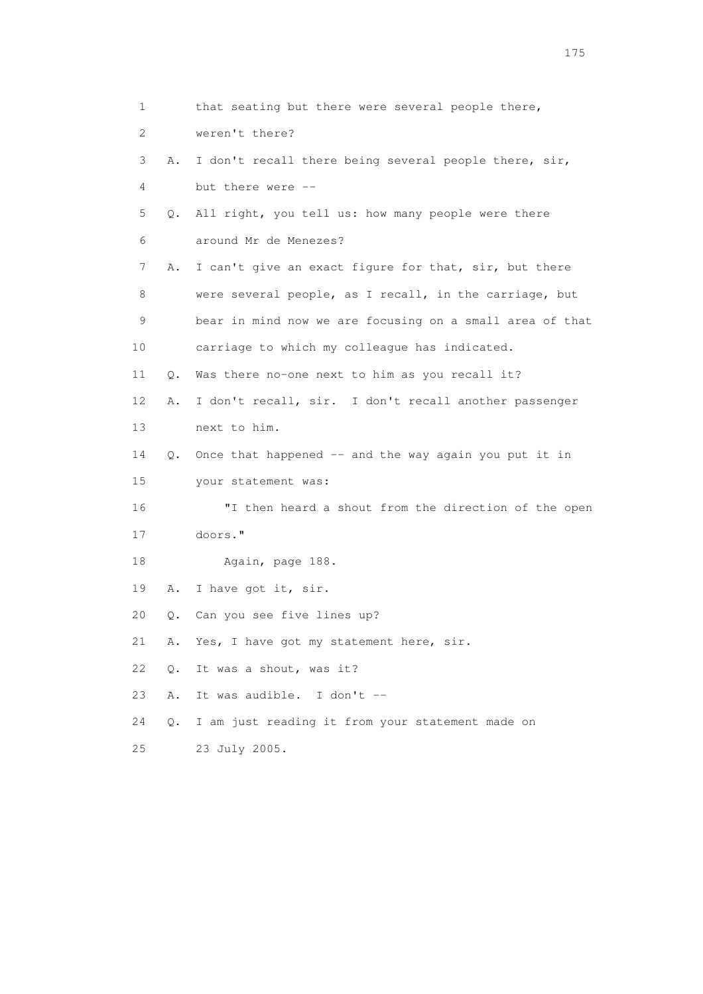1 that seating but there were several people there, 2 weren't there? 3 A. I don't recall there being several people there, sir, 4 but there were -- 5 Q. All right, you tell us: how many people were there 6 around Mr de Menezes? 7 A. I can't give an exact figure for that, sir, but there 8 were several people, as I recall, in the carriage, but 9 bear in mind now we are focusing on a small area of that 10 carriage to which my colleague has indicated. 11 Q. Was there no-one next to him as you recall it? 12 A. I don't recall, sir. I don't recall another passenger 13 next to him. 14 Q. Once that happened -- and the way again you put it in 15 your statement was: 16 "I then heard a shout from the direction of the open 17 doors." 18 Again, page 188. 19 A. I have got it, sir. 20 Q. Can you see five lines up? 21 A. Yes, I have got my statement here, sir. 22 Q. It was a shout, was it? 23 A. It was audible. I don't -- 24 Q. I am just reading it from your statement made on 25 23 July 2005.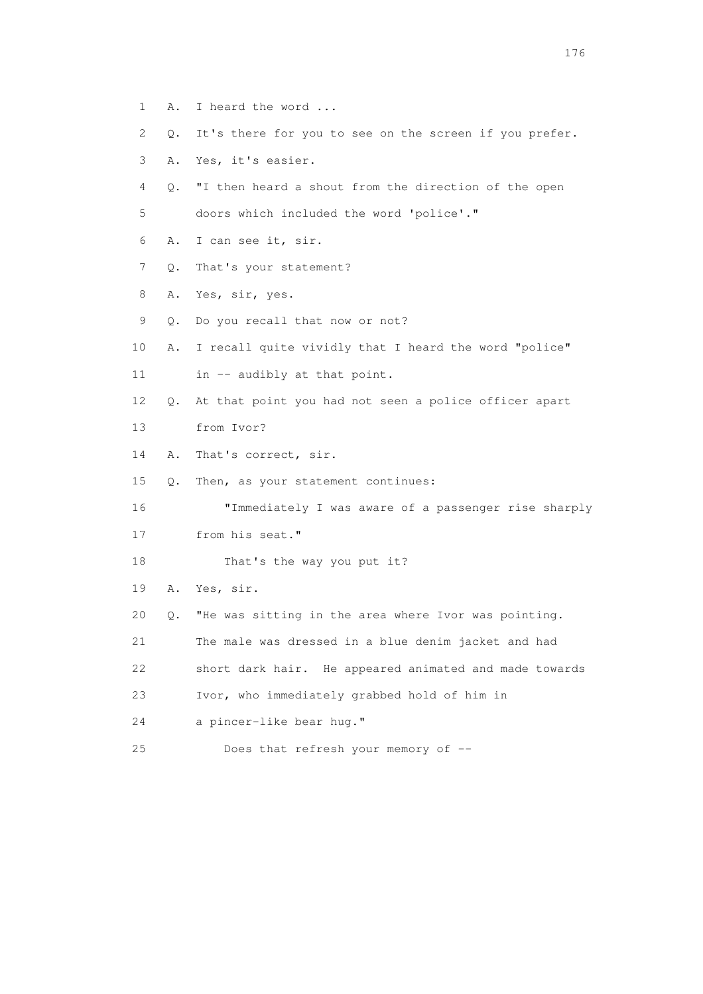- 1 A. I heard the word ...
- 2 Q. It's there for you to see on the screen if you prefer.
- 3 A. Yes, it's easier.
- 4 Q. "I then heard a shout from the direction of the open 5 doors which included the word 'police'."
- 6 A. I can see it, sir.
- 7 Q. That's your statement?
- 8 A. Yes, sir, yes.
- 9 Q. Do you recall that now or not?
- 10 A. I recall quite vividly that I heard the word "police"
- 11 in -- audibly at that point.
- 12 Q. At that point you had not seen a police officer apart 13 from Ivor?
- 14 A. That's correct, sir.
- 15 Q. Then, as your statement continues:
- 16 "Immediately I was aware of a passenger rise sharply
- 17 from his seat."
- 18 That's the way you put it?
- 19 A. Yes, sir.
- 20 Q. "He was sitting in the area where Ivor was pointing.
- 21 The male was dressed in a blue denim jacket and had
- 22 short dark hair. He appeared animated and made towards
- 23 Ivor, who immediately grabbed hold of him in
- 24 a pincer-like bear hug."
- 25 Does that refresh your memory of --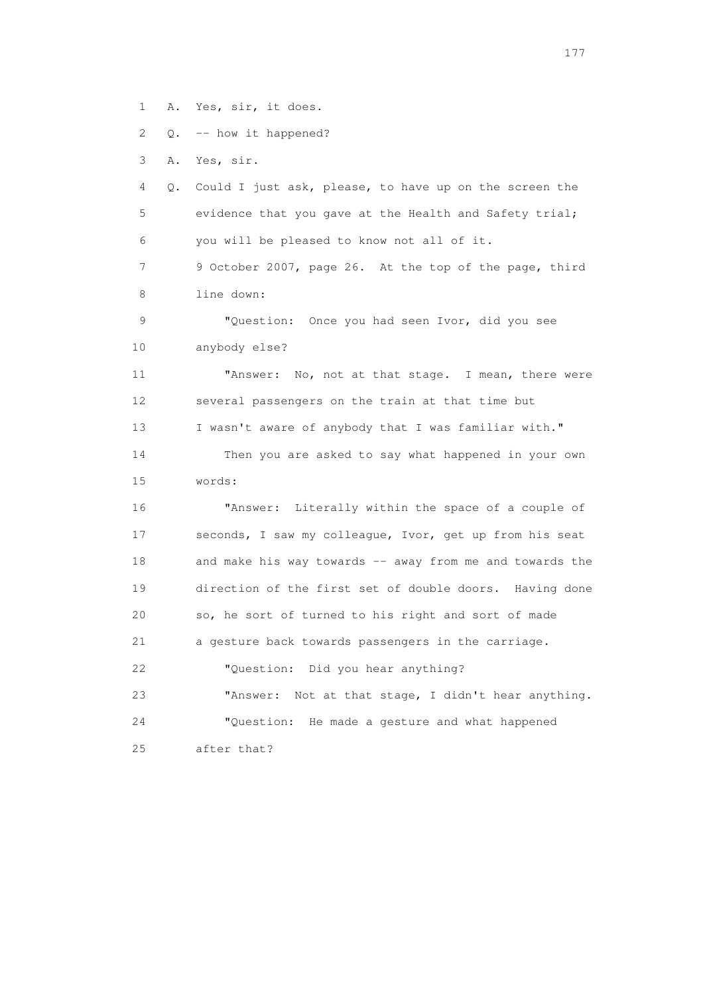1 A. Yes, sir, it does.

2 Q. -- how it happened?

3 A. Yes, sir.

 4 Q. Could I just ask, please, to have up on the screen the 5 evidence that you gave at the Health and Safety trial; 6 you will be pleased to know not all of it. 7 9 October 2007, page 26. At the top of the page, third 8 line down: 9 "Question: Once you had seen Ivor, did you see 10 anybody else? 11 "Answer: No, not at that stage. I mean, there were 12 several passengers on the train at that time but 13 I wasn't aware of anybody that I was familiar with." 14 Then you are asked to say what happened in your own 15 words: 16 "Answer: Literally within the space of a couple of 17 seconds, I saw my colleague, Ivor, get up from his seat 18 and make his way towards -- away from me and towards the 19 direction of the first set of double doors. Having done 20 so, he sort of turned to his right and sort of made 21 a gesture back towards passengers in the carriage. 22 "Question: Did you hear anything? 23 "Answer: Not at that stage, I didn't hear anything. 24 "Question: He made a gesture and what happened 25 after that?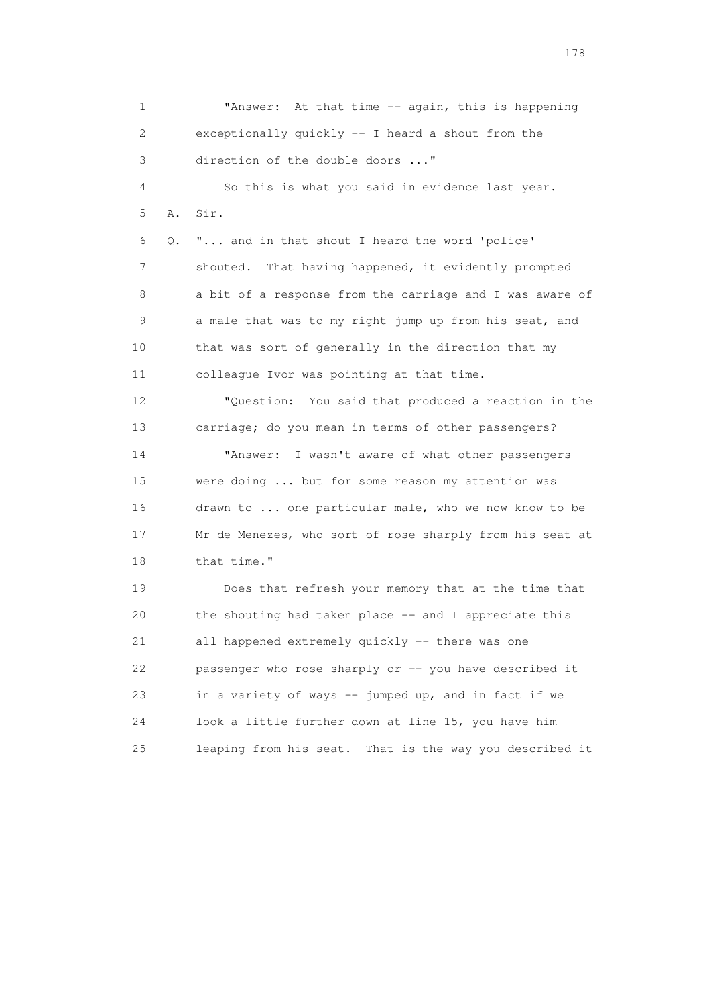1 "Answer: At that time -- again, this is happening 2 exceptionally quickly -- I heard a shout from the 3 direction of the double doors ..." 4 So this is what you said in evidence last year. 5 A. Sir. 6 Q. "... and in that shout I heard the word 'police' 7 shouted. That having happened, it evidently prompted 8 a bit of a response from the carriage and I was aware of 9 a male that was to my right jump up from his seat, and 10 that was sort of generally in the direction that my 11 colleague Ivor was pointing at that time. 12 "Question: You said that produced a reaction in the 13 carriage; do you mean in terms of other passengers? 14 "Answer: I wasn't aware of what other passengers 15 were doing ... but for some reason my attention was 16 drawn to ... one particular male, who we now know to be 17 Mr de Menezes, who sort of rose sharply from his seat at 18 that time." 19 Does that refresh your memory that at the time that 20 the shouting had taken place -- and I appreciate this 21 all happened extremely quickly -- there was one 22 passenger who rose sharply or -- you have described it 23 in a variety of ways -- jumped up, and in fact if we 24 look a little further down at line 15, you have him 25 leaping from his seat. That is the way you described it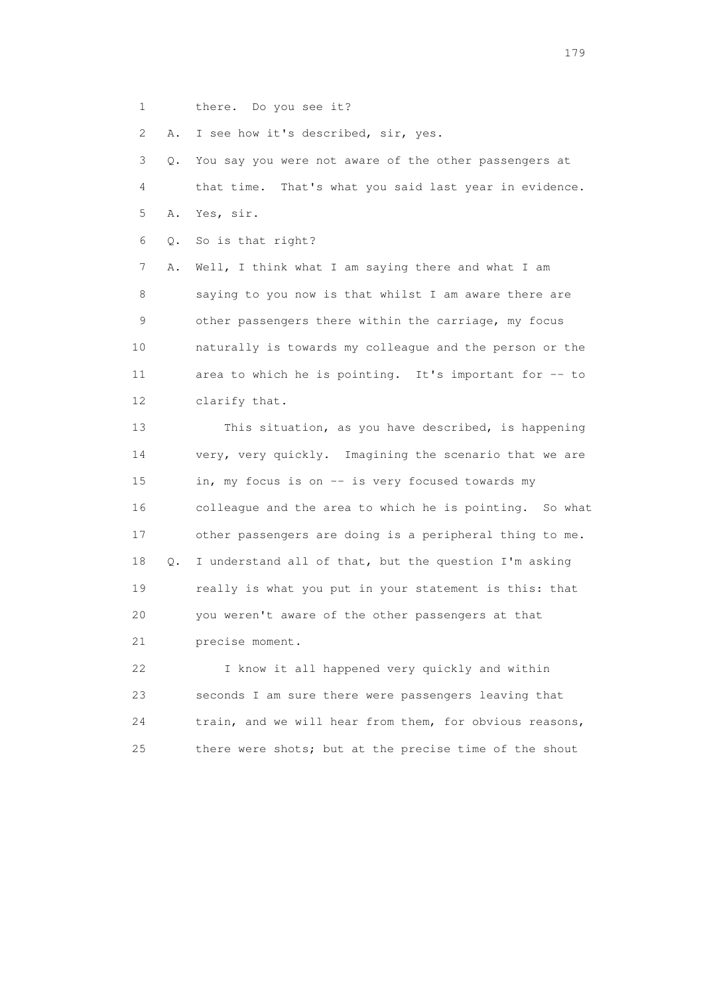1 there. Do you see it?

2 A. I see how it's described, sir, yes.

 3 Q. You say you were not aware of the other passengers at 4 that time. That's what you said last year in evidence. 5 A. Yes, sir. 6 Q. So is that right? 7 A. Well, I think what I am saying there and what I am 8 saying to you now is that whilst I am aware there are 9 other passengers there within the carriage, my focus 10 naturally is towards my colleague and the person or the 11 area to which he is pointing. It's important for -- to 12 clarify that. 13 This situation, as you have described, is happening 14 very, very quickly. Imagining the scenario that we are 15 in, my focus is on -- is very focused towards my 16 colleague and the area to which he is pointing. So what 17 other passengers are doing is a peripheral thing to me. 18 Q. I understand all of that, but the question I'm asking 19 really is what you put in your statement is this: that 20 you weren't aware of the other passengers at that 21 precise moment. 22 I know it all happened very quickly and within 23 seconds I am sure there were passengers leaving that

 24 train, and we will hear from them, for obvious reasons, 25 there were shots; but at the precise time of the shout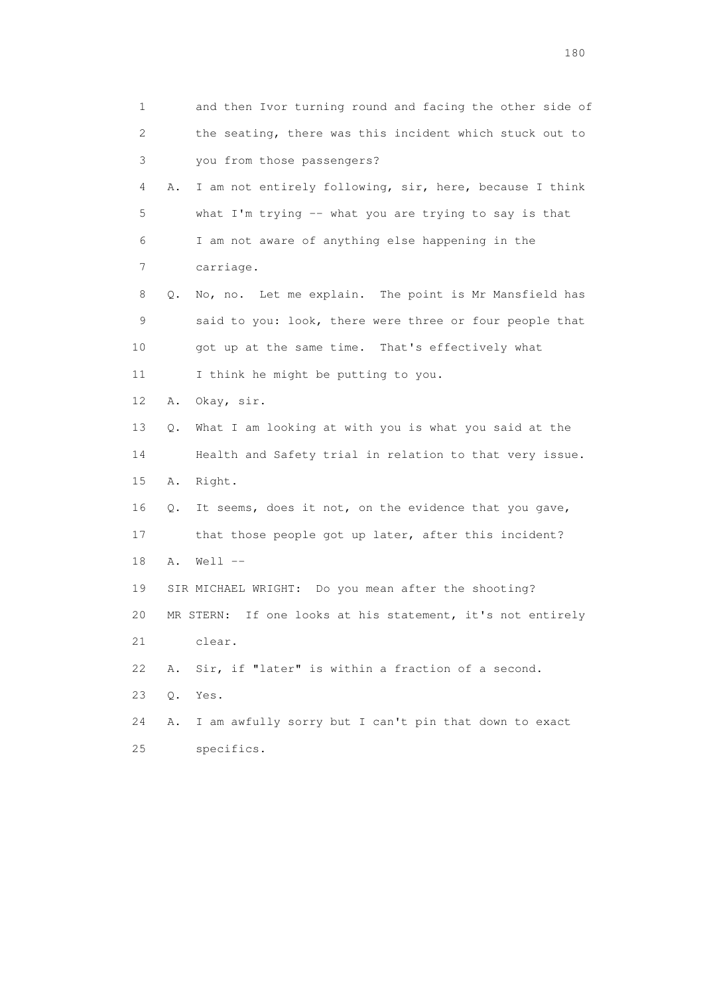1 and then Ivor turning round and facing the other side of 2 the seating, there was this incident which stuck out to 3 you from those passengers? 4 A. I am not entirely following, sir, here, because I think 5 what I'm trying -- what you are trying to say is that 6 I am not aware of anything else happening in the 7 carriage. 8 Q. No, no. Let me explain. The point is Mr Mansfield has 9 said to you: look, there were three or four people that 10 got up at the same time. That's effectively what 11 I think he might be putting to you. 12 A. Okay, sir. 13 Q. What I am looking at with you is what you said at the 14 Health and Safety trial in relation to that very issue. 15 A. Right. 16 Q. It seems, does it not, on the evidence that you gave, 17 that those people got up later, after this incident? 18 A. Well -- 19 SIR MICHAEL WRIGHT: Do you mean after the shooting? 20 MR STERN: If one looks at his statement, it's not entirely 21 clear. 22 A. Sir, if "later" is within a fraction of a second. 23 Q. Yes. 24 A. I am awfully sorry but I can't pin that down to exact 25 specifics.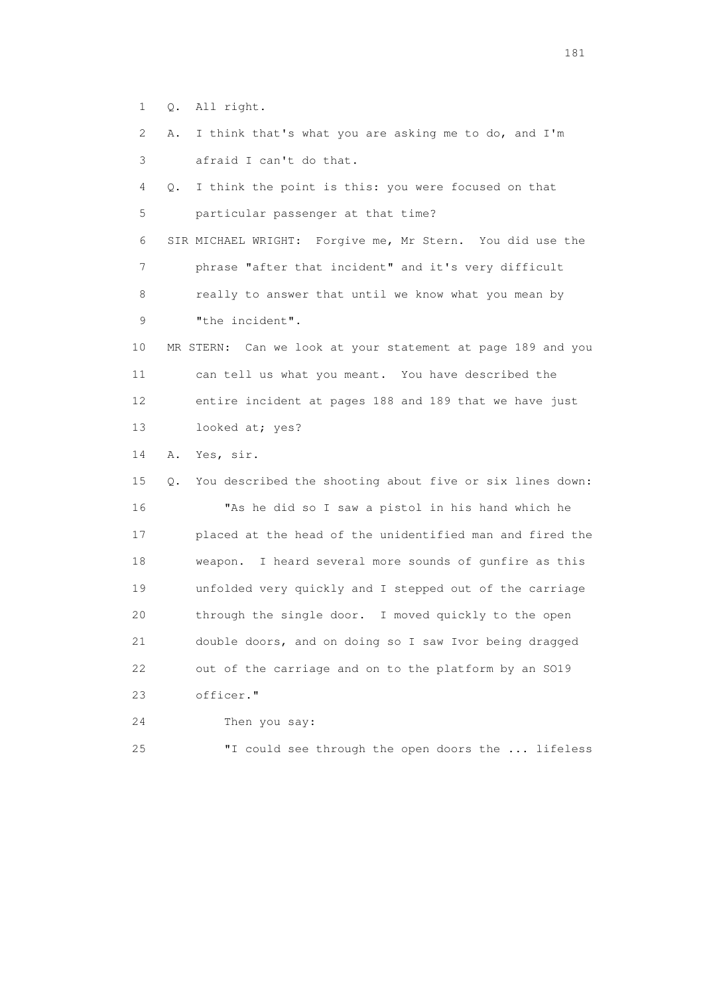- 1 Q. All right.
- 2 A. I think that's what you are asking me to do, and I'm 3 afraid I can't do that.

 4 Q. I think the point is this: you were focused on that 5 particular passenger at that time?

 6 SIR MICHAEL WRIGHT: Forgive me, Mr Stern. You did use the 7 phrase "after that incident" and it's very difficult 8 really to answer that until we know what you mean by 9 "the incident".

 10 MR STERN: Can we look at your statement at page 189 and you 11 can tell us what you meant. You have described the 12 entire incident at pages 188 and 189 that we have just 13 looked at; yes?

14 A. Yes, sir.

 15 Q. You described the shooting about five or six lines down: 16 "As he did so I saw a pistol in his hand which he 17 placed at the head of the unidentified man and fired the 18 weapon. I heard several more sounds of gunfire as this 19 unfolded very quickly and I stepped out of the carriage 20 through the single door. I moved quickly to the open 21 double doors, and on doing so I saw Ivor being dragged 22 out of the carriage and on to the platform by an SO19 23 officer."

24 Then you say:

25 "I could see through the open doors the ... lifeless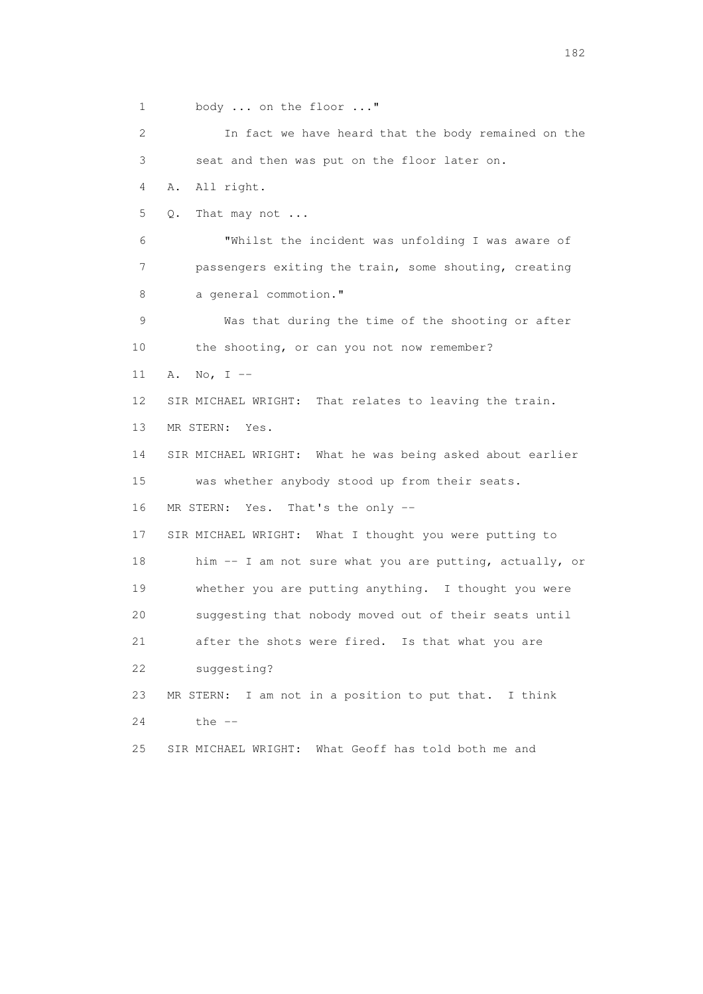1 body ... on the floor ..." 2 In fact we have heard that the body remained on the 3 seat and then was put on the floor later on. 4 A. All right. 5 Q. That may not ... 6 "Whilst the incident was unfolding I was aware of 7 passengers exiting the train, some shouting, creating 8 a general commotion." 9 Was that during the time of the shooting or after 10 the shooting, or can you not now remember? 11 A. No, I -- 12 SIR MICHAEL WRIGHT: That relates to leaving the train. 13 MR STERN: Yes. 14 SIR MICHAEL WRIGHT: What he was being asked about earlier 15 was whether anybody stood up from their seats. 16 MR STERN: Yes. That's the only -- 17 SIR MICHAEL WRIGHT: What I thought you were putting to 18 him -- I am not sure what you are putting, actually, or 19 whether you are putting anything. I thought you were 20 suggesting that nobody moved out of their seats until 21 after the shots were fired. Is that what you are 22 suggesting? 23 MR STERN: I am not in a position to put that. I think 24 the -- 25 SIR MICHAEL WRIGHT: What Geoff has told both me and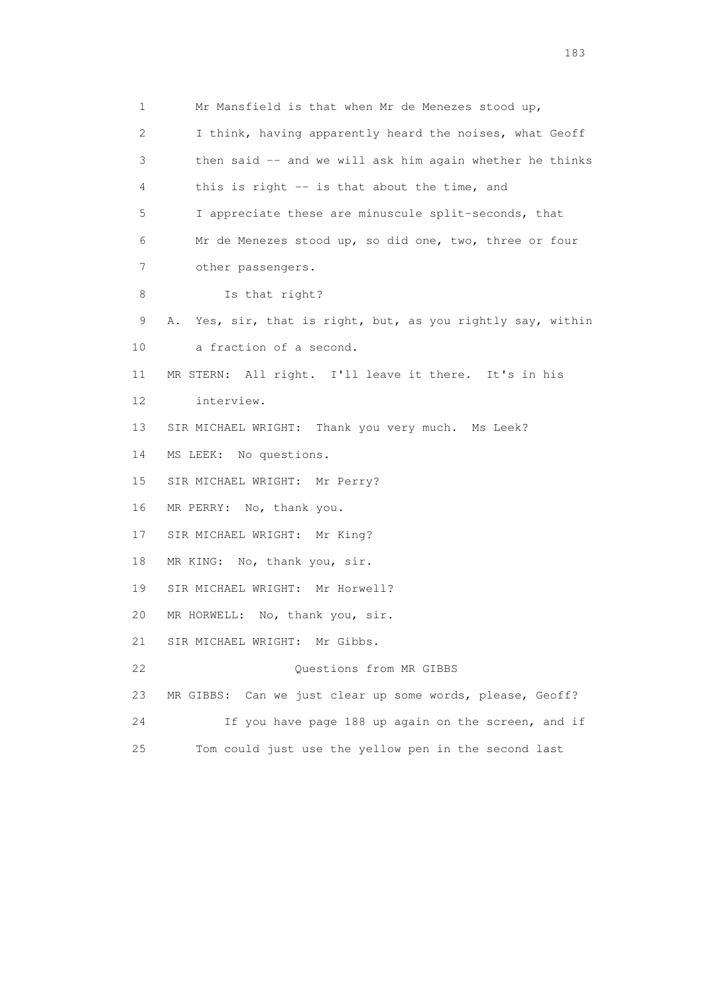1 Mr Mansfield is that when Mr de Menezes stood up, 2 I think, having apparently heard the noises, what Geoff 3 then said -- and we will ask him again whether he thinks 4 this is right -- is that about the time, and 5 I appreciate these are minuscule split-seconds, that 6 Mr de Menezes stood up, so did one, two, three or four 7 other passengers. 8 Is that right? 9 A. Yes, sir, that is right, but, as you rightly say, within 10 a fraction of a second. 11 MR STERN: All right. I'll leave it there. It's in his 12 interview. 13 SIR MICHAEL WRIGHT: Thank you very much. Ms Leek? 14 MS LEEK: No questions. 15 SIR MICHAEL WRIGHT: Mr Perry? 16 MR PERRY: No, thank you. 17 SIR MICHAEL WRIGHT: Mr King? 18 MR KING: No, thank you, sir. 19 SIR MICHAEL WRIGHT: Mr Horwell? 20 MR HORWELL: No, thank you, sir. 21 SIR MICHAEL WRIGHT: Mr Gibbs. 22 Ouestions from MR GIBBS 23 MR GIBBS: Can we just clear up some words, please, Geoff? 24 If you have page 188 up again on the screen, and if 25 Tom could just use the yellow pen in the second last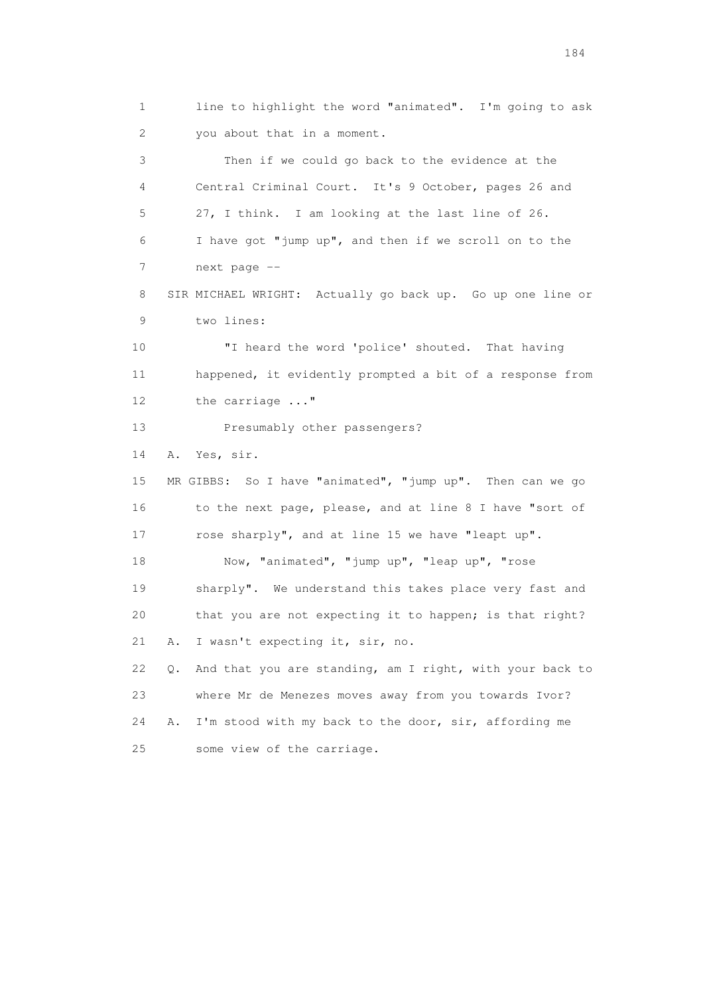1 line to highlight the word "animated". I'm going to ask 2 you about that in a moment. 3 Then if we could go back to the evidence at the 4 Central Criminal Court. It's 9 October, pages 26 and 5 27, I think. I am looking at the last line of 26. 6 I have got "jump up", and then if we scroll on to the 7 next page -- 8 SIR MICHAEL WRIGHT: Actually go back up. Go up one line or 9 two lines: 10 "I heard the word 'police' shouted. That having 11 happened, it evidently prompted a bit of a response from 12 the carriage ..." 13 Presumably other passengers? 14 A. Yes, sir. 15 MR GIBBS: So I have "animated", "jump up". Then can we go 16 to the next page, please, and at line 8 I have "sort of 17 rose sharply", and at line 15 we have "leapt up". 18 Now, "animated", "jump up", "leap up", "rose 19 sharply". We understand this takes place very fast and 20 that you are not expecting it to happen; is that right? 21 A. I wasn't expecting it, sir, no. 22 Q. And that you are standing, am I right, with your back to 23 where Mr de Menezes moves away from you towards Ivor? 24 A. I'm stood with my back to the door, sir, affording me 25 some view of the carriage.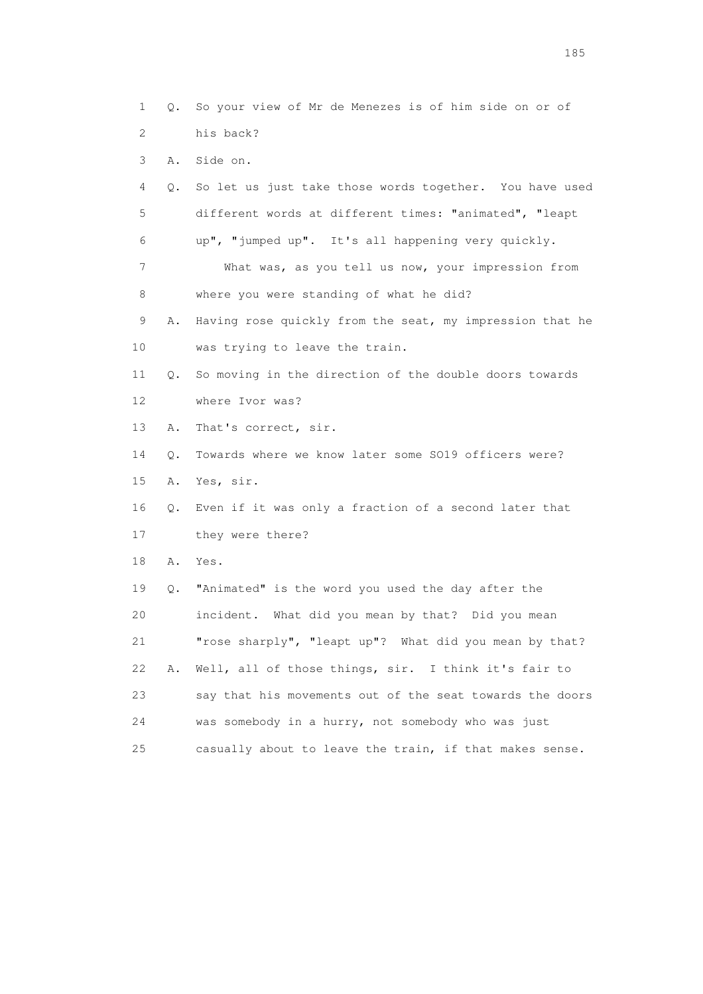1 Q. So your view of Mr de Menezes is of him side on or of 2 his back? 3 A. Side on. 4 Q. So let us just take those words together. You have used 5 different words at different times: "animated", "leapt 6 up", "jumped up". It's all happening very quickly. 7 What was, as you tell us now, your impression from 8 where you were standing of what he did? 9 A. Having rose quickly from the seat, my impression that he 10 was trying to leave the train. 11 Q. So moving in the direction of the double doors towards 12 where Ivor was? 13 A. That's correct, sir. 14 Q. Towards where we know later some SO19 officers were? 15 A. Yes, sir. 16 Q. Even if it was only a fraction of a second later that 17 they were there? 18 A. Yes. 19 Q. "Animated" is the word you used the day after the 20 incident. What did you mean by that? Did you mean 21 "rose sharply", "leapt up"? What did you mean by that? 22 A. Well, all of those things, sir. I think it's fair to 23 say that his movements out of the seat towards the doors 24 was somebody in a hurry, not somebody who was just 25 casually about to leave the train, if that makes sense.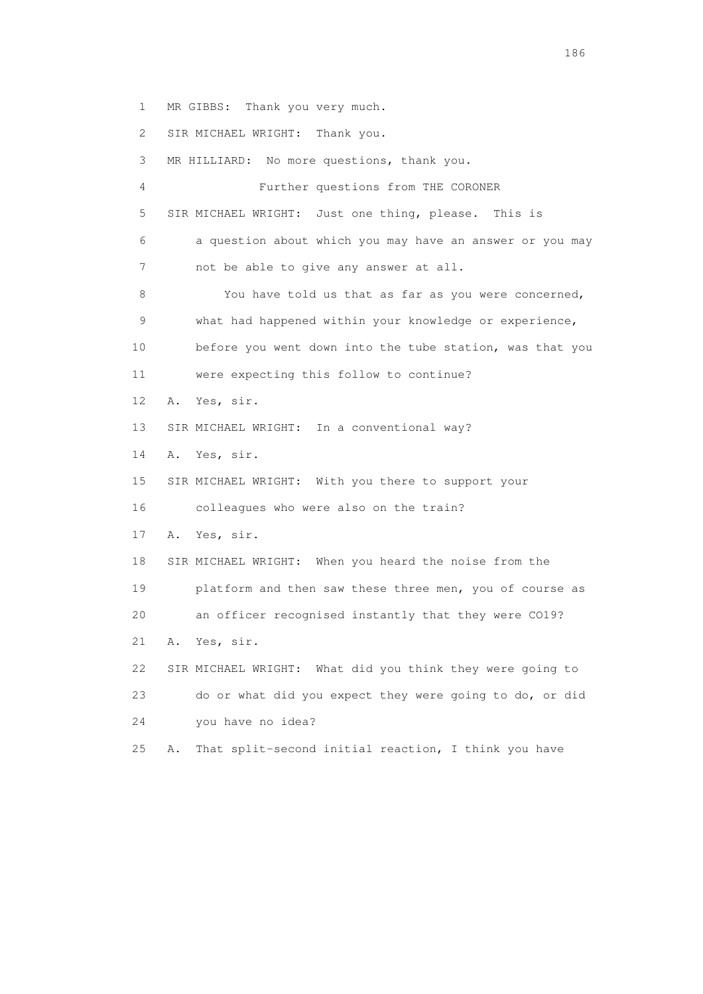1 MR GIBBS: Thank you very much.

2 SIR MICHAEL WRIGHT: Thank you.

 3 MR HILLIARD: No more questions, thank you. 4 Further questions from THE CORONER 5 SIR MICHAEL WRIGHT: Just one thing, please. This is 6 a question about which you may have an answer or you may 7 not be able to give any answer at all. 8 You have told us that as far as you were concerned, 9 what had happened within your knowledge or experience, 10 before you went down into the tube station, was that you 11 were expecting this follow to continue? 12 A. Yes, sir. 13 SIR MICHAEL WRIGHT: In a conventional way? 14 A. Yes, sir. 15 SIR MICHAEL WRIGHT: With you there to support your 16 colleagues who were also on the train? 17 A. Yes, sir. 18 SIR MICHAEL WRIGHT: When you heard the noise from the 19 platform and then saw these three men, you of course as 20 an officer recognised instantly that they were CO19? 21 A. Yes, sir. 22 SIR MICHAEL WRIGHT: What did you think they were going to 23 do or what did you expect they were going to do, or did 24 you have no idea? 25 A. That split-second initial reaction, I think you have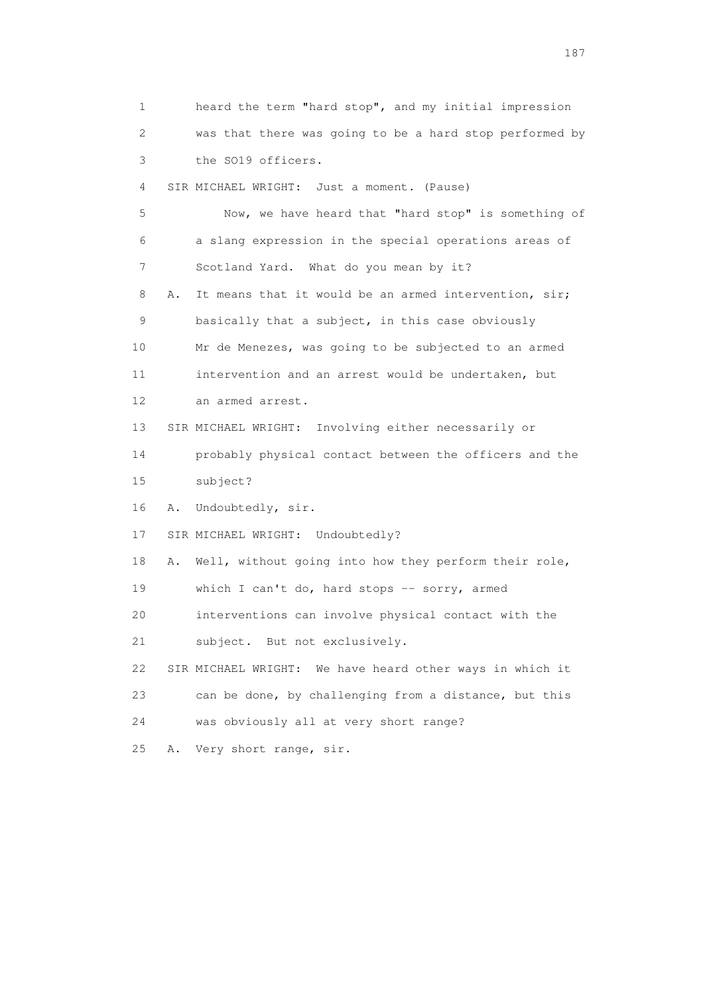1 heard the term "hard stop", and my initial impression 2 was that there was going to be a hard stop performed by 3 the SO19 officers. 4 SIR MICHAEL WRIGHT: Just a moment. (Pause) 5 Now, we have heard that "hard stop" is something of 6 a slang expression in the special operations areas of 7 Scotland Yard. What do you mean by it? 8 A. It means that it would be an armed intervention, sir; 9 basically that a subject, in this case obviously 10 Mr de Menezes, was going to be subjected to an armed 11 intervention and an arrest would be undertaken, but 12 an armed arrest. 13 SIR MICHAEL WRIGHT: Involving either necessarily or 14 probably physical contact between the officers and the 15 subject? 16 A. Undoubtedly, sir. 17 SIR MICHAEL WRIGHT: Undoubtedly? 18 A. Well, without going into how they perform their role, 19 which I can't do, hard stops -- sorry, armed 20 interventions can involve physical contact with the 21 subject. But not exclusively. 22 SIR MICHAEL WRIGHT: We have heard other ways in which it 23 can be done, by challenging from a distance, but this 24 was obviously all at very short range? 25 A. Very short range, sir.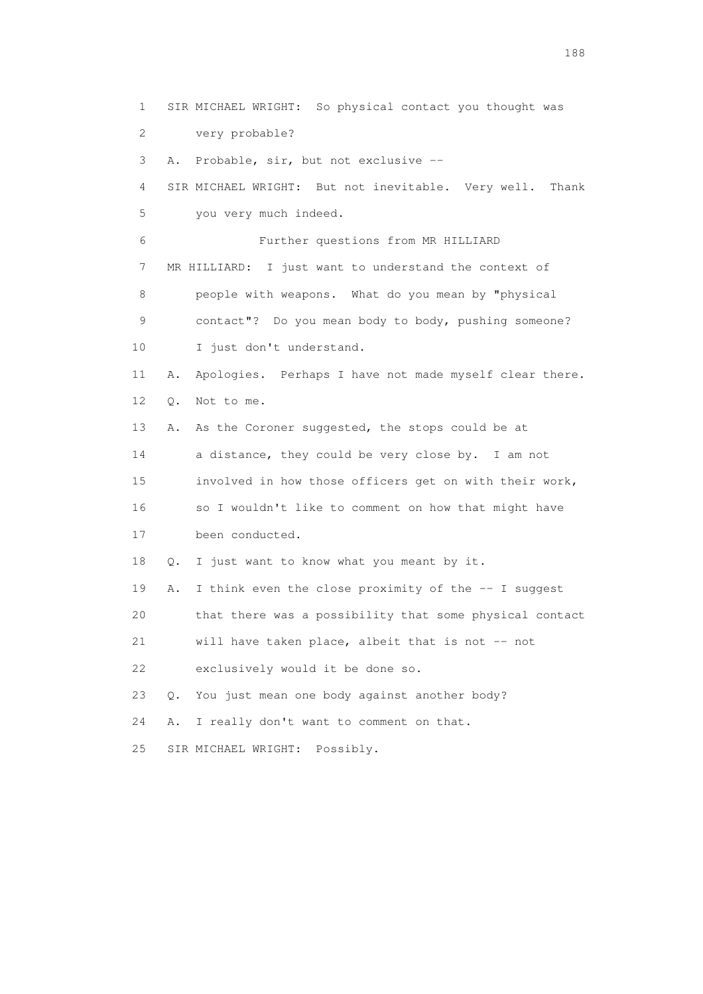1 SIR MICHAEL WRIGHT: So physical contact you thought was 2 very probable? 3 A. Probable, sir, but not exclusive -- 4 SIR MICHAEL WRIGHT: But not inevitable. Very well. Thank 5 you very much indeed. 6 Further questions from MR HILLIARD 7 MR HILLIARD: I just want to understand the context of 8 people with weapons. What do you mean by "physical 9 contact"? Do you mean body to body, pushing someone? 10 I just don't understand. 11 A. Apologies. Perhaps I have not made myself clear there. 12 Q. Not to me. 13 A. As the Coroner suggested, the stops could be at 14 a distance, they could be very close by. I am not 15 involved in how those officers get on with their work, 16 so I wouldn't like to comment on how that might have 17 been conducted. 18 Q. I just want to know what you meant by it. 19 A. I think even the close proximity of the -- I suggest 20 that there was a possibility that some physical contact 21 will have taken place, albeit that is not -- not 22 exclusively would it be done so. 23 Q. You just mean one body against another body? 24 A. I really don't want to comment on that. 25 SIR MICHAEL WRIGHT: Possibly.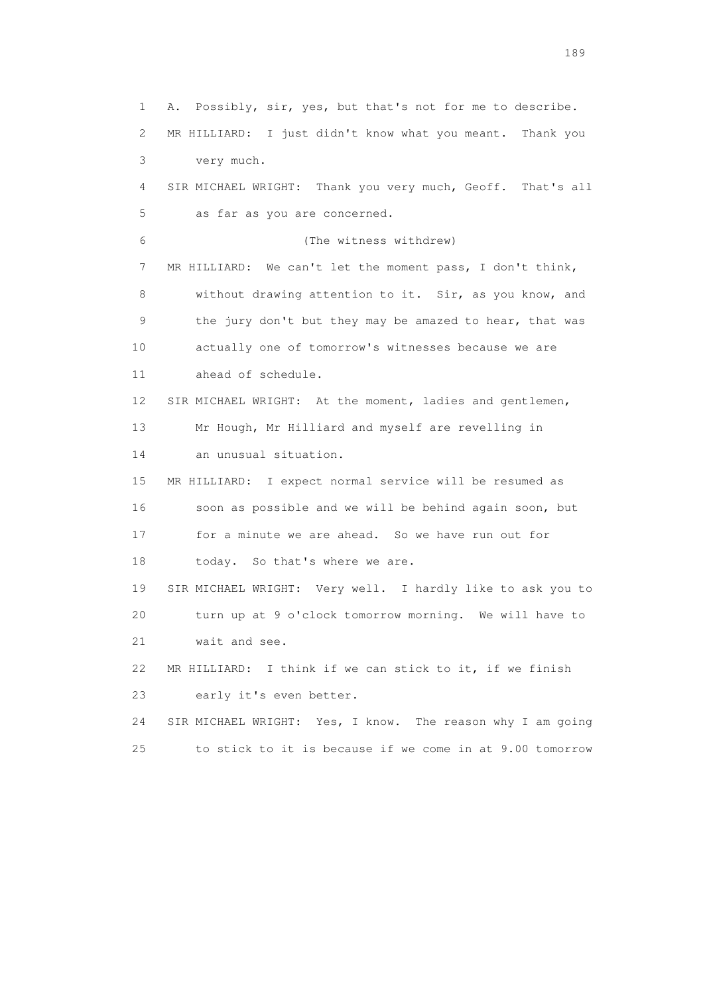1 A. Possibly, sir, yes, but that's not for me to describe. 2 MR HILLIARD: I just didn't know what you meant. Thank you 3 very much. 4 SIR MICHAEL WRIGHT: Thank you very much, Geoff. That's all 5 as far as you are concerned. 6 (The witness withdrew) 7 MR HILLIARD: We can't let the moment pass, I don't think, 8 without drawing attention to it. Sir, as you know, and 9 the jury don't but they may be amazed to hear, that was 10 actually one of tomorrow's witnesses because we are 11 ahead of schedule. 12 SIR MICHAEL WRIGHT: At the moment, ladies and gentlemen, 13 Mr Hough, Mr Hilliard and myself are revelling in 14 an unusual situation. 15 MR HILLIARD: I expect normal service will be resumed as 16 soon as possible and we will be behind again soon, but 17 for a minute we are ahead. So we have run out for 18 today. So that's where we are. 19 SIR MICHAEL WRIGHT: Very well. I hardly like to ask you to 20 turn up at 9 o'clock tomorrow morning. We will have to 21 wait and see. 22 MR HILLIARD: I think if we can stick to it, if we finish 23 early it's even better. 24 SIR MICHAEL WRIGHT: Yes, I know. The reason why I am going 25 to stick to it is because if we come in at 9.00 tomorrow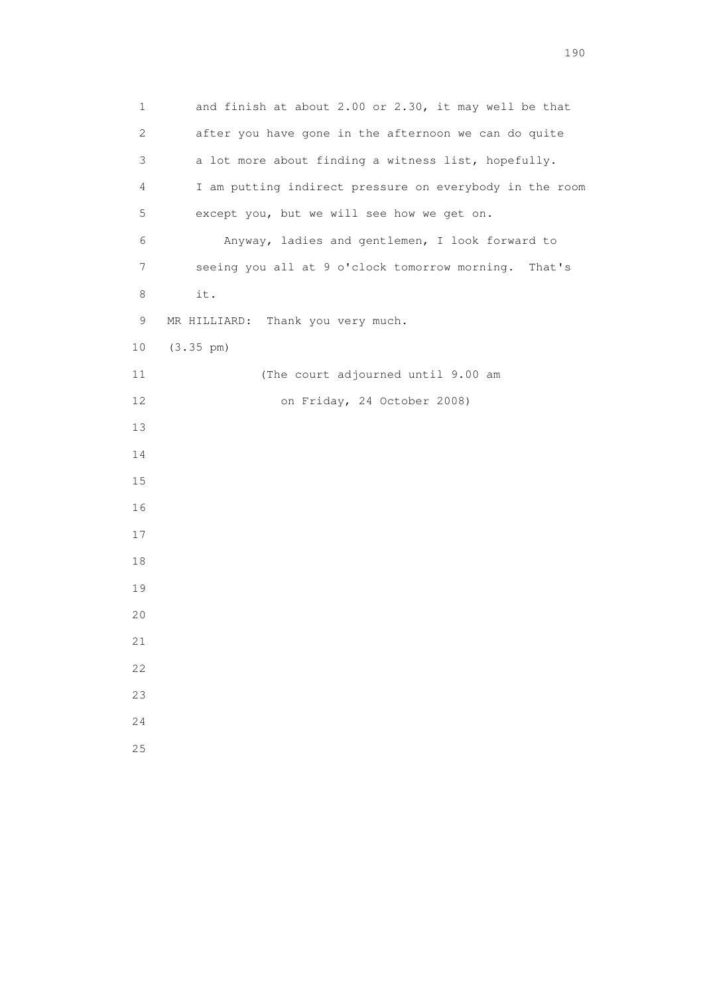1 and finish at about 2.00 or 2.30, it may well be that 2 after you have gone in the afternoon we can do quite 3 a lot more about finding a witness list, hopefully. 4 I am putting indirect pressure on everybody in the room 5 except you, but we will see how we get on. 6 Anyway, ladies and gentlemen, I look forward to 7 seeing you all at 9 o'clock tomorrow morning. That's 8 it. 9 MR HILLIARD: Thank you very much. 10 (3.35 pm) 11 (The court adjourned until 9.00 am 12 on Friday, 24 October 2008) 13 14 15 16 17 18 19 20 21 22 23 24 25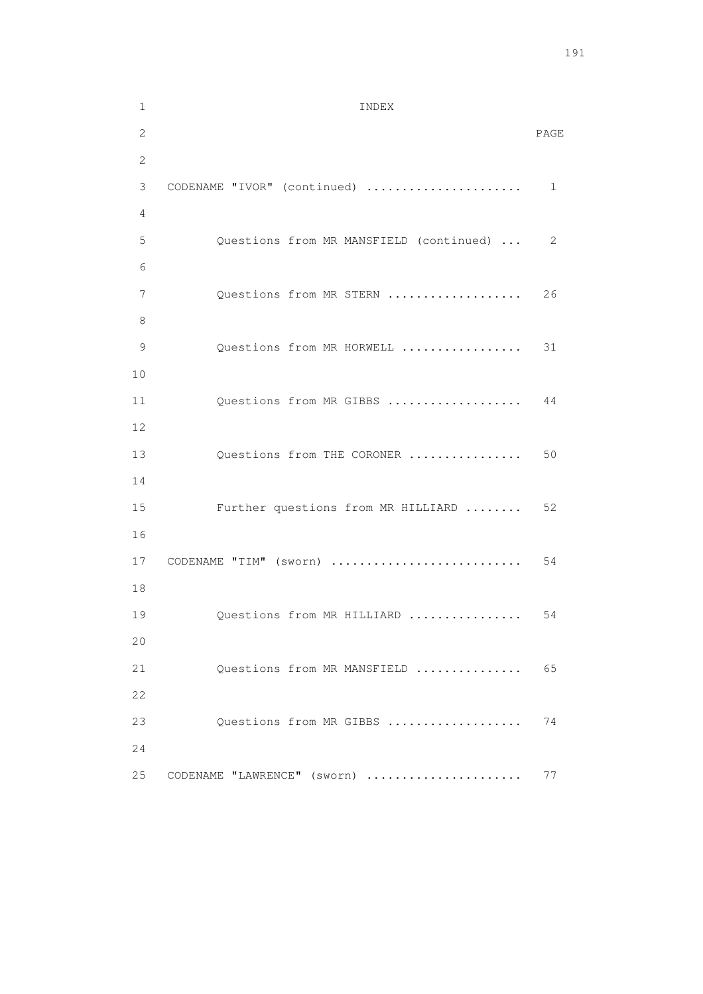1 INDEX 2 PAGE 2 3 CODENAME "IVOR" (continued) ...................... 1 4 5 Questions from MR MANSFIELD (continued) ... 2 6 7 Questions from MR STERN ..................... 26 8 9 Questions from MR HORWELL .................. 31 10 11 Questions from MR GIBBS ................... 44 12 13 Questions from THE CORONER .................. 50 14 15 Further questions from MR HILLIARD ........ 52 16 17 CODENAME "TIM" (sworn) ........................... 54 18 19 Questions from MR HILLIARD ................. 54 20 21 Questions from MR MANSFIELD ................ 65 22 23 Questions from MR GIBBS .................... 74 24 25 CODENAME "LAWRENCE" (sworn) ....................... 77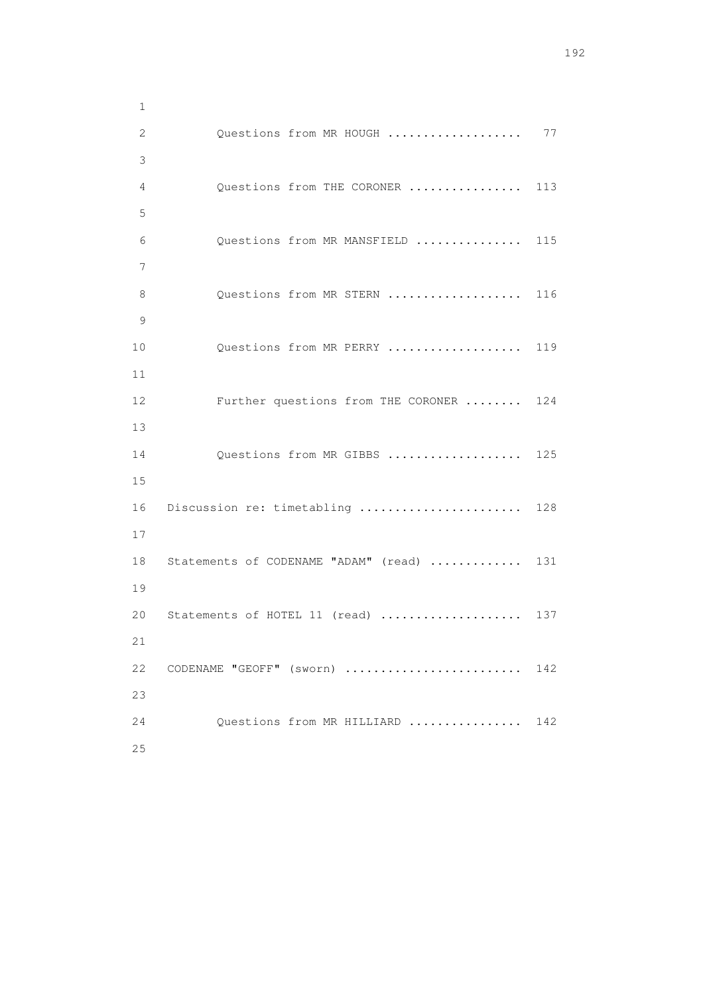1 2 Questions from MR HOUGH ..................... 77 3 4 Questions from THE CORONER ................ 113 5 6 Questions from MR MANSFIELD ............... 115 7 8 Questions from MR STERN ................... 116 9 10 Questions from MR PERRY .................... 119 11 12 Further questions from THE CORONER ........ 124 13 14 Questions from MR GIBBS .................... 125 15 16 Discussion re: timetabling ......................... 128 17 18 Statements of CODENAME "ADAM" (read) ............. 131 19 20 Statements of HOTEL 11 (read) ..................... 137 21 22 CODENAME "GEOFF" (sworn) .......................... 142 23 24 Questions from MR HILLIARD ................ 142 25